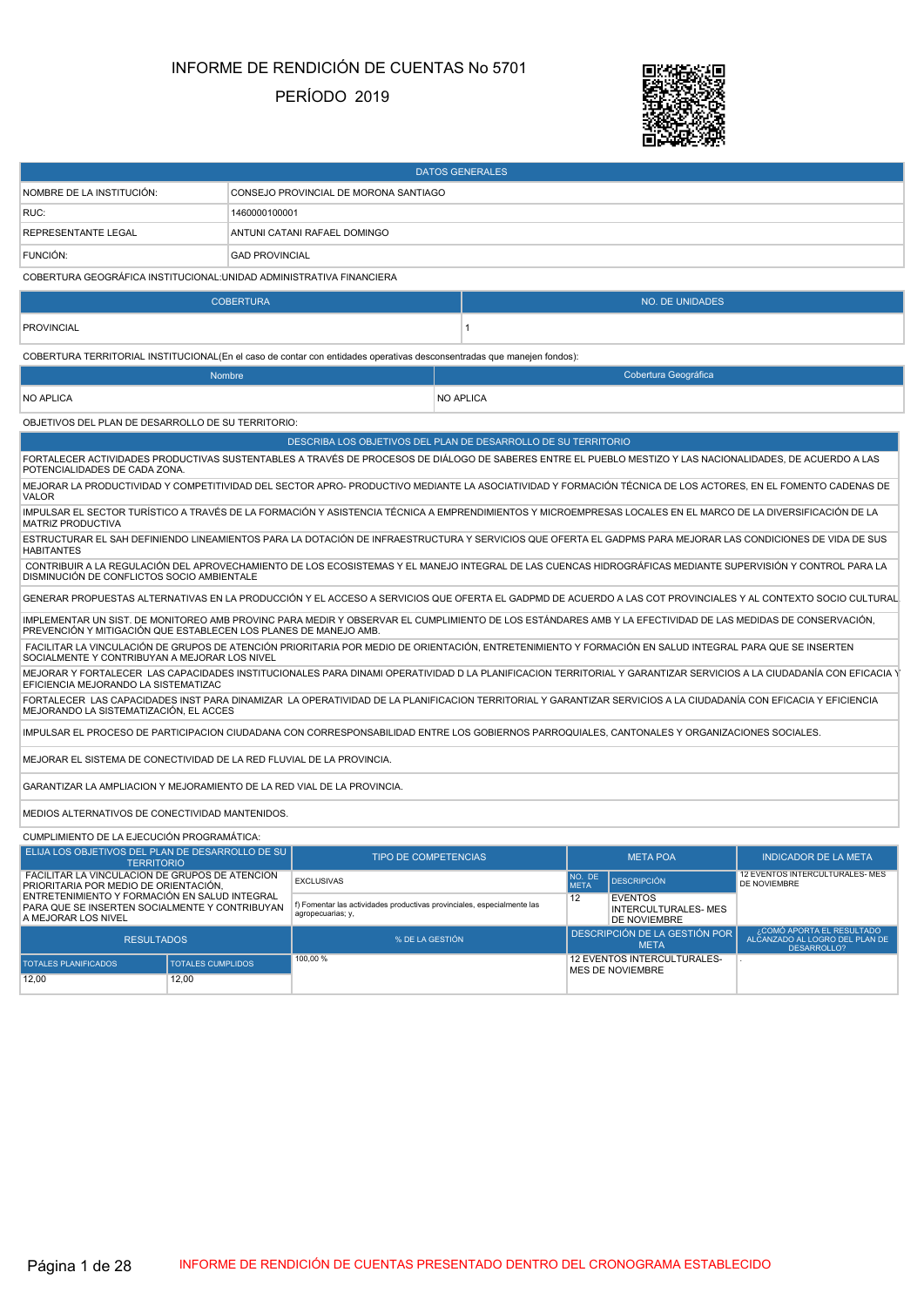# INFORME DE RENDICIÓN DE CUENTAS No 5701

### PERÍODO 2019



|                                                                                                                                                                                                                                |                       |                                                                                              | <b>DATOS GENERALES</b> |                       |                                                                     |                                                            |
|--------------------------------------------------------------------------------------------------------------------------------------------------------------------------------------------------------------------------------|-----------------------|----------------------------------------------------------------------------------------------|------------------------|-----------------------|---------------------------------------------------------------------|------------------------------------------------------------|
| NOMBRE DE LA INSTITUCIÓN:                                                                                                                                                                                                      |                       | CONSEJO PROVINCIAL DE MORONA SANTIAGO                                                        |                        |                       |                                                                     |                                                            |
| RUC:                                                                                                                                                                                                                           | 1460000100001         |                                                                                              |                        |                       |                                                                     |                                                            |
| <b>REPRESENTANTE LEGAL</b>                                                                                                                                                                                                     |                       | ANTUNI CATANI RAFAEL DOMINGO                                                                 |                        |                       |                                                                     |                                                            |
| FUNCIÓN:                                                                                                                                                                                                                       | <b>GAD PROVINCIAL</b> |                                                                                              |                        |                       |                                                                     |                                                            |
| COBERTURA GEOGRÁFICA INSTITUCIONAL: UNIDAD ADMINISTRATIVA FINANCIERA                                                                                                                                                           |                       |                                                                                              |                        |                       |                                                                     |                                                            |
|                                                                                                                                                                                                                                | <b>COBERTURA</b>      |                                                                                              |                        |                       | <b>NO. DE UNIDADES</b>                                              |                                                            |
| <b>PROVINCIAL</b>                                                                                                                                                                                                              |                       |                                                                                              | 1                      |                       |                                                                     |                                                            |
| COBERTURA TERRITORIAL INSTITUCIONAL(En el caso de contar con entidades operativas desconsentradas que manejen fondos):                                                                                                         |                       |                                                                                              |                        |                       |                                                                     |                                                            |
| <b>Nombre</b>                                                                                                                                                                                                                  |                       |                                                                                              |                        |                       | Cobertura Geográfica                                                |                                                            |
| <b>NO APLICA</b>                                                                                                                                                                                                               |                       |                                                                                              | <b>NO APLICA</b>       |                       |                                                                     |                                                            |
| OBJETIVOS DEL PLAN DE DESARROLLO DE SU TERRITORIO:                                                                                                                                                                             |                       |                                                                                              |                        |                       |                                                                     |                                                            |
|                                                                                                                                                                                                                                |                       | DESCRIBA LOS OBJETIVOS DEL PLAN DE DESARROLLO DE SU TERRITORIO                               |                        |                       |                                                                     |                                                            |
| FORTALECER ACTIVIDADES PRODUCTIVAS SUSTENTABLES A TRAVÉS DE PROCESOS DE DIÁLOGO DE SABERES ENTRE EL PUEBLO MESTIZO Y LAS NACIONALIDADES, DE ACUERDO A LAS<br>POTENCIALIDADES DE CADA ZONA.                                     |                       |                                                                                              |                        |                       |                                                                     |                                                            |
| MEJORAR LA PRODUCTIVIDAD Y COMPETITIVIDAD DEL SECTOR APRO- PRODUCTIVO MEDIANTE LA ASOCIATIVIDAD Y FORMACIÓN TÉCNICA DE LOS ACTORES, EN EL FOMENTO CADENAS DE<br>VALOR                                                          |                       |                                                                                              |                        |                       |                                                                     |                                                            |
| IMPULSAR EL SECTOR TURÍSTICO A TRAVÉS DE LA FORMACIÓN Y ASISTENCIA TÉCNICA A EMPRENDIMIENTOS Y MICROEMPRESAS LOCALES EN EL MARCO DE LA DIVERSIFICACIÓN DE LA<br><b>MATRIZ PRODUCTIVA</b>                                       |                       |                                                                                              |                        |                       |                                                                     |                                                            |
| ESTRUCTURAR EL SAH DEFINIENDO LINEAMIENTOS PARA LA DOTACIÓN DE INFRAESTRUCTURA Y SERVICIOS QUE OFERTA EL GADPMS PARA MEJORAR LAS CONDICIONES DE VIDA DE SUS<br><b>HABITANTES</b>                                               |                       |                                                                                              |                        |                       |                                                                     |                                                            |
| CONTRIBUIR A LA REGULACIÓN DEL APROVECHAMIENTO DE LOS ECOSISTEMAS Y EL MANEJO INTEGRAL DE LAS CUENCAS HIDROGRÁFICAS MEDIANTE SUPERVISIÓN Y CONTROL PARA LA<br>DISMINUCIÓN DE CONFLICTOS SOCIO AMBIENTALE                       |                       |                                                                                              |                        |                       |                                                                     |                                                            |
| GENERAR PROPUESTAS ALTERNATIVAS EN LA PRODUCCIÓN Y EL ACCESO A SERVICIOS QUE OFERTA EL GADPMD DE ACUERDO A LAS COT PROVINCIALES Y AL CONTEXTO SOCIO CULTURAL                                                                   |                       |                                                                                              |                        |                       |                                                                     |                                                            |
| IMPLEMENTAR UN SIST. DE MONITOREO AMB PROVINC PARA MEDIR Y OBSERVAR EL CUMPLIMIENTO DE LOS ESTÁNDARES AMB Y LA EFECTIVIDAD DE LAS MEDIDAS DE CONSERVACIÓN,<br>PREVENCIÓN Y MITIGACIÓN QUE ESTABLECEN LOS PLANES DE MANEJO AMB. |                       |                                                                                              |                        |                       |                                                                     |                                                            |
| FACILITAR LA VINCULACIÓN DE GRUPOS DE ATENCIÓN PRIORITARIA POR MEDIO DE ORIENTACIÓN, ENTRETENIMIENTO Y FORMACIÓN EN SALUD INTEGRAL PARA QUE SE INSERTEN<br>SOCIALMENTE Y CONTRIBUYAN A MEJORAR LOS NIVEL                       |                       |                                                                                              |                        |                       |                                                                     |                                                            |
| MEJORAR Y FORTALECER LAS CAPACIDADES INSTITUCIONALES PARA DINAMI OPERATIVIDAD D LA PLANIFICACION TERRITORIAL Y GARANTIZAR SERVICIOS A LA CIUDADANÍA CON EFICACIA Y<br>EFICIENCIA MEJORANDO LA SISTEMATIZAC                     |                       |                                                                                              |                        |                       |                                                                     |                                                            |
| FORTALECER LAS CAPACIDADES INST PARA DINAMIZAR LA OPERATIVIDAD DE LA PLANIFICACION TERRITORIAL Y GARANTIZAR SERVICIOS A LA CIUDADANÍA CON EFICACIA Y EFICIENCIA<br>MEJORANDO LA SISTEMATIZACIÓN, EL ACCES                      |                       |                                                                                              |                        |                       |                                                                     |                                                            |
| IMPULSAR EL PROCESO DE PARTICIPACION CIUDADANA CON CORRESPONSABILIDAD ENTRE LOS GOBIERNOS PARROQUIALES, CANTONALES Y ORGANIZACIONES SOCIALES.                                                                                  |                       |                                                                                              |                        |                       |                                                                     |                                                            |
| MEJORAR EL SISTEMA DE CONECTIVIDAD DE LA RED FLUVIAL DE LA PROVINCIA.                                                                                                                                                          |                       |                                                                                              |                        |                       |                                                                     |                                                            |
| GARANTIZAR LA AMPLIACION Y MEJORAMIENTO DE LA RED VIAL DE LA PROVINCIA.                                                                                                                                                        |                       |                                                                                              |                        |                       |                                                                     |                                                            |
| MEDIOS ALTERNATIVOS DE CONECTIVIDAD MANTENIDOS.                                                                                                                                                                                |                       |                                                                                              |                        |                       |                                                                     |                                                            |
| CUMPLIMIENTO DE LA EJECUCIÓN PROGRAMÁTICA:                                                                                                                                                                                     |                       |                                                                                              |                        |                       |                                                                     |                                                            |
| ELIJA LOS OBJETIVOS DEL PLAN DE DESARROLLO DE SU<br><b>TERRITORIO</b>                                                                                                                                                          |                       | <b>TIPO DE COMPETENCIAS</b>                                                                  |                        |                       | <b>META POA</b>                                                     | <b>INDICADOR DE LA META</b>                                |
| FACILITAR LA VINCULACIÓN DE GRUPOS DE ATENCIÓN<br>PRIORITARIA POR MEDIO DE ORIENTACIÓN,                                                                                                                                        |                       | <b>EXCLUSIVAS</b>                                                                            |                        | NO. DE<br><b>MFTA</b> | <b>DESCRIPCIÓN</b>                                                  | 12 EVENTOS INTERCULTURALES- MES<br>DE NOVIEMBRE            |
| ENTRETENIMIENTO Y FORMACIÓN EN SALUD INTEGRAL<br>PARA QUE SE INSERTEN SOCIALMENTE Y CONTRIBUYAN<br>A MEJORAR LOS NIVEL                                                                                                         |                       | f) Fomentar las actividades productivas provinciales, especialmente las<br>agropecuarias; y, |                        | 12                    | <b>EVENTOS</b><br><b>INTERCULTURALES-MES</b><br><b>DE NOVIEMBRE</b> |                                                            |
| <b>RESULTADOS</b>                                                                                                                                                                                                              |                       | % DE LA GESTIÓN                                                                              |                        |                       | DESCRIPCIÓN DE LA GESTIÓN POR<br><b>META</b>                        | COMÓ APORTA EL RESULTADO<br>ALCANZADO AL LOGRO DEL PLAN DE |

100,00 % 12 EVENTOS INTERCULTURALES-MES DE NOVIEMBRE

TOTALES PLANIFICADOS **TOTALES CUMPLIDOS** 

12,00 12,00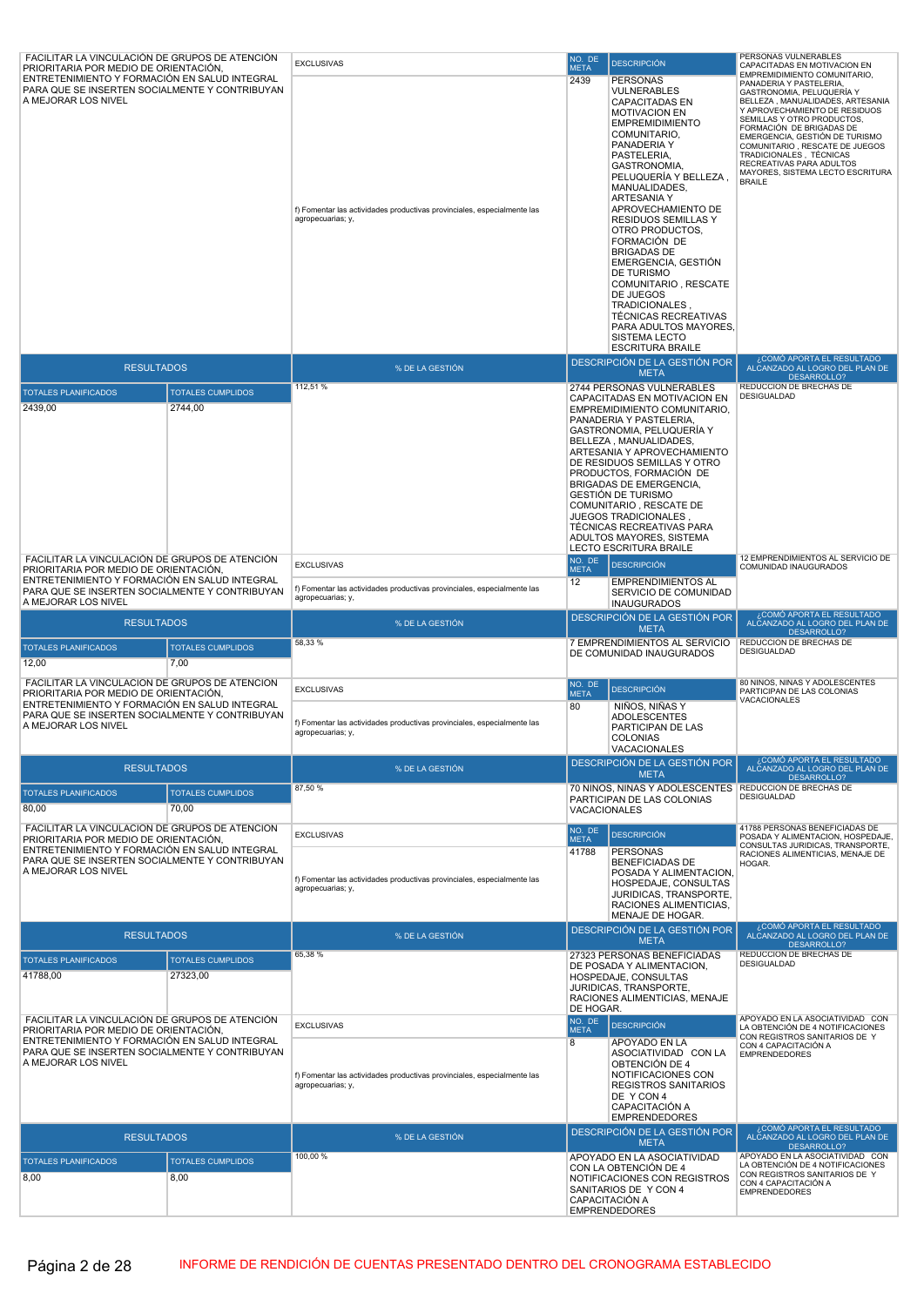| FACILITAR LA VINCULACIÓN DE GRUPOS DE ATENCIÓN<br>PRIORITARIA POR MEDIO DE ORIENTACIÓN,                                                                         |                                  | <b>EXCLUSIVAS</b>                                                                                                 | NO. DE<br><b>META</b> | <b>DESCRIPCIÓN</b>                                                                                                                                                                                                                                                                                                                                                                                                                                                                                                                                          | PERSONAS VULNERABLES<br>CAPACITADAS EN MOTIVACION EN<br>EMPREMIDIMIENTO COMUNITARIO.                                                                                                                                                                                                                                                                                |
|-----------------------------------------------------------------------------------------------------------------------------------------------------------------|----------------------------------|-------------------------------------------------------------------------------------------------------------------|-----------------------|-------------------------------------------------------------------------------------------------------------------------------------------------------------------------------------------------------------------------------------------------------------------------------------------------------------------------------------------------------------------------------------------------------------------------------------------------------------------------------------------------------------------------------------------------------------|---------------------------------------------------------------------------------------------------------------------------------------------------------------------------------------------------------------------------------------------------------------------------------------------------------------------------------------------------------------------|
| PARA QUE SE INSERTEN SOCIALMENTE Y CONTRIBUYAN<br>A MEJORAR LOS NIVEL                                                                                           |                                  | f) Fomentar las actividades productivas provinciales, especialmente las<br>agropecuarias; y,                      | 2439                  | <b>PERSONAS</b><br>VULNERABLES<br><b>CAPACITADAS EN</b><br><b>MOTIVACION EN</b><br><b>EMPREMIDIMIENTO</b><br>COMUNITARIO,<br>PANADERIA Y<br>PASTELERIA,<br>GASTRONOMIA,<br>PELUQUERIA Y BELLEZA,<br>MANUALIDADES,<br><b>ARTESANIA Y</b><br>APROVECHAMIENTO DE<br><b>RESIDUOS SEMILLAS Y</b><br>OTRO PRODUCTOS,<br>FORMACIÓN DE<br><b>BRIGADAS DE</b><br>EMERGENCIA, GESTIÓN<br>DE TURISMO<br>COMUNITARIO, RESCATE<br>DE JUEGOS<br>TRADICIONALES,<br><b>TÉCNICAS RECREATIVAS</b><br>PARA ADULTOS MAYORES,<br><b>SISTEMA LECTO</b><br><b>ESCRITURA BRAILE</b> | PANADERIA Y PASTELERIA,<br>GASTRONOMIA, PELUQUERÍA Y<br>BELLEZA, MANUALIDADES, ARTESANIA<br>Y APROVECHAMIENTO DE RESIDUOS<br>SEMILLAS Y OTRO PRODUCTOS,<br>FORMACIÓN DE BRIGADAS DE<br>EMERGENCIA, GESTIÓN DE TURISMO<br>COMUNITARIO, RESCATE DE JUEGOS<br>TRADICIONALES, TÉCNICAS<br>RECREATIVAS PARA ADULTOS<br>MAYORES, SISTEMA LECTO ESCRITURA<br><b>BRAILE</b> |
| <b>RESULTADOS</b>                                                                                                                                               |                                  | % DE LA GESTIÓN                                                                                                   |                       | DESCRIPCIÓN DE LA GESTIÓN POR<br><b>META</b>                                                                                                                                                                                                                                                                                                                                                                                                                                                                                                                | COMÓ APORTA EL RESULTADO<br>ALCANZADO AL LOGRO DEL PLAN DE<br>DESARROLLO?                                                                                                                                                                                                                                                                                           |
| <b>TOTALES PLANIFICADOS</b><br><b>TOTALES CUMPLIDOS</b><br>2439,00<br>2744,00                                                                                   |                                  | 112,51 %                                                                                                          |                       | 2744 PERSONAS VULNERABLES<br>CAPACITADAS EN MOTIVACION EN<br>EMPREMIDIMIENTO COMUNITARIO.<br>PANADERIA Y PASTELERIA,<br>GASTRONOMIA, PELUQUERÍA Y<br>BELLEZA, MANUALIDADES,<br>ARTESANIA Y APROVECHAMIENTO<br>DE RESIDUOS SEMILLAS Y OTRO<br>PRODUCTOS, FORMACIÓN DE<br><b>BRIGADAS DE EMERGENCIA,</b><br><b>GESTIÓN DE TURISMO</b><br>COMUNITARIO, RESCATE DE<br>JUEGOS TRADICIONALES,<br>TÉCNICAS RECREATIVAS PARA<br>ADULTOS MAYORES, SISTEMA<br><b>LECTO ESCRITURA BRAILE</b>                                                                           | REDUCCION DE BRECHAS DE<br>DESIGUALDAD                                                                                                                                                                                                                                                                                                                              |
| FACILITAR LA VINCULACIÓN DE GRUPOS DE ATENCIÓN<br>PRIORITARIA POR MEDIO DE ORIENTACIÓN,                                                                         |                                  | <b>EXCLUSIVAS</b>                                                                                                 | NO. DE<br><b>META</b> | <b>DESCRIPCIÓN</b>                                                                                                                                                                                                                                                                                                                                                                                                                                                                                                                                          | 12 EMPRENDIMIENTOS AL SERVICIO DE<br>COMUNIDAD INAUGURADOS                                                                                                                                                                                                                                                                                                          |
| ENTRETENIMIENTO Y FORMACIÓN EN SALUD INTEGRAL<br>PARA QUE SE INSERTEN SOCIALMENTE Y CONTRIBUYAN<br>A MEJORAR LOS NIVEL                                          |                                  | f) Fomentar las actividades productivas provinciales, especialmente las<br>agropecuarias; y,                      | 12                    | <b>EMPRENDIMIENTOS AL</b><br>SERVICIO DE COMUNIDAD<br><b>INAUGURADOS</b>                                                                                                                                                                                                                                                                                                                                                                                                                                                                                    |                                                                                                                                                                                                                                                                                                                                                                     |
| <b>RESULTADOS</b>                                                                                                                                               |                                  | % DE LA GESTIÓN                                                                                                   |                       | DESCRIPCIÓN DE LA GESTIÓN POR<br><b>META</b>                                                                                                                                                                                                                                                                                                                                                                                                                                                                                                                | ¿COMÓ APORTA EL RESULTADO<br>ALCANZADO AL LOGRO DEL PLAN DE<br>DESARROLLO?                                                                                                                                                                                                                                                                                          |
| <b>TOTALES PLANIFICADOS</b><br>12,00                                                                                                                            | <b>TOTALES CUMPLIDOS</b><br>7,00 | 58,33 %                                                                                                           |                       | 7 EMPRENDIMIENTOS AL SERVICIO<br>DE COMUNIDAD INAUGURADOS                                                                                                                                                                                                                                                                                                                                                                                                                                                                                                   | REDUCCION DE BRECHAS DE<br><b>DESIGUALDAD</b>                                                                                                                                                                                                                                                                                                                       |
| FACILITAR LA VINCULACIÓN DE GRUPOS DE ATENCIÓN                                                                                                                  |                                  |                                                                                                                   | NO. DE                |                                                                                                                                                                                                                                                                                                                                                                                                                                                                                                                                                             | 80 NINOS, NINAS Y ADOLESCENTES                                                                                                                                                                                                                                                                                                                                      |
| PRIORITARIA POR MEDIO DE ORIENTACIÓN,<br>ENTRETENIMIENTO Y FORMACIÓN EN SALUD INTEGRAL<br>PARA QUE SE INSERTEN SOCIALMENTE Y CONTRIBUYAN<br>A MEJORAR LOS NIVEL |                                  | <b>EXCLUSIVAS</b><br>f) Fomentar las actividades productivas provinciales, especialmente las<br>agropecuarias; y, | <b>META</b><br>80     | <b>DESCRIPCIÓN</b><br>NIÑOS, NIÑAS Y<br><b>ADOLESCENTES</b><br>PARTICIPAN DE LAS<br><b>COLONIAS</b><br>VACACIONALES                                                                                                                                                                                                                                                                                                                                                                                                                                         | PARTICIPAN DE LAS COLONIAS<br>VACACIONALES                                                                                                                                                                                                                                                                                                                          |
| <b>RESULTADOS</b>                                                                                                                                               |                                  | % DE LA GESTIÓN                                                                                                   |                       | DESCRIPCIÓN DE LA GESTIÓN POR<br><b>META</b>                                                                                                                                                                                                                                                                                                                                                                                                                                                                                                                | ¿COMÓ APORTA EL RESULTADO<br>ALCANZADO AL LOGRO DEL PLAN DE<br>DESARROLLO?                                                                                                                                                                                                                                                                                          |
| <b>TOTALES PLANIFICADOS</b>                                                                                                                                     | <b>TOTALES CUMPLIDOS</b>         | 87,50 %                                                                                                           |                       | 70 NIÑOS, NIÑAS Y ADOLESCENTES   REDUCCION DE BRECHAS DE<br>PARTICIPAN DE LAS COLONIAS                                                                                                                                                                                                                                                                                                                                                                                                                                                                      | DESIGUALDAD                                                                                                                                                                                                                                                                                                                                                         |
| 80,00                                                                                                                                                           | 70,00                            |                                                                                                                   | VACACIONALES          |                                                                                                                                                                                                                                                                                                                                                                                                                                                                                                                                                             |                                                                                                                                                                                                                                                                                                                                                                     |
| FACILITAR LA VINCULACIÓN DE GRUPOS DE ATENCIÓN<br>PRIORITARIA POR MEDIO DE ORIENTACIÓN,                                                                         |                                  | <b>EXCLUSIVAS</b>                                                                                                 | NO. DE<br><b>META</b> | <b>DESCRIPCIÓN</b>                                                                                                                                                                                                                                                                                                                                                                                                                                                                                                                                          | 41788 PERSONAS BENEFICIADAS DE<br>POSADA Y ALIMENTACION, HOSPEDAJE,                                                                                                                                                                                                                                                                                                 |
| ENTRETENIMIENTO Y FORMACIÓN EN SALUD INTEGRAL<br>PARA QUE SE INSERTEN SOCIALMENTE Y CONTRIBUYAN<br>A MEJORAR LOS NIVEL                                          |                                  | f) Fomentar las actividades productivas provinciales, especialmente las<br>agropecuarias; y,                      | 41788                 | <b>PERSONAS</b><br><b>BENEFICIADAS DE</b><br>POSADA Y ALIMENTACION,<br>HOSPEDAJE, CONSULTAS<br>JURIDICAS, TRANSPORTE,<br>RACIONES ALIMENTICIAS.<br>MENAJE DE HOGAR.                                                                                                                                                                                                                                                                                                                                                                                         | CONSULTAS JURIDICAS, TRANSPORTE,<br>RACIONES ALIMENTICIAS, MENAJE DE<br>HOGAR.                                                                                                                                                                                                                                                                                      |
| <b>RESULTADOS</b>                                                                                                                                               |                                  | % DE LA GESTIÓN                                                                                                   |                       | DESCRIPCIÓN DE LA GESTIÓN POR<br><b>META</b>                                                                                                                                                                                                                                                                                                                                                                                                                                                                                                                | COMÓ APORTA EL RESULTADO،<br>ALCANZADO AL LOGRO DEL PLAN DE<br>DESARROLLO?                                                                                                                                                                                                                                                                                          |
| <b>TOTALES PLANIFICADOS</b>                                                                                                                                     | <b>TOTALES CUMPLIDOS</b>         | 65,38 %                                                                                                           |                       | 27323 PERSONAS BENEFICIADAS<br>DE POSADA Y ALIMENTACION,                                                                                                                                                                                                                                                                                                                                                                                                                                                                                                    | REDUCCION DE BRECHAS DE<br>DESIGUALDAD                                                                                                                                                                                                                                                                                                                              |
| 41788,00                                                                                                                                                        | 27323,00                         |                                                                                                                   | DE HOGAR.             | HOSPEDAJE, CONSULTAS<br>JURIDICAS, TRANSPORTE,<br>RACIONES ALIMENTICIAS, MENAJE                                                                                                                                                                                                                                                                                                                                                                                                                                                                             |                                                                                                                                                                                                                                                                                                                                                                     |
| FACILITAR LA VINCULACIÓN DE GRUPOS DE ATENCIÓN<br>PRIORITARIA POR MEDIO DE ORIENTACIÓN,                                                                         |                                  | <b>EXCLUSIVAS</b>                                                                                                 | NO. DE<br><b>META</b> | <b>DESCRIPCIÓN</b>                                                                                                                                                                                                                                                                                                                                                                                                                                                                                                                                          | APOYADO EN LA ASOCIATIVIDAD CON<br>LA OBTENCIÓN DE 4 NOTIFICACIONES<br>CON REGISTROS SANITARIOS DE Y                                                                                                                                                                                                                                                                |
| ENTRETENIMIENTO Y FORMACIÓN EN SALUD INTEGRAL<br>PARA QUE SE INSERTEN SOCIALMENTE Y CONTRIBUYAN<br>A MEJORAR LOS NIVEL                                          |                                  | f) Fomentar las actividades productivas provinciales, especialmente las<br>agropecuarias; y,                      | 8                     | APOYADO EN LA<br>ASOCIATIVIDAD CON LA<br>OBTENCIÓN DE 4<br>NOTIFICACIONES CON<br><b>REGISTROS SANITARIOS</b><br>DE Y CON 4<br>CAPACITACIÓN A<br><b>EMPRENDEDORES</b>                                                                                                                                                                                                                                                                                                                                                                                        | CON 4 CAPACITACIÓN A<br><b>EMPRENDEDORES</b><br>COMÓ APORTA EL RESULTADO،                                                                                                                                                                                                                                                                                           |
| <b>RESULTADOS</b>                                                                                                                                               |                                  | % DE LA GESTIÓN                                                                                                   |                       | DESCRIPCIÓN DE LA GESTIÓN POR<br><b>META</b>                                                                                                                                                                                                                                                                                                                                                                                                                                                                                                                | ALCANZADO AL LOGRO DEL PLAN DE<br>DESARROLLO?                                                                                                                                                                                                                                                                                                                       |
| <b>TOTALES PLANIFICADOS</b>                                                                                                                                     | <b>TOTALES CUMPLIDOS</b>         | 100,00 %                                                                                                          |                       | APOYADO EN LA ASOCIATIVIDAD<br>CON LA OBTENCIÓN DE 4                                                                                                                                                                                                                                                                                                                                                                                                                                                                                                        | APOYADO EN LA ASOCIATIVIDAD CON<br>LA OBTENCIÓN DE 4 NOTIFICACIONES                                                                                                                                                                                                                                                                                                 |
| 8,00                                                                                                                                                            | 8,00                             |                                                                                                                   |                       | NOTIFICACIONES CON REGISTROS<br>SANITARIOS DE Y CON 4<br>CAPACITACIÓN A<br><b>EMPRENDEDORES</b>                                                                                                                                                                                                                                                                                                                                                                                                                                                             | CON REGISTROS SANITARIOS DE Y<br>CON 4 CAPACITACIÓN A<br><b>EMPRENDEDORES</b>                                                                                                                                                                                                                                                                                       |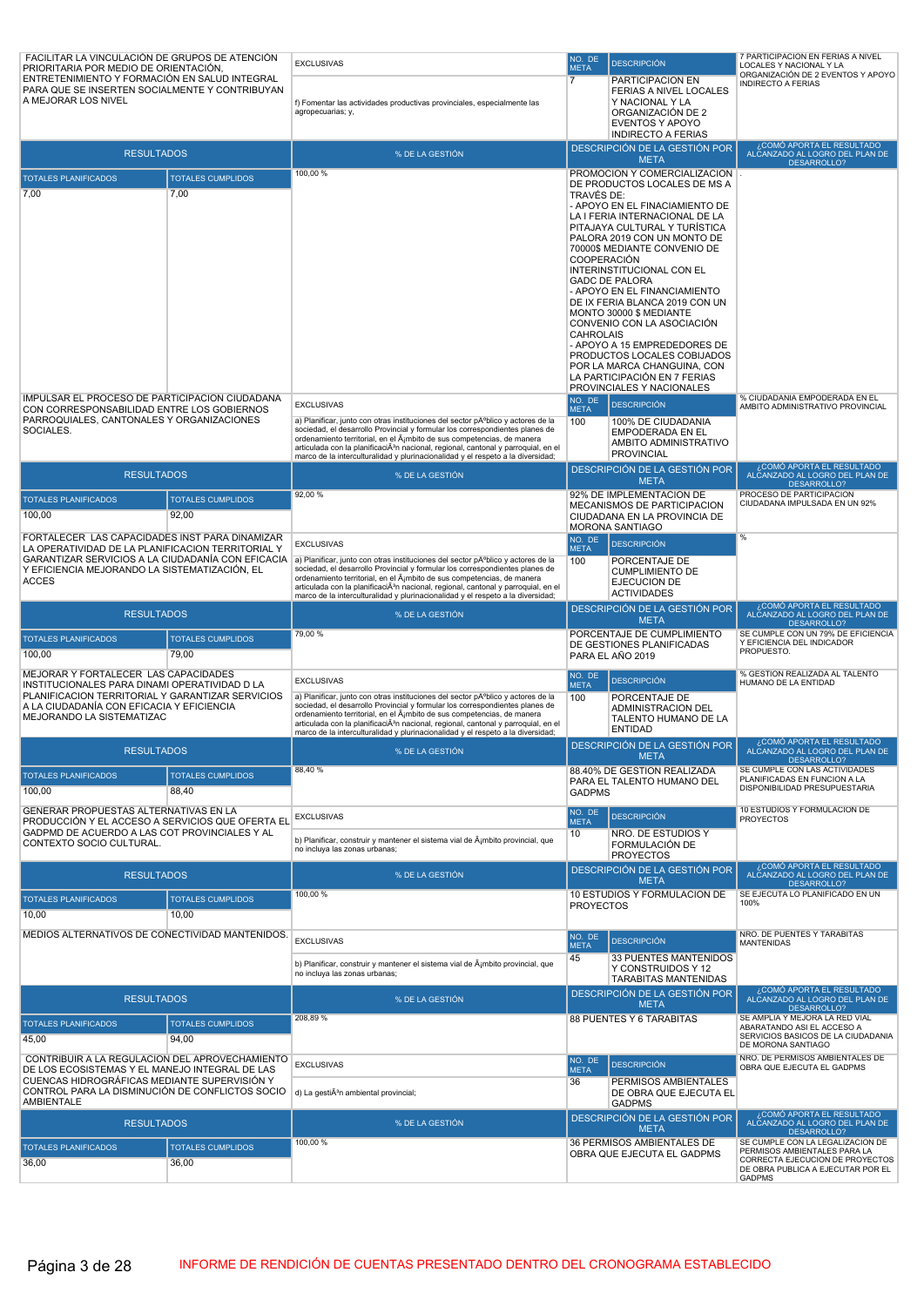| FACILITAR LA VINCULACIÓN DE GRUPOS DE ATENCIÓN<br>PRIORITARIA POR MEDIO DE ORIENTACIÓN,             |                                   | <b>EXCLUSIVAS</b>                                                                                                                                                                                                                                       | NO. DE<br><b>META</b> | <b>DESCRIPCIÓN</b>                                               | 7 PARTICIPACION EN FERIAS A NIVEL<br>LOCALES Y NACIONAL Y LA                           |
|-----------------------------------------------------------------------------------------------------|-----------------------------------|---------------------------------------------------------------------------------------------------------------------------------------------------------------------------------------------------------------------------------------------------------|-----------------------|------------------------------------------------------------------|----------------------------------------------------------------------------------------|
| ENTRETENIMIENTO Y FORMACIÓN EN SALUD INTEGRAL<br>PARA QUE SE INSERTEN SOCIALMENTE Y CONTRIBUYAN     |                                   |                                                                                                                                                                                                                                                         | $\overline{7}$        | PARTICIPACION EN                                                 | ORGANIZACIÓN DE 2 EVENTOS Y APOYO<br><b>INDIRECTO A FERIAS</b>                         |
| A MEJORAR LOS NIVEL                                                                                 |                                   | f) Fomentar las actividades productivas provinciales, especialmente las                                                                                                                                                                                 |                       | FERIAS A NIVEL LOCALES<br>Y NACIONAL Y LA                        |                                                                                        |
|                                                                                                     |                                   | agropecuarias; y,                                                                                                                                                                                                                                       |                       | ORGANIZACIÓN DE 2<br>EVENTOS Y APOYO                             |                                                                                        |
|                                                                                                     |                                   |                                                                                                                                                                                                                                                         |                       | <b>INDIRECTO A FERIAS</b>                                        | COMÓ APORTA EL RESULTADO                                                               |
| <b>RESULTADOS</b>                                                                                   |                                   | % DE LA GESTIÓN                                                                                                                                                                                                                                         |                       | DESCRIPCIÓN DE LA GESTIÓN POR<br><b>META</b>                     | ALCANZADO AL LOGRO DEL PLAN DE<br>DESARROLLO?                                          |
| <b>TOTALES PLANIFICADOS</b>                                                                         | <b>TOTALES CUMPLIDOS</b>          | 100,00 %                                                                                                                                                                                                                                                |                       | PROMOCIÓN Y COMERCIALIZACIÓN<br>DE PRODUCTOS LOCALES DE MS A     |                                                                                        |
| 7,00                                                                                                | 7,00                              |                                                                                                                                                                                                                                                         | TRAVÉS DE:            |                                                                  |                                                                                        |
|                                                                                                     |                                   |                                                                                                                                                                                                                                                         |                       | - APOYO EN EL FINACIAMIENTO DE<br>LA I FERIA INTERNACIONAL DE LA |                                                                                        |
|                                                                                                     |                                   |                                                                                                                                                                                                                                                         |                       | PITAJAYA CULTURAL Y TURÍSTICA<br>PALORA 2019 CON UN MONTO DE     |                                                                                        |
|                                                                                                     |                                   |                                                                                                                                                                                                                                                         |                       | 70000\$ MEDIANTE CONVENIO DE                                     |                                                                                        |
|                                                                                                     |                                   |                                                                                                                                                                                                                                                         | <b>COOPERACIÓN</b>    | INTERINSTITUCIONAL CON EL                                        |                                                                                        |
|                                                                                                     |                                   |                                                                                                                                                                                                                                                         |                       | <b>GADC DE PALORA</b><br>- APOYO EN EL FINANCIAMIENTO            |                                                                                        |
|                                                                                                     |                                   |                                                                                                                                                                                                                                                         |                       | DE IX FERIA BLANCA 2019 CON UN                                   |                                                                                        |
|                                                                                                     |                                   |                                                                                                                                                                                                                                                         |                       | MONTO 30000 \$ MEDIANTE<br>CONVENIO CON LA ASOCIACIÓN            |                                                                                        |
|                                                                                                     |                                   |                                                                                                                                                                                                                                                         | <b>CAHROLAIS</b>      | - APOYO A 15 EMPREDEDORES DE                                     |                                                                                        |
|                                                                                                     |                                   |                                                                                                                                                                                                                                                         |                       | PRODUCTOS LOCALES COBIJADOS<br>POR LA MARCA CHANGUINA, CON       |                                                                                        |
|                                                                                                     |                                   |                                                                                                                                                                                                                                                         |                       | LA PARTICIPACIÓN EN 7 FERIAS                                     |                                                                                        |
| IMPULSAR EL PROCESO DE PARTICIPACION CIUDADANA                                                      |                                   | <b>EXCLUSIVAS</b>                                                                                                                                                                                                                                       | NO. DE                | PROVINCIALES Y NACIONALES<br><b>DESCRIPCIÓN</b>                  | % CIUDADANIA EMPODERADA EN EL                                                          |
| CON CORRESPONSABILIDAD ENTRE LOS GOBIERNOS<br>PARROQUIALES, CANTONALES Y ORGANIZACIONES             |                                   | a) Planificar, junto con otras instituciones del sector público y actores de la                                                                                                                                                                         | <b>META</b><br>100    | 100% DE CIUDADANIA                                               | AMBITO ADMINISTRATIVO PROVINCIAL                                                       |
| SOCIALES.                                                                                           |                                   | sociedad, el desarrollo Provincial y formular los correspondientes planes de<br>ordenamiento territorial, en el Á¡mbito de sus competencias, de manera                                                                                                  |                       | <b>EMPODERADA EN EL</b>                                          |                                                                                        |
|                                                                                                     |                                   | articulada con la planificaciÃ <sup>3</sup> n nacional, regional, cantonal y parroquial, en el<br>marco de la interculturalidad y plurinacionalidad y el respeto a la diversidad;                                                                       |                       | AMBITO ADMINISTRATIVO<br><b>PROVINCIAL</b>                       |                                                                                        |
| <b>RESULTADOS</b>                                                                                   |                                   | % DE LA GESTIÓN                                                                                                                                                                                                                                         |                       | DESCRIPCIÓN DE LA GESTIÓN POR                                    | ¿COMÓ APORTA EL RESULTADO<br>ALCANZADO AL LOGRO DEL PLAN DE                            |
|                                                                                                     |                                   | 92,00%                                                                                                                                                                                                                                                  |                       | <b>META</b><br>92% DE IMPLEMENTACION DE                          | DESARROLLO?<br>PROCESO DE PARTICIPACION                                                |
| <b>TOTALES PLANIFICADOS</b><br>100,00                                                               | <b>TOTALES CUMPLIDOS</b><br>92,00 |                                                                                                                                                                                                                                                         |                       | MECANISMOS DE PARTICIPACION                                      | CIUDADANA IMPULSADA EN UN 92%                                                          |
|                                                                                                     |                                   |                                                                                                                                                                                                                                                         |                       | CIUDADANA EN LA PROVINCIA DE<br>MORONA SANTIAGO                  |                                                                                        |
| FORTALECER LAS CAPACIDADES INST PARA DINAMIZAR<br>LA OPERATIVIDAD DE LA PLANIFICACION TERRITORIAL Y |                                   | <b>EXCLUSIVAS</b>                                                                                                                                                                                                                                       | NO. DE<br><b>META</b> | <b>DESCRIPCIÓN</b>                                               | %                                                                                      |
| Y EFICIENCIA MEJORANDO LA SISTEMATIZACIÓN, EL                                                       |                                   | GARANTIZAR SERVICIOS A LA CIUDADANÍA CON EFICACIA a) Planificar, junto con otras instituciones del sector pAºblico y actores de la<br>sociedad, el desarrollo Provincial y formular los correspondientes planes de                                      | 100                   | PORCENTAJE DE                                                    |                                                                                        |
| <b>ACCES</b>                                                                                        |                                   | ordenamiento territorial, en el ámbito de sus competencias, de manera<br>articulada con la planificaciÃ <sup>3</sup> n nacional, regional, cantonal y parroquial, en el                                                                                 |                       | <b>CUMPLIMIENTO DE</b><br>EJECUCION DE                           |                                                                                        |
|                                                                                                     |                                   | marco de la interculturalidad y plurinacionalidad y el respeto a la diversidad;                                                                                                                                                                         |                       | <b>ACTIVIDADES</b><br>DESCRIPCIÓN DE LA GESTIÓN POR              | ¿COMÓ APORTA EL RESULTADO                                                              |
| <b>RESULTADOS</b>                                                                                   |                                   | % DE LA GESTIÓN                                                                                                                                                                                                                                         |                       | <b>META</b>                                                      | ALCANZADO AL LOGRO DEL PLAN DE<br>DESARROLLO?                                          |
| <b>TOTALES PLANIFICADOS</b>                                                                         | <b>TOTALES CUMPLIDOS</b>          | 79,00 %                                                                                                                                                                                                                                                 |                       | PORCENTAJE DE CUMPLIMIENTO<br>DE GESTIONES PLANIFICADAS          | SE CUMPLE CON UN 79% DE EFICIENCIA<br>Y EFICIENCIA DEL INDICADOR                       |
| 100,00                                                                                              | 79,00                             |                                                                                                                                                                                                                                                         |                       | PARA EL AÑO 2019                                                 | PROPUESTO.                                                                             |
| MEJORAR Y FORTALECER LAS CAPACIDADES<br>INSTITUCIONALES PARA DINAMI OPERATIVIDAD D LA               |                                   | <b>EXCLUSIVAS</b>                                                                                                                                                                                                                                       | NO. DE<br><b>META</b> | <b>DESCRIPCIÓN</b>                                               | % GESTION REALIZADA AL TALENTO<br>HUMANO DE LA ENTIDAD                                 |
| PLANIFICACION TERRITORIAL Y GARANTIZAR SERVICIOS                                                    |                                   | a) Planificar, junto con otras instituciones del sector pĂºblico y actores de la                                                                                                                                                                        | 100                   | PORCENTAJE DE                                                    |                                                                                        |
| A LA CIUDADANÍA CON EFICACIA Y EFICIENCIA<br>MEJORANDO LA SISTEMATIZAC                              |                                   | sociedad, el desarrollo Provincial y formular los correspondientes planes de<br>ordenamiento territorial, en el ámbito de sus competencias, de manera<br>articulada con la planificaciÃ <sup>3</sup> n nacional, regional, cantonal y parroquial, en el |                       | ADMINISTRACION DEL<br>TALENTO HUMANO DE LA                       |                                                                                        |
|                                                                                                     |                                   | marco de la interculturalidad y plurinacionalidad y el respeto a la diversidad;                                                                                                                                                                         |                       | <b>ENTIDAD</b>                                                   | ¿COMÓ APORTA EL RESULTADO                                                              |
| <b>RESULTADOS</b>                                                                                   |                                   | % DE LA GESTION                                                                                                                                                                                                                                         |                       | DESCRIPCIÓN DE LA GESTIÓN POR<br><b>META</b>                     | ALCANZADO AL LOGRO DEL PLAN DE<br>DESARROLLO?                                          |
| <b>TOTALES PLANIFICADOS</b>                                                                         | <b>TOTALES CUMPLIDOS</b>          | 88,40 %                                                                                                                                                                                                                                                 |                       | 88.40% DE GESTION REALIZADA<br>PARA EL TALENTO HUMANO DEL        | SE CUMPLE CON LAS ACTIVIDADES<br>PLANIFICADAS EN FUNCION A LA                          |
| 100,00                                                                                              | 88,40                             |                                                                                                                                                                                                                                                         | <b>GADPMS</b>         |                                                                  | DISPONIBILIDAD PRESUPUESTARIA                                                          |
| GENERAR PROPUESTAS ALTERNATIVAS EN LA                                                               |                                   | <b>EXCLUSIVAS</b>                                                                                                                                                                                                                                       | NO. DE                | <b>DESCRIPCIÓN</b>                                               | 10 ESTUDIOS Y FORMULACION DE<br><b>PROYECTOS</b>                                       |
| PRODUCCIÓN Y EL ACCESO A SERVICIOS QUE OFERTA EL<br>GADPMD DE ACUERDO A LAS COT PROVINCIALES Y AL   |                                   |                                                                                                                                                                                                                                                         | <b>META</b><br>10     | NRO. DE ESTUDIOS Y                                               |                                                                                        |
| CONTEXTO SOCIO CULTURAL.                                                                            |                                   | b) Planificar, construir y mantener el sistema vial de ¡mbito provincial, que<br>no incluya las zonas urbanas;                                                                                                                                          |                       | FORMULACIÓN DE<br><b>PROYECTOS</b>                               |                                                                                        |
| <b>RESULTADOS</b>                                                                                   |                                   | % DE LA GESTIÓN                                                                                                                                                                                                                                         |                       | DESCRIPCIÓN DE LA GESTIÓN POR                                    | ¿COMÓ APORTA EL RESULTADO<br>ALCANZADO AL LOGRO DEL PLAN DE                            |
|                                                                                                     |                                   | 100,00 %                                                                                                                                                                                                                                                |                       | <b>META</b><br>10 ESTUDIOS Y FORMULACIÓN DE                      | <b>DESARROLLO?</b><br>SE EJECUTA LO PLANIFICADO EN UN                                  |
| <b>TOTALES PLANIFICADOS</b>                                                                         | <b>TOTALES CUMPLIDOS</b>          |                                                                                                                                                                                                                                                         | <b>PROYECTOS</b>      |                                                                  | 100%                                                                                   |
| 10,00                                                                                               | 10,00                             |                                                                                                                                                                                                                                                         |                       |                                                                  |                                                                                        |
| MEDIOS ALTERNATIVOS DE CONECTIVIDAD MANTENIDOS.                                                     |                                   | <b>EXCLUSIVAS</b>                                                                                                                                                                                                                                       | NO. DE<br><b>META</b> | <b>DESCRIPCIÓN</b>                                               | NRO. DE PUENTES Y TARABITAS<br><b>MANTENIDAS</b>                                       |
|                                                                                                     |                                   | b) Planificar, construir y mantener el sistema vial de ¡mbito provincial, que                                                                                                                                                                           | 45                    | 33 PUENTES MANTENIDOS<br>Y CONSTRUIDOS Y 12                      |                                                                                        |
|                                                                                                     |                                   | no incluya las zonas urbanas;                                                                                                                                                                                                                           |                       | <b>TARABITAS MANTENIDAS</b>                                      |                                                                                        |
| <b>RESULTADOS</b>                                                                                   |                                   | % DE LA GESTIÓN                                                                                                                                                                                                                                         |                       | DESCRIPCIÓN DE LA GESTIÓN POR<br><b>META</b>                     | ¿COMÓ APORTA EL RESULTADO<br>ALCANZADO AL LOGRO DEL PLAN DE<br><b>DESARROLLO?</b>      |
| <b>TOTALES PLANIFICADOS</b>                                                                         | <b>TOTALES CUMPLIDOS</b>          | 208,89 %                                                                                                                                                                                                                                                |                       | 88 PUENTES Y 6 TARABITAS                                         | SE AMPLIA Y MEJORA LA RED VIAL                                                         |
| 45,00                                                                                               | 94,00                             |                                                                                                                                                                                                                                                         |                       |                                                                  | ABARATANDO ASI EL ACCESO A<br>SERVICIOS BASICOS DE LA CIUDADANIA<br>DE MORONA SANTIAGO |
| CONTRIBUIR A LA REGULACIÓN DEL APROVECHAMIENTO                                                      |                                   |                                                                                                                                                                                                                                                         | NO. DE                |                                                                  | NRO. DE PERMISOS AMBIENTALES DE                                                        |
| DE LOS ECOSISTEMAS Y EL MANEJO INTEGRAL DE LAS<br>CUENCAS HIDROGRÁFICAS MEDIANTE SUPERVISIÓN Y      |                                   | <b>EXCLUSIVAS</b>                                                                                                                                                                                                                                       | <b>META</b><br>36     | <b>DESCRIPCIÓN</b><br>PERMISOS AMBIENTALES                       | OBRA QUE EJECUTA EL GADPMS                                                             |
| CONTROL PARA LA DISMINUCIÓN DE CONFLICTOS SOCIO                                                     |                                   | d) La gestiÃ <sup>3</sup> n ambiental provincial;                                                                                                                                                                                                       |                       | DE OBRA QUE EJECUTA EL                                           |                                                                                        |
| <b>AMBIENTALE</b>                                                                                   |                                   |                                                                                                                                                                                                                                                         |                       | <b>GADPMS</b><br>DESCRIPCIÓN DE LA GESTIÓN POR                   | COMÓ APORTA EL RESULTADO.¿                                                             |
| <b>RESULTADOS</b>                                                                                   |                                   | % DE LA GESTIÓN                                                                                                                                                                                                                                         |                       | <b>META</b>                                                      | ALCANZADO AL LOGRO DEL PLAN DE<br>DESARROLLO?                                          |
| <b>TOTALES PLANIFICADOS</b>                                                                         | <b>TOTALES CUMPLIDOS</b>          | 100,00 %                                                                                                                                                                                                                                                |                       | 36 PERMISOS AMBIENTALES DE<br>OBRA QUE EJECUTA EL GADPMS         | SE CUMPLE CON LA LEGALIZACION DE<br>PERMISOS AMBIENTALES PARA LA                       |
| 36,00                                                                                               | 36,00                             |                                                                                                                                                                                                                                                         |                       |                                                                  | CORRECTA EJECUCION DE PROYECTOS<br>DE OBRA PUBLICA A EJECUTAR POR EL                   |
|                                                                                                     |                                   |                                                                                                                                                                                                                                                         |                       |                                                                  | <b>GADPMS</b>                                                                          |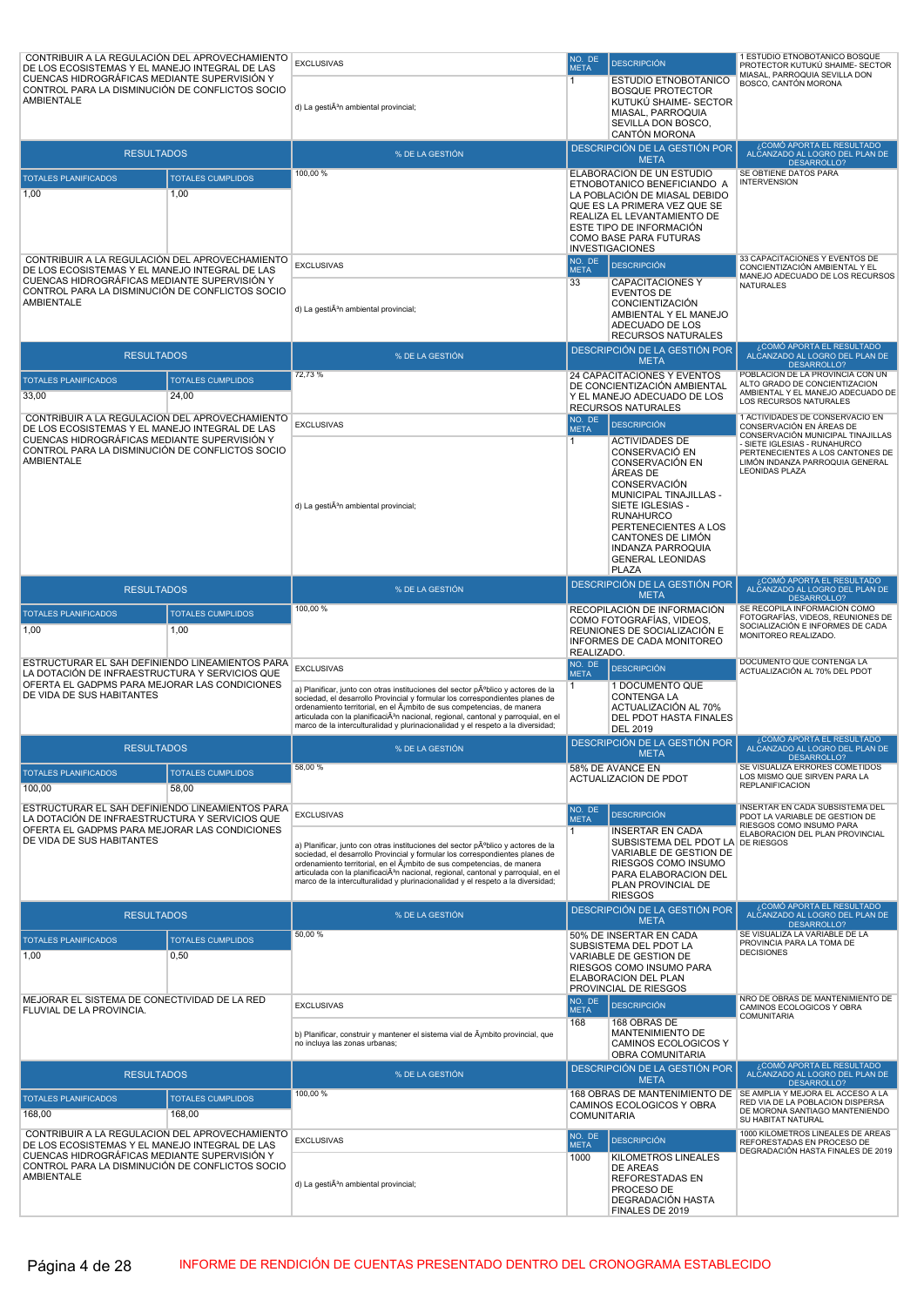| CONTRIBUIR A LA REGULACIÓN DEL APROVECHAMIENTO<br>DE LOS ECOSISTEMAS Y EL MANEJO INTEGRAL DE LAS  |                          | <b>EXCLUSIVAS</b>                                                                                                                                                        | NO. DE<br><b>META</b> | <b>DESCRIPCIÓN</b>                                           | 1 ESTUDIO ETNOBOTÁNICO BOSQUE<br>PROTECTOR KUTUKÚ SHAIME- SECTOR                  |
|---------------------------------------------------------------------------------------------------|--------------------------|--------------------------------------------------------------------------------------------------------------------------------------------------------------------------|-----------------------|--------------------------------------------------------------|-----------------------------------------------------------------------------------|
| CUENCAS HIDROGRÁFICAS MEDIANTE SUPERVISIÓN Y                                                      |                          |                                                                                                                                                                          | 1                     | ESTUDIO ETNOBOTÁNICO                                         | MIASAL, PARROQUIA SEVILLA DON<br><b>BOSCO, CANTÓN MORONA</b>                      |
| CONTROL PARA LA DISMINUCIÓN DE CONFLICTOS SOCIO<br>AMBIENTALE                                     |                          |                                                                                                                                                                          |                       | <b>BOSQUE PROTECTOR</b><br>KUTUKÚ SHAIME- SECTOR             |                                                                                   |
|                                                                                                   |                          | d) La gestiÃ <sup>3</sup> n ambiental provincial;                                                                                                                        |                       | MIASAL, PARROQUIA<br>SEVILLA DON BOSCO,                      |                                                                                   |
|                                                                                                   |                          |                                                                                                                                                                          |                       | <b>CANTÓN MORONA</b>                                         |                                                                                   |
| <b>RESULTADOS</b>                                                                                 |                          | % DE LA GESTIÓN                                                                                                                                                          |                       | DESCRIPCIÓN DE LA GESTIÓN POR<br><b>META</b>                 | COMÓ APORTA EL RESULTADO،<br>ALČANZADO AL LOGRO DEL PLAN DE<br><b>DESARROLLO?</b> |
| <b>TOTALES PLANIFICADOS</b>                                                                       | <b>TOTALES CUMPLIDOS</b> | 100,00 %                                                                                                                                                                 |                       | ELABORACIÓN DE UN ESTUDIO                                    | SE OBTIENE DATOS PARA                                                             |
| 1,00                                                                                              | 1,00                     |                                                                                                                                                                          |                       | ETNOBOTANICO BENEFICIANDO A<br>LA POBLACIÓN DE MIASAL DEBIDO | <b>INTERVENSION</b>                                                               |
|                                                                                                   |                          |                                                                                                                                                                          |                       | QUE ES LA PRIMERA VEZ QUE SE<br>REALIZA EL LEVANTAMIENTO DE  |                                                                                   |
|                                                                                                   |                          |                                                                                                                                                                          |                       | ESTE TIPO DE INFORMACIÓN                                     |                                                                                   |
|                                                                                                   |                          |                                                                                                                                                                          |                       | COMO BASE PARA FUTURAS<br><b>INVESTIGACIONES</b>             |                                                                                   |
| CONTRIBUIR A LA REGULACIÓN DEL APROVECHAMIENTO<br>DE LOS ECOSISTEMAS Y EL MANEJO INTEGRAL DE LAS  |                          | <b>EXCLUSIVAS</b>                                                                                                                                                        | NO. DE<br><b>META</b> | <b>DESCRIPCIÓN</b>                                           | 33 CAPACITACIONES Y EVENTOS DE<br>CONCIENTIZACIÓN AMBIENTAL Y EL                  |
| CUENCAS HIDROGRÁFICAS MEDIANTE SUPERVISIÓN Y<br>CONTROL PARA LA DISMINUCIÓN DE CONFLICTOS SOCIO   |                          |                                                                                                                                                                          | 33                    | <b>CAPACITACIONES Y</b>                                      | MANEJO ADECUADO DE LOS RECURSOS<br><b>NATURALES</b>                               |
| <b>AMBIENTALE</b>                                                                                 |                          | d) La gestiÃ <sup>3</sup> n ambiental provincial;                                                                                                                        |                       | <b>EVENTOS DE</b><br><b>CONCIENTIZACIÓN</b>                  |                                                                                   |
|                                                                                                   |                          |                                                                                                                                                                          |                       | AMBIENTAL Y EL MANEJO<br>ADECUADO DE LOS                     |                                                                                   |
|                                                                                                   |                          |                                                                                                                                                                          |                       | <b>RECURSOS NATURALES</b>                                    |                                                                                   |
| <b>RESULTADOS</b>                                                                                 |                          | % DE LA GESTIÓN                                                                                                                                                          |                       | DESCRIPCIÓN DE LA GESTIÓN POR<br><b>META</b>                 | ¿COMÓ APORTA EL RESULTADO<br>ALČANZADO AL LOGRO DEL PLAN DE<br><b>DESARROLLO?</b> |
| <b>TOTALES PLANIFICADOS</b>                                                                       | <b>TOTALES CUMPLIDOS</b> | 72,73 %                                                                                                                                                                  |                       | 24 CAPACITACIONES Y EVENTOS                                  | POBLACION DE LA PROVINCIA CON UN<br>ALTO GRADO DE CONCIENTIZACION                 |
| 33,00                                                                                             | 24,00                    |                                                                                                                                                                          |                       | DE CONCIENTIZACIÓN AMBIENTAL<br>Y EL MANEJO ADECUADO DE LOS  | AMBIENTAL Y EL MANEJO ADECUADO DE<br>LOS RECURSOS NATURALES                       |
| CONTRIBUIR A LA REGULACIÓN DEL APROVECHAMIENTO                                                    |                          |                                                                                                                                                                          | NO. DE                | <b>RECURSOS NATURALES</b>                                    | 1 ACTIVIDADES DE CONSERVACIO EN                                                   |
| DE LOS ECOSISTEMAS Y EL MANEJO INTEGRAL DE LAS<br>CUENCAS HIDROGRÁFICAS MEDIANTE SUPERVISIÓN Y    |                          | <b>EXCLUSIVAS</b>                                                                                                                                                        | <b>META</b>           | <b>DESCRIPCIÓN</b>                                           | CONSERVACIÓN EN ÁREAS DE<br>CONSERVACIÓN MUNICIPAL TINAJILLAS                     |
| CONTROL PARA LA DISMINUCIÓN DE CONFLICTOS SOCIO                                                   |                          |                                                                                                                                                                          | $\mathbf{1}$          | <b>ACTIVIDADES DE</b><br>CONSERVACIÓ EN                      | - SIETE IGLESIAS - RUNAHURCO<br>PERTENECIENTES A LOS CANTONES DE                  |
| <b>AMBIENTALE</b>                                                                                 |                          |                                                                                                                                                                          |                       | CONSERVACIÓN EN<br>ÁREAS DE                                  | LIMÓN INDANZA PARROQUIA GENERAL<br><b>LEONIDAS PLAZA</b>                          |
|                                                                                                   |                          |                                                                                                                                                                          |                       | CONSERVACIÓN<br>MUNICIPAL TINAJILLAS -                       |                                                                                   |
|                                                                                                   |                          | d) La gestiÃ <sup>3</sup> n ambiental provincial;                                                                                                                        |                       | SIETE IGLESIAS -                                             |                                                                                   |
|                                                                                                   |                          |                                                                                                                                                                          |                       | <b>RUNAHURCO</b><br>PERTENECIENTES A LOS                     |                                                                                   |
|                                                                                                   |                          |                                                                                                                                                                          |                       | CANTONES DE LIMÓN<br><b>INDANZA PARROQUIA</b>                |                                                                                   |
|                                                                                                   |                          |                                                                                                                                                                          |                       | <b>GENERAL LEONIDAS</b>                                      |                                                                                   |
|                                                                                                   |                          |                                                                                                                                                                          |                       | <b>PLAZA</b><br>DESCRIPCIÓN DE LA GESTIÓN POR                | ¿COMÓ APORTA EL RESULTADO                                                         |
| <b>RESULTADOS</b>                                                                                 |                          | % DE LA GESTIÓN<br>100,00 %                                                                                                                                              |                       | <b>META</b><br>RECOPILACIÓN DE INFORMACIÓN                   | ALČANZADO AL LOGRO DEL PLAN DE<br>DESARROLLO?<br>SE RECOPILA INFORMACIÓN COMO     |
| <b>TOTALES PLANIFICADOS</b>                                                                       | <b>TOTALES CUMPLIDOS</b> |                                                                                                                                                                          |                       | COMO FOTOGRAFÍAS, VIDEOS,                                    | FOTOGRAFÍAS, VIDEOS, REUNIONES DE<br>SOCIALIZACIÓN E INFORMES DE CADA             |
| 1,00                                                                                              | 1,00                     |                                                                                                                                                                          |                       | REUNIONES DE SOCIALIZACIÓN E<br>INFORMES DE CADA MONITOREO   | MONITOREO REALIZADO.                                                              |
| ESTRUCTURAR EL SAH DEFINIENDO LINEAMIENTOS PARA                                                   |                          |                                                                                                                                                                          | REALIZADO.<br>NO. DE  |                                                              | DOCUMENTO QUE CONTENGA LA                                                         |
| LA DOTACIÓN DE INFRAESTRUCTURA Y SERVICIOS QUE<br>OFERTA EL GADPMS PARA MEJORAR LAS CONDICIONES   |                          | <b>EXCLUSIVAS</b>                                                                                                                                                        | <b>META</b><br>1.     | <b>DESCRIPCIÓN</b><br>1 DOCUMENTO QUE                        | ACTUALIZACIÓN AL 70% DEL PDOT                                                     |
| DE VIDA DE SUS HABITANTES                                                                         |                          | a) Planificar, junto con otras instituciones del sector pºblico y actores de la<br>sociedad, el desarrollo Provincial y formular los correspondientes planes de          |                       | CONTENGA LA                                                  |                                                                                   |
|                                                                                                   |                          | ordenamiento territorial, en el ámbito de sus competencias, de manera<br>articulada con la planificaciÃ <sup>3</sup> n nacional, regional, cantonal y parroquial, en el  |                       | ACTUALIZACIÓN AL 70%<br>DEL PDOT HASTA FINALES               |                                                                                   |
|                                                                                                   |                          | marco de la interculturalidad y plurinacionalidad y el respeto a la diversidad;                                                                                          |                       | <b>DEL 2019</b><br>DESCRIPCIÓN DE LA GESTIÓN POR             | ¿COMÓ APORTA EL RESULTADO                                                         |
| <b>RESULTADOS</b>                                                                                 |                          | % DE LA GESTIÓN                                                                                                                                                          |                       | <b>META</b>                                                  | ALCANZADO AL LOGRO DEL PLAN DE<br>DESARROLLO?                                     |
| <b>TOTALES PLANIFICADOS</b>                                                                       | <b>TOTALES CUMPLIDOS</b> | 58,00 %                                                                                                                                                                  |                       | 58% DE AVANCE EN<br><b>ACTUALIZACION DE PDOT</b>             | SE VISUALIZA ERRORES COMETIDOS<br>LOS MISMO QUE SIRVEN PARA LA                    |
| 100,00                                                                                            | 58.00                    |                                                                                                                                                                          |                       |                                                              | <b>REPLANIFICACION</b>                                                            |
| ESTRUCTURAR EL SAH DEFINIENDO LINEAMIENTOS PARA<br>LA DOTACIÓN DE INFRAESTRUCTURA Y SERVICIOS QUE |                          | <b>EXCLUSIVAS</b>                                                                                                                                                        | NO. DE<br><b>META</b> | <b>DESCRIPCIÓN</b>                                           | INSERTAR EN CADA SUBSISTEMA DEL<br>PDOT LA VARIABLE DE GESTION DE                 |
| OFERTA EL GADPMS PARA MEJORAR LAS CONDICIONES                                                     |                          |                                                                                                                                                                          | $\mathbf{1}$          | <b>INSERTAR EN CADA</b>                                      | RIESGOS COMO INSUMO PARA<br>ELABORACION DEL PLAN PROVINCIAL                       |
| DE VIDA DE SUS HABITANTES                                                                         |                          | a) Planificar, junto con otras instituciones del sector público y actores de la<br>sociedad, el desarrollo Provincial y formular los correspondientes planes de          |                       | SUBSISTEMA DEL PDOT LA DE RIESGOS<br>VARIABLE DE GESTION DE  |                                                                                   |
|                                                                                                   |                          | ordenamiento territorial, en el Á¡mbito de sus competencias, de manera<br>articulada con la planificaciÃ <sup>3</sup> n nacional, regional, cantonal y parroquial, en el |                       | RIESGOS COMO INSUMO<br>PARA ELABORACION DEL                  |                                                                                   |
|                                                                                                   |                          | marco de la interculturalidad y plurinacionalidad y el respeto a la diversidad;                                                                                          |                       | PLAN PROVINCIAL DE                                           |                                                                                   |
|                                                                                                   |                          |                                                                                                                                                                          |                       | <b>RIESGOS</b><br>DESCRIPCIÓN DE LA GESTIÓN POR              | ¿COMÓ APORTA EL RESULTADO                                                         |
| <b>RESULTADOS</b>                                                                                 |                          | % DE LA GESTIÓN                                                                                                                                                          |                       | <b>META</b>                                                  | ALČANZADO AL LOGRO DEL PLAN DE<br>DESARROLLO?<br>SE VISUALIZA LA VARIABLE DE LA   |
| <b>TOTALES PLANIFICADOS</b>                                                                       | <b>TOTALES CUMPLIDOS</b> | 50,00 %                                                                                                                                                                  |                       | 50% DE INSERTAR EN CADA<br>SUBSISTEMA DEL PDOT LA            | PROVINCIA PARA LA TOMA DE<br><b>DECISIONES</b>                                    |
| 1,00                                                                                              | 0,50                     |                                                                                                                                                                          |                       | VARIABLE DE GESTION DE<br>RIESGOS COMO INSUMO PARA           |                                                                                   |
|                                                                                                   |                          |                                                                                                                                                                          |                       | ELABORACION DEL PLAN<br>PROVINCIAL DE RIESGOS                |                                                                                   |
| MEJORAR EL SISTEMA DE CONECTIVIDAD DE LA RED                                                      |                          | <b>EXCLUSIVAS</b>                                                                                                                                                        | NO. DE                | <b>DESCRIPCIÓN</b>                                           | NRO DE OBRAS DE MANTENIMIENTO DE<br>CAMINOS ECOLOGICOS Y OBRA                     |
| FLUVIAL DE LA PROVINCIA.                                                                          |                          |                                                                                                                                                                          | <b>META</b><br>168    | 168 OBRAS DE                                                 | <b>COMUNITARIA</b>                                                                |
|                                                                                                   |                          | b) Planificar, construir y mantener el sistema vial de ġmbito provincial, que<br>no incluya las zonas urbanas;                                                           |                       | MANTENIMIENTO DE<br>CAMINOS ECOLOGICOS Y                     |                                                                                   |
|                                                                                                   |                          |                                                                                                                                                                          |                       | OBRA COMUNITARIA                                             | COMÓ APORTA EL RESULTADO،                                                         |
| <b>RESULTADOS</b>                                                                                 |                          | % DE LA GESTIÓN                                                                                                                                                          |                       | DESCRIPCIÓN DE LA GESTIÓN POR<br><b>META</b>                 | ALČANZADO AL LOGRO DEL PLAN DE<br>DESARROLLO?                                     |
| <b>TOTALES PLANIFICADOS</b>                                                                       | <b>TOTALES CUMPLIDOS</b> | 100,00 %                                                                                                                                                                 |                       | 168 OBRAS DE MANTENIMIENTO DE<br>CAMINOS ECOLOGICOS Y OBRA   | SE AMPLIA Y MEJORA EL ACCESO A LA<br>RED VIA DE LA POBLACION DISPERSA             |
| 168,00                                                                                            | 168.00                   |                                                                                                                                                                          | <b>COMUNITARIA</b>    |                                                              | DE MORONA SANTIAGO MANTENIENDO<br>SU HABITAT NATURAL                              |
| CONTRIBUIR A LA REGULACIÓN DEL APROVECHAMIENTO                                                    |                          | <b>EXCLUSIVAS</b>                                                                                                                                                        | NO. DE                | <b>DESCRIPCIÓN</b>                                           | 1000 KILOMETROS LINEALES DE AREAS<br>REFORESTADAS EN PROCESO DE                   |
| DE LOS ECOSISTEMAS Y EL MANEJO INTEGRAL DE LAS<br>CUENCAS HIDROGRÁFICAS MEDIANTE SUPERVISIÓN Y    |                          |                                                                                                                                                                          | <b>META</b><br>1000   | KILOMETROS LINEALES                                          | DEGRADACIÓN HASTA FINALES DE 2019                                                 |
| CONTROL PARA LA DISMINUCIÓN DE CONFLICTOS SOCIO<br>AMBIENTALE                                     |                          |                                                                                                                                                                          |                       | <b>DE AREAS</b><br><b>REFORESTADAS EN</b>                    |                                                                                   |
|                                                                                                   |                          | d) La gestiÃ <sup>3</sup> n ambiental provincial;                                                                                                                        |                       | PROCESO DE                                                   |                                                                                   |
|                                                                                                   |                          |                                                                                                                                                                          |                       | DEGRADACIÓN HASTA<br>FINALES DE 2019                         |                                                                                   |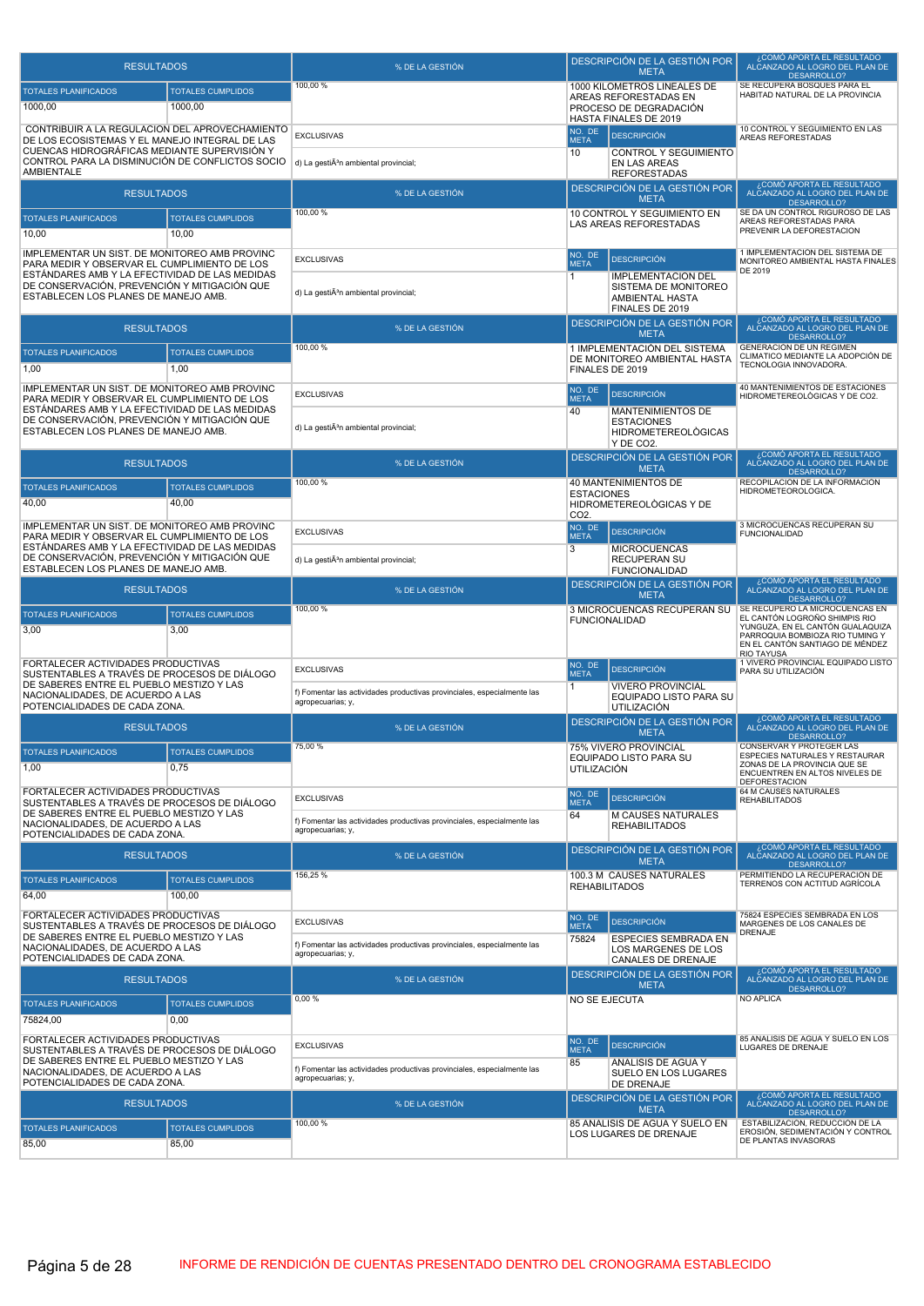| <b>RESULTADOS</b>                                                                                                                                 |                                   | % DE LA GESTIÓN                                                                              |                                        | DESCRIPCIÓN DE LA GESTIÓN POR<br><b>META</b>                                            | ¿COMÓ APORTA EL RESULTADO<br>ALCANZADO AL LOGRO DEL PLAN DE<br><b>DESARROLLO?</b>                                                                                         |
|---------------------------------------------------------------------------------------------------------------------------------------------------|-----------------------------------|----------------------------------------------------------------------------------------------|----------------------------------------|-----------------------------------------------------------------------------------------|---------------------------------------------------------------------------------------------------------------------------------------------------------------------------|
| TOTALES PLANIFICADOS                                                                                                                              | <b>TOTALES CUMPLIDOS</b>          | 100,00 %                                                                                     |                                        | 1000 KILOMETROS LINEALES DE<br>AREAS REFORESTADAS EN                                    | SE RECUPERA BOSQUES PARA EL<br>HABITAD NATURAL DE LA PROVINCIA                                                                                                            |
| 1000,00                                                                                                                                           | 1000,00                           |                                                                                              |                                        | PROCESO DE DEGRADACIÓN                                                                  |                                                                                                                                                                           |
| CONTRIBUIR A LA REGULACIÓN DEL APROVECHAMIENTO                                                                                                    |                                   | <b>EXCLUSIVAS</b>                                                                            | NO. DE                                 | HASTA FINALES DE 2019<br><b>DESCRIPCIÓN</b>                                             | 10 CONTROL Y SEGUIMIENTO EN LAS<br>AREAS REFORESTADAS                                                                                                                     |
| DE LOS ECOSISTEMAS Y EL MANEJO INTEGRAL DE LAS<br>CUENCAS HIDROGRÁFICAS MEDIANTE SUPERVISIÓN Y<br>CONTROL PARA LA DISMINUCIÓN DE CONFLICTOS SOCIO |                                   | d) La gestiÃ <sup>3</sup> n ambiental provincial;                                            | <b>META</b><br>10                      | CONTROL Y SEGUIMIENTO<br>EN LAS AREAS                                                   |                                                                                                                                                                           |
| <b>AMBIENTALE</b>                                                                                                                                 |                                   |                                                                                              |                                        | <b>REFORESTADAS</b>                                                                     | COMÓ APORTA EL RESULTADO                                                                                                                                                  |
| <b>RESULTADOS</b>                                                                                                                                 |                                   | % DE LA GESTIÓN                                                                              |                                        | DESCRIPCIÓN DE LA GESTIÓN POR<br><b>META</b>                                            | ALCANZADO AL LOGRO DEL PLAN DE<br>DESARROLLO?                                                                                                                             |
| TOTALES PLANIFICADOS                                                                                                                              | <b>TOTALES CUMPLIDOS</b>          | 100,00 %                                                                                     |                                        | 10 CONTROL Y SEGUIMIENTO EN<br>LAS AREAS REFORESTADAS                                   | SE DA UN CONTROL RIGUROSO DE LAS<br>AREAS REFORESTADAS PARA                                                                                                               |
| 10,00                                                                                                                                             | 10,00                             |                                                                                              |                                        |                                                                                         | PREVENIR LA DEFORESTACION                                                                                                                                                 |
| IMPLEMENTAR UN SIST. DE MONITOREO AMB PROVINC<br>PARA MEDIR Y OBSERVAR EL CUMPLIMIENTO DE LOS                                                     |                                   | <b>EXCLUSIVAS</b>                                                                            | NO. DE<br><b>META</b>                  | <b>DESCRIPCIÓN</b>                                                                      | 1 IMPLEMENTACIÓN DEL SISTEMA DE<br>MONITOREO AMBIENTAL HASTA FINALES<br>DE 2019                                                                                           |
| ESTANDARES AMB Y LA EFECTIVIDAD DE LAS MEDIDAS<br>DE CONSERVACIÓN, PREVENCIÓN Y MITIGACIÓN QUE<br>ESTABLECEN LOS PLANES DE MANEJO AMB.            |                                   | d) La gestiÃ <sup>3</sup> n ambiental provincial;                                            | 1                                      | <b>IMPLEMENTACIÓN DEL</b><br>SISTEMA DE MONITOREO<br>AMBIENTAL HASTA<br>FINALES DE 2019 |                                                                                                                                                                           |
| <b>RESULTADOS</b>                                                                                                                                 |                                   | % DE LA GESTIÓN                                                                              |                                        | DESCRIPCIÓN DE LA GESTIÓN POR                                                           | ¿COMÓ APORTA EL RESULTADO<br>ALCANZADO AL LOGRO DEL PLAN DE                                                                                                               |
| TOTALES PLANIFICADOS                                                                                                                              | <b>TOTALES CUMPLIDOS</b>          | 100,00 %                                                                                     |                                        | <b>META</b><br>1 IMPLEMENTACIÓN DEL SISTEMA                                             | DESARROLLO?<br>GENERACIÓN DE UN REGIMEN                                                                                                                                   |
| 1,00                                                                                                                                              | 1.00                              |                                                                                              | FINALES DE 2019                        | DE MONITOREO AMBIENTAL HASTA                                                            | CLIMATICO MEDIANTE LA ADOPCIÓN DE<br>TECNOLOGIA INNOVADORA.                                                                                                               |
| IMPLEMENTAR UN SIST. DE MONITOREO AMB PROVINC<br>PARA MEDIR Y OBSERVAR EL CUMPLIMIENTO DE LOS                                                     |                                   | <b>EXCLUSIVAS</b>                                                                            | NO. DE<br><b>META</b>                  | <b>DESCRIPCIÓN</b>                                                                      | 40 MANTENIMIENTOS DE ESTACIONES<br>HIDROMETEREOLÒGICAS Y DE CO2.                                                                                                          |
| ESTÁNDARES AMB Y LA EFECTIVIDAD DE LAS MEDIDAS<br>DE CONSERVACIÓN, PREVENCIÓN Y MITIGACIÓN QUE                                                    |                                   |                                                                                              | 40                                     | <b>MANTENIMIENTOS DE</b><br><b>ESTACIONES</b>                                           |                                                                                                                                                                           |
| ESTABLECEN LOS PLANES DE MANEJO AMB.                                                                                                              |                                   | d) La gestiÃ <sup>3</sup> n ambiental provincial;                                            |                                        | <b>HIDROMETEREOLOGICAS</b><br>Y DE CO <sub>2</sub>                                      |                                                                                                                                                                           |
| <b>RESULTADOS</b>                                                                                                                                 |                                   | % DE LA GESTIÓN                                                                              |                                        | DESCRIPCIÓN DE LA GESTIÓN POR<br><b>META</b>                                            | COMÓ APORTA EL RESULTADO،<br>ALCANZADO AL LOGRO DEL PLAN DE                                                                                                               |
| <b>TOTALES PLANIFICADOS</b>                                                                                                                       | <b>TOTALES CUMPLIDOS</b>          | 100,00 %                                                                                     |                                        | 40 MANTENIMIENTOS DE                                                                    | DESARROLLO?<br>RECOPILACION DE LA INFORMACION<br>HIDROMETEOROLOGICA.                                                                                                      |
| 40,00                                                                                                                                             | 40,00                             |                                                                                              | <b>ESTACIONES</b><br>CO <sub>2</sub> . | HIDROMETEREOLOGICAS Y DE                                                                |                                                                                                                                                                           |
| IMPLEMENTAR UN SIST. DE MONITOREO AMB PROVINC<br>PARA MEDIR Y OBSERVAR EL CUMPLIMIENTO DE LOS                                                     |                                   | <b>EXCLUSIVAS</b>                                                                            | NO. DE<br><b>META</b>                  | <b>DESCRIPCIÓN</b>                                                                      | 3 MICROCUENCAS RECUPERAN SU<br><b>FUNCIONALIDAD</b>                                                                                                                       |
| ESTÁNDARES AMB Y LA EFECTIVIDAD DE LAS MEDIDAS<br>DE CONSERVACIÓN, PREVENCIÓN Y MITIGACIÓN QUE<br>ESTABLECEN LOS PLANES DE MANEJO AMB.            |                                   | d) La gestiÃ <sup>3</sup> n ambiental provincial;                                            | 3                                      | <b>MICROCUENCAS</b><br>RECUPERAN SU<br><b>FUNCIONALIDAD</b>                             |                                                                                                                                                                           |
| <b>RESULTADOS</b>                                                                                                                                 |                                   | % DE LA GESTIÓN                                                                              |                                        | DESCRIPCIÓN DE LA GESTIÓN POR<br><b>META</b>                                            | ¿COMÓ APORTA EL RESULTADO<br>ALCANZADO AL LOGRO DEL PLAN DE<br>DESARROLLO?                                                                                                |
| <b>TOTALES PLANIFICADOS</b><br>3,00                                                                                                               | <b>TOTALES CUMPLIDOS</b><br>3,00  | 100,00 %                                                                                     | <b>FUNCIONALIDAD</b>                   | 3 MICROCUENCAS RECUPERAN SU                                                             | SE RECUPERO LA MICROCUENCAS EN<br>EL CANTÓN LOGROÑO SHIMPIS RIO<br>YUNGUZA, EN EL CANTÓN GUALAQUIZA<br>PARROQUIA BOMBIOZA RIO TUMING Y<br>EN EL CANTÓN SANTIAGO DE MÉNDEZ |
| FORTALECER ACTIVIDADES PRODUCTIVAS<br>SUSTENTABLES A TRAVÉS DE PROCESOS DE DIÁLOGO                                                                |                                   | <b>EXCLUSIVAS</b>                                                                            | NO. DE<br><b>META</b>                  | <b>DESCRIPCIÓN</b>                                                                      | <b>RIO TAYUSA</b><br>1 VIVERO PROVINCIAL EQUIPADO LISTO<br>PARA SU UTILIZACIÓN                                                                                            |
| DE SABERES ENTRE EL PUEBLO MESTIZO Y LAS<br>NACIONALIDADES, DE ACUERDO A LAS                                                                      |                                   | f) Fomentar las actividades productivas provinciales, especialmente las<br>agropecuarias; y, | $\overline{1}$                         | <b>VIVERO PROVINCIAL</b><br>EQUIPADO LISTO PARA SU                                      |                                                                                                                                                                           |
| POTENCIALIDADES DE CADA ZONA.<br><b>RESULTADOS</b>                                                                                                |                                   | % DE LA GESTIÓN                                                                              |                                        | <b>UTILIZACIÓN</b><br>DESCRIPCIÓN DE LA GESTIÓN POR                                     | ¿COMÓ APORTA EL RESULTADO<br>ALCANZADO AL LOGRO DEL PLAN DE                                                                                                               |
|                                                                                                                                                   |                                   | 75,00 %                                                                                      |                                        | <b>META</b><br>75% VIVERO PROVINCIAL                                                    | DESARROLLO?<br>CONSERVAR Y PROTEGER LAS                                                                                                                                   |
| <b>TOTALES PLANIFICADOS</b><br>1,00                                                                                                               | <b>TOTALES CUMPLIDOS</b><br>0,75  |                                                                                              | <b>UTILIZACIÓN</b>                     | EQUIPADO LISTO PARA SU                                                                  | ESPECIES NATURALES Y RESTAURAR<br>ZONAS DE LA PROVINCIA QUE SE<br>ENCUENTREN EN ALTOS NIVELES DE                                                                          |
| FORTALECER ACTIVIDADES PRODUCTIVAS                                                                                                                |                                   | <b>EXCLUSIVAS</b>                                                                            | NO. DE                                 | <b>DESCRIPCIÓN</b>                                                                      | <b>DEFORESTACION</b><br>64 M CAUSES NATURALES<br><b>REHABILITADOS</b>                                                                                                     |
| SUSTENTABLES A TRAVÉS DE PROCESOS DE DIÁLOGO<br>DE SABERES ENTRE EL PUEBLO MESTIZO Y LAS                                                          |                                   | f) Fomentar las actividades productivas provinciales, especialmente las                      | <b>META</b><br>64                      | <b>M CAUSES NATURALES</b>                                                               |                                                                                                                                                                           |
| NACIONALIDADES, DE ACUERDO A LAS<br>POTENCIALIDADES DE CADA ZONA.                                                                                 |                                   | agropecuarias; y,                                                                            |                                        | <b>REHABILITADOS</b>                                                                    |                                                                                                                                                                           |
| <b>RESULTADOS</b>                                                                                                                                 |                                   | % DE LA GESTIÓN                                                                              |                                        | DESCRIPCIÓN DE LA GESTIÓN POR                                                           | COMÓ APORTA EL RESULTADO                                                                                                                                                  |
| <b>TOTALES PLANIFICADOS</b>                                                                                                                       |                                   |                                                                                              |                                        | <b>META</b>                                                                             | ALCANZADO AL LOGRO DEL PLAN DE                                                                                                                                            |
|                                                                                                                                                   | <b>TOTALES CUMPLIDOS</b>          | 156,25 %                                                                                     |                                        | 100.3 M CAUSES NATURALES                                                                | DESARROLLO?<br>PERMITIENDO LA RECUPERACION DE<br>TERRENOS CON ACTITUD AGRÍCOLA                                                                                            |
| 64,00                                                                                                                                             | 100.00                            |                                                                                              | <b>REHABILITADOS</b>                   |                                                                                         |                                                                                                                                                                           |
| FORTALECER ACTIVIDADES PRODUCTIVAS<br>SUSTENTABLES A TRAVÉS DE PROCESOS DE DIÁLOGO                                                                |                                   | <b>EXCLUSIVAS</b>                                                                            | NO. DE<br><b>META</b>                  | <b>DESCRIPCIÓN</b>                                                                      | 75824 ESPECIES SEMBRADA EN LOS<br>MARGENES DE LOS CANALES DE                                                                                                              |
| DE SABERES ENTRE EL PUEBLO MESTIZO Y LAS<br>NACIONALIDADES, DE ACUERDO A LAS<br>POTENCIALIDADES DE CADA ZONA.                                     |                                   | f) Fomentar las actividades productivas provinciales, especialmente las<br>agropecuarias; y, | 75824                                  | <b>ESPECIES SEMBRADA EN</b><br>LOS MARGENES DE LOS                                      | DRENAJE                                                                                                                                                                   |
| <b>RESULTADOS</b>                                                                                                                                 |                                   | % DE LA GESTIÓN                                                                              |                                        | CANALES DE DRENAJE<br>DESCRIPCIÓN DE LA GESTIÓN POR                                     | ¿COMÓ APORTA EL RESULTADO<br>ALCANZADO AL LOGRO DEL PLAN DE                                                                                                               |
| <b>TOTALES PLANIFICADOS</b>                                                                                                                       | <b>TOTALES CUMPLIDOS</b>          | 0,00%                                                                                        | <b>NO SE EJECUTA</b>                   | <b>META</b>                                                                             | DESARROLLO?<br>NO APLICA                                                                                                                                                  |
| 75824,00                                                                                                                                          | 0.00                              |                                                                                              |                                        |                                                                                         |                                                                                                                                                                           |
| FORTALECER ACTIVIDADES PRODUCTIVAS                                                                                                                |                                   | <b>EXCLUSIVAS</b>                                                                            | NO. DE                                 | <b>DESCRIPCIÓN</b>                                                                      | 85 ANALISIS DE AGUA Y SUELO EN LOS<br>LUGARES DE DRENAJE                                                                                                                  |
| SUSTENTABLES A TRAVÉS DE PROCESOS DE DIÁLOGO<br>DE SABERES ENTRE EL PUEBLO MESTIZO Y LAS<br>NACIONALIDADES, DE ACUERDO A LAS                      |                                   | f) Fomentar las actividades productivas provinciales, especialmente las                      | <b>META</b><br>85                      | ANALISIS DE AGUA Y<br>SUELO EN LOS LUGARES                                              |                                                                                                                                                                           |
| POTENCIALIDADES DE CADA ZONA.                                                                                                                     |                                   | agropecuarias; y,                                                                            |                                        | DE DRENAJE                                                                              | ¿COMÓ APORTA EL RESULTADO                                                                                                                                                 |
| <b>RESULTADOS</b>                                                                                                                                 |                                   | % DE LA GESTIÓN                                                                              |                                        | DESCRIPCIÓN DE LA GESTIÓN POR<br><b>META</b>                                            | ALCANZADO AL LOGRO DEL PLAN DE<br>DESARROLLO?                                                                                                                             |
| <b>TOTALES PLANIFICADOS</b><br>85,00                                                                                                              | <b>TOTALES CUMPLIDOS</b><br>85,00 | 100,00 %                                                                                     |                                        | 85 ANALISIS DE AGUA Y SUELO EN<br>LOS LUGARES DE DRENAJE                                | ESTABILIZACION, REDUCCION DE LA<br>EROSIÓN, SEDIMENTACIÓN Y CONTROL<br>DE PLANTAS INVASORAS                                                                               |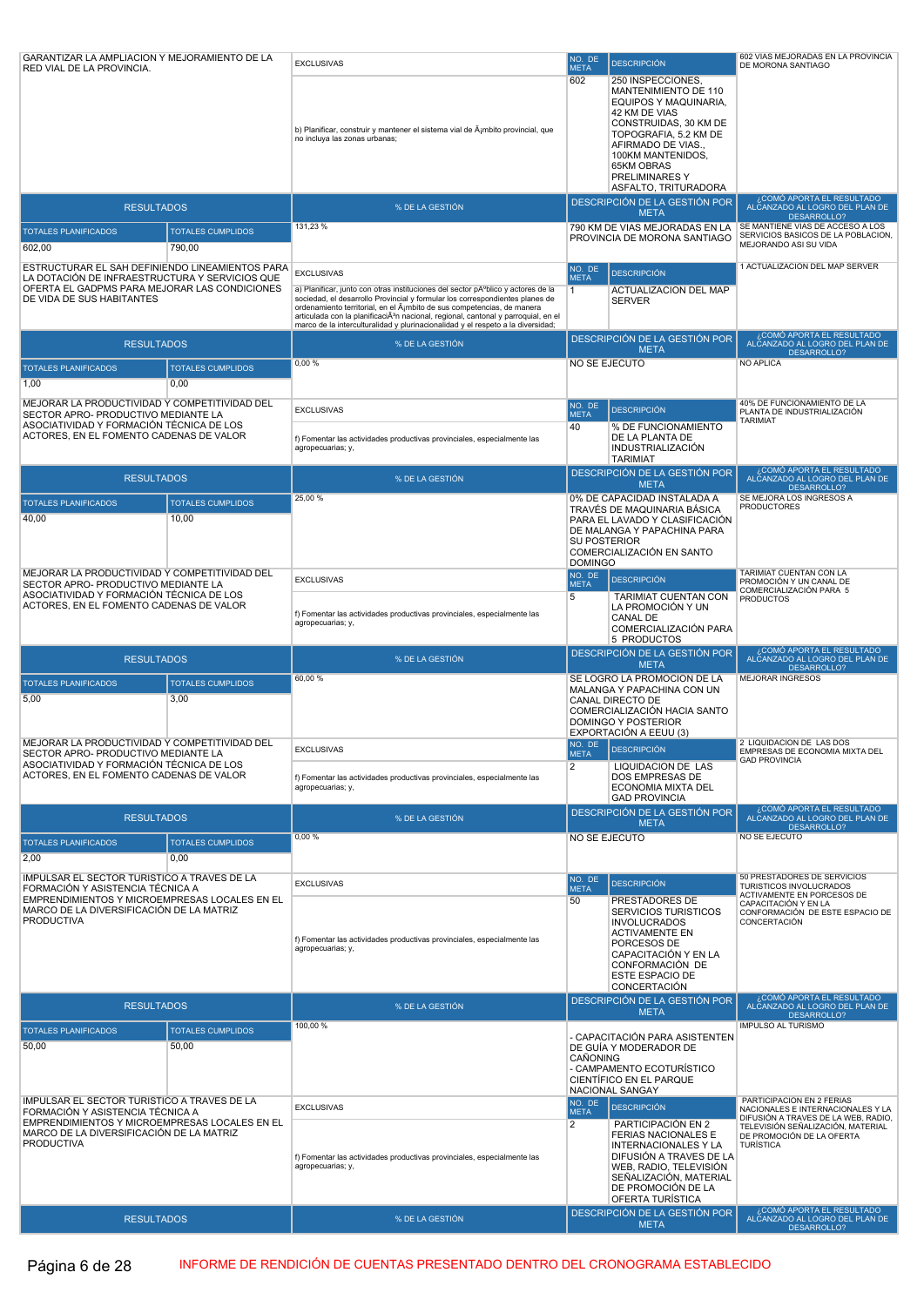| RED VIAL DE LA PROVINCIA.                                                                       |                                   | <b>EXCLUSIVAS</b>                                                                                                                                                                                                                                                                                                                                                                                                              | NO. DE<br><b>META</b> | <b>DESCRIPCIÓN</b>                                                                                                                                                                                                                              | 602 VIAS MEJORADAS EN LA PROVINCIA<br>DE MORONA SANTIAGO                   |
|-------------------------------------------------------------------------------------------------|-----------------------------------|--------------------------------------------------------------------------------------------------------------------------------------------------------------------------------------------------------------------------------------------------------------------------------------------------------------------------------------------------------------------------------------------------------------------------------|-----------------------|-------------------------------------------------------------------------------------------------------------------------------------------------------------------------------------------------------------------------------------------------|----------------------------------------------------------------------------|
|                                                                                                 |                                   | b) Planificar, construir y mantener el sistema vial de Äjmbito provincial, que<br>no incluya las zonas urbanas;                                                                                                                                                                                                                                                                                                                | 602                   | 250 INSPECCIONES.<br>MANTENIMIENTO DE 110<br>EQUIPOS Y MAQUINARIA,<br>42 KM DE VIAS<br>CONSTRUIDAS, 30 KM DE<br>TOPOGRAFIA, 5.2 KM DE<br>AFIRMADO DE VIAS.,<br>100KM MANTENIDOS,<br><b>65KM OBRAS</b><br>PRELIMINARES Y<br>ASFALTO, TRITURADORA |                                                                            |
| <b>RESULTADOS</b>                                                                               |                                   | % DE LA GESTIÓN                                                                                                                                                                                                                                                                                                                                                                                                                |                       | DESCRIPCIÓN DE LA GESTIÓN POR<br><b>META</b>                                                                                                                                                                                                    | ¿COMÓ APORTA EL RESULTADO<br>ALČANZADO AL LOGRO DEL PLAN DE<br>DESARROLLO? |
| <b>TOTALES PLANIFICADOS</b>                                                                     | <b>TOTALES CUMPLIDOS</b>          | 131,23 %                                                                                                                                                                                                                                                                                                                                                                                                                       |                       | 790 KM DE VIAS MEJORADAS EN LA                                                                                                                                                                                                                  | SE MANTIENE VIAS DE ACCESO A LOS                                           |
| 602,00                                                                                          | 790,00                            |                                                                                                                                                                                                                                                                                                                                                                                                                                |                       | PROVINCIA DE MORONA SANTIAGO                                                                                                                                                                                                                    | SERVICIOS BASICOS DE LA POBLACION,<br>MEJORANDO ASI SU VIDA                |
| ESTRUCTURAR EL SAH DEFINIENDO LINEAMIENTOS PARA                                                 |                                   |                                                                                                                                                                                                                                                                                                                                                                                                                                | NO. DE                |                                                                                                                                                                                                                                                 | 1 ACTUALIZACION DEL MAP SERVER                                             |
| LA DOTACIÓN DE INFRAESTRUCTURA Y SERVICIOS QUE<br>OFERTA EL GADPMS PARA MEJORAR LAS CONDICIONES |                                   | <b>EXCLUSIVAS</b>                                                                                                                                                                                                                                                                                                                                                                                                              | <b>META</b>           | <b>DESCRIPCIÓN</b>                                                                                                                                                                                                                              |                                                                            |
| DE VIDA DE SUS HABITANTES                                                                       |                                   | a) Planificar, junto con otras instituciones del sector pĂºblico y actores de la<br>sociedad, el desarrollo Provincial y formular los correspondientes planes de<br>ordenamiento territorial, en el ámbito de sus competencias, de manera<br>articulada con la planificaciÃ <sup>3</sup> n nacional, regional, cantonal y parroquial, en el<br>marco de la interculturalidad y plurinacionalidad y el respeto a la diversidad; | $\overline{1}$        | ACTUALIZACIÓN DEL MAP<br><b>SERVER</b>                                                                                                                                                                                                          |                                                                            |
| <b>RESULTADOS</b>                                                                               |                                   | % DE LA GESTIÓN                                                                                                                                                                                                                                                                                                                                                                                                                |                       | DESCRIPCIÓN DE LA GESTIÓN POR                                                                                                                                                                                                                   | ¿COMÓ APORTA EL RESULTADO<br>ALCANZADO AL LOGRO DEL PLAN DE                |
|                                                                                                 |                                   | 0,00%                                                                                                                                                                                                                                                                                                                                                                                                                          | NO SE EJECUTO         | <b>META</b>                                                                                                                                                                                                                                     | <b>DESARROLLO?</b><br><b>NO APLICA</b>                                     |
| <b>TOTALES PLANIFICADOS</b>                                                                     | <b>TOTALES CUMPLIDOS</b>          |                                                                                                                                                                                                                                                                                                                                                                                                                                |                       |                                                                                                                                                                                                                                                 |                                                                            |
| 1,00                                                                                            | 0.00                              |                                                                                                                                                                                                                                                                                                                                                                                                                                |                       |                                                                                                                                                                                                                                                 |                                                                            |
| MEJORAR LA PRODUCTIVIDAD Y COMPETITIVIDAD DEL<br>SECTOR APRO- PRODUCTIVO MEDIANTE LA            |                                   | <b>EXCLUSIVAS</b>                                                                                                                                                                                                                                                                                                                                                                                                              | NO. DE<br><b>META</b> | <b>DESCRIPCIÓN</b>                                                                                                                                                                                                                              | 40% DE FUNCIONAMIENTO DE LA<br>PLANTA DE INDUSTRIALIZACIÓN                 |
| ASOCIATIVIDAD Y FORMACIÓN TÉCNICA DE LOS<br>ACTORES, EN EL FOMENTO CADENAS DE VALOR             |                                   |                                                                                                                                                                                                                                                                                                                                                                                                                                | 40                    | % DE FUNCIONAMIENTO<br>DE LA PLANTA DE                                                                                                                                                                                                          | <b>TARIMIAT</b>                                                            |
|                                                                                                 |                                   | f) Fomentar las actividades productivas provinciales, especialmente las<br>agropecuarias; y,                                                                                                                                                                                                                                                                                                                                   |                       | INDUSTRIALIZACIÓN<br><b>TARIMIAT</b>                                                                                                                                                                                                            |                                                                            |
| <b>RESULTADOS</b>                                                                               |                                   | % DE LA GESTIÓN                                                                                                                                                                                                                                                                                                                                                                                                                |                       | DESCRIPCIÓN DE LA GESTIÓN POR                                                                                                                                                                                                                   | ¿COMÓ APORTA EL RESULTADO<br>ALCANZADO AL LOGRO DEL PLAN DE                |
|                                                                                                 |                                   | 25,00 %                                                                                                                                                                                                                                                                                                                                                                                                                        |                       | <b>META</b><br>0% DE CAPACIDAD INSTALADA A                                                                                                                                                                                                      | DESARROLLO?<br>SE MEJORA LOS INGRESOS A                                    |
| <b>TOTALES PLANIFICADOS</b><br>40,00                                                            | <b>TOTALES CUMPLIDOS</b><br>10,00 |                                                                                                                                                                                                                                                                                                                                                                                                                                |                       | TRAVÉS DE MAQUINARIA BÁSICA<br>PARA EL LAVADO Y CLASIFICACIÓN                                                                                                                                                                                   | <b>PRODUCTORES</b>                                                         |
|                                                                                                 |                                   |                                                                                                                                                                                                                                                                                                                                                                                                                                |                       | DE MALANGA Y PAPACHINA PARA                                                                                                                                                                                                                     |                                                                            |
|                                                                                                 |                                   |                                                                                                                                                                                                                                                                                                                                                                                                                                | <b>SU POSTERIOR</b>   | COMERCIALIZACIÓN EN SANTO                                                                                                                                                                                                                       |                                                                            |
| MEJORAR LA PRODUCTIVIDAD Y COMPETITIVIDAD DEL                                                   |                                   |                                                                                                                                                                                                                                                                                                                                                                                                                                | <b>DOMINGO</b>        |                                                                                                                                                                                                                                                 | TARIMIAT CUENTAN CON LA                                                    |
| SECTOR APRO- PRODUCTIVO MEDIANTE LA                                                             |                                   | <b>EXCLUSIVAS</b>                                                                                                                                                                                                                                                                                                                                                                                                              | NO. DE<br><b>META</b> | <b>DESCRIPCIÓN</b>                                                                                                                                                                                                                              | PROMOCIÓN Y UN CANAL DE<br>COMERCIALIZACIÓN PARA 5                         |
| ASOCIATIVIDAD Y FORMACIÓN TÉCNICA DE LOS<br>ACTORES, EN EL FOMENTO CADENAS DE VALOR             |                                   |                                                                                                                                                                                                                                                                                                                                                                                                                                | 5                     | <b>TARIMIAT CUENTAN CON</b><br>LA PROMOCIÓN Y UN                                                                                                                                                                                                | <b>PRODUCTOS</b>                                                           |
|                                                                                                 |                                   | f) Fomentar las actividades productivas provinciales, especialmente las<br>agropecuarias; y,                                                                                                                                                                                                                                                                                                                                   |                       | <b>CANAL DE</b>                                                                                                                                                                                                                                 |                                                                            |
|                                                                                                 |                                   |                                                                                                                                                                                                                                                                                                                                                                                                                                |                       | COMERCIALIZACIÓN PARA<br>5 PRODUCTOS                                                                                                                                                                                                            |                                                                            |
|                                                                                                 |                                   |                                                                                                                                                                                                                                                                                                                                                                                                                                |                       |                                                                                                                                                                                                                                                 |                                                                            |
| <b>RESULTADOS</b>                                                                               |                                   | % DE LA GESTIÓN                                                                                                                                                                                                                                                                                                                                                                                                                |                       | DESCRIPCIÓN DE LA GESTIÓN POR                                                                                                                                                                                                                   | ¿COMÓ APORTA EL RESULTADO<br>ALCANZADO AL LOGRO DEL PLAN DE                |
|                                                                                                 |                                   | 60,00 %                                                                                                                                                                                                                                                                                                                                                                                                                        |                       | <b>META</b><br>SE LOGRÓ LA PROMOCIÓN DE LA                                                                                                                                                                                                      | DESARROLLO?<br><b>MEJORAR INGRESOS</b>                                     |
| <b>TOTALES PLANIFICADOS</b><br>5,00                                                             | <b>TOTALES CUMPLIDOS</b><br>3,00  |                                                                                                                                                                                                                                                                                                                                                                                                                                |                       | MALANGA Y PAPACHINA CON UN                                                                                                                                                                                                                      |                                                                            |
|                                                                                                 |                                   |                                                                                                                                                                                                                                                                                                                                                                                                                                |                       | CANAL DIRECTO DE<br>COMERCIALIZACIÓN HACIA SANTO                                                                                                                                                                                                |                                                                            |
|                                                                                                 |                                   |                                                                                                                                                                                                                                                                                                                                                                                                                                |                       | <b>DOMINGO Y POSTERIOR</b><br>EXPORTACIÓN A EEUU (3)                                                                                                                                                                                            |                                                                            |
| MEJORAR LA PRODUCTIVIDAD Y COMPETITIVIDAD DEL                                                   |                                   | <b>EXCLUSIVAS</b>                                                                                                                                                                                                                                                                                                                                                                                                              | <b>META</b>           | NO. DE DESCRIPCIÓN                                                                                                                                                                                                                              | 2 LIQUIDACION DE LAS DOS<br>EMPRESAS DE ECONOMIA MIXTA DEL                 |
| SECTOR APRO- PRODUCTIVO MEDIANTE LA<br>ASOCIATIVIDAD Y FORMACIÓN TÉCNICA DE LOS                 |                                   |                                                                                                                                                                                                                                                                                                                                                                                                                                | $\overline{2}$        | <b>LIQUIDACION DE LAS</b>                                                                                                                                                                                                                       | <b>GAD PROVINCIA</b>                                                       |
| ACTORES, EN EL FOMENTO CADENAS DE VALOR                                                         |                                   | f) Fomentar las actividades productivas provinciales, especialmente las<br>agropecuarias; y,                                                                                                                                                                                                                                                                                                                                   |                       | DOS EMPRESAS DE<br>ECONOMIA MIXTA DEL                                                                                                                                                                                                           |                                                                            |
|                                                                                                 |                                   |                                                                                                                                                                                                                                                                                                                                                                                                                                |                       | <b>GAD PROVINCIA</b>                                                                                                                                                                                                                            | ¿COMÓ APORTA EL RESULTADO                                                  |
| <b>RESULTADOS</b>                                                                               |                                   | % DE LA GESTIÓN                                                                                                                                                                                                                                                                                                                                                                                                                |                       | DESCRIPCIÓN DE LA GESTIÓN POR<br><b>META</b>                                                                                                                                                                                                    | ALCANZADO AL LOGRO DEL PLAN DE<br>DESARROLLO?                              |
| <b>TOTALES PLANIFICADOS</b>                                                                     | <b>TOTALES CUMPLIDOS</b>          | 0,00%                                                                                                                                                                                                                                                                                                                                                                                                                          | NO SE EJECUTO         |                                                                                                                                                                                                                                                 | NO SE EJECUTO                                                              |
| 2,00                                                                                            | 0.00                              |                                                                                                                                                                                                                                                                                                                                                                                                                                |                       |                                                                                                                                                                                                                                                 |                                                                            |
| IMPULSAR EL SECTOR TURÍSTICO A TRAVÉS DE LA<br>FORMACIÓN Y ASISTENCIA TÉCNICA A                 |                                   | <b>EXCLUSIVAS</b>                                                                                                                                                                                                                                                                                                                                                                                                              | NO. DE<br><b>META</b> | <b>DESCRIPCIÓN</b>                                                                                                                                                                                                                              | 50 PRESTADORES DE SERVICIOS<br>TURISTICOS INVOLUCRADOS                     |
| EMPRENDIMIENTOS Y MICROEMPRESAS LOCALES EN EL                                                   |                                   |                                                                                                                                                                                                                                                                                                                                                                                                                                | 50                    | PRESTADORES DE                                                                                                                                                                                                                                  | ACTIVAMENTE EN PORCESOS DE<br>CAPACITACIÓN Y EN LA                         |
| MARCO DE LA DIVERSIFICACIÓN DE LA MATRIZ<br><b>PRODUCTIVA</b>                                   |                                   |                                                                                                                                                                                                                                                                                                                                                                                                                                |                       | <b>SERVICIOS TURISTICOS</b><br><b>INVOLUCRADOS</b>                                                                                                                                                                                              | CONFORMACIÓN DE ESTE ESPACIO DE<br>CONCERTACIÓN                            |
|                                                                                                 |                                   | f) Fomentar las actividades productivas provinciales, especialmente las                                                                                                                                                                                                                                                                                                                                                        |                       | <b>ACTIVAMENTE EN</b><br>PORCESOS DE                                                                                                                                                                                                            |                                                                            |
|                                                                                                 |                                   | agropecuarias; y,                                                                                                                                                                                                                                                                                                                                                                                                              |                       | CAPACITACIÓN Y EN LA                                                                                                                                                                                                                            |                                                                            |
|                                                                                                 |                                   |                                                                                                                                                                                                                                                                                                                                                                                                                                |                       | CONFORMACIÓN DE<br>ESTE ESPACIO DE                                                                                                                                                                                                              |                                                                            |
|                                                                                                 |                                   |                                                                                                                                                                                                                                                                                                                                                                                                                                |                       | CONCERTACIÓN<br>DESCRIPCIÓN DE LA GESTIÓN POR                                                                                                                                                                                                   | ¿COMÓ APORTA EL RESULTADO                                                  |
| <b>RESULTADOS</b>                                                                               |                                   | % DE LA GESTIÓN                                                                                                                                                                                                                                                                                                                                                                                                                |                       | <b>META</b>                                                                                                                                                                                                                                     | ALČANZADO AL LOGRO DEL PLAN DE<br>DESARROLLO?                              |
| <b>TOTALES PLANIFICADOS</b>                                                                     | <b>TOTALES CUMPLIDOS</b>          | 100,00 %                                                                                                                                                                                                                                                                                                                                                                                                                       |                       | - CAPACITACIÓN PARA ASISTENTEN                                                                                                                                                                                                                  | <b>IMPULSO AL TURISMO</b>                                                  |
| 50,00                                                                                           | 50,00                             |                                                                                                                                                                                                                                                                                                                                                                                                                                | CAÑONING              | DE GUÍA Y MODERADOR DE                                                                                                                                                                                                                          |                                                                            |
|                                                                                                 |                                   |                                                                                                                                                                                                                                                                                                                                                                                                                                |                       | - CAMPAMENTO ECOTURÍSTICO                                                                                                                                                                                                                       |                                                                            |
|                                                                                                 |                                   |                                                                                                                                                                                                                                                                                                                                                                                                                                |                       | CIENTÍFICO EN EL PARQUE<br>NACIONAL SANGAY                                                                                                                                                                                                      |                                                                            |
| IMPULSAR EL SECTOR TURÍSTICO A TRAVÉS DE LA<br>FORMACIÓN Y ASISTENCIA TÉCNICA A                 |                                   | <b>EXCLUSIVAS</b>                                                                                                                                                                                                                                                                                                                                                                                                              | NO. DE<br><b>META</b> | <b>DESCRIPCIÓN</b>                                                                                                                                                                                                                              | PARTICIPACION EN 2 FERIAS<br>NACIONALES E INTERNACIONALES Y LA             |
| EMPRENDIMIENTOS Y MICROEMPRESAS LOCALES EN EL                                                   |                                   |                                                                                                                                                                                                                                                                                                                                                                                                                                | $\overline{2}$        | PARTICIPACIÓN EN 2                                                                                                                                                                                                                              | DIFUSIÓN A TRAVES DE LA WEB, RADIO,<br>TELEVISIÓN SEÑALIZACIÓN, MATERIAL   |
| MARCO DE LA DIVERSIFICACIÓN DE LA MATRIZ<br><b>PRODUCTIVA</b>                                   |                                   |                                                                                                                                                                                                                                                                                                                                                                                                                                |                       | <b>FERIAS NACIONALES E</b><br><b>INTERNACIONALES Y LA</b>                                                                                                                                                                                       | DE PROMOCIÓN DE LA OFERTA<br><b>TURÍSTICA</b>                              |
|                                                                                                 |                                   | f) Fomentar las actividades productivas provinciales, especialmente las<br>agropecuarias; y,                                                                                                                                                                                                                                                                                                                                   |                       | DIFUSIÓN A TRAVES DE LA<br>WEB, RADIO, TELEVISIÓN                                                                                                                                                                                               |                                                                            |
|                                                                                                 |                                   |                                                                                                                                                                                                                                                                                                                                                                                                                                |                       | SEÑALIZACIÓN, MATERIAL                                                                                                                                                                                                                          |                                                                            |
|                                                                                                 |                                   |                                                                                                                                                                                                                                                                                                                                                                                                                                |                       | DE PROMOCIÓN DE LA<br>OFERTA TURÍSTICA<br>DESCRIPCIÓN DE LA GESTIÓN POR                                                                                                                                                                         | ¿COMÓ APORTA EL RESULTADO<br>ALCANZADO AL LOGRO DEL PLAN DE                |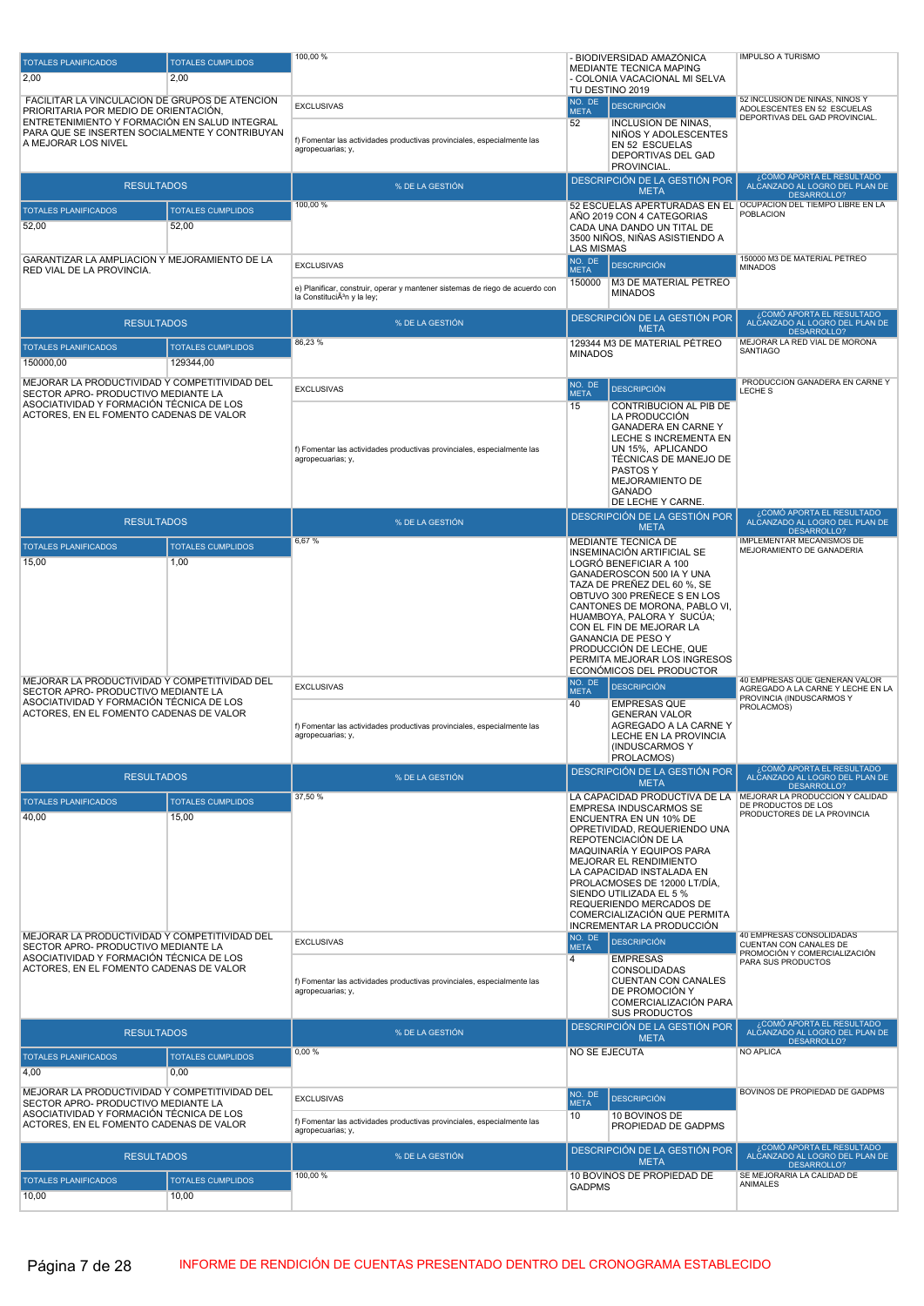| <b>TOTALES PLANIFICADOS</b>                                                            | <b>TOTALES CUMPLIDOS</b>          | 100,00 %                                                                     |                               | - BIODIVERSIDAD AMAZÓNICA<br>MEDIANTE TECNICA MAPING         | <b>IMPULSO A TURISMO</b>                                                           |
|----------------------------------------------------------------------------------------|-----------------------------------|------------------------------------------------------------------------------|-------------------------------|--------------------------------------------------------------|------------------------------------------------------------------------------------|
| 2,00                                                                                   | 2.00                              |                                                                              |                               | - COLONIA VACACIONAL MI SELVA<br>TU DESTINO 2019             |                                                                                    |
| FACILITAR LA VINCULACIÓN DE GRUPOS DE ATENCIÓN                                         |                                   | <b>EXCLUSIVAS</b>                                                            | NO. DE                        | <b>DESCRIPCIÓN</b>                                           | 52 INCLUSION DE NINAS, NINOS Y                                                     |
| PRIORITARIA POR MEDIO DE ORIENTACIÓN,<br>ENTRETENIMIENTO Y FORMACIÓN EN SALUD INTEGRAL |                                   |                                                                              | <b>META</b><br>52             | <b>INCLUSION DE NIÑAS,</b>                                   | ADOLESCENTES EN 52 ESCUELAS<br>DEPORTIVAS DEL GAD PROVINCIAL.                      |
| PARA QUE SE INSERTEN SOCIALMENTE Y CONTRIBUYAN<br>A MEJORAR LOS NIVEL                  |                                   | f) Fomentar las actividades productivas provinciales, especialmente las      |                               | NIÑOS Y ADOLESCENTES<br>EN 52 ESCUELAS                       |                                                                                    |
|                                                                                        |                                   | agropecuarias; y,                                                            |                               | DEPORTIVAS DEL GAD                                           |                                                                                    |
|                                                                                        |                                   |                                                                              |                               | PROVINCIAL.<br>DESCRIPCIÓN DE LA GESTIÓN POR                 | ¿COMÓ APORTA EL RESULTADO                                                          |
| <b>RESULTADOS</b>                                                                      |                                   | % DE LA GESTIÓN                                                              |                               | <b>META</b>                                                  | ALCANZADO AL LOGRO DEL PLAN DE<br>DESARROLLO?                                      |
| <b>TOTALES PLANIFICADOS</b>                                                            | <b>TOTALES CUMPLIDOS</b>          | 100,00 %                                                                     |                               | AÑO 2019 CON 4 CATEGORIAS                                    | 52 ESCUELAS APERTURADAS EN EL OCUPACION DEL TIEMPO LIBRE EN LA<br><b>POBLACION</b> |
| 52,00                                                                                  | 52,00                             |                                                                              |                               | CADA UNA DANDO UN TITAL DE<br>3500 NIÑOS, NIÑAS ASISTIENDO A |                                                                                    |
|                                                                                        |                                   |                                                                              | <b>LAS MISMAS</b>             |                                                              | 150000 M3 DE MATERIAL PÉTREO                                                       |
| GARANTIZAR LA AMPLIACION Y MEJORAMIENTO DE LA<br>RED VIAL DE LA PROVINCIA.             |                                   | <b>EXCLUSIVAS</b>                                                            | NO. DE<br><b>META</b>         | <b>DESCRIPCIÓN</b>                                           | <b>MINADOS</b>                                                                     |
|                                                                                        |                                   | e) Planificar, construir, operar y mantener sistemas de riego de acuerdo con | 150000                        | M3 DE MATERIAL PÉTREO<br><b>MINADOS</b>                      |                                                                                    |
|                                                                                        |                                   | la ConstituciÃ <sup>3</sup> n y la ley;                                      |                               |                                                              | ¿COMÓ APORTA EL RESULTADO                                                          |
| <b>RESULTADOS</b>                                                                      |                                   | % DE LA GESTIÓN                                                              |                               | DESCRIPCIÓN DE LA GESTIÓN POR<br><b>META</b>                 | ALCANZADO AL LOGRO DEL PLAN DE<br>DESARROLLO?                                      |
| <b>TOTALES PLANIFICADOS</b>                                                            | <b>TOTALES CUMPLIDOS</b>          | 86,23%                                                                       | <b>MINADOS</b>                | 129344 M3 DE MATERIAL PETREO                                 | MEJORAR LA RED VIAL DE MORONA<br>SANTIAGO                                          |
| 150000,00                                                                              | 129344.00                         |                                                                              |                               |                                                              |                                                                                    |
| MEJORAR LA PRODUCTIVIDAD Y COMPETITIVIDAD DEL                                          |                                   | <b>EXCLUSIVAS</b>                                                            | NO. DE                        | <b>DESCRIPCIÓN</b>                                           | PRODUCCION GANADERA EN CARNEY<br>LECHE S                                           |
| SECTOR APRO- PRODUCTIVO MEDIANTE LA<br>ASOCIATIVIDAD Y FORMACIÓN TÉCNICA DE LOS        |                                   |                                                                              | <b>META</b><br>15             | CONTRIBUCIÓN AL PIB DE                                       |                                                                                    |
| ACTORES, EN EL FOMENTO CADENAS DE VALOR                                                |                                   |                                                                              |                               | LA PRODUCCIÓN<br><b>GANADERA EN CARNEY</b>                   |                                                                                    |
|                                                                                        |                                   | f) Fomentar las actividades productivas provinciales, especialmente las      |                               | LECHE S INCREMENTA EN<br>UN 15%, APLICANDO                   |                                                                                    |
|                                                                                        |                                   | agropecuarias; y,                                                            |                               | TÉCNICAS DE MANEJO DE                                        |                                                                                    |
|                                                                                        |                                   |                                                                              |                               | PASTOS Y<br>MEJORAMIENTO DE                                  |                                                                                    |
|                                                                                        |                                   |                                                                              |                               | GANADO<br>DE LECHE Y CARNE.                                  |                                                                                    |
| <b>RESULTADOS</b>                                                                      |                                   | % DE LA GESTIÓN                                                              |                               | DESCRIPCIÓN DE LA GESTIÓN POR                                | ¿COMÓ APORTA EL RESULTADO<br>ALCANZADO AL LOGRO DEL PLAN DE                        |
|                                                                                        |                                   | 6,67%                                                                        |                               | <b>META</b><br>MEDIANTE TÉCNICA DE                           | DESARROLLO?<br><b>IMPLEMENTAR MECANISMOS DE</b>                                    |
| <b>TOTALES PLANIFICADOS</b><br>15,00                                                   | <b>TOTALES CUMPLIDOS</b><br>1,00  |                                                                              |                               | INSEMINACIÓN ARTIFICIAL SE<br>LOGRÓ BENEFICIAR A 100         | MEJORAMIENTO DE GANADERIA                                                          |
|                                                                                        |                                   |                                                                              |                               | GANADEROSCON 500 IA Y UNA                                    |                                                                                    |
|                                                                                        |                                   |                                                                              |                               | TAZA DE PREÑEZ DEL 60 %, SE<br>OBTUVO 300 PREÑECE S EN LOS   |                                                                                    |
|                                                                                        |                                   |                                                                              |                               | CANTONES DE MORONA, PABLO VI,<br>HUAMBOYA, PALORA Y SUCUA;   |                                                                                    |
|                                                                                        |                                   |                                                                              |                               | CON EL FIN DE MEJORAR LA<br><b>GANANCIA DE PESO Y</b>        |                                                                                    |
|                                                                                        |                                   |                                                                              |                               | PRODUCCIÓN DE LECHE, QUE                                     |                                                                                    |
|                                                                                        |                                   |                                                                              |                               | PERMITA MEJORAR LOS INGRESOS<br>ECONÓMICOS DEL PRODUCTOR     |                                                                                    |
| MEJORAR LA PRODUCTIVIDAD Y COMPETITIVIDAD DEL<br>SECTOR APRO- PRODUCTIVO MEDIANTE LA   |                                   | <b>EXCLUSIVAS</b>                                                            | NO. DE<br><b>META</b>         | <b>DESCRIPCIÓN</b>                                           | 40 EMPRESAS QUE GENERAN VALOR<br>AGREGADO A LA CARNE Y LECHE EN LA                 |
| ASOCIATIVIDAD Y FORMACIÓN TÉCNICA DE LOS<br>ACTORES, EN EL FOMENTO CADENAS DE VALOR    |                                   |                                                                              | 40                            | <b>EMPRESAS QUE</b><br><b>GENERAN VALOR</b>                  | PROVINCIA (INDUSCARMOS Y<br>PROLACMOS)                                             |
|                                                                                        |                                   | f) Fomentar las actividades productivas provinciales, especialmente las      |                               | AGREGADO A LA CARNE Y                                        |                                                                                    |
|                                                                                        |                                   | agropecuarias; y,                                                            |                               | LECHE EN LA PROVINCIA<br>(INDUSCARMOS Y                      |                                                                                    |
|                                                                                        |                                   |                                                                              |                               | PROLACMOS)<br>DESCRIPCIÓN DE LA GESTIÓN POR                  | COMÓ APORTA EL RESULTADO                                                           |
| <b>RESULTADOS</b>                                                                      |                                   | % DE LA GESTIÓN                                                              |                               | <b>META</b>                                                  | ALČANZADO AL LOGRO DEL PLAN DE<br>DESARROLLO?                                      |
| <b>TOTALES PLANIFICADOS</b>                                                            | <b>TOTALES CUMPLIDOS</b>          | 37,50 %                                                                      |                               | LA CAPACIDAD PRODUCTIVA DE LA<br>EMPRESA INDUSCARMOS SE      | MEJORAR LA PRODUCCION Y CALIDAD<br>DE PRODUCTOS DE LOS                             |
| 40,00                                                                                  | 15,00                             |                                                                              |                               | ENCUENTRA EN UN 10% DE<br>OPRETIVIDAD, REQUERIENDO UNA       | PRODUCTORES DE LA PROVINCIA                                                        |
|                                                                                        |                                   |                                                                              |                               | REPOTENCIACIÓN DE LA                                         |                                                                                    |
|                                                                                        |                                   |                                                                              |                               | MAQUINARÍA Y EQUIPOS PARA<br><b>MEJORAR EL RENDIMIENTO</b>   |                                                                                    |
|                                                                                        |                                   |                                                                              |                               | LA CAPACIDAD INSTALADA EN<br>PROLACMOSES DE 12000 LT/DÍA.    |                                                                                    |
|                                                                                        |                                   |                                                                              |                               | SIENDO UTILIZADA EL 5 %<br>REQUERIENDO MERCADOS DE           |                                                                                    |
|                                                                                        |                                   |                                                                              |                               | COMERCIALIZACIÓN QUE PERMITA<br>INCREMENTAR LA PRODUCCIÓN    |                                                                                    |
| MEJORAR LA PRODUCTIVIDAD Y COMPETITIVIDAD DEL                                          |                                   | <b>EXCLUSIVAS</b>                                                            | NO. DE                        | <b>DESCRIPCIÓN</b>                                           | 40 EMPRESAS CONSOLIDADAS<br>CUENTAN CON CANALES DE                                 |
| SECTOR APRO- PRODUCTIVO MEDIANTE LA<br>ASOCIATIVIDAD Y FORMACIÓN TÉCNICA DE LOS        |                                   |                                                                              | <b>META</b><br>$\overline{4}$ | <b>EMPRESAS</b>                                              | PROMOCIÓN Y COMERCIALIZACIÓN<br>PARA SUS PRODUCTOS                                 |
| ACTORES, EN EL FOMENTO CADENAS DE VALOR                                                |                                   | f) Fomentar las actividades productivas provinciales, especialmente las      |                               | <b>CONSOLIDADAS</b><br><b>CUENTAN CON CANALES</b>            |                                                                                    |
|                                                                                        |                                   | agropecuarias; y,                                                            |                               | DE PROMOCIÓN Y                                               |                                                                                    |
|                                                                                        |                                   |                                                                              |                               | COMERCIALIZACIÓN PARA<br><b>SUS PRODUCTOS</b>                |                                                                                    |
| <b>RESULTADOS</b>                                                                      |                                   | % DE LA GESTIÓN                                                              |                               | DESCRIPCIÓN DE LA GESTIÓN POR<br><b>META</b>                 | COMÓ APORTA EL RESULTADO<br>ALCANZADO AL LOGRO DEL PLAN DE                         |
| <b>TOTALES PLANIFICADOS</b>                                                            | <b>TOTALES CUMPLIDOS</b>          | 0,00%                                                                        |                               | <b>NO SE EJECUTA</b>                                         | <b>DESARROLLO?</b><br>NO APLICA                                                    |
| 4,00                                                                                   | 0,00                              |                                                                              |                               |                                                              |                                                                                    |
| MEJORAR LA PRODUCTIVIDAD Y COMPETITIVIDAD DEL                                          |                                   | <b>EXCLUSIVAS</b>                                                            | NO. DE                        | <b>DESCRIPCIÓN</b>                                           | BOVINOS DE PROPIEDAD DE GADPMS                                                     |
| SECTOR APRO- PRODUCTIVO MEDIANTE LA<br>ASOCIATIVIDAD Y FORMACIÓN TÉCNICA DE LOS        |                                   |                                                                              | <b>META</b><br>10             | 10 BOVINOS DE                                                |                                                                                    |
| ACTORES, EN EL FOMENTO CADENAS DE VALOR                                                |                                   | f) Fomentar las actividades productivas provinciales, especialmente las      |                               | PROPIEDAD DE GADPMS                                          |                                                                                    |
|                                                                                        |                                   | agropecuarias; y,                                                            |                               |                                                              |                                                                                    |
|                                                                                        |                                   |                                                                              |                               | DESCRIPCIÓN DE LA GESTIÓN POR                                | ¿COMÓ APORTA EL RESULTADO                                                          |
| <b>RESULTADOS</b>                                                                      |                                   | % DE LA GESTIÓN                                                              |                               | <b>META</b>                                                  | ALCANZADO AL LOGRO DEL PLAN DE<br>DESARROLLO?                                      |
| <b>TOTALES PLANIFICADOS</b><br>10,00                                                   | <b>TOTALES CUMPLIDOS</b><br>10,00 | 100,00 %                                                                     | <b>GADPMS</b>                 | 10 BOVINOS DE PROPIEDAD DE                                   | SE MEJORARIA LA CALIDAD DE<br>ANIMALES                                             |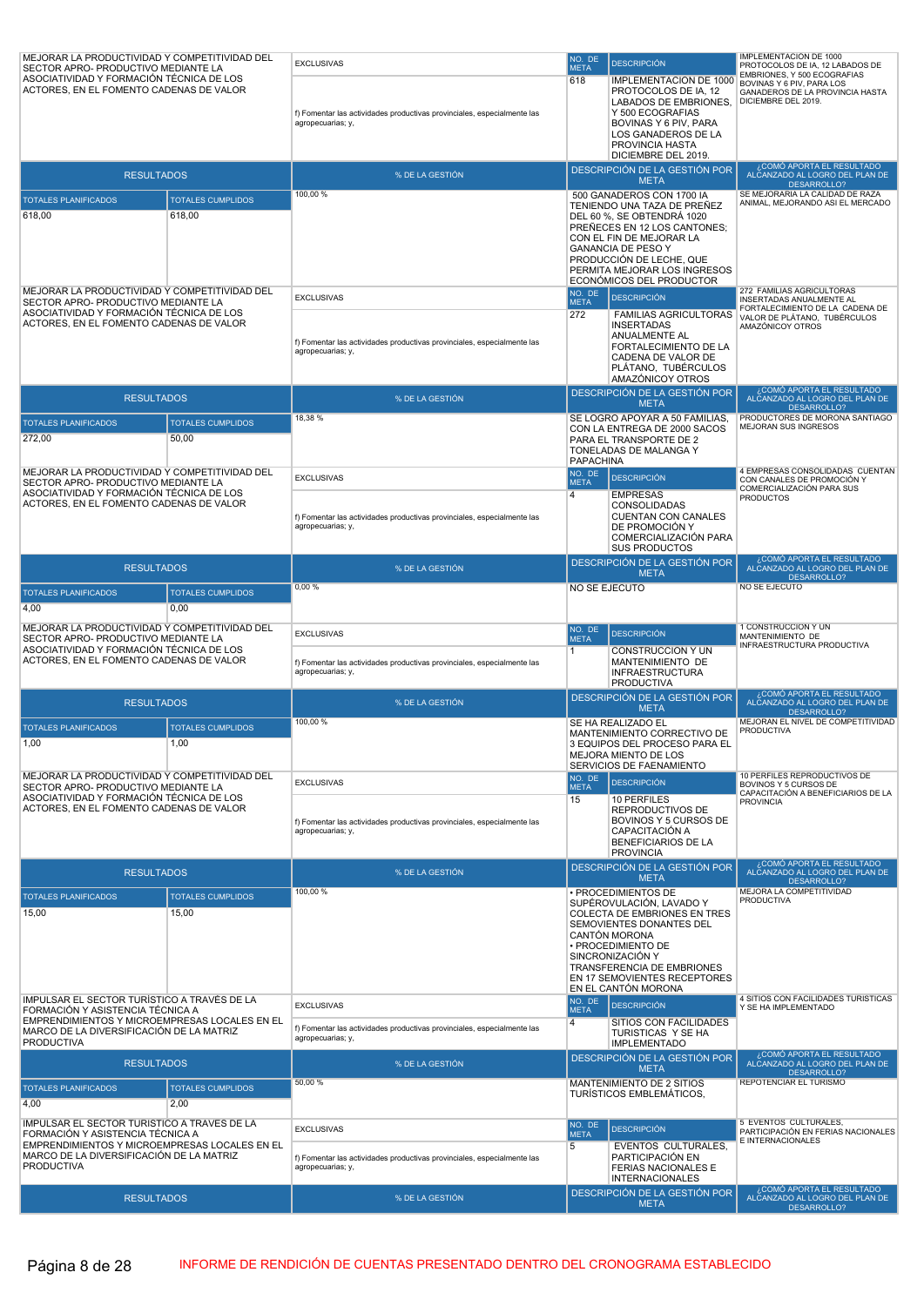| EMBRIONES, Y 500 ECOGRAFIAS<br>ASOCIATIVIDAD Y FORMACIÓN TÉCNICA DE LOS<br>618<br><b>IMPLEMENTACIÓN DE 1000</b><br>BOVINAS Y 6 PIV, PARA LOS<br>ACTORES, EN EL FOMENTO CADENAS DE VALOR<br>PROTOCOLOS DE IA, 12<br>GANADEROS DE LA PROVINCIA HASTA<br><b>LABADOS DE EMBRIONES.</b><br>DICIEMBRE DEL 2019.<br>Y 500 ECOGRAFIAS<br>f) Fomentar las actividades productivas provinciales, especialmente las<br>BOVINAS Y 6 PIV, PARA<br>agropecuarias; y,<br>LOS GANADEROS DE LA<br>PROVINCIA HASTA<br>DICIEMBRE DEL 2019.<br>¿COMÓ APORTA EL RESULTADO<br>DESCRIPCIÓN DE LA GESTIÓN POR<br>ALCANZADO AL LOGRO DEL PLAN DE<br><b>RESULTADOS</b><br>% DE LA GESTIÓN<br><b>META</b><br><b>DESARROLLO?</b><br>100,00 %<br>SE MEJORARIA LA CALIDAD DE RAZA<br>500 GANADEROS CON 1700 IA<br><b>TOTALES PLANIFICADOS</b><br><b>TOTALES CUMPLIDOS</b><br>ANIMAL, MEJORANDO ASI EL MERCADO<br>TENIENDO UNA TAZA DE PREÑEZ<br>618,00<br>618,00<br>DEL 60 %. SE OBTENDRÁ 1020<br>PREÑECES EN 12 LOS CANTONES:<br>CON EL FIN DE MEJORAR LA<br><b>GANANCIA DE PESO Y</b><br>PRODUCCIÓN DE LECHE, QUE<br>PERMITA MEJORAR LOS INGRESOS<br>ECONÓMICOS DEL PRODUCTOR<br>272 FAMILIAS AGRICULTORAS<br>MEJORAR LA PRODUCTIVIDAD Y COMPETITIVIDAD DEL<br>NO. DE<br><b>EXCLUSIVAS</b><br><b>DESCRIPCIÓN</b><br>INSERTADAS ANUALMENTE AL<br>SECTOR APRO- PRODUCTIVO MEDIANTE LA<br><b>META</b><br>FORTALECIMIENTO DE LA CADENA DE<br>ASOCIATIVIDAD Y FORMACIÓN TÉCNICA DE LOS<br>272<br><b>FAMILIAS AGRICULTORAS</b><br>VALOR DE PLÁTANO, TUBÉRCULOS<br>ACTORES, EN EL FOMENTO CADENAS DE VALOR<br><b>INSERTADAS</b><br>AMAZÓNICOY OTROS<br><b>ANUALMENTE AL</b><br>f) Fomentar las actividades productivas provinciales, especialmente las<br>FORTALECIMIENTO DE LA<br>agropecuarias; y,<br>CADENA DE VALOR DE<br>PLÁTANO, TUBÉRCULOS<br>AMAZÓNICOY OTROS<br>COMÓ APORTA EL RESULTADO،<br>DESCRIPCIÓN DE LA GESTIÓN POR<br><b>RESULTADOS</b><br>% DE LA GESTIÓN<br>ALCANZADO AL LOGRO DEL PLAN DE<br><b>META</b><br><b>DESARROLLO?</b><br>18,38%<br>PRODUCTORES DE MORONA SANTIAGO<br>SE LOGRÓ APOYAR A 50 FAMILIAS,<br><b>TOTALES PLANIFICADOS</b><br><b>TOTALES CUMPLIDOS</b><br>MEJORAN SUS INGRESOS<br>CON LA ENTREGA DE 2000 SACOS<br>272,00<br>50,00<br>PARA EL TRANSPORTE DE 2<br>TONELADAS DE MALANGA Y<br>PAPACHINA<br>4 EMPRESAS CONSOLIDADAS CUENTAN<br>MEJORAR LA PRODUCTIVIDAD Y COMPETITIVIDAD DEL<br>NO. DE<br><b>DESCRIPCIÓN</b><br><b>EXCLUSIVAS</b><br>CON CANALES DE PROMOCIÓN Y<br>SECTOR APRO- PRODUCTIVO MEDIANTE LA<br><b>META</b><br>COMERCIALIZACIÓN PARA SUS<br>ASOCIATIVIDAD Y FORMACIÓN TÉCNICA DE LOS<br>$\overline{4}$<br><b>EMPRESAS</b><br><b>PRODUCTOS</b><br>ACTORES, EN EL FOMENTO CADENAS DE VALOR<br>CONSOLIDADAS<br><b>CUENTAN CON CANALES</b><br>f) Fomentar las actividades productivas provinciales, especialmente las<br>DE PROMOCIÓN Y<br>agropecuarias; y,<br>COMERCIALIZACIÓN PARA<br><b>SUS PRODUCTOS</b><br>¿COMÓ APORTA EL RESULTADO<br>DESCRIPCIÓN DE LA GESTIÓN POR<br>ALCANZADO AL LOGRO DEL PLAN DE<br><b>RESULTADOS</b><br>% DE LA GESTIÓN<br><b>META</b><br><b>DESARROLLO?</b><br>0,00%<br>NO SE EJECUTO<br>NO SE EJECUTO<br><b>TOTALES PLANIFICADOS</b><br><b>TOTALES CUMPLIDOS</b><br>4,00<br>0,00<br>MEJORAR LA PRODUCTIVIDAD Y COMPETITIVIDAD DEL<br>1 CONSTRUCCION Y UN<br>NO. DE<br><b>EXCLUSIVAS</b><br><b>DESCRIPCIÓN</b><br>MANTENIMIENTO DE<br>SECTOR APRO- PRODUCTIVO MEDIANTE LA<br><b>META</b><br>INFRAESTRUCTURA PRODUCTIVA<br>ASOCIATIVIDAD Y FORMACIÓN TÉCNICA DE LOS<br>CONSTRUCCION Y UN<br>1.<br>ACTORES. EN EL FOMENTO CADENAS DE VALOR<br>MANTENIMIENTO DE<br>f) Fomentar las actividades productivas provinciales, especialmente las<br>agropecuarias; y,<br><b>INFRAESTRUCTURA</b><br><b>PRODUCTIVA</b><br>¿COMÓ APORTA EL RESULTADO<br>DESCRIPCIÓN DE LA GESTIÓN POR<br>% DE LA GESTIÓN<br>ALCANZADO AL LOGRO DEL PLAN DE<br><b>RESULTADOS</b><br><b>META</b><br>DESARROLLO?<br>MEJORAN EL NIVEL DE COMPETITIVIDAD<br>100,00 %<br>SE HA REALIZADO EL<br><b>TOTALES PLANIFICADOS</b><br><b>TOTALES CUMPLIDOS</b><br><b>PRODUCTIVA</b><br>MANTENIMIENTO CORRECTIVO DE<br>1,00<br>1,00<br>3 EQUIPOS DEL PROCESO PARA EL<br>MEJORA MIENTO DE LOS<br>SERVICIOS DE FAENAMIENTO<br>10 PERFILES REPRODUCTIVOS DE<br>MEJORAR LA PRODUCTIVIDAD Y COMPETITIVIDAD DEL<br>NO. DE<br><b>DESCRIPCIÓN</b><br><b>EXCLUSIVAS</b><br>BOVINOS Y 5 CURSOS DE<br>SECTOR APRO- PRODUCTIVO MEDIANTE LA<br><b>META</b><br>CAPACITACIÓN A BENEFICIARIOS DE LA<br>ASOCIATIVIDAD Y FORMACIÓN TÉCNICA DE LOS<br>10 PERFILES<br>15<br><b>PROVINCIA</b><br>ACTORES, EN EL FOMENTO CADENAS DE VALOR<br>REPRODUCTIVOS DE<br>BOVINOS Y 5 CURSOS DE<br>f) Fomentar las actividades productivas provinciales, especialmente las<br>agropecuarias; y,<br>CAPACITACIÓN A<br>BENEFICIARIOS DE LA<br><b>PROVINCIA</b><br>¿COMÓ APORTA EL RESULTADO<br>DESCRIPCIÓN DE LA GESTIÓN POR<br>ALČANZADO AL LOGRO DEL PLAN DE<br><b>RESULTADOS</b><br>% DE LA GESTIÓN<br><b>META</b><br>DESARROLLO?<br>MEJORA LA COMPETITIVIDAD<br>100,00 %<br>· PROCEDIMIENTOS DE<br><b>TOTALES PLANIFICADOS</b><br><b>TOTALES CUMPLIDOS</b><br><b>PRODUCTIVA</b><br>SUPÉROVULACIÓN, LAVADO Y<br>15,00<br>15,00<br>COLECTA DE EMBRIONES EN TRES<br>SEMOVIENTES DONANTES DEL<br>CANTÓN MORONA<br>· PROCEDIMIENTO DE<br>SINCRONIZACIÓN Y<br>TRANSFERENCIA DE EMBRIONES<br>EN 17 SEMOVIENTES RECEPTORES<br>EN EL CANTÓN MORONA<br>4 SITIOS CON FACILIDADES TURISTICAS<br>IMPULSAR EL SECTOR TURÍSTICO A TRAVÉS DE LA<br>NO. DE<br><b>DESCRIPCIÓN</b><br><b>EXCLUSIVAS</b><br>Y SE HA IMPLEMENTADO<br>FORMACIÓN Y ASISTENCIA TÉCNICA A<br><b>META</b><br>EMPRENDIMIENTOS Y MICROEMPRESAS LOCALES EN EL<br>SITIOS CON FACILIDADES<br>4<br>f) Fomentar las actividades productivas provinciales, especialmente las<br>MARCO DE LA DIVERSIFICACIÓN DE LA MATRIZ<br>TURISTICAS Y SE HA<br>agropecuarias; y,<br><b>PRODUCTIVA</b><br><b>IMPLEMENTADO</b><br>¿COMÓ APORTA EL RESULTADO<br>DESCRIPCIÓN DE LA GESTIÓN POR<br><b>RESULTADOS</b><br>ALCANZADO AL LOGRO DEL PLAN DE<br>% DE LA GESTIÓN<br><b>META</b><br><b>DESARROLLO?</b><br>50,00 %<br>REPOTENCIAR EL TURISMO<br>MANTENIMIENTO DE 2 SITIOS<br><b>TOTALES PLANIFICADOS</b><br><b>TOTALES CUMPLIDOS</b><br>TURÍSTICOS EMBLEMÁTICOS,<br>4,00<br>2,00<br>IMPULSAR EL SECTOR TURÍSTICO A TRAVÉS DE LA<br>5 EVENTOS CULTURALES,<br>NO. DE<br><b>DESCRIPCIÓN</b><br><b>EXCLUSIVAS</b><br>PARTICIPACIÓN EN FERIAS NACIONALES<br>FORMACIÓN Y ASISTENCIA TÉCNICA A<br><b>META</b><br>E INTERNACIONALES<br>EMPRENDIMIENTOS Y MICROEMPRESAS LOCALES EN EL<br>5<br><b>EVENTOS CULTURALES,</b><br>MARCO DE LA DIVERSIFICACIÓN DE LA MATRIZ<br>PARTICIPACIÓN EN<br>f) Fomentar las actividades productivas provinciales, especialmente las<br><b>PRODUCTIVA</b><br>agropecuarias; y,<br>FERIAS NACIONALES E<br><b>INTERNACIONALES</b><br>COMÓ APORTA EL RESULTADO<br>DESCRIPCIÓN DE LA GESTIÓN POR<br>ALČANZADO AL LOGRO DEL PLAN DE<br>% DE LA GESTIÓN<br><b>RESULTADOS</b><br><b>META</b><br>DESARROLLO? | MEJORAR LA PRODUCTIVIDAD Y COMPETITIVIDAD DEL<br>SECTOR APRO- PRODUCTIVO MEDIANTE LA | <b>EXCLUSIVAS</b> | NO. DE<br><b>META</b> | <b>DESCRIPCIÓN</b> | IMPLEMENTACIÓN DE 1000<br>PROTOCOLOS DE IA, 12 LABADOS DE |
|-----------------------------------------------------------------------------------------------------------------------------------------------------------------------------------------------------------------------------------------------------------------------------------------------------------------------------------------------------------------------------------------------------------------------------------------------------------------------------------------------------------------------------------------------------------------------------------------------------------------------------------------------------------------------------------------------------------------------------------------------------------------------------------------------------------------------------------------------------------------------------------------------------------------------------------------------------------------------------------------------------------------------------------------------------------------------------------------------------------------------------------------------------------------------------------------------------------------------------------------------------------------------------------------------------------------------------------------------------------------------------------------------------------------------------------------------------------------------------------------------------------------------------------------------------------------------------------------------------------------------------------------------------------------------------------------------------------------------------------------------------------------------------------------------------------------------------------------------------------------------------------------------------------------------------------------------------------------------------------------------------------------------------------------------------------------------------------------------------------------------------------------------------------------------------------------------------------------------------------------------------------------------------------------------------------------------------------------------------------------------------------------------------------------------------------------------------------------------------------------------------------------------------------------------------------------------------------------------------------------------------------------------------------------------------------------------------------------------------------------------------------------------------------------------------------------------------------------------------------------------------------------------------------------------------------------------------------------------------------------------------------------------------------------------------------------------------------------------------------------------------------------------------------------------------------------------------------------------------------------------------------------------------------------------------------------------------------------------------------------------------------------------------------------------------------------------------------------------------------------------------------------------------------------------------------------------------------------------------------------------------------------------------------------------------------------------------------------------------------------------------------------------------------------------------------------------------------------------------------------------------------------------------------------------------------------------------------------------------------------------------------------------------------------------------------------------------------------------------------------------------------------------------------------------------------------------------------------------------------------------------------------------------------------------------------------------------------------------------------------------------------------------------------------------------------------------------------------------------------------------------------------------------------------------------------------------------------------------------------------------------------------------------------------------------------------------------------------------------------------------------------------------------------------------------------------------------------------------------------------------------------------------------------------------------------------------------------------------------------------------------------------------------------------------------------------------------------------------------------------------------------------------------------------------------------------------------------------------------------------------------------------------------------------------------------------------------------------------------------------------------------------------------------------------------------------------------------------------------------------------------------------------------------------------------------------------------------------------------------------------------------------------------------------------------------------------------------------------------------------------------------------------------------------------------------------------------------------------------------------------------------------------------------------------------------------------------------------------------------------------------------------------------------------------------------------------------------------------------------------------------------------------------------------------------------------------------------------------------------------------------------------------------------------------------------------------------------------------------------------------------------------------------------------------------------------------------------------------------------------------------------------------------------------------------------------------------------------------------------------------------------------------------------------------------------------------------------------------------------------------------------------------------------------------------------------------------------------------------------------------------------------------------------------------------------------------------------------------------------------------------------------------------------------|--------------------------------------------------------------------------------------|-------------------|-----------------------|--------------------|-----------------------------------------------------------|
|                                                                                                                                                                                                                                                                                                                                                                                                                                                                                                                                                                                                                                                                                                                                                                                                                                                                                                                                                                                                                                                                                                                                                                                                                                                                                                                                                                                                                                                                                                                                                                                                                                                                                                                                                                                                                                                                                                                                                                                                                                                                                                                                                                                                                                                                                                                                                                                                                                                                                                                                                                                                                                                                                                                                                                                                                                                                                                                                                                                                                                                                                                                                                                                                                                                                                                                                                                                                                                                                                                                                                                                                                                                                                                                                                                                                                                                                                                                                                                                                                                                                                                                                                                                                                                                                                                                                                                                                                                                                                                                                                                                                                                                                                                                                                                                                                                                                                                                                                                                                                                                                                                                                                                                                                                                                                                                                                                                                                                                                                                                                                                                                                                                                                                                                                                                                                                                                                                                                                                                                                                                                                                                                                                                                                                                                                                                                                                                                                                                                                                                                                                                                                                                                                                                                                                                                                                                                                                                                                                                                                                         |                                                                                      |                   |                       |                    |                                                           |
|                                                                                                                                                                                                                                                                                                                                                                                                                                                                                                                                                                                                                                                                                                                                                                                                                                                                                                                                                                                                                                                                                                                                                                                                                                                                                                                                                                                                                                                                                                                                                                                                                                                                                                                                                                                                                                                                                                                                                                                                                                                                                                                                                                                                                                                                                                                                                                                                                                                                                                                                                                                                                                                                                                                                                                                                                                                                                                                                                                                                                                                                                                                                                                                                                                                                                                                                                                                                                                                                                                                                                                                                                                                                                                                                                                                                                                                                                                                                                                                                                                                                                                                                                                                                                                                                                                                                                                                                                                                                                                                                                                                                                                                                                                                                                                                                                                                                                                                                                                                                                                                                                                                                                                                                                                                                                                                                                                                                                                                                                                                                                                                                                                                                                                                                                                                                                                                                                                                                                                                                                                                                                                                                                                                                                                                                                                                                                                                                                                                                                                                                                                                                                                                                                                                                                                                                                                                                                                                                                                                                                                         |                                                                                      |                   |                       |                    |                                                           |
|                                                                                                                                                                                                                                                                                                                                                                                                                                                                                                                                                                                                                                                                                                                                                                                                                                                                                                                                                                                                                                                                                                                                                                                                                                                                                                                                                                                                                                                                                                                                                                                                                                                                                                                                                                                                                                                                                                                                                                                                                                                                                                                                                                                                                                                                                                                                                                                                                                                                                                                                                                                                                                                                                                                                                                                                                                                                                                                                                                                                                                                                                                                                                                                                                                                                                                                                                                                                                                                                                                                                                                                                                                                                                                                                                                                                                                                                                                                                                                                                                                                                                                                                                                                                                                                                                                                                                                                                                                                                                                                                                                                                                                                                                                                                                                                                                                                                                                                                                                                                                                                                                                                                                                                                                                                                                                                                                                                                                                                                                                                                                                                                                                                                                                                                                                                                                                                                                                                                                                                                                                                                                                                                                                                                                                                                                                                                                                                                                                                                                                                                                                                                                                                                                                                                                                                                                                                                                                                                                                                                                                         |                                                                                      |                   |                       |                    |                                                           |
|                                                                                                                                                                                                                                                                                                                                                                                                                                                                                                                                                                                                                                                                                                                                                                                                                                                                                                                                                                                                                                                                                                                                                                                                                                                                                                                                                                                                                                                                                                                                                                                                                                                                                                                                                                                                                                                                                                                                                                                                                                                                                                                                                                                                                                                                                                                                                                                                                                                                                                                                                                                                                                                                                                                                                                                                                                                                                                                                                                                                                                                                                                                                                                                                                                                                                                                                                                                                                                                                                                                                                                                                                                                                                                                                                                                                                                                                                                                                                                                                                                                                                                                                                                                                                                                                                                                                                                                                                                                                                                                                                                                                                                                                                                                                                                                                                                                                                                                                                                                                                                                                                                                                                                                                                                                                                                                                                                                                                                                                                                                                                                                                                                                                                                                                                                                                                                                                                                                                                                                                                                                                                                                                                                                                                                                                                                                                                                                                                                                                                                                                                                                                                                                                                                                                                                                                                                                                                                                                                                                                                                         |                                                                                      |                   |                       |                    |                                                           |
|                                                                                                                                                                                                                                                                                                                                                                                                                                                                                                                                                                                                                                                                                                                                                                                                                                                                                                                                                                                                                                                                                                                                                                                                                                                                                                                                                                                                                                                                                                                                                                                                                                                                                                                                                                                                                                                                                                                                                                                                                                                                                                                                                                                                                                                                                                                                                                                                                                                                                                                                                                                                                                                                                                                                                                                                                                                                                                                                                                                                                                                                                                                                                                                                                                                                                                                                                                                                                                                                                                                                                                                                                                                                                                                                                                                                                                                                                                                                                                                                                                                                                                                                                                                                                                                                                                                                                                                                                                                                                                                                                                                                                                                                                                                                                                                                                                                                                                                                                                                                                                                                                                                                                                                                                                                                                                                                                                                                                                                                                                                                                                                                                                                                                                                                                                                                                                                                                                                                                                                                                                                                                                                                                                                                                                                                                                                                                                                                                                                                                                                                                                                                                                                                                                                                                                                                                                                                                                                                                                                                                                         |                                                                                      |                   |                       |                    |                                                           |
|                                                                                                                                                                                                                                                                                                                                                                                                                                                                                                                                                                                                                                                                                                                                                                                                                                                                                                                                                                                                                                                                                                                                                                                                                                                                                                                                                                                                                                                                                                                                                                                                                                                                                                                                                                                                                                                                                                                                                                                                                                                                                                                                                                                                                                                                                                                                                                                                                                                                                                                                                                                                                                                                                                                                                                                                                                                                                                                                                                                                                                                                                                                                                                                                                                                                                                                                                                                                                                                                                                                                                                                                                                                                                                                                                                                                                                                                                                                                                                                                                                                                                                                                                                                                                                                                                                                                                                                                                                                                                                                                                                                                                                                                                                                                                                                                                                                                                                                                                                                                                                                                                                                                                                                                                                                                                                                                                                                                                                                                                                                                                                                                                                                                                                                                                                                                                                                                                                                                                                                                                                                                                                                                                                                                                                                                                                                                                                                                                                                                                                                                                                                                                                                                                                                                                                                                                                                                                                                                                                                                                                         |                                                                                      |                   |                       |                    |                                                           |
|                                                                                                                                                                                                                                                                                                                                                                                                                                                                                                                                                                                                                                                                                                                                                                                                                                                                                                                                                                                                                                                                                                                                                                                                                                                                                                                                                                                                                                                                                                                                                                                                                                                                                                                                                                                                                                                                                                                                                                                                                                                                                                                                                                                                                                                                                                                                                                                                                                                                                                                                                                                                                                                                                                                                                                                                                                                                                                                                                                                                                                                                                                                                                                                                                                                                                                                                                                                                                                                                                                                                                                                                                                                                                                                                                                                                                                                                                                                                                                                                                                                                                                                                                                                                                                                                                                                                                                                                                                                                                                                                                                                                                                                                                                                                                                                                                                                                                                                                                                                                                                                                                                                                                                                                                                                                                                                                                                                                                                                                                                                                                                                                                                                                                                                                                                                                                                                                                                                                                                                                                                                                                                                                                                                                                                                                                                                                                                                                                                                                                                                                                                                                                                                                                                                                                                                                                                                                                                                                                                                                                                         |                                                                                      |                   |                       |                    |                                                           |
|                                                                                                                                                                                                                                                                                                                                                                                                                                                                                                                                                                                                                                                                                                                                                                                                                                                                                                                                                                                                                                                                                                                                                                                                                                                                                                                                                                                                                                                                                                                                                                                                                                                                                                                                                                                                                                                                                                                                                                                                                                                                                                                                                                                                                                                                                                                                                                                                                                                                                                                                                                                                                                                                                                                                                                                                                                                                                                                                                                                                                                                                                                                                                                                                                                                                                                                                                                                                                                                                                                                                                                                                                                                                                                                                                                                                                                                                                                                                                                                                                                                                                                                                                                                                                                                                                                                                                                                                                                                                                                                                                                                                                                                                                                                                                                                                                                                                                                                                                                                                                                                                                                                                                                                                                                                                                                                                                                                                                                                                                                                                                                                                                                                                                                                                                                                                                                                                                                                                                                                                                                                                                                                                                                                                                                                                                                                                                                                                                                                                                                                                                                                                                                                                                                                                                                                                                                                                                                                                                                                                                                         |                                                                                      |                   |                       |                    |                                                           |
|                                                                                                                                                                                                                                                                                                                                                                                                                                                                                                                                                                                                                                                                                                                                                                                                                                                                                                                                                                                                                                                                                                                                                                                                                                                                                                                                                                                                                                                                                                                                                                                                                                                                                                                                                                                                                                                                                                                                                                                                                                                                                                                                                                                                                                                                                                                                                                                                                                                                                                                                                                                                                                                                                                                                                                                                                                                                                                                                                                                                                                                                                                                                                                                                                                                                                                                                                                                                                                                                                                                                                                                                                                                                                                                                                                                                                                                                                                                                                                                                                                                                                                                                                                                                                                                                                                                                                                                                                                                                                                                                                                                                                                                                                                                                                                                                                                                                                                                                                                                                                                                                                                                                                                                                                                                                                                                                                                                                                                                                                                                                                                                                                                                                                                                                                                                                                                                                                                                                                                                                                                                                                                                                                                                                                                                                                                                                                                                                                                                                                                                                                                                                                                                                                                                                                                                                                                                                                                                                                                                                                                         |                                                                                      |                   |                       |                    |                                                           |
|                                                                                                                                                                                                                                                                                                                                                                                                                                                                                                                                                                                                                                                                                                                                                                                                                                                                                                                                                                                                                                                                                                                                                                                                                                                                                                                                                                                                                                                                                                                                                                                                                                                                                                                                                                                                                                                                                                                                                                                                                                                                                                                                                                                                                                                                                                                                                                                                                                                                                                                                                                                                                                                                                                                                                                                                                                                                                                                                                                                                                                                                                                                                                                                                                                                                                                                                                                                                                                                                                                                                                                                                                                                                                                                                                                                                                                                                                                                                                                                                                                                                                                                                                                                                                                                                                                                                                                                                                                                                                                                                                                                                                                                                                                                                                                                                                                                                                                                                                                                                                                                                                                                                                                                                                                                                                                                                                                                                                                                                                                                                                                                                                                                                                                                                                                                                                                                                                                                                                                                                                                                                                                                                                                                                                                                                                                                                                                                                                                                                                                                                                                                                                                                                                                                                                                                                                                                                                                                                                                                                                                         |                                                                                      |                   |                       |                    |                                                           |
|                                                                                                                                                                                                                                                                                                                                                                                                                                                                                                                                                                                                                                                                                                                                                                                                                                                                                                                                                                                                                                                                                                                                                                                                                                                                                                                                                                                                                                                                                                                                                                                                                                                                                                                                                                                                                                                                                                                                                                                                                                                                                                                                                                                                                                                                                                                                                                                                                                                                                                                                                                                                                                                                                                                                                                                                                                                                                                                                                                                                                                                                                                                                                                                                                                                                                                                                                                                                                                                                                                                                                                                                                                                                                                                                                                                                                                                                                                                                                                                                                                                                                                                                                                                                                                                                                                                                                                                                                                                                                                                                                                                                                                                                                                                                                                                                                                                                                                                                                                                                                                                                                                                                                                                                                                                                                                                                                                                                                                                                                                                                                                                                                                                                                                                                                                                                                                                                                                                                                                                                                                                                                                                                                                                                                                                                                                                                                                                                                                                                                                                                                                                                                                                                                                                                                                                                                                                                                                                                                                                                                                         |                                                                                      |                   |                       |                    |                                                           |
|                                                                                                                                                                                                                                                                                                                                                                                                                                                                                                                                                                                                                                                                                                                                                                                                                                                                                                                                                                                                                                                                                                                                                                                                                                                                                                                                                                                                                                                                                                                                                                                                                                                                                                                                                                                                                                                                                                                                                                                                                                                                                                                                                                                                                                                                                                                                                                                                                                                                                                                                                                                                                                                                                                                                                                                                                                                                                                                                                                                                                                                                                                                                                                                                                                                                                                                                                                                                                                                                                                                                                                                                                                                                                                                                                                                                                                                                                                                                                                                                                                                                                                                                                                                                                                                                                                                                                                                                                                                                                                                                                                                                                                                                                                                                                                                                                                                                                                                                                                                                                                                                                                                                                                                                                                                                                                                                                                                                                                                                                                                                                                                                                                                                                                                                                                                                                                                                                                                                                                                                                                                                                                                                                                                                                                                                                                                                                                                                                                                                                                                                                                                                                                                                                                                                                                                                                                                                                                                                                                                                                                         |                                                                                      |                   |                       |                    |                                                           |
|                                                                                                                                                                                                                                                                                                                                                                                                                                                                                                                                                                                                                                                                                                                                                                                                                                                                                                                                                                                                                                                                                                                                                                                                                                                                                                                                                                                                                                                                                                                                                                                                                                                                                                                                                                                                                                                                                                                                                                                                                                                                                                                                                                                                                                                                                                                                                                                                                                                                                                                                                                                                                                                                                                                                                                                                                                                                                                                                                                                                                                                                                                                                                                                                                                                                                                                                                                                                                                                                                                                                                                                                                                                                                                                                                                                                                                                                                                                                                                                                                                                                                                                                                                                                                                                                                                                                                                                                                                                                                                                                                                                                                                                                                                                                                                                                                                                                                                                                                                                                                                                                                                                                                                                                                                                                                                                                                                                                                                                                                                                                                                                                                                                                                                                                                                                                                                                                                                                                                                                                                                                                                                                                                                                                                                                                                                                                                                                                                                                                                                                                                                                                                                                                                                                                                                                                                                                                                                                                                                                                                                         |                                                                                      |                   |                       |                    |                                                           |
|                                                                                                                                                                                                                                                                                                                                                                                                                                                                                                                                                                                                                                                                                                                                                                                                                                                                                                                                                                                                                                                                                                                                                                                                                                                                                                                                                                                                                                                                                                                                                                                                                                                                                                                                                                                                                                                                                                                                                                                                                                                                                                                                                                                                                                                                                                                                                                                                                                                                                                                                                                                                                                                                                                                                                                                                                                                                                                                                                                                                                                                                                                                                                                                                                                                                                                                                                                                                                                                                                                                                                                                                                                                                                                                                                                                                                                                                                                                                                                                                                                                                                                                                                                                                                                                                                                                                                                                                                                                                                                                                                                                                                                                                                                                                                                                                                                                                                                                                                                                                                                                                                                                                                                                                                                                                                                                                                                                                                                                                                                                                                                                                                                                                                                                                                                                                                                                                                                                                                                                                                                                                                                                                                                                                                                                                                                                                                                                                                                                                                                                                                                                                                                                                                                                                                                                                                                                                                                                                                                                                                                         |                                                                                      |                   |                       |                    |                                                           |
|                                                                                                                                                                                                                                                                                                                                                                                                                                                                                                                                                                                                                                                                                                                                                                                                                                                                                                                                                                                                                                                                                                                                                                                                                                                                                                                                                                                                                                                                                                                                                                                                                                                                                                                                                                                                                                                                                                                                                                                                                                                                                                                                                                                                                                                                                                                                                                                                                                                                                                                                                                                                                                                                                                                                                                                                                                                                                                                                                                                                                                                                                                                                                                                                                                                                                                                                                                                                                                                                                                                                                                                                                                                                                                                                                                                                                                                                                                                                                                                                                                                                                                                                                                                                                                                                                                                                                                                                                                                                                                                                                                                                                                                                                                                                                                                                                                                                                                                                                                                                                                                                                                                                                                                                                                                                                                                                                                                                                                                                                                                                                                                                                                                                                                                                                                                                                                                                                                                                                                                                                                                                                                                                                                                                                                                                                                                                                                                                                                                                                                                                                                                                                                                                                                                                                                                                                                                                                                                                                                                                                                         |                                                                                      |                   |                       |                    |                                                           |
|                                                                                                                                                                                                                                                                                                                                                                                                                                                                                                                                                                                                                                                                                                                                                                                                                                                                                                                                                                                                                                                                                                                                                                                                                                                                                                                                                                                                                                                                                                                                                                                                                                                                                                                                                                                                                                                                                                                                                                                                                                                                                                                                                                                                                                                                                                                                                                                                                                                                                                                                                                                                                                                                                                                                                                                                                                                                                                                                                                                                                                                                                                                                                                                                                                                                                                                                                                                                                                                                                                                                                                                                                                                                                                                                                                                                                                                                                                                                                                                                                                                                                                                                                                                                                                                                                                                                                                                                                                                                                                                                                                                                                                                                                                                                                                                                                                                                                                                                                                                                                                                                                                                                                                                                                                                                                                                                                                                                                                                                                                                                                                                                                                                                                                                                                                                                                                                                                                                                                                                                                                                                                                                                                                                                                                                                                                                                                                                                                                                                                                                                                                                                                                                                                                                                                                                                                                                                                                                                                                                                                                         |                                                                                      |                   |                       |                    |                                                           |
|                                                                                                                                                                                                                                                                                                                                                                                                                                                                                                                                                                                                                                                                                                                                                                                                                                                                                                                                                                                                                                                                                                                                                                                                                                                                                                                                                                                                                                                                                                                                                                                                                                                                                                                                                                                                                                                                                                                                                                                                                                                                                                                                                                                                                                                                                                                                                                                                                                                                                                                                                                                                                                                                                                                                                                                                                                                                                                                                                                                                                                                                                                                                                                                                                                                                                                                                                                                                                                                                                                                                                                                                                                                                                                                                                                                                                                                                                                                                                                                                                                                                                                                                                                                                                                                                                                                                                                                                                                                                                                                                                                                                                                                                                                                                                                                                                                                                                                                                                                                                                                                                                                                                                                                                                                                                                                                                                                                                                                                                                                                                                                                                                                                                                                                                                                                                                                                                                                                                                                                                                                                                                                                                                                                                                                                                                                                                                                                                                                                                                                                                                                                                                                                                                                                                                                                                                                                                                                                                                                                                                                         |                                                                                      |                   |                       |                    |                                                           |
|                                                                                                                                                                                                                                                                                                                                                                                                                                                                                                                                                                                                                                                                                                                                                                                                                                                                                                                                                                                                                                                                                                                                                                                                                                                                                                                                                                                                                                                                                                                                                                                                                                                                                                                                                                                                                                                                                                                                                                                                                                                                                                                                                                                                                                                                                                                                                                                                                                                                                                                                                                                                                                                                                                                                                                                                                                                                                                                                                                                                                                                                                                                                                                                                                                                                                                                                                                                                                                                                                                                                                                                                                                                                                                                                                                                                                                                                                                                                                                                                                                                                                                                                                                                                                                                                                                                                                                                                                                                                                                                                                                                                                                                                                                                                                                                                                                                                                                                                                                                                                                                                                                                                                                                                                                                                                                                                                                                                                                                                                                                                                                                                                                                                                                                                                                                                                                                                                                                                                                                                                                                                                                                                                                                                                                                                                                                                                                                                                                                                                                                                                                                                                                                                                                                                                                                                                                                                                                                                                                                                                                         |                                                                                      |                   |                       |                    |                                                           |
|                                                                                                                                                                                                                                                                                                                                                                                                                                                                                                                                                                                                                                                                                                                                                                                                                                                                                                                                                                                                                                                                                                                                                                                                                                                                                                                                                                                                                                                                                                                                                                                                                                                                                                                                                                                                                                                                                                                                                                                                                                                                                                                                                                                                                                                                                                                                                                                                                                                                                                                                                                                                                                                                                                                                                                                                                                                                                                                                                                                                                                                                                                                                                                                                                                                                                                                                                                                                                                                                                                                                                                                                                                                                                                                                                                                                                                                                                                                                                                                                                                                                                                                                                                                                                                                                                                                                                                                                                                                                                                                                                                                                                                                                                                                                                                                                                                                                                                                                                                                                                                                                                                                                                                                                                                                                                                                                                                                                                                                                                                                                                                                                                                                                                                                                                                                                                                                                                                                                                                                                                                                                                                                                                                                                                                                                                                                                                                                                                                                                                                                                                                                                                                                                                                                                                                                                                                                                                                                                                                                                                                         |                                                                                      |                   |                       |                    |                                                           |
|                                                                                                                                                                                                                                                                                                                                                                                                                                                                                                                                                                                                                                                                                                                                                                                                                                                                                                                                                                                                                                                                                                                                                                                                                                                                                                                                                                                                                                                                                                                                                                                                                                                                                                                                                                                                                                                                                                                                                                                                                                                                                                                                                                                                                                                                                                                                                                                                                                                                                                                                                                                                                                                                                                                                                                                                                                                                                                                                                                                                                                                                                                                                                                                                                                                                                                                                                                                                                                                                                                                                                                                                                                                                                                                                                                                                                                                                                                                                                                                                                                                                                                                                                                                                                                                                                                                                                                                                                                                                                                                                                                                                                                                                                                                                                                                                                                                                                                                                                                                                                                                                                                                                                                                                                                                                                                                                                                                                                                                                                                                                                                                                                                                                                                                                                                                                                                                                                                                                                                                                                                                                                                                                                                                                                                                                                                                                                                                                                                                                                                                                                                                                                                                                                                                                                                                                                                                                                                                                                                                                                                         |                                                                                      |                   |                       |                    |                                                           |
|                                                                                                                                                                                                                                                                                                                                                                                                                                                                                                                                                                                                                                                                                                                                                                                                                                                                                                                                                                                                                                                                                                                                                                                                                                                                                                                                                                                                                                                                                                                                                                                                                                                                                                                                                                                                                                                                                                                                                                                                                                                                                                                                                                                                                                                                                                                                                                                                                                                                                                                                                                                                                                                                                                                                                                                                                                                                                                                                                                                                                                                                                                                                                                                                                                                                                                                                                                                                                                                                                                                                                                                                                                                                                                                                                                                                                                                                                                                                                                                                                                                                                                                                                                                                                                                                                                                                                                                                                                                                                                                                                                                                                                                                                                                                                                                                                                                                                                                                                                                                                                                                                                                                                                                                                                                                                                                                                                                                                                                                                                                                                                                                                                                                                                                                                                                                                                                                                                                                                                                                                                                                                                                                                                                                                                                                                                                                                                                                                                                                                                                                                                                                                                                                                                                                                                                                                                                                                                                                                                                                                                         |                                                                                      |                   |                       |                    |                                                           |
|                                                                                                                                                                                                                                                                                                                                                                                                                                                                                                                                                                                                                                                                                                                                                                                                                                                                                                                                                                                                                                                                                                                                                                                                                                                                                                                                                                                                                                                                                                                                                                                                                                                                                                                                                                                                                                                                                                                                                                                                                                                                                                                                                                                                                                                                                                                                                                                                                                                                                                                                                                                                                                                                                                                                                                                                                                                                                                                                                                                                                                                                                                                                                                                                                                                                                                                                                                                                                                                                                                                                                                                                                                                                                                                                                                                                                                                                                                                                                                                                                                                                                                                                                                                                                                                                                                                                                                                                                                                                                                                                                                                                                                                                                                                                                                                                                                                                                                                                                                                                                                                                                                                                                                                                                                                                                                                                                                                                                                                                                                                                                                                                                                                                                                                                                                                                                                                                                                                                                                                                                                                                                                                                                                                                                                                                                                                                                                                                                                                                                                                                                                                                                                                                                                                                                                                                                                                                                                                                                                                                                                         |                                                                                      |                   |                       |                    |                                                           |
|                                                                                                                                                                                                                                                                                                                                                                                                                                                                                                                                                                                                                                                                                                                                                                                                                                                                                                                                                                                                                                                                                                                                                                                                                                                                                                                                                                                                                                                                                                                                                                                                                                                                                                                                                                                                                                                                                                                                                                                                                                                                                                                                                                                                                                                                                                                                                                                                                                                                                                                                                                                                                                                                                                                                                                                                                                                                                                                                                                                                                                                                                                                                                                                                                                                                                                                                                                                                                                                                                                                                                                                                                                                                                                                                                                                                                                                                                                                                                                                                                                                                                                                                                                                                                                                                                                                                                                                                                                                                                                                                                                                                                                                                                                                                                                                                                                                                                                                                                                                                                                                                                                                                                                                                                                                                                                                                                                                                                                                                                                                                                                                                                                                                                                                                                                                                                                                                                                                                                                                                                                                                                                                                                                                                                                                                                                                                                                                                                                                                                                                                                                                                                                                                                                                                                                                                                                                                                                                                                                                                                                         |                                                                                      |                   |                       |                    |                                                           |
|                                                                                                                                                                                                                                                                                                                                                                                                                                                                                                                                                                                                                                                                                                                                                                                                                                                                                                                                                                                                                                                                                                                                                                                                                                                                                                                                                                                                                                                                                                                                                                                                                                                                                                                                                                                                                                                                                                                                                                                                                                                                                                                                                                                                                                                                                                                                                                                                                                                                                                                                                                                                                                                                                                                                                                                                                                                                                                                                                                                                                                                                                                                                                                                                                                                                                                                                                                                                                                                                                                                                                                                                                                                                                                                                                                                                                                                                                                                                                                                                                                                                                                                                                                                                                                                                                                                                                                                                                                                                                                                                                                                                                                                                                                                                                                                                                                                                                                                                                                                                                                                                                                                                                                                                                                                                                                                                                                                                                                                                                                                                                                                                                                                                                                                                                                                                                                                                                                                                                                                                                                                                                                                                                                                                                                                                                                                                                                                                                                                                                                                                                                                                                                                                                                                                                                                                                                                                                                                                                                                                                                         |                                                                                      |                   |                       |                    |                                                           |
|                                                                                                                                                                                                                                                                                                                                                                                                                                                                                                                                                                                                                                                                                                                                                                                                                                                                                                                                                                                                                                                                                                                                                                                                                                                                                                                                                                                                                                                                                                                                                                                                                                                                                                                                                                                                                                                                                                                                                                                                                                                                                                                                                                                                                                                                                                                                                                                                                                                                                                                                                                                                                                                                                                                                                                                                                                                                                                                                                                                                                                                                                                                                                                                                                                                                                                                                                                                                                                                                                                                                                                                                                                                                                                                                                                                                                                                                                                                                                                                                                                                                                                                                                                                                                                                                                                                                                                                                                                                                                                                                                                                                                                                                                                                                                                                                                                                                                                                                                                                                                                                                                                                                                                                                                                                                                                                                                                                                                                                                                                                                                                                                                                                                                                                                                                                                                                                                                                                                                                                                                                                                                                                                                                                                                                                                                                                                                                                                                                                                                                                                                                                                                                                                                                                                                                                                                                                                                                                                                                                                                                         |                                                                                      |                   |                       |                    |                                                           |
|                                                                                                                                                                                                                                                                                                                                                                                                                                                                                                                                                                                                                                                                                                                                                                                                                                                                                                                                                                                                                                                                                                                                                                                                                                                                                                                                                                                                                                                                                                                                                                                                                                                                                                                                                                                                                                                                                                                                                                                                                                                                                                                                                                                                                                                                                                                                                                                                                                                                                                                                                                                                                                                                                                                                                                                                                                                                                                                                                                                                                                                                                                                                                                                                                                                                                                                                                                                                                                                                                                                                                                                                                                                                                                                                                                                                                                                                                                                                                                                                                                                                                                                                                                                                                                                                                                                                                                                                                                                                                                                                                                                                                                                                                                                                                                                                                                                                                                                                                                                                                                                                                                                                                                                                                                                                                                                                                                                                                                                                                                                                                                                                                                                                                                                                                                                                                                                                                                                                                                                                                                                                                                                                                                                                                                                                                                                                                                                                                                                                                                                                                                                                                                                                                                                                                                                                                                                                                                                                                                                                                                         |                                                                                      |                   |                       |                    |                                                           |
|                                                                                                                                                                                                                                                                                                                                                                                                                                                                                                                                                                                                                                                                                                                                                                                                                                                                                                                                                                                                                                                                                                                                                                                                                                                                                                                                                                                                                                                                                                                                                                                                                                                                                                                                                                                                                                                                                                                                                                                                                                                                                                                                                                                                                                                                                                                                                                                                                                                                                                                                                                                                                                                                                                                                                                                                                                                                                                                                                                                                                                                                                                                                                                                                                                                                                                                                                                                                                                                                                                                                                                                                                                                                                                                                                                                                                                                                                                                                                                                                                                                                                                                                                                                                                                                                                                                                                                                                                                                                                                                                                                                                                                                                                                                                                                                                                                                                                                                                                                                                                                                                                                                                                                                                                                                                                                                                                                                                                                                                                                                                                                                                                                                                                                                                                                                                                                                                                                                                                                                                                                                                                                                                                                                                                                                                                                                                                                                                                                                                                                                                                                                                                                                                                                                                                                                                                                                                                                                                                                                                                                         |                                                                                      |                   |                       |                    |                                                           |
|                                                                                                                                                                                                                                                                                                                                                                                                                                                                                                                                                                                                                                                                                                                                                                                                                                                                                                                                                                                                                                                                                                                                                                                                                                                                                                                                                                                                                                                                                                                                                                                                                                                                                                                                                                                                                                                                                                                                                                                                                                                                                                                                                                                                                                                                                                                                                                                                                                                                                                                                                                                                                                                                                                                                                                                                                                                                                                                                                                                                                                                                                                                                                                                                                                                                                                                                                                                                                                                                                                                                                                                                                                                                                                                                                                                                                                                                                                                                                                                                                                                                                                                                                                                                                                                                                                                                                                                                                                                                                                                                                                                                                                                                                                                                                                                                                                                                                                                                                                                                                                                                                                                                                                                                                                                                                                                                                                                                                                                                                                                                                                                                                                                                                                                                                                                                                                                                                                                                                                                                                                                                                                                                                                                                                                                                                                                                                                                                                                                                                                                                                                                                                                                                                                                                                                                                                                                                                                                                                                                                                                         |                                                                                      |                   |                       |                    |                                                           |
|                                                                                                                                                                                                                                                                                                                                                                                                                                                                                                                                                                                                                                                                                                                                                                                                                                                                                                                                                                                                                                                                                                                                                                                                                                                                                                                                                                                                                                                                                                                                                                                                                                                                                                                                                                                                                                                                                                                                                                                                                                                                                                                                                                                                                                                                                                                                                                                                                                                                                                                                                                                                                                                                                                                                                                                                                                                                                                                                                                                                                                                                                                                                                                                                                                                                                                                                                                                                                                                                                                                                                                                                                                                                                                                                                                                                                                                                                                                                                                                                                                                                                                                                                                                                                                                                                                                                                                                                                                                                                                                                                                                                                                                                                                                                                                                                                                                                                                                                                                                                                                                                                                                                                                                                                                                                                                                                                                                                                                                                                                                                                                                                                                                                                                                                                                                                                                                                                                                                                                                                                                                                                                                                                                                                                                                                                                                                                                                                                                                                                                                                                                                                                                                                                                                                                                                                                                                                                                                                                                                                                                         |                                                                                      |                   |                       |                    |                                                           |
|                                                                                                                                                                                                                                                                                                                                                                                                                                                                                                                                                                                                                                                                                                                                                                                                                                                                                                                                                                                                                                                                                                                                                                                                                                                                                                                                                                                                                                                                                                                                                                                                                                                                                                                                                                                                                                                                                                                                                                                                                                                                                                                                                                                                                                                                                                                                                                                                                                                                                                                                                                                                                                                                                                                                                                                                                                                                                                                                                                                                                                                                                                                                                                                                                                                                                                                                                                                                                                                                                                                                                                                                                                                                                                                                                                                                                                                                                                                                                                                                                                                                                                                                                                                                                                                                                                                                                                                                                                                                                                                                                                                                                                                                                                                                                                                                                                                                                                                                                                                                                                                                                                                                                                                                                                                                                                                                                                                                                                                                                                                                                                                                                                                                                                                                                                                                                                                                                                                                                                                                                                                                                                                                                                                                                                                                                                                                                                                                                                                                                                                                                                                                                                                                                                                                                                                                                                                                                                                                                                                                                                         |                                                                                      |                   |                       |                    |                                                           |
|                                                                                                                                                                                                                                                                                                                                                                                                                                                                                                                                                                                                                                                                                                                                                                                                                                                                                                                                                                                                                                                                                                                                                                                                                                                                                                                                                                                                                                                                                                                                                                                                                                                                                                                                                                                                                                                                                                                                                                                                                                                                                                                                                                                                                                                                                                                                                                                                                                                                                                                                                                                                                                                                                                                                                                                                                                                                                                                                                                                                                                                                                                                                                                                                                                                                                                                                                                                                                                                                                                                                                                                                                                                                                                                                                                                                                                                                                                                                                                                                                                                                                                                                                                                                                                                                                                                                                                                                                                                                                                                                                                                                                                                                                                                                                                                                                                                                                                                                                                                                                                                                                                                                                                                                                                                                                                                                                                                                                                                                                                                                                                                                                                                                                                                                                                                                                                                                                                                                                                                                                                                                                                                                                                                                                                                                                                                                                                                                                                                                                                                                                                                                                                                                                                                                                                                                                                                                                                                                                                                                                                         |                                                                                      |                   |                       |                    |                                                           |
|                                                                                                                                                                                                                                                                                                                                                                                                                                                                                                                                                                                                                                                                                                                                                                                                                                                                                                                                                                                                                                                                                                                                                                                                                                                                                                                                                                                                                                                                                                                                                                                                                                                                                                                                                                                                                                                                                                                                                                                                                                                                                                                                                                                                                                                                                                                                                                                                                                                                                                                                                                                                                                                                                                                                                                                                                                                                                                                                                                                                                                                                                                                                                                                                                                                                                                                                                                                                                                                                                                                                                                                                                                                                                                                                                                                                                                                                                                                                                                                                                                                                                                                                                                                                                                                                                                                                                                                                                                                                                                                                                                                                                                                                                                                                                                                                                                                                                                                                                                                                                                                                                                                                                                                                                                                                                                                                                                                                                                                                                                                                                                                                                                                                                                                                                                                                                                                                                                                                                                                                                                                                                                                                                                                                                                                                                                                                                                                                                                                                                                                                                                                                                                                                                                                                                                                                                                                                                                                                                                                                                                         |                                                                                      |                   |                       |                    |                                                           |
|                                                                                                                                                                                                                                                                                                                                                                                                                                                                                                                                                                                                                                                                                                                                                                                                                                                                                                                                                                                                                                                                                                                                                                                                                                                                                                                                                                                                                                                                                                                                                                                                                                                                                                                                                                                                                                                                                                                                                                                                                                                                                                                                                                                                                                                                                                                                                                                                                                                                                                                                                                                                                                                                                                                                                                                                                                                                                                                                                                                                                                                                                                                                                                                                                                                                                                                                                                                                                                                                                                                                                                                                                                                                                                                                                                                                                                                                                                                                                                                                                                                                                                                                                                                                                                                                                                                                                                                                                                                                                                                                                                                                                                                                                                                                                                                                                                                                                                                                                                                                                                                                                                                                                                                                                                                                                                                                                                                                                                                                                                                                                                                                                                                                                                                                                                                                                                                                                                                                                                                                                                                                                                                                                                                                                                                                                                                                                                                                                                                                                                                                                                                                                                                                                                                                                                                                                                                                                                                                                                                                                                         |                                                                                      |                   |                       |                    |                                                           |
|                                                                                                                                                                                                                                                                                                                                                                                                                                                                                                                                                                                                                                                                                                                                                                                                                                                                                                                                                                                                                                                                                                                                                                                                                                                                                                                                                                                                                                                                                                                                                                                                                                                                                                                                                                                                                                                                                                                                                                                                                                                                                                                                                                                                                                                                                                                                                                                                                                                                                                                                                                                                                                                                                                                                                                                                                                                                                                                                                                                                                                                                                                                                                                                                                                                                                                                                                                                                                                                                                                                                                                                                                                                                                                                                                                                                                                                                                                                                                                                                                                                                                                                                                                                                                                                                                                                                                                                                                                                                                                                                                                                                                                                                                                                                                                                                                                                                                                                                                                                                                                                                                                                                                                                                                                                                                                                                                                                                                                                                                                                                                                                                                                                                                                                                                                                                                                                                                                                                                                                                                                                                                                                                                                                                                                                                                                                                                                                                                                                                                                                                                                                                                                                                                                                                                                                                                                                                                                                                                                                                                                         |                                                                                      |                   |                       |                    |                                                           |
|                                                                                                                                                                                                                                                                                                                                                                                                                                                                                                                                                                                                                                                                                                                                                                                                                                                                                                                                                                                                                                                                                                                                                                                                                                                                                                                                                                                                                                                                                                                                                                                                                                                                                                                                                                                                                                                                                                                                                                                                                                                                                                                                                                                                                                                                                                                                                                                                                                                                                                                                                                                                                                                                                                                                                                                                                                                                                                                                                                                                                                                                                                                                                                                                                                                                                                                                                                                                                                                                                                                                                                                                                                                                                                                                                                                                                                                                                                                                                                                                                                                                                                                                                                                                                                                                                                                                                                                                                                                                                                                                                                                                                                                                                                                                                                                                                                                                                                                                                                                                                                                                                                                                                                                                                                                                                                                                                                                                                                                                                                                                                                                                                                                                                                                                                                                                                                                                                                                                                                                                                                                                                                                                                                                                                                                                                                                                                                                                                                                                                                                                                                                                                                                                                                                                                                                                                                                                                                                                                                                                                                         |                                                                                      |                   |                       |                    |                                                           |
|                                                                                                                                                                                                                                                                                                                                                                                                                                                                                                                                                                                                                                                                                                                                                                                                                                                                                                                                                                                                                                                                                                                                                                                                                                                                                                                                                                                                                                                                                                                                                                                                                                                                                                                                                                                                                                                                                                                                                                                                                                                                                                                                                                                                                                                                                                                                                                                                                                                                                                                                                                                                                                                                                                                                                                                                                                                                                                                                                                                                                                                                                                                                                                                                                                                                                                                                                                                                                                                                                                                                                                                                                                                                                                                                                                                                                                                                                                                                                                                                                                                                                                                                                                                                                                                                                                                                                                                                                                                                                                                                                                                                                                                                                                                                                                                                                                                                                                                                                                                                                                                                                                                                                                                                                                                                                                                                                                                                                                                                                                                                                                                                                                                                                                                                                                                                                                                                                                                                                                                                                                                                                                                                                                                                                                                                                                                                                                                                                                                                                                                                                                                                                                                                                                                                                                                                                                                                                                                                                                                                                                         |                                                                                      |                   |                       |                    |                                                           |
|                                                                                                                                                                                                                                                                                                                                                                                                                                                                                                                                                                                                                                                                                                                                                                                                                                                                                                                                                                                                                                                                                                                                                                                                                                                                                                                                                                                                                                                                                                                                                                                                                                                                                                                                                                                                                                                                                                                                                                                                                                                                                                                                                                                                                                                                                                                                                                                                                                                                                                                                                                                                                                                                                                                                                                                                                                                                                                                                                                                                                                                                                                                                                                                                                                                                                                                                                                                                                                                                                                                                                                                                                                                                                                                                                                                                                                                                                                                                                                                                                                                                                                                                                                                                                                                                                                                                                                                                                                                                                                                                                                                                                                                                                                                                                                                                                                                                                                                                                                                                                                                                                                                                                                                                                                                                                                                                                                                                                                                                                                                                                                                                                                                                                                                                                                                                                                                                                                                                                                                                                                                                                                                                                                                                                                                                                                                                                                                                                                                                                                                                                                                                                                                                                                                                                                                                                                                                                                                                                                                                                                         |                                                                                      |                   |                       |                    |                                                           |
|                                                                                                                                                                                                                                                                                                                                                                                                                                                                                                                                                                                                                                                                                                                                                                                                                                                                                                                                                                                                                                                                                                                                                                                                                                                                                                                                                                                                                                                                                                                                                                                                                                                                                                                                                                                                                                                                                                                                                                                                                                                                                                                                                                                                                                                                                                                                                                                                                                                                                                                                                                                                                                                                                                                                                                                                                                                                                                                                                                                                                                                                                                                                                                                                                                                                                                                                                                                                                                                                                                                                                                                                                                                                                                                                                                                                                                                                                                                                                                                                                                                                                                                                                                                                                                                                                                                                                                                                                                                                                                                                                                                                                                                                                                                                                                                                                                                                                                                                                                                                                                                                                                                                                                                                                                                                                                                                                                                                                                                                                                                                                                                                                                                                                                                                                                                                                                                                                                                                                                                                                                                                                                                                                                                                                                                                                                                                                                                                                                                                                                                                                                                                                                                                                                                                                                                                                                                                                                                                                                                                                                         |                                                                                      |                   |                       |                    |                                                           |
|                                                                                                                                                                                                                                                                                                                                                                                                                                                                                                                                                                                                                                                                                                                                                                                                                                                                                                                                                                                                                                                                                                                                                                                                                                                                                                                                                                                                                                                                                                                                                                                                                                                                                                                                                                                                                                                                                                                                                                                                                                                                                                                                                                                                                                                                                                                                                                                                                                                                                                                                                                                                                                                                                                                                                                                                                                                                                                                                                                                                                                                                                                                                                                                                                                                                                                                                                                                                                                                                                                                                                                                                                                                                                                                                                                                                                                                                                                                                                                                                                                                                                                                                                                                                                                                                                                                                                                                                                                                                                                                                                                                                                                                                                                                                                                                                                                                                                                                                                                                                                                                                                                                                                                                                                                                                                                                                                                                                                                                                                                                                                                                                                                                                                                                                                                                                                                                                                                                                                                                                                                                                                                                                                                                                                                                                                                                                                                                                                                                                                                                                                                                                                                                                                                                                                                                                                                                                                                                                                                                                                                         |                                                                                      |                   |                       |                    |                                                           |
|                                                                                                                                                                                                                                                                                                                                                                                                                                                                                                                                                                                                                                                                                                                                                                                                                                                                                                                                                                                                                                                                                                                                                                                                                                                                                                                                                                                                                                                                                                                                                                                                                                                                                                                                                                                                                                                                                                                                                                                                                                                                                                                                                                                                                                                                                                                                                                                                                                                                                                                                                                                                                                                                                                                                                                                                                                                                                                                                                                                                                                                                                                                                                                                                                                                                                                                                                                                                                                                                                                                                                                                                                                                                                                                                                                                                                                                                                                                                                                                                                                                                                                                                                                                                                                                                                                                                                                                                                                                                                                                                                                                                                                                                                                                                                                                                                                                                                                                                                                                                                                                                                                                                                                                                                                                                                                                                                                                                                                                                                                                                                                                                                                                                                                                                                                                                                                                                                                                                                                                                                                                                                                                                                                                                                                                                                                                                                                                                                                                                                                                                                                                                                                                                                                                                                                                                                                                                                                                                                                                                                                         |                                                                                      |                   |                       |                    |                                                           |
|                                                                                                                                                                                                                                                                                                                                                                                                                                                                                                                                                                                                                                                                                                                                                                                                                                                                                                                                                                                                                                                                                                                                                                                                                                                                                                                                                                                                                                                                                                                                                                                                                                                                                                                                                                                                                                                                                                                                                                                                                                                                                                                                                                                                                                                                                                                                                                                                                                                                                                                                                                                                                                                                                                                                                                                                                                                                                                                                                                                                                                                                                                                                                                                                                                                                                                                                                                                                                                                                                                                                                                                                                                                                                                                                                                                                                                                                                                                                                                                                                                                                                                                                                                                                                                                                                                                                                                                                                                                                                                                                                                                                                                                                                                                                                                                                                                                                                                                                                                                                                                                                                                                                                                                                                                                                                                                                                                                                                                                                                                                                                                                                                                                                                                                                                                                                                                                                                                                                                                                                                                                                                                                                                                                                                                                                                                                                                                                                                                                                                                                                                                                                                                                                                                                                                                                                                                                                                                                                                                                                                                         |                                                                                      |                   |                       |                    |                                                           |
|                                                                                                                                                                                                                                                                                                                                                                                                                                                                                                                                                                                                                                                                                                                                                                                                                                                                                                                                                                                                                                                                                                                                                                                                                                                                                                                                                                                                                                                                                                                                                                                                                                                                                                                                                                                                                                                                                                                                                                                                                                                                                                                                                                                                                                                                                                                                                                                                                                                                                                                                                                                                                                                                                                                                                                                                                                                                                                                                                                                                                                                                                                                                                                                                                                                                                                                                                                                                                                                                                                                                                                                                                                                                                                                                                                                                                                                                                                                                                                                                                                                                                                                                                                                                                                                                                                                                                                                                                                                                                                                                                                                                                                                                                                                                                                                                                                                                                                                                                                                                                                                                                                                                                                                                                                                                                                                                                                                                                                                                                                                                                                                                                                                                                                                                                                                                                                                                                                                                                                                                                                                                                                                                                                                                                                                                                                                                                                                                                                                                                                                                                                                                                                                                                                                                                                                                                                                                                                                                                                                                                                         |                                                                                      |                   |                       |                    |                                                           |
|                                                                                                                                                                                                                                                                                                                                                                                                                                                                                                                                                                                                                                                                                                                                                                                                                                                                                                                                                                                                                                                                                                                                                                                                                                                                                                                                                                                                                                                                                                                                                                                                                                                                                                                                                                                                                                                                                                                                                                                                                                                                                                                                                                                                                                                                                                                                                                                                                                                                                                                                                                                                                                                                                                                                                                                                                                                                                                                                                                                                                                                                                                                                                                                                                                                                                                                                                                                                                                                                                                                                                                                                                                                                                                                                                                                                                                                                                                                                                                                                                                                                                                                                                                                                                                                                                                                                                                                                                                                                                                                                                                                                                                                                                                                                                                                                                                                                                                                                                                                                                                                                                                                                                                                                                                                                                                                                                                                                                                                                                                                                                                                                                                                                                                                                                                                                                                                                                                                                                                                                                                                                                                                                                                                                                                                                                                                                                                                                                                                                                                                                                                                                                                                                                                                                                                                                                                                                                                                                                                                                                                         |                                                                                      |                   |                       |                    |                                                           |
|                                                                                                                                                                                                                                                                                                                                                                                                                                                                                                                                                                                                                                                                                                                                                                                                                                                                                                                                                                                                                                                                                                                                                                                                                                                                                                                                                                                                                                                                                                                                                                                                                                                                                                                                                                                                                                                                                                                                                                                                                                                                                                                                                                                                                                                                                                                                                                                                                                                                                                                                                                                                                                                                                                                                                                                                                                                                                                                                                                                                                                                                                                                                                                                                                                                                                                                                                                                                                                                                                                                                                                                                                                                                                                                                                                                                                                                                                                                                                                                                                                                                                                                                                                                                                                                                                                                                                                                                                                                                                                                                                                                                                                                                                                                                                                                                                                                                                                                                                                                                                                                                                                                                                                                                                                                                                                                                                                                                                                                                                                                                                                                                                                                                                                                                                                                                                                                                                                                                                                                                                                                                                                                                                                                                                                                                                                                                                                                                                                                                                                                                                                                                                                                                                                                                                                                                                                                                                                                                                                                                                                         |                                                                                      |                   |                       |                    |                                                           |
|                                                                                                                                                                                                                                                                                                                                                                                                                                                                                                                                                                                                                                                                                                                                                                                                                                                                                                                                                                                                                                                                                                                                                                                                                                                                                                                                                                                                                                                                                                                                                                                                                                                                                                                                                                                                                                                                                                                                                                                                                                                                                                                                                                                                                                                                                                                                                                                                                                                                                                                                                                                                                                                                                                                                                                                                                                                                                                                                                                                                                                                                                                                                                                                                                                                                                                                                                                                                                                                                                                                                                                                                                                                                                                                                                                                                                                                                                                                                                                                                                                                                                                                                                                                                                                                                                                                                                                                                                                                                                                                                                                                                                                                                                                                                                                                                                                                                                                                                                                                                                                                                                                                                                                                                                                                                                                                                                                                                                                                                                                                                                                                                                                                                                                                                                                                                                                                                                                                                                                                                                                                                                                                                                                                                                                                                                                                                                                                                                                                                                                                                                                                                                                                                                                                                                                                                                                                                                                                                                                                                                                         |                                                                                      |                   |                       |                    |                                                           |
|                                                                                                                                                                                                                                                                                                                                                                                                                                                                                                                                                                                                                                                                                                                                                                                                                                                                                                                                                                                                                                                                                                                                                                                                                                                                                                                                                                                                                                                                                                                                                                                                                                                                                                                                                                                                                                                                                                                                                                                                                                                                                                                                                                                                                                                                                                                                                                                                                                                                                                                                                                                                                                                                                                                                                                                                                                                                                                                                                                                                                                                                                                                                                                                                                                                                                                                                                                                                                                                                                                                                                                                                                                                                                                                                                                                                                                                                                                                                                                                                                                                                                                                                                                                                                                                                                                                                                                                                                                                                                                                                                                                                                                                                                                                                                                                                                                                                                                                                                                                                                                                                                                                                                                                                                                                                                                                                                                                                                                                                                                                                                                                                                                                                                                                                                                                                                                                                                                                                                                                                                                                                                                                                                                                                                                                                                                                                                                                                                                                                                                                                                                                                                                                                                                                                                                                                                                                                                                                                                                                                                                         |                                                                                      |                   |                       |                    |                                                           |
|                                                                                                                                                                                                                                                                                                                                                                                                                                                                                                                                                                                                                                                                                                                                                                                                                                                                                                                                                                                                                                                                                                                                                                                                                                                                                                                                                                                                                                                                                                                                                                                                                                                                                                                                                                                                                                                                                                                                                                                                                                                                                                                                                                                                                                                                                                                                                                                                                                                                                                                                                                                                                                                                                                                                                                                                                                                                                                                                                                                                                                                                                                                                                                                                                                                                                                                                                                                                                                                                                                                                                                                                                                                                                                                                                                                                                                                                                                                                                                                                                                                                                                                                                                                                                                                                                                                                                                                                                                                                                                                                                                                                                                                                                                                                                                                                                                                                                                                                                                                                                                                                                                                                                                                                                                                                                                                                                                                                                                                                                                                                                                                                                                                                                                                                                                                                                                                                                                                                                                                                                                                                                                                                                                                                                                                                                                                                                                                                                                                                                                                                                                                                                                                                                                                                                                                                                                                                                                                                                                                                                                         |                                                                                      |                   |                       |                    |                                                           |
|                                                                                                                                                                                                                                                                                                                                                                                                                                                                                                                                                                                                                                                                                                                                                                                                                                                                                                                                                                                                                                                                                                                                                                                                                                                                                                                                                                                                                                                                                                                                                                                                                                                                                                                                                                                                                                                                                                                                                                                                                                                                                                                                                                                                                                                                                                                                                                                                                                                                                                                                                                                                                                                                                                                                                                                                                                                                                                                                                                                                                                                                                                                                                                                                                                                                                                                                                                                                                                                                                                                                                                                                                                                                                                                                                                                                                                                                                                                                                                                                                                                                                                                                                                                                                                                                                                                                                                                                                                                                                                                                                                                                                                                                                                                                                                                                                                                                                                                                                                                                                                                                                                                                                                                                                                                                                                                                                                                                                                                                                                                                                                                                                                                                                                                                                                                                                                                                                                                                                                                                                                                                                                                                                                                                                                                                                                                                                                                                                                                                                                                                                                                                                                                                                                                                                                                                                                                                                                                                                                                                                                         |                                                                                      |                   |                       |                    |                                                           |
|                                                                                                                                                                                                                                                                                                                                                                                                                                                                                                                                                                                                                                                                                                                                                                                                                                                                                                                                                                                                                                                                                                                                                                                                                                                                                                                                                                                                                                                                                                                                                                                                                                                                                                                                                                                                                                                                                                                                                                                                                                                                                                                                                                                                                                                                                                                                                                                                                                                                                                                                                                                                                                                                                                                                                                                                                                                                                                                                                                                                                                                                                                                                                                                                                                                                                                                                                                                                                                                                                                                                                                                                                                                                                                                                                                                                                                                                                                                                                                                                                                                                                                                                                                                                                                                                                                                                                                                                                                                                                                                                                                                                                                                                                                                                                                                                                                                                                                                                                                                                                                                                                                                                                                                                                                                                                                                                                                                                                                                                                                                                                                                                                                                                                                                                                                                                                                                                                                                                                                                                                                                                                                                                                                                                                                                                                                                                                                                                                                                                                                                                                                                                                                                                                                                                                                                                                                                                                                                                                                                                                                         |                                                                                      |                   |                       |                    |                                                           |
|                                                                                                                                                                                                                                                                                                                                                                                                                                                                                                                                                                                                                                                                                                                                                                                                                                                                                                                                                                                                                                                                                                                                                                                                                                                                                                                                                                                                                                                                                                                                                                                                                                                                                                                                                                                                                                                                                                                                                                                                                                                                                                                                                                                                                                                                                                                                                                                                                                                                                                                                                                                                                                                                                                                                                                                                                                                                                                                                                                                                                                                                                                                                                                                                                                                                                                                                                                                                                                                                                                                                                                                                                                                                                                                                                                                                                                                                                                                                                                                                                                                                                                                                                                                                                                                                                                                                                                                                                                                                                                                                                                                                                                                                                                                                                                                                                                                                                                                                                                                                                                                                                                                                                                                                                                                                                                                                                                                                                                                                                                                                                                                                                                                                                                                                                                                                                                                                                                                                                                                                                                                                                                                                                                                                                                                                                                                                                                                                                                                                                                                                                                                                                                                                                                                                                                                                                                                                                                                                                                                                                                         |                                                                                      |                   |                       |                    |                                                           |
|                                                                                                                                                                                                                                                                                                                                                                                                                                                                                                                                                                                                                                                                                                                                                                                                                                                                                                                                                                                                                                                                                                                                                                                                                                                                                                                                                                                                                                                                                                                                                                                                                                                                                                                                                                                                                                                                                                                                                                                                                                                                                                                                                                                                                                                                                                                                                                                                                                                                                                                                                                                                                                                                                                                                                                                                                                                                                                                                                                                                                                                                                                                                                                                                                                                                                                                                                                                                                                                                                                                                                                                                                                                                                                                                                                                                                                                                                                                                                                                                                                                                                                                                                                                                                                                                                                                                                                                                                                                                                                                                                                                                                                                                                                                                                                                                                                                                                                                                                                                                                                                                                                                                                                                                                                                                                                                                                                                                                                                                                                                                                                                                                                                                                                                                                                                                                                                                                                                                                                                                                                                                                                                                                                                                                                                                                                                                                                                                                                                                                                                                                                                                                                                                                                                                                                                                                                                                                                                                                                                                                                         |                                                                                      |                   |                       |                    |                                                           |
|                                                                                                                                                                                                                                                                                                                                                                                                                                                                                                                                                                                                                                                                                                                                                                                                                                                                                                                                                                                                                                                                                                                                                                                                                                                                                                                                                                                                                                                                                                                                                                                                                                                                                                                                                                                                                                                                                                                                                                                                                                                                                                                                                                                                                                                                                                                                                                                                                                                                                                                                                                                                                                                                                                                                                                                                                                                                                                                                                                                                                                                                                                                                                                                                                                                                                                                                                                                                                                                                                                                                                                                                                                                                                                                                                                                                                                                                                                                                                                                                                                                                                                                                                                                                                                                                                                                                                                                                                                                                                                                                                                                                                                                                                                                                                                                                                                                                                                                                                                                                                                                                                                                                                                                                                                                                                                                                                                                                                                                                                                                                                                                                                                                                                                                                                                                                                                                                                                                                                                                                                                                                                                                                                                                                                                                                                                                                                                                                                                                                                                                                                                                                                                                                                                                                                                                                                                                                                                                                                                                                                                         |                                                                                      |                   |                       |                    |                                                           |
|                                                                                                                                                                                                                                                                                                                                                                                                                                                                                                                                                                                                                                                                                                                                                                                                                                                                                                                                                                                                                                                                                                                                                                                                                                                                                                                                                                                                                                                                                                                                                                                                                                                                                                                                                                                                                                                                                                                                                                                                                                                                                                                                                                                                                                                                                                                                                                                                                                                                                                                                                                                                                                                                                                                                                                                                                                                                                                                                                                                                                                                                                                                                                                                                                                                                                                                                                                                                                                                                                                                                                                                                                                                                                                                                                                                                                                                                                                                                                                                                                                                                                                                                                                                                                                                                                                                                                                                                                                                                                                                                                                                                                                                                                                                                                                                                                                                                                                                                                                                                                                                                                                                                                                                                                                                                                                                                                                                                                                                                                                                                                                                                                                                                                                                                                                                                                                                                                                                                                                                                                                                                                                                                                                                                                                                                                                                                                                                                                                                                                                                                                                                                                                                                                                                                                                                                                                                                                                                                                                                                                                         |                                                                                      |                   |                       |                    |                                                           |
|                                                                                                                                                                                                                                                                                                                                                                                                                                                                                                                                                                                                                                                                                                                                                                                                                                                                                                                                                                                                                                                                                                                                                                                                                                                                                                                                                                                                                                                                                                                                                                                                                                                                                                                                                                                                                                                                                                                                                                                                                                                                                                                                                                                                                                                                                                                                                                                                                                                                                                                                                                                                                                                                                                                                                                                                                                                                                                                                                                                                                                                                                                                                                                                                                                                                                                                                                                                                                                                                                                                                                                                                                                                                                                                                                                                                                                                                                                                                                                                                                                                                                                                                                                                                                                                                                                                                                                                                                                                                                                                                                                                                                                                                                                                                                                                                                                                                                                                                                                                                                                                                                                                                                                                                                                                                                                                                                                                                                                                                                                                                                                                                                                                                                                                                                                                                                                                                                                                                                                                                                                                                                                                                                                                                                                                                                                                                                                                                                                                                                                                                                                                                                                                                                                                                                                                                                                                                                                                                                                                                                                         |                                                                                      |                   |                       |                    |                                                           |
|                                                                                                                                                                                                                                                                                                                                                                                                                                                                                                                                                                                                                                                                                                                                                                                                                                                                                                                                                                                                                                                                                                                                                                                                                                                                                                                                                                                                                                                                                                                                                                                                                                                                                                                                                                                                                                                                                                                                                                                                                                                                                                                                                                                                                                                                                                                                                                                                                                                                                                                                                                                                                                                                                                                                                                                                                                                                                                                                                                                                                                                                                                                                                                                                                                                                                                                                                                                                                                                                                                                                                                                                                                                                                                                                                                                                                                                                                                                                                                                                                                                                                                                                                                                                                                                                                                                                                                                                                                                                                                                                                                                                                                                                                                                                                                                                                                                                                                                                                                                                                                                                                                                                                                                                                                                                                                                                                                                                                                                                                                                                                                                                                                                                                                                                                                                                                                                                                                                                                                                                                                                                                                                                                                                                                                                                                                                                                                                                                                                                                                                                                                                                                                                                                                                                                                                                                                                                                                                                                                                                                                         |                                                                                      |                   |                       |                    |                                                           |
|                                                                                                                                                                                                                                                                                                                                                                                                                                                                                                                                                                                                                                                                                                                                                                                                                                                                                                                                                                                                                                                                                                                                                                                                                                                                                                                                                                                                                                                                                                                                                                                                                                                                                                                                                                                                                                                                                                                                                                                                                                                                                                                                                                                                                                                                                                                                                                                                                                                                                                                                                                                                                                                                                                                                                                                                                                                                                                                                                                                                                                                                                                                                                                                                                                                                                                                                                                                                                                                                                                                                                                                                                                                                                                                                                                                                                                                                                                                                                                                                                                                                                                                                                                                                                                                                                                                                                                                                                                                                                                                                                                                                                                                                                                                                                                                                                                                                                                                                                                                                                                                                                                                                                                                                                                                                                                                                                                                                                                                                                                                                                                                                                                                                                                                                                                                                                                                                                                                                                                                                                                                                                                                                                                                                                                                                                                                                                                                                                                                                                                                                                                                                                                                                                                                                                                                                                                                                                                                                                                                                                                         |                                                                                      |                   |                       |                    |                                                           |
|                                                                                                                                                                                                                                                                                                                                                                                                                                                                                                                                                                                                                                                                                                                                                                                                                                                                                                                                                                                                                                                                                                                                                                                                                                                                                                                                                                                                                                                                                                                                                                                                                                                                                                                                                                                                                                                                                                                                                                                                                                                                                                                                                                                                                                                                                                                                                                                                                                                                                                                                                                                                                                                                                                                                                                                                                                                                                                                                                                                                                                                                                                                                                                                                                                                                                                                                                                                                                                                                                                                                                                                                                                                                                                                                                                                                                                                                                                                                                                                                                                                                                                                                                                                                                                                                                                                                                                                                                                                                                                                                                                                                                                                                                                                                                                                                                                                                                                                                                                                                                                                                                                                                                                                                                                                                                                                                                                                                                                                                                                                                                                                                                                                                                                                                                                                                                                                                                                                                                                                                                                                                                                                                                                                                                                                                                                                                                                                                                                                                                                                                                                                                                                                                                                                                                                                                                                                                                                                                                                                                                                         |                                                                                      |                   |                       |                    |                                                           |
|                                                                                                                                                                                                                                                                                                                                                                                                                                                                                                                                                                                                                                                                                                                                                                                                                                                                                                                                                                                                                                                                                                                                                                                                                                                                                                                                                                                                                                                                                                                                                                                                                                                                                                                                                                                                                                                                                                                                                                                                                                                                                                                                                                                                                                                                                                                                                                                                                                                                                                                                                                                                                                                                                                                                                                                                                                                                                                                                                                                                                                                                                                                                                                                                                                                                                                                                                                                                                                                                                                                                                                                                                                                                                                                                                                                                                                                                                                                                                                                                                                                                                                                                                                                                                                                                                                                                                                                                                                                                                                                                                                                                                                                                                                                                                                                                                                                                                                                                                                                                                                                                                                                                                                                                                                                                                                                                                                                                                                                                                                                                                                                                                                                                                                                                                                                                                                                                                                                                                                                                                                                                                                                                                                                                                                                                                                                                                                                                                                                                                                                                                                                                                                                                                                                                                                                                                                                                                                                                                                                                                                         |                                                                                      |                   |                       |                    |                                                           |
|                                                                                                                                                                                                                                                                                                                                                                                                                                                                                                                                                                                                                                                                                                                                                                                                                                                                                                                                                                                                                                                                                                                                                                                                                                                                                                                                                                                                                                                                                                                                                                                                                                                                                                                                                                                                                                                                                                                                                                                                                                                                                                                                                                                                                                                                                                                                                                                                                                                                                                                                                                                                                                                                                                                                                                                                                                                                                                                                                                                                                                                                                                                                                                                                                                                                                                                                                                                                                                                                                                                                                                                                                                                                                                                                                                                                                                                                                                                                                                                                                                                                                                                                                                                                                                                                                                                                                                                                                                                                                                                                                                                                                                                                                                                                                                                                                                                                                                                                                                                                                                                                                                                                                                                                                                                                                                                                                                                                                                                                                                                                                                                                                                                                                                                                                                                                                                                                                                                                                                                                                                                                                                                                                                                                                                                                                                                                                                                                                                                                                                                                                                                                                                                                                                                                                                                                                                                                                                                                                                                                                                         |                                                                                      |                   |                       |                    |                                                           |
|                                                                                                                                                                                                                                                                                                                                                                                                                                                                                                                                                                                                                                                                                                                                                                                                                                                                                                                                                                                                                                                                                                                                                                                                                                                                                                                                                                                                                                                                                                                                                                                                                                                                                                                                                                                                                                                                                                                                                                                                                                                                                                                                                                                                                                                                                                                                                                                                                                                                                                                                                                                                                                                                                                                                                                                                                                                                                                                                                                                                                                                                                                                                                                                                                                                                                                                                                                                                                                                                                                                                                                                                                                                                                                                                                                                                                                                                                                                                                                                                                                                                                                                                                                                                                                                                                                                                                                                                                                                                                                                                                                                                                                                                                                                                                                                                                                                                                                                                                                                                                                                                                                                                                                                                                                                                                                                                                                                                                                                                                                                                                                                                                                                                                                                                                                                                                                                                                                                                                                                                                                                                                                                                                                                                                                                                                                                                                                                                                                                                                                                                                                                                                                                                                                                                                                                                                                                                                                                                                                                                                                         |                                                                                      |                   |                       |                    |                                                           |
|                                                                                                                                                                                                                                                                                                                                                                                                                                                                                                                                                                                                                                                                                                                                                                                                                                                                                                                                                                                                                                                                                                                                                                                                                                                                                                                                                                                                                                                                                                                                                                                                                                                                                                                                                                                                                                                                                                                                                                                                                                                                                                                                                                                                                                                                                                                                                                                                                                                                                                                                                                                                                                                                                                                                                                                                                                                                                                                                                                                                                                                                                                                                                                                                                                                                                                                                                                                                                                                                                                                                                                                                                                                                                                                                                                                                                                                                                                                                                                                                                                                                                                                                                                                                                                                                                                                                                                                                                                                                                                                                                                                                                                                                                                                                                                                                                                                                                                                                                                                                                                                                                                                                                                                                                                                                                                                                                                                                                                                                                                                                                                                                                                                                                                                                                                                                                                                                                                                                                                                                                                                                                                                                                                                                                                                                                                                                                                                                                                                                                                                                                                                                                                                                                                                                                                                                                                                                                                                                                                                                                                         |                                                                                      |                   |                       |                    |                                                           |
|                                                                                                                                                                                                                                                                                                                                                                                                                                                                                                                                                                                                                                                                                                                                                                                                                                                                                                                                                                                                                                                                                                                                                                                                                                                                                                                                                                                                                                                                                                                                                                                                                                                                                                                                                                                                                                                                                                                                                                                                                                                                                                                                                                                                                                                                                                                                                                                                                                                                                                                                                                                                                                                                                                                                                                                                                                                                                                                                                                                                                                                                                                                                                                                                                                                                                                                                                                                                                                                                                                                                                                                                                                                                                                                                                                                                                                                                                                                                                                                                                                                                                                                                                                                                                                                                                                                                                                                                                                                                                                                                                                                                                                                                                                                                                                                                                                                                                                                                                                                                                                                                                                                                                                                                                                                                                                                                                                                                                                                                                                                                                                                                                                                                                                                                                                                                                                                                                                                                                                                                                                                                                                                                                                                                                                                                                                                                                                                                                                                                                                                                                                                                                                                                                                                                                                                                                                                                                                                                                                                                                                         |                                                                                      |                   |                       |                    |                                                           |
|                                                                                                                                                                                                                                                                                                                                                                                                                                                                                                                                                                                                                                                                                                                                                                                                                                                                                                                                                                                                                                                                                                                                                                                                                                                                                                                                                                                                                                                                                                                                                                                                                                                                                                                                                                                                                                                                                                                                                                                                                                                                                                                                                                                                                                                                                                                                                                                                                                                                                                                                                                                                                                                                                                                                                                                                                                                                                                                                                                                                                                                                                                                                                                                                                                                                                                                                                                                                                                                                                                                                                                                                                                                                                                                                                                                                                                                                                                                                                                                                                                                                                                                                                                                                                                                                                                                                                                                                                                                                                                                                                                                                                                                                                                                                                                                                                                                                                                                                                                                                                                                                                                                                                                                                                                                                                                                                                                                                                                                                                                                                                                                                                                                                                                                                                                                                                                                                                                                                                                                                                                                                                                                                                                                                                                                                                                                                                                                                                                                                                                                                                                                                                                                                                                                                                                                                                                                                                                                                                                                                                                         |                                                                                      |                   |                       |                    |                                                           |
|                                                                                                                                                                                                                                                                                                                                                                                                                                                                                                                                                                                                                                                                                                                                                                                                                                                                                                                                                                                                                                                                                                                                                                                                                                                                                                                                                                                                                                                                                                                                                                                                                                                                                                                                                                                                                                                                                                                                                                                                                                                                                                                                                                                                                                                                                                                                                                                                                                                                                                                                                                                                                                                                                                                                                                                                                                                                                                                                                                                                                                                                                                                                                                                                                                                                                                                                                                                                                                                                                                                                                                                                                                                                                                                                                                                                                                                                                                                                                                                                                                                                                                                                                                                                                                                                                                                                                                                                                                                                                                                                                                                                                                                                                                                                                                                                                                                                                                                                                                                                                                                                                                                                                                                                                                                                                                                                                                                                                                                                                                                                                                                                                                                                                                                                                                                                                                                                                                                                                                                                                                                                                                                                                                                                                                                                                                                                                                                                                                                                                                                                                                                                                                                                                                                                                                                                                                                                                                                                                                                                                                         |                                                                                      |                   |                       |                    |                                                           |
|                                                                                                                                                                                                                                                                                                                                                                                                                                                                                                                                                                                                                                                                                                                                                                                                                                                                                                                                                                                                                                                                                                                                                                                                                                                                                                                                                                                                                                                                                                                                                                                                                                                                                                                                                                                                                                                                                                                                                                                                                                                                                                                                                                                                                                                                                                                                                                                                                                                                                                                                                                                                                                                                                                                                                                                                                                                                                                                                                                                                                                                                                                                                                                                                                                                                                                                                                                                                                                                                                                                                                                                                                                                                                                                                                                                                                                                                                                                                                                                                                                                                                                                                                                                                                                                                                                                                                                                                                                                                                                                                                                                                                                                                                                                                                                                                                                                                                                                                                                                                                                                                                                                                                                                                                                                                                                                                                                                                                                                                                                                                                                                                                                                                                                                                                                                                                                                                                                                                                                                                                                                                                                                                                                                                                                                                                                                                                                                                                                                                                                                                                                                                                                                                                                                                                                                                                                                                                                                                                                                                                                         |                                                                                      |                   |                       |                    |                                                           |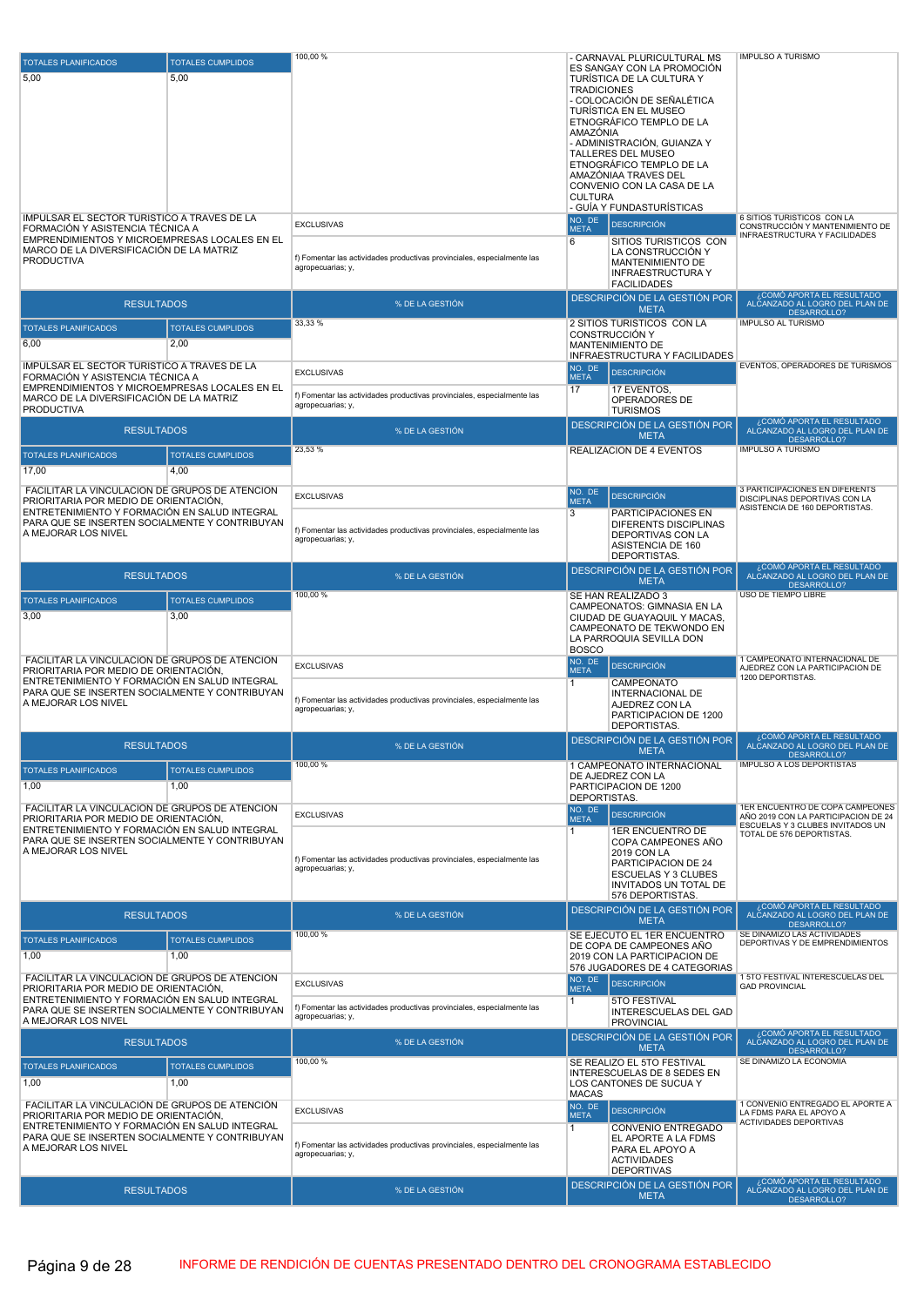| <b>TOTALES PLANIFICADOS</b>                                                                     | <b>TOTALES CUMPLIDOS</b> | 100,00 %                                                                                     | - CARNAVAL PLURICULTURAL MS<br>ES SANGAY CON LA PROMOCIÓN   | IMPULSO A TURISMO                                                                 |
|-------------------------------------------------------------------------------------------------|--------------------------|----------------------------------------------------------------------------------------------|-------------------------------------------------------------|-----------------------------------------------------------------------------------|
| 5,00                                                                                            | 5,00                     |                                                                                              | TURÍSTICA DE LA CULTURA Y                                   |                                                                                   |
|                                                                                                 |                          |                                                                                              | <b>TRADICIONES</b><br>- COLOCACIÓN DE SEÑALÉTICA            |                                                                                   |
|                                                                                                 |                          |                                                                                              | TURÍSTICA EN EL MUSEO                                       |                                                                                   |
|                                                                                                 |                          |                                                                                              | ETNOGRÁFICO TEMPLO DE LA<br>AMAZÓNIA                        |                                                                                   |
|                                                                                                 |                          |                                                                                              | - ADMINISTRACIÓN, GUIANZA Y                                 |                                                                                   |
|                                                                                                 |                          |                                                                                              | TALLERES DEL MUSEO                                          |                                                                                   |
|                                                                                                 |                          |                                                                                              | ETNOGRÁFICO TEMPLO DE LA<br>AMAZÓNIAA TRAVES DEL            |                                                                                   |
|                                                                                                 |                          |                                                                                              | CONVENIO CON LA CASA DE LA                                  |                                                                                   |
|                                                                                                 |                          |                                                                                              | <b>CULTURA</b><br>- GUÍA Y FUNDASTURÍSTICAS                 |                                                                                   |
| IMPULSAR EL SECTOR TURÍSTICO A TRAVÉS DE LA                                                     |                          | <b>EXCLUSIVAS</b>                                                                            | NO. DE<br><b>DESCRIPCIÓN</b>                                | 6 SITIOS TURISTICOS CON LA                                                        |
| FORMACIÓN Y ASISTENCIA TÉCNICA A<br>EMPRENDIMIENTOS Y MICROEMPRESAS LOCALES EN EL               |                          |                                                                                              | <b>META</b>                                                 | CONSTRUCCIÓN Y MANTENIMIENTO DE<br>INFRAESTRUCTURA Y FACILIDADES                  |
| MARCO DE LA DIVERSIFICACIÓN DE LA MATRIZ                                                        |                          |                                                                                              | 6<br>SITIOS TURISTICOS CON<br>LA CONSTRUCCIÓN Y             |                                                                                   |
| <b>PRODUCTIVA</b>                                                                               |                          | f) Fomentar las actividades productivas provinciales, especialmente las<br>agropecuarias; y, | MANTENIMIENTO DE                                            |                                                                                   |
|                                                                                                 |                          |                                                                                              | <b>INFRAESTRUCTURA Y</b><br><b>FACILIDADES</b>              |                                                                                   |
|                                                                                                 |                          |                                                                                              | DESCRIPCIÓN DE LA GESTIÓN POR                               | ¿COMÓ APORTA EL RESULTADO<br>ALCANZADO AL LOGRO DEL PLAN DE                       |
| <b>RESULTADOS</b>                                                                               |                          | % DE LA GESTIÓN                                                                              | <b>META</b>                                                 | DESARROLLO?                                                                       |
| <b>TOTALES PLANIFICADOS</b>                                                                     | <b>TOTALES CUMPLIDOS</b> | 33,33 %                                                                                      | 2 SITIOS TURISTICOS CON LA<br>CONSTRUCCIÓN Y                | <b>IMPULSO AL TURISMO</b>                                                         |
| 6,00                                                                                            | 2,00                     |                                                                                              | MANTENIMIENTO DE                                            |                                                                                   |
| IMPULSAR EL SECTOR TURÍSTICO A TRAVÉS DE LA                                                     |                          |                                                                                              | INFRAESTRUCTURA Y FACILIDADES                               | EVENTOS, OPERADORES DE TURISMOS                                                   |
| FORMACIÓN Y ASISTENCIA TÉCNICA A                                                                |                          | <b>EXCLUSIVAS</b>                                                                            | NO. DE<br><b>DESCRIPCIÓN</b><br><b>META</b>                 |                                                                                   |
| EMPRENDIMIENTOS Y MICROEMPRESAS LOCALES EN EL<br>MARCO DE LA DIVERSIFICACIÓN DE LA MATRIZ       |                          | f) Fomentar las actividades productivas provinciales, especialmente las                      | 17<br>17 EVENTOS,                                           |                                                                                   |
| <b>PRODUCTIVA</b>                                                                               |                          | agropecuarias; y,                                                                            | OPERADORES DE<br><b>TURISMOS</b>                            |                                                                                   |
| <b>RESULTADOS</b>                                                                               |                          | % DE LA GESTIÓN                                                                              | DESCRIPCIÓN DE LA GESTIÓN POR                               | ¿COMÓ APORTA EL RESULTADO                                                         |
|                                                                                                 |                          |                                                                                              | <b>META</b>                                                 | ALCANZADO AL LOGRO DEL PLAN DE<br>DESARROLLO?                                     |
| <b>TOTALES PLANIFICADOS</b>                                                                     | <b>TOTALES CUMPLIDOS</b> | 23,53 %                                                                                      | REALIZACIÓN DE 4 EVENTOS                                    | <b>IMPULSO A TURISMO</b>                                                          |
| 17,00                                                                                           | 4.00                     |                                                                                              |                                                             |                                                                                   |
| FACILITAR LA VINCULACIÓN DE GRUPOS DE ATENCIÓN                                                  |                          | <b>EXCLUSIVAS</b>                                                                            | NO. DE<br><b>DESCRIPCIÓN</b>                                | 3 PARTICIPACIONES EN DIFERENTS                                                    |
| PRIORITARIA POR MEDIO DE ORIENTACIÓN,                                                           |                          |                                                                                              | <b>META</b>                                                 | DISCIPLINAS DEPORTIVAS CON LA<br>ASISTENCIA DE 160 DEPORTISTAS.                   |
| ENTRETENIMIENTO Y FORMACIÓN EN SALUD INTEGRAL<br>PARA QUE SE INSERTEN SOCIALMENTE Y CONTRIBUYAN |                          |                                                                                              | 3<br>PARTICIPACIONES EN<br>DIFERENTS DISCIPLINAS            |                                                                                   |
| A MEJORAR LOS NIVEL                                                                             |                          | f) Fomentar las actividades productivas provinciales, especialmente las<br>agropecuarias; y, | DEPORTIVAS CON LA                                           |                                                                                   |
|                                                                                                 |                          |                                                                                              | ASISTENCIA DE 160<br>DEPORTISTAS.                           |                                                                                   |
|                                                                                                 |                          |                                                                                              | DESCRIPCIÓN DE LA GESTIÓN POR                               | , COMÓ APORTA EL RESULTADO                                                        |
| <b>RESULTADOS</b>                                                                               |                          | % DE LA GESTIÓN                                                                              | <b>META</b>                                                 | ALČANZADO AL LOGRO DEL PLAN DE<br>DESARROLLO?                                     |
| <b>TOTALES PLANIFICADOS</b>                                                                     | <b>TOTALES CUMPLIDOS</b> | 100,00 %                                                                                     | SE HAN REALIZADO 3                                          | USO DE TIEMPO LIBRE                                                               |
| 3,00                                                                                            | 3,00                     |                                                                                              | CAMPEONATOS: GIMNASIA EN LA<br>CIUDAD DE GUAYAQUIL Y MACAS, |                                                                                   |
|                                                                                                 |                          |                                                                                              | CAMPEONATO DE TEKWONDO EN                                   |                                                                                   |
|                                                                                                 |                          |                                                                                              | LA PARROQUIA SEVILLA DON<br><b>BOSCO</b>                    |                                                                                   |
| FACILITAR LA VINCULACIÓN DE GRUPOS DE ATENCIÓN                                                  |                          | <b>EXCLUSIVAS</b>                                                                            | NO. DE<br><b>DESCRIPCIÓN</b>                                | 1 CAMPEONATO INTERNACIONAL DE<br>AJEDREZ CON LA PARTICIPACION DE                  |
| PRIORITARIA POR MEDIO DE ORIENTACIÓN,<br>ENTRETENIMIENTO Y FORMACIÓN EN SALUD INTEGRAL          |                          |                                                                                              | <b>META</b><br>CAMPEONATO<br>1                              | 1200 DEPORTISTAS.                                                                 |
| PARA QUE SE INSERTEN SOCIALMENTE Y CONTRIBUYAN                                                  |                          | f) Fomentar las actividades productivas provinciales, especialmente las                      | <b>INTERNACIONAL DE</b>                                     |                                                                                   |
| A MEJORAR LOS NIVEL                                                                             |                          | agropecuarias; y,                                                                            | AJEDREZ CON LA<br>PARTICIPACION DE 1200                     |                                                                                   |
|                                                                                                 |                          |                                                                                              | DEPORTISTAS.                                                |                                                                                   |
| <b>RESULTADOS</b>                                                                               |                          | % DE LA GESTIÓN                                                                              | DESCRIPCIÓN DE LA GESTIÓN POR                               | ¿COMÓ APORTA EL RESULTADO<br>ALCANZADO AL LOGRO DEL PLAN DE                       |
|                                                                                                 |                          | 100,00 %                                                                                     | <b>META</b>                                                 | <b>DESARROLLO?</b><br>IMPULSO A LOS DEPORTISTAS                                   |
| <b>TOTALES PLANIFICADOS</b>                                                                     | <b>TOTALES CUMPLIDOS</b> |                                                                                              | 1 CAMPEONATO INTERNACIONAL<br>DE AJEDREZ CON LA             |                                                                                   |
| 1,00                                                                                            | 1,00                     |                                                                                              | PARTICIPACION DE 1200                                       |                                                                                   |
| FACILITAR LA VINCULACIÓN DE GRUPOS DE ATENCIÓN                                                  |                          |                                                                                              | DEPORTISTAS.<br>NO. DE                                      | 1ER ENCUENTRO DE COPA CAMPEONES                                                   |
| PRIORITARIA POR MEDIO DE ORIENTACIÓN,                                                           |                          | <b>EXCLUSIVAS</b>                                                                            | <b>DESCRIPCIÓN</b><br><b>META</b>                           | AÑO 2019 CON LA PARTICIPACION DE 24<br>ESCUELAS Y 3 CLUBES INVITADOS UN           |
| ENTRETENIMIENTO Y FORMACIÓN EN SALUD INTEGRAL<br>PARA QUE SE INSERTEN SOCIALMENTE Y CONTRIBUYAN |                          |                                                                                              | <b>1ER ENCUENTRO DE</b><br>1<br>COPA CAMPEONES AÑO          | TOTAL DE 576 DEPORTISTAS.                                                         |
| A MEJORAR LOS NIVEL                                                                             |                          | f) Fomentar las actividades productivas provinciales, especialmente las                      | 2019 CON LA                                                 |                                                                                   |
|                                                                                                 |                          | agropecuarias; y,                                                                            | PARTICIPACION DE 24<br><b>ESCUELAS Y 3 CLUBES</b>           |                                                                                   |
|                                                                                                 |                          |                                                                                              | INVITADOS UN TOTAL DE                                       |                                                                                   |
|                                                                                                 |                          |                                                                                              | 576 DEPORTISTAS.                                            | ¿COMÓ APORTA EL RESULTADO                                                         |
| <b>RESULTADOS</b>                                                                               |                          | % DE LA GESTIÓN                                                                              | DESCRIPCIÓN DE LA GESTIÓN POR<br><b>META</b>                | ALCANZADO AL LOGRO DEL PLAN DE<br>DESARROLLO?                                     |
| <b>TOTALES PLANIFICADOS</b>                                                                     | <b>TOTALES CUMPLIDOS</b> | 100,00 %                                                                                     | SE EJECUTO EL 1ER ENCUENTRO                                 | SE DINAMIZO LAS ACTIVIDADES                                                       |
| 1,00                                                                                            | 1,00                     |                                                                                              | DE COPA DE CAMPEONES AÑO<br>2019 CON LA PARTICIPACION DE    | DEPORTIVAS Y DE EMPRENDIMIENTOS                                                   |
|                                                                                                 |                          |                                                                                              | 576 JUGADORES DE 4 CATEGORIAS                               |                                                                                   |
| FACILITAR LA VINCULACIÓN DE GRUPOS DE ATENCIÓN<br>PRIORITARIA POR MEDIO DE ORIENTACIÓN.         |                          | <b>EXCLUSIVAS</b>                                                                            | NO. DE<br><b>DESCRIPCIÓN</b><br><b>META</b>                 | 1 5TO FESTIVAL INTERESCUELAS DEL<br><b>GAD PROVINCIAL</b>                         |
| ENTRETENIMIENTO Y FORMACIÓN EN SALUD INTEGRAL                                                   |                          |                                                                                              | 5TO FESTIVAL<br>1                                           |                                                                                   |
| PARA QUE SE INSERTEN SOCIALMENTE Y CONTRIBUYAN<br>A MEJORAR LOS NIVEL                           |                          | f) Fomentar las actividades productivas provinciales, especialmente las                      | <b>INTERESCUELAS DEL GAD</b>                                |                                                                                   |
|                                                                                                 |                          | agropecuarias; y,                                                                            |                                                             |                                                                                   |
|                                                                                                 |                          |                                                                                              | <b>PROVINCIAL</b>                                           | ,COMÓ APORTA EL RESULTADO                                                         |
| <b>RESULTADOS</b>                                                                               |                          | % DE LA GESTIÓN                                                                              | DESCRIPCIÓN DE LA GESTIÓN POR<br><b>META</b>                | ALCANZADO AL LOGRO DEL PLAN DE<br>DESARROLLO?                                     |
| <b>TOTALES PLANIFICADOS</b>                                                                     | <b>TOTALES CUMPLIDOS</b> | 100,00 %                                                                                     | SE REALIZO EL 5TO FESTIVAL                                  | SE DINAMIZO LA ECONOMIA                                                           |
| 1,00                                                                                            | 1.00                     |                                                                                              | INTERESCUELAS DE 8 SEDES EN<br>LOS CANTONES DE SUCUA Y      |                                                                                   |
|                                                                                                 |                          |                                                                                              | <b>MACAS</b>                                                |                                                                                   |
| FACILITAR LA VINCULACIÓN DE GRUPOS DE ATENCIÓN<br>PRIORITARIA POR MEDIO DE ORIENTACIÓN,         |                          | <b>EXCLUSIVAS</b>                                                                            | NO. DE<br><b>DESCRIPCIÓN</b><br><b>META</b>                 | 1 CONVENIO ENTREGADO EL APORTE A<br>LA FDMS PARA EL APOYO A                       |
| ENTRETENIMIENTO Y FORMACIÓN EN SALUD INTEGRAL                                                   |                          |                                                                                              | $\overline{1}$<br>CONVENIO ENTREGADO                        | ACTIVIDADES DEPORTIVAS                                                            |
| PARA QUE SE INSERTEN SOCIALMENTE Y CONTRIBUYAN                                                  |                          | f) Fomentar las actividades productivas provinciales, especialmente las                      | EL APORTE A LA FDMS                                         |                                                                                   |
| A MEJORAR LOS NIVEL                                                                             |                          | agropecuarias; y,                                                                            | PARA EL APOYO A<br><b>ACTIVIDADES</b>                       |                                                                                   |
|                                                                                                 |                          |                                                                                              | <b>DEPORTIVAS</b>                                           |                                                                                   |
| <b>RESULTADOS</b>                                                                               |                          | % DE LA GESTIÓN                                                                              | DESCRIPCIÓN DE LA GESTIÓN POR<br><b>META</b>                | ¿COMÓ APORTA EL RESULTADO<br>ALCANZADO AL LOGRO DEL PLAN DE<br><b>DESARROLLO?</b> |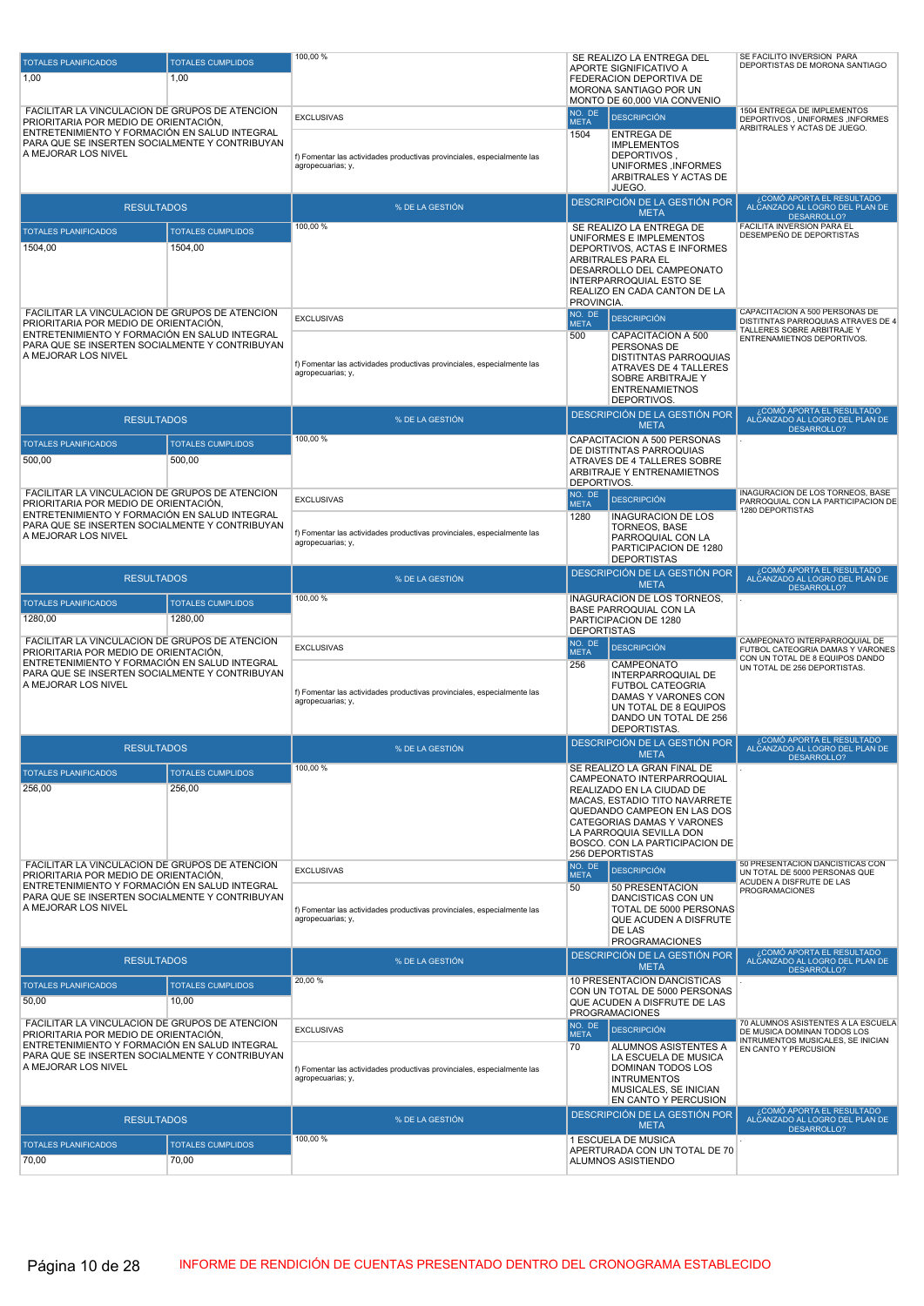| <b>TOTALES PLANIFICADOS</b>                                                                     | <b>TOTALES CUMPLIDOS</b>          | 100,00%                                                                                      | SE REALIZO LA ENTREGA DEL<br>APORTE SIGNIFICATIVO A            | SE FACILITO INVERSION PARA<br>DEPORTISTAS DE MORONA SANTIAGO                                           |
|-------------------------------------------------------------------------------------------------|-----------------------------------|----------------------------------------------------------------------------------------------|----------------------------------------------------------------|--------------------------------------------------------------------------------------------------------|
| 1,00                                                                                            | 1,00                              |                                                                                              | FEDERACION DEPORTIVA DE<br>MORONA SANTIAGO POR UN              |                                                                                                        |
| FACILITAR LA VINCULACIÓN DE GRUPOS DE ATENCIÓN                                                  |                                   |                                                                                              | MONTO DE 60.000 VIA CONVENIO<br>NO. DE                         | 1504 ENTREGA DE IMPLEMENTOS                                                                            |
| PRIORITARIA POR MEDIO DE ORIENTACIÓN,<br>ENTRETENIMIENTO Y FORMACIÓN EN SALUD INTEGRAL          |                                   | <b>EXCLUSIVAS</b>                                                                            | <b>DESCRIPCIÓN</b><br><b>META</b><br>1504<br><b>ENTREGA DE</b> | DEPORTIVOS, UNIFORMES, INFORMES<br>ARBITRALES Y ACTAS DE JUEGO.                                        |
| PARA QUE SE INSERTEN SOCIALMENTE Y CONTRIBUYAN<br>A MEJORAR LOS NIVEL                           |                                   |                                                                                              | <b>IMPLEMENTOS</b>                                             |                                                                                                        |
|                                                                                                 |                                   | f) Fomentar las actividades productivas provinciales, especialmente las<br>agropecuarias; y, | DEPORTIVOS,<br>UNIFORMES, INFORMES                             |                                                                                                        |
|                                                                                                 |                                   |                                                                                              | ARBITRALES Y ACTAS DE<br>JUEGO.                                |                                                                                                        |
| <b>RESULTADOS</b>                                                                               |                                   | % DE LA GESTIÓN                                                                              | DESCRIPCIÓN DE LA GESTIÓN POR<br><b>META</b>                   | ¿COMÓ APORTA EL RESULTADO<br>ALCANZADO AL LOGRO DEL PLAN DE<br>DESARROLLO?                             |
| <b>TOTALES PLANIFICADOS</b>                                                                     | <b>TOTALES CUMPLIDOS</b>          | 100,00 %                                                                                     | SE REALIZO LA ENTREGA DE                                       | FACILITA INVERSION PARA EL<br>DESEMPEÑO DE DEPORTISTAS                                                 |
| 1504,00                                                                                         | 1504,00                           |                                                                                              | UNIFORMES E IMPLEMENTOS<br>DEPORTIVOS, ACTAS E INFORMES        |                                                                                                        |
|                                                                                                 |                                   |                                                                                              | ARBITRALES PARA EL<br>DESARROLLO DEL CAMPEONATO                |                                                                                                        |
|                                                                                                 |                                   |                                                                                              | INTERPARROQUIAL ESTO SE<br>REALIZO EN CADA CANTON DE LA        |                                                                                                        |
| FACILITAR LA VINCULACIÓN DE GRUPOS DE ATENCIÓN                                                  |                                   |                                                                                              | PROVINCIA.<br>NO. DE                                           | CAPACITACION A 500 PERSONAS DE                                                                         |
| PRIORITARIA POR MEDIO DE ORIENTACIÓN,                                                           |                                   | <b>EXCLUSIVAS</b>                                                                            | <b>DESCRIPCIÓN</b><br><b>META</b>                              | DISTITNTAS PARROQUIAS ATRAVES DE 4<br>TALLERES SOBRE ARBITRAJE Y                                       |
| ENTRETENIMIENTO Y FORMACIÓN EN SALUD INTEGRAL<br>PARA QUE SE INSERTEN SOCIALMENTE Y CONTRIBUYAN |                                   |                                                                                              | 500<br>CAPACITACION A 500<br>PERSONAS DE                       | ENTRENAMIETNOS DEPORTIVOS.                                                                             |
| A MEJORAR LOS NIVEL                                                                             |                                   | f) Fomentar las actividades productivas provinciales, especialmente las                      | <b>DISTITNTAS PARROQUIAS</b><br>ATRAVES DE 4 TALLERES          |                                                                                                        |
|                                                                                                 |                                   | agropecuarias; y,                                                                            | SOBRE ARBITRAJE Y<br><b>ENTRENAMIETNOS</b>                     |                                                                                                        |
|                                                                                                 |                                   |                                                                                              | DEPORTIVOS.                                                    | ¿COMÓ APORTA EL RESULTADO                                                                              |
| <b>RESULTADOS</b>                                                                               |                                   | % DE LA GESTIÓN                                                                              | DESCRIPCIÓN DE LA GESTIÓN POR<br><b>META</b>                   | ALCANZADO AL LOGRO DEL PLAN DE<br>DESARROLLO?                                                          |
| <b>TOTALES PLANIFICADOS</b>                                                                     | <b>TOTALES CUMPLIDOS</b>          | 100,00 %                                                                                     | CAPACITACION A 500 PERSONAS<br>DE DISTITNTAS PARROQUIAS        |                                                                                                        |
| 500,00                                                                                          | 500,00                            |                                                                                              | ATRAVES DE 4 TALLERES SOBRE<br>ARBITRAJE Y ENTRENAMIETNOS      |                                                                                                        |
|                                                                                                 |                                   |                                                                                              | DEPORTIVOS.                                                    | INAGURACION DE LOS TORNEOS, BASE                                                                       |
| FACILITAR LA VINCULACIÓN DE GRUPOS DE ATENCIÓN<br>PRIORITARIA POR MEDIO DE ORIENTACIÓN,         |                                   | <b>EXCLUSIVAS</b>                                                                            | NO. DE<br><b>DESCRIPCIÓN</b><br><b>META</b>                    | PARROQUIAL CON LA PARTICIPACION DE<br>1280 DEPORTISTAS                                                 |
| ENTRETENIMIENTO Y FORMACIÓN EN SALUD INTEGRAL<br>PARA QUE SE INSERTEN SOCIALMENTE Y CONTRIBUYAN |                                   |                                                                                              | 1280<br><b>INAGURACION DE LOS</b><br>TORNEOS, BASE             |                                                                                                        |
| A MEJORAR LOS NIVEL                                                                             |                                   | f) Fomentar las actividades productivas provinciales, especialmente las<br>agropecuarias; y, | PARROQUIAL CON LA<br>PARTICIPACION DE 1280                     |                                                                                                        |
|                                                                                                 |                                   |                                                                                              | <b>DEPORTISTAS</b>                                             | ¿COMÓ APORTA EL RESULTADO                                                                              |
| <b>RESULTADOS</b>                                                                               |                                   | % DE LA GESTIÓN                                                                              | DESCRIPCIÓN DE LA GESTIÓN POR<br><b>META</b>                   | ALCANZADO AL LOGRO DEL PLAN DE<br>DESARROLLO?                                                          |
| <b>TOTALES PLANIFICADOS</b>                                                                     | <b>TOTALES CUMPLIDOS</b>          | 100,00 %                                                                                     | INAGURACION DE LOS TORNEOS,<br><b>BASE PARROQUIAL CON LA</b>   |                                                                                                        |
|                                                                                                 |                                   |                                                                                              |                                                                |                                                                                                        |
| 1280,00                                                                                         | 1280,00                           |                                                                                              | PARTICIPACION DE 1280<br><b>DEPORTISTAS</b>                    |                                                                                                        |
| FACILITAR LA VINCULACIÓN DE GRUPOS DE ATENCIÓN<br>PRIORITARIA POR MEDIO DE ORIENTACIÓN,         |                                   | <b>EXCLUSIVAS</b>                                                                            | NO. DE<br><b>DESCRIPCIÓN</b><br><b>META</b>                    | CAMPEONATO INTERPARROQUIAL DE<br>FUTBOL CATEOGRIA DAMAS Y VARONES                                      |
| ENTRETENIMIENTO Y FORMACIÓN EN SALUD INTEGRAL<br>PARA QUE SE INSERTEN SOCIALMENTE Y CONTRIBUYAN |                                   |                                                                                              | 256<br>CAMPEONATO                                              | CON UN TOTAL DE 8 EQUIPOS DANDO<br>UN TOTAL DE 256 DEPORTISTAS.                                        |
| A MEJORAR LOS NIVEL                                                                             |                                   | f) Fomentar las actividades productivas provinciales, especialmente las                      | INTERPARROQUIAL DE<br><b>FUTBOL CATEOGRIA</b>                  |                                                                                                        |
|                                                                                                 |                                   | agropecuarias; y,                                                                            | DAMAS Y VARONES CON<br>UN TOTAL DE 8 EQUIPOS                   |                                                                                                        |
|                                                                                                 |                                   |                                                                                              | DANDO UN TOTAL DE 256<br>DEPORTISTAS.                          |                                                                                                        |
| <b>RESULTADOS</b>                                                                               |                                   | % DE LA GESTIÓN                                                                              | <b>DESCRIPCIÓN DE LA GESTIÓN POR</b><br><b>META</b>            | ¿COMÓ APORTA EL RESULTADO<br>O DEL PLAN DE<br>DESARROLLO?                                              |
| <b>TOTALES PLANIFICADOS</b>                                                                     | <b>TOTALES CUMPLIDOS</b>          | 100,00 %                                                                                     | SE REALIZO LA GRAN FINAL DE                                    |                                                                                                        |
| 256,00                                                                                          | 256,00                            |                                                                                              | CAMPEONATO INTERPARROQUIAL<br>REALIZADO EN LA CIUDAD DE        |                                                                                                        |
|                                                                                                 |                                   |                                                                                              | MACAS, ESTADIO TITO NAVARRETE<br>QUEDANDO CAMPEON EN LAS DOS   |                                                                                                        |
|                                                                                                 |                                   |                                                                                              | CATEGORIAS DAMAS Y VARONES<br>LA PARROQUIA SEVILLA DON         |                                                                                                        |
|                                                                                                 |                                   |                                                                                              | BOSCO. CON LA PARTICIPACION DE<br>256 DEPORTISTAS              |                                                                                                        |
| FACILITAR LA VINCULACIÓN DE GRUPOS DE ATENCIÓN<br>PRIORITARIA POR MEDIO DE ORIENTACIÓN.         |                                   | <b>EXCLUSIVAS</b>                                                                            | NO. DE<br><b>DESCRIPCIÓN</b><br><b>META</b>                    | 50 PRESENTACION DANCISTICAS CON<br>UN TOTAL DE 5000 PERSONAS QUE                                       |
| ENTRETENIMIENTO Y FORMACIÓN EN SALUD INTEGRAL<br>PARA QUE SE INSERTEN SOCIALMENTE Y CONTRIBUYAN |                                   |                                                                                              | 50<br>50 PRESENTACION                                          | ACUDEN A DISFRUTE DE LAS<br><b>PROGRAMACIONES</b>                                                      |
| A MEJORAR LOS NIVEL                                                                             |                                   | f) Fomentar las actividades productivas provinciales, especialmente las                      | DANCISTICAS CON UN<br>TOTAL DE 5000 PERSONAS                   |                                                                                                        |
|                                                                                                 |                                   | agropecuarias; y,                                                                            | QUE ACUDEN A DISFRUTE<br>DE LAS                                |                                                                                                        |
|                                                                                                 |                                   |                                                                                              | <b>PROGRAMACIONES</b><br>DESCRIPCIÓN DE LA GESTIÓN POR         |                                                                                                        |
| <b>RESULTADOS</b>                                                                               |                                   | % DE LA GESTIÓN<br>20,00 %                                                                   | <b>META</b>                                                    | ¿COMÓ APORTA EL RESULTADO<br>ALCANZADO AL LOGRO DEL PLAN DE<br>DESARROLLO?                             |
| <b>TOTALES PLANIFICADOS</b><br>50,00                                                            | <b>TOTALES CUMPLIDOS</b><br>10,00 |                                                                                              | 10 PRESENTACION DANCISTICAS<br>CON UN TOTAL DE 5000 PERSONAS   |                                                                                                        |
|                                                                                                 |                                   |                                                                                              | QUE ACUDEN A DISFRUTE DE LAS<br><b>PROGRAMACIONES</b>          |                                                                                                        |
| FACILITAR LA VINCULACIÓN DE GRUPOS DE ATENCIÓN<br>PRIORITARIA POR MEDIO DE ORIENTACIÓN,         |                                   | <b>EXCLUSIVAS</b>                                                                            | NO. DE<br><b>DESCRIPCIÓN</b><br><b>META</b>                    | 70 ALUMNOS ASISTENTES A LA ESCUELA<br>DE MUSICA DOMINAN TODOS LOS<br>INTRUMENTOS MUSICALES, SE INICIAN |
| ENTRETENIMIENTO Y FORMACIÓN EN SALUD INTEGRAL<br>PARA QUE SE INSERTEN SOCIALMENTE Y CONTRIBUYAN |                                   |                                                                                              | 70<br>ALUMNOS ASISTENTES A<br>LA ESCUELA DE MUSICA             | EN CANTO Y PERCUSION                                                                                   |
| A MEJORAR LOS NIVEL                                                                             |                                   | f) Fomentar las actividades productivas provinciales, especialmente las<br>agropecuarias; y, | DOMINAN TODOS LOS<br><b>INTRUMENTOS</b>                        |                                                                                                        |
|                                                                                                 |                                   |                                                                                              | MUSICALES, SE INICIAN<br>EN CANTO Y PERCUSION                  |                                                                                                        |
| <b>RESULTADOS</b>                                                                               |                                   | % DE LA GESTIÓN                                                                              | DESCRIPCIÓN DE LA GESTIÓN POR                                  | ¿COMÓ APORTA EL RESULTADO<br>ALCANZADO AL LOGRO DEL PLAN DE                                            |
|                                                                                                 |                                   | 100,00 %                                                                                     | <b>META</b><br>1 ESCUELA DE MUSICA                             | DESARROLLO?                                                                                            |
| <b>TOTALES PLANIFICADOS</b><br>70,00                                                            | <b>TOTALES CUMPLIDOS</b><br>70,00 |                                                                                              | APERTURADA CON UN TOTAL DE 70<br>ALUMNOS ASISTIENDO            |                                                                                                        |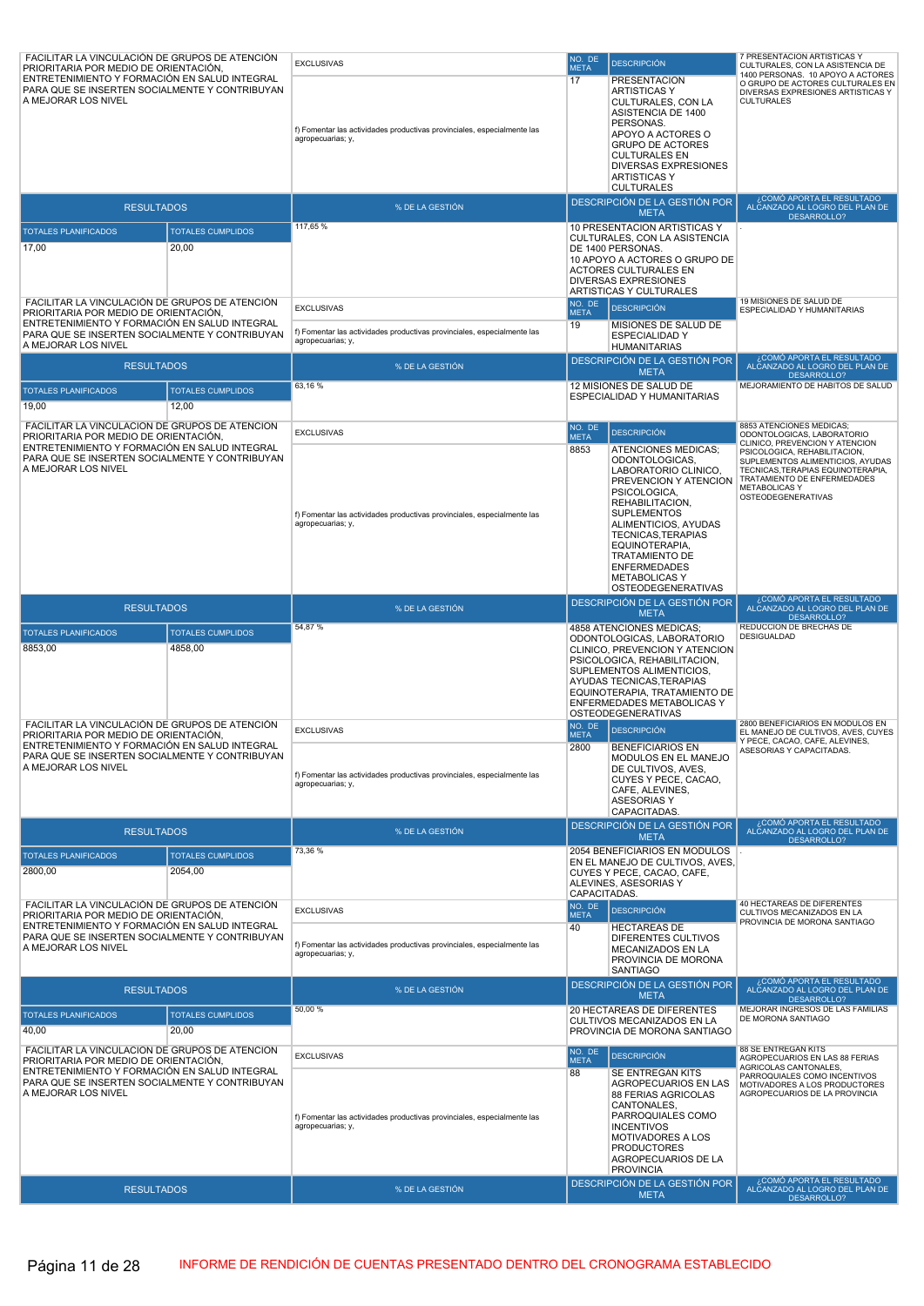| FACILITAR LA VINCULACIÓN DE GRUPOS DE ATENCIÓN<br>PRIORITARIA POR MEDIO DE ORIENTACIÓN,                                                                                                                           |                                     | <b>EXCLUSIVAS</b>                                                                                                 | NO. DE<br><b>META</b>                                                                                                                                                                                  | <b>DESCRIPCIÓN</b>                                                                                                                                                                                                                                                                                                   | 7 PRESENTACION ARTISTICAS Y<br>CULTURALES, CON LA ASISTENCIA DE                                                                                                                                                                                 |  |
|-------------------------------------------------------------------------------------------------------------------------------------------------------------------------------------------------------------------|-------------------------------------|-------------------------------------------------------------------------------------------------------------------|--------------------------------------------------------------------------------------------------------------------------------------------------------------------------------------------------------|----------------------------------------------------------------------------------------------------------------------------------------------------------------------------------------------------------------------------------------------------------------------------------------------------------------------|-------------------------------------------------------------------------------------------------------------------------------------------------------------------------------------------------------------------------------------------------|--|
| ENTRETENIMIENTO Y FORMACIÓN EN SALUD INTEGRAL<br>PARA QUE SE INSERTEN SOCIALMENTE Y CONTRIBUYAN<br>A MEJORAR LOS NIVEL                                                                                            |                                     | f) Fomentar las actividades productivas provinciales, especialmente las<br>agropecuarias; y,                      | 17                                                                                                                                                                                                     | <b>PRESENTACION</b><br><b>ARTISTICAS Y</b><br>CULTURALES, CON LA<br>ASISTENCIA DE 1400<br>PERSONAS.<br>APOYO A ACTORES O<br><b>GRUPO DE ACTORES</b><br><b>CULTURALES EN</b><br><b>DIVERSAS EXPRESIONES</b><br><b>ARTISTICAS Y</b><br><b>CULTURALES</b>                                                               | 1400 PERSONAS. 10 APOYO A ACTORES<br>O GRUPO DE ACTORES CULTURALES EN<br>DIVERSAS EXPRESIONES ARTISTICAS Y<br><b>CULTURALES</b>                                                                                                                 |  |
| <b>RESULTADOS</b>                                                                                                                                                                                                 |                                     | % DE LA GESTIÓN                                                                                                   |                                                                                                                                                                                                        | DESCRIPCIÓN DE LA GESTIÓN POR<br><b>META</b>                                                                                                                                                                                                                                                                         | , COMÓ APORTA EL RESULTADO<br>ALCANZADO AL LOGRO DEL PLAN DE<br><b>DESARROLLO?</b>                                                                                                                                                              |  |
| <b>TOTALES PLANIFICADOS</b><br>17,00<br>FACILITAR LA VINCULACIÓN DE GRUPOS DE ATENCIÓN                                                                                                                            | <b>TOTALES CUMPLIDOS</b><br>20,00   | 117,65 %                                                                                                          | 10 PRESENTACION ARTISTICAS Y<br>CULTURALES, CON LA ASISTENCIA<br>DE 1400 PERSONAS.<br>10 APOYO A ACTORES O GRUPO DE<br>ACTORES CULTURALES EN<br><b>DIVERSAS EXPRESIONES</b><br>ARTISTICAS Y CULTURALES |                                                                                                                                                                                                                                                                                                                      |                                                                                                                                                                                                                                                 |  |
| PRIORITARIA POR MEDIO DE ORIENTACIÓN,<br>ENTRETENIMIENTO Y FORMACIÓN EN SALUD INTEGRAL<br>PARA QUE SE INSERTEN SOCIALMENTE Y CONTRIBUYAN                                                                          |                                     | <b>EXCLUSIVAS</b><br>f) Fomentar las actividades productivas provinciales, especialmente las<br>agropecuarias; y, | NO. DE<br><b>META</b><br>19                                                                                                                                                                            | <b>DESCRIPCIÓN</b><br>MISIONES DE SALUD DE<br><b>ESPECIALIDAD Y</b>                                                                                                                                                                                                                                                  | 19 MISIONES DE SALUD DE<br>ESPECIALIDAD Y HUMANITARIAS                                                                                                                                                                                          |  |
| A MEJORAR LOS NIVEL<br><b>RESULTADOS</b>                                                                                                                                                                          |                                     | % DE LA GESTIÓN                                                                                                   |                                                                                                                                                                                                        | <b>HUMANITARIAS</b><br>DESCRIPCIÓN DE LA GESTIÓN POR                                                                                                                                                                                                                                                                 | COMÓ APORTA EL RESULTADO،<br>ALCANZADO AL LOGRO DEL PLAN DE                                                                                                                                                                                     |  |
| <b>TOTALES PLANIFICADOS</b>                                                                                                                                                                                       | <b>TOTALES CUMPLIDOS</b>            | 63,16%                                                                                                            |                                                                                                                                                                                                        | <b>META</b><br>12 MISIONES DE SALUD DE                                                                                                                                                                                                                                                                               | <b>DESARROLLO?</b><br>MEJORAMIENTO DE HABITOS DE SALUD                                                                                                                                                                                          |  |
| 19,00                                                                                                                                                                                                             | 12,00                               |                                                                                                                   |                                                                                                                                                                                                        | ESPECIALIDAD Y HUMANITARIAS                                                                                                                                                                                                                                                                                          |                                                                                                                                                                                                                                                 |  |
| FACILITAR LA VINCULACIÓN DE GRUPOS DE ATENCIÓN                                                                                                                                                                    |                                     | <b>EXCLUSIVAS</b>                                                                                                 | NO. DE<br><b>META</b>                                                                                                                                                                                  | <b>DESCRIPCIÓN</b>                                                                                                                                                                                                                                                                                                   | 8853 ATENCIONES MEDICAS;<br>ODONTOLOGICAS, LABORATORIO<br>CLINICO, PREVENCION Y ATENCION                                                                                                                                                        |  |
| PRIORITARIA POR MEDIO DE ORIENTACIÓN,<br>ENTRETENIMIENTO Y FORMACIÓN EN SALUD INTEGRAL<br>PARA QUE SE INSERTEN SOCIALMENTE Y CONTRIBUYAN<br>A MEJORAR LOS NIVEL                                                   |                                     | f) Fomentar las actividades productivas provinciales, especialmente las<br>agropecuarias; y,                      | 8853                                                                                                                                                                                                   | <b>ATENCIONES MEDICAS:</b><br>ODONTOLOGICAS,<br>LABORATORIO CLINICO,<br>PREVENCION Y ATENCION<br>PSICOLOGICA,<br>REHABILITACION,<br><b>SUPLEMENTOS</b><br>ALIMENTICIOS, AYUDAS<br>TECNICAS, TERAPIAS<br>EQUINOTERAPIA,<br><b>TRATAMIENTO DE</b><br><b>ENFERMEDADES</b><br><b>METABOLICAS Y</b><br>OSTEODEGENERATIVAS | PSICOLOGICA, REHABILITACION,<br>SUPLEMENTOS ALIMENTICIOS, AYUDAS<br>TECNICAS, TERAPIAS EQUINOTERAPIA,<br>TRATAMIENTO DE ENFERMEDADES<br><b>METABOLICAS Y</b><br><b>OSTEODEGENERATIVAS</b>                                                       |  |
| <b>RESULTADOS</b>                                                                                                                                                                                                 |                                     | % DE LA GESTIÓN                                                                                                   |                                                                                                                                                                                                        | DESCRIPCIÓN DE LA GESTIÓN POR<br><b>META</b>                                                                                                                                                                                                                                                                         | ¿COMÓ APORTA EL RESULTADO<br>ALCANZADO AL LOGRO DEL PLAN DE<br><b>DESARROLLO?</b>                                                                                                                                                               |  |
|                                                                                                                                                                                                                   |                                     |                                                                                                                   |                                                                                                                                                                                                        |                                                                                                                                                                                                                                                                                                                      |                                                                                                                                                                                                                                                 |  |
| <b>TOTALES PLANIFICADOS</b><br>8853,00                                                                                                                                                                            | <b>TOTALES CUMPLIDOS</b><br>4858,00 | 54,87%                                                                                                            |                                                                                                                                                                                                        | 4858 ATENCIONES MEDICAS;<br>ODONTOLOGICAS, LABORATORIO<br>CLINICO, PREVENCION Y ATENCION<br>PSICOLOGICA, REHABILITACION,<br>SUPLEMENTOS ALIMENTICIOS,<br>AYUDAS TECNICAS, TERAPIAS<br>EQUINOTERAPIA, TRATAMIENTO DE<br>ENFERMEDADES METABOLICAS Y<br>OSTEODEGENERATIVAS                                              | REDUCCION DE BRECHAS DE<br>DESIGUALDAD                                                                                                                                                                                                          |  |
| FACILITAR LA VINCULACIÓN DE GRUPOS DE ATENCIÓN<br>PRIORITARIA POR MEDIO DE ORIENTACIÓN,<br>ENTRETENIMIENTO Y FORMACIÓN EN SALUD INTEGRAL<br>PARA QUE SE INSERTEN SOCIALMENTE Y CONTRIBUYAN<br>A MEJORAR LOS NIVEL |                                     | <b>EXCLUSIVAS</b><br>f) Fomentar las actividades productivas provinciales, especialmente las<br>agropecuarias; y, | NO. DE<br><b>META</b><br>2800                                                                                                                                                                          | <b>DESCRIPCIÓN</b><br><b>BENEFICIARIOS EN</b><br>MODULOS EN EL MANEJO<br>DE CULTIVOS, AVES,<br>CUYES Y PECE, CACAO.<br>CAFE, ALEVINES,<br><b>ASESORIAS Y</b>                                                                                                                                                         | 2800 BENEFICIARIOS EN MODULOS EN<br>EL MANEJO DE CULTIVOS, AVES, CUYES<br>Y PECE, CACAO, CAFE, ALEVINES,<br>ASESORIAS Y CAPACITADAS.                                                                                                            |  |
| <b>RESULTADOS</b>                                                                                                                                                                                                 |                                     | % DE LA GESTIÓN                                                                                                   |                                                                                                                                                                                                        | CAPACITADAS.<br>DESCRIPCIÓN DE LA GESTIÓN POR<br><b>META</b>                                                                                                                                                                                                                                                         |                                                                                                                                                                                                                                                 |  |
| <b>TOTALES PLANIFICADOS</b><br>2800,00                                                                                                                                                                            | <b>TOTALES CUMPLIDOS</b><br>2054,00 | 73,36 %                                                                                                           | CAPACITADAS.                                                                                                                                                                                           | 2054 BENEFICIARIOS EN MODULOS<br>EN EL MANEJO DE CULTIVOS, AVES,<br>CUYES Y PECE, CACAO, CAFE,<br>ALEVINES, ASESORIAS Y                                                                                                                                                                                              | ¿COMÓ APORTA EL RESULTADO<br>ALCANZADO AL LOGRO DEL PLAN DE<br>DESARROLLO?                                                                                                                                                                      |  |
| FACILITAR LA VINCULACIÓN DE GRUPOS DE ATENCIÓN<br>PRIORITARIA POR MEDIO DE ORIENTACIÓN,                                                                                                                           |                                     | <b>EXCLUSIVAS</b>                                                                                                 | NO. DE<br><b>META</b>                                                                                                                                                                                  | <b>DESCRIPCIÓN</b>                                                                                                                                                                                                                                                                                                   | 40 HECTAREAS DE DIFERENTES<br>CULTIVOS MECANIZADOS EN LA                                                                                                                                                                                        |  |
| ENTRETENIMIENTO Y FORMACIÓN EN SALUD INTEGRAL<br>PARA QUE SE INSERTEN SOCIALMENTE Y CONTRIBUYAN<br>A MEJORAR LOS NIVEL                                                                                            |                                     | f) Fomentar las actividades productivas provinciales, especialmente las<br>agropecuarias; y,                      | 40                                                                                                                                                                                                     | <b>HECTAREAS DE</b><br>DIFERENTES CULTIVOS<br>MECANIZADOS EN LA<br>PROVINCIA DE MORONA<br><b>SANTIAGO</b>                                                                                                                                                                                                            | PROVINCIA DE MORONA SANTIAGO                                                                                                                                                                                                                    |  |
| <b>RESULTADOS</b>                                                                                                                                                                                                 |                                     | % DE LA GESTIÓN                                                                                                   |                                                                                                                                                                                                        | DESCRIPCIÓN DE LA GESTIÓN POR<br><b>META</b>                                                                                                                                                                                                                                                                         | COMÓ APORTA EL RESULTADO<br>ALCANZADO AL LOGRO DEL PLAN DE<br>DESARROLLO?                                                                                                                                                                       |  |
| <b>TOTALES PLANIFICADOS</b><br>40,00                                                                                                                                                                              | <b>TOTALES CUMPLIDOS</b><br>20,00   | 50,00 %                                                                                                           |                                                                                                                                                                                                        | 20 HECTAREAS DE DIFERENTES<br>CULTIVOS MECANIZADOS EN LA<br>PROVINCIA DE MORONA SANTIAGO                                                                                                                                                                                                                             | MEJORAR INGRESOS DE LAS FAMILIAS<br>DE MORONA SANTIAGO                                                                                                                                                                                          |  |
| FACILITAR LA VINCULACIÓN DE GRUPOS DE ATENCIÓN<br>PRIORITARIA POR MEDIO DE ORIENTACIÓN,<br>ENTRETENIMIENTO Y FORMACIÓN EN SALUD INTEGRAL<br>PARA QUE SE INSERTEN SOCIALMENTE Y CONTRIBUYAN<br>A MEJORAR LOS NIVEL |                                     | <b>EXCLUSIVAS</b><br>f) Fomentar las actividades productivas provinciales, especialmente las<br>agropecuarias; y, | NO. DE<br><b>META</b><br>88                                                                                                                                                                            | <b>DESCRIPCIÓN</b><br>SE ENTREGAN KITS<br>AGROPECUARIOS EN LAS<br><b>88 FERIAS AGRICOLAS</b><br>CANTONALES,<br>PARROQUIALES COMO<br><b>INCENTIVOS</b><br>MOTIVADORES A LOS<br><b>PRODUCTORES</b><br>AGROPECUARIOS DE LA<br><b>PROVINCIA</b><br>DESCRIPCIÓN DE LA GESTIÓN POR                                         | 88 SE ENTREGAN KITS<br>AGROPECUARIOS EN LAS 88 FERIAS<br>AGRICOLAS CANTONALES,<br>PARROQUIALES COMO INCENTIVOS<br>MOTIVADORES A LOS PRODUCTORES<br>AGROPECUARIOS DE LA PROVINCIA<br>¿COMÓ APORTA EL RESULTADO<br>ALCANZADO AL LOGRO DEL PLAN DE |  |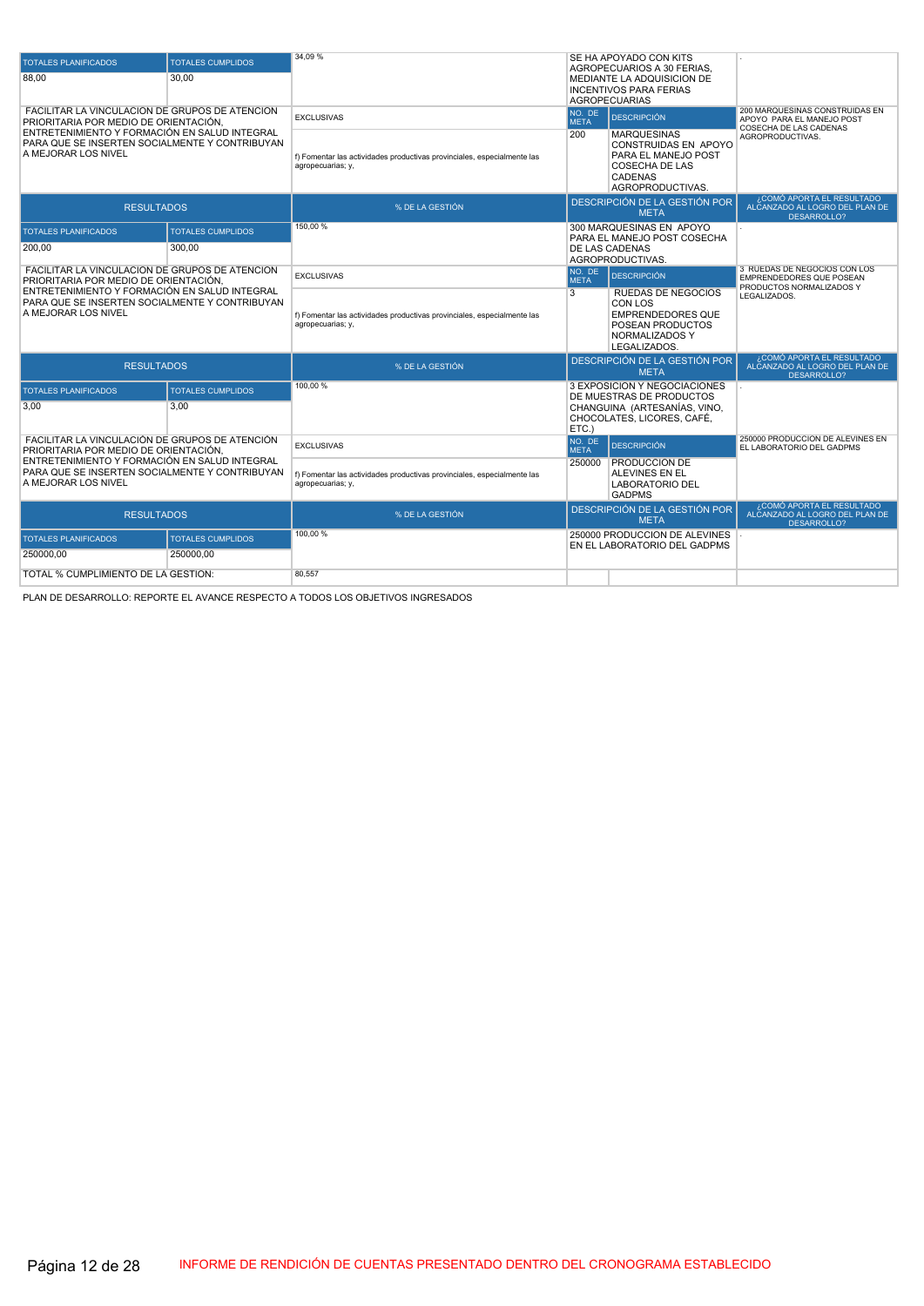| <b>TOTALES PLANIFICADOS</b>                                                                                            | <b>TOTALES CUMPLIDOS</b> | 34.09%                                                                                       | SE HA APOYADO CON KITS<br>AGROPECUARIOS A 30 FERIAS.                                                                                                            |
|------------------------------------------------------------------------------------------------------------------------|--------------------------|----------------------------------------------------------------------------------------------|-----------------------------------------------------------------------------------------------------------------------------------------------------------------|
| 88,00                                                                                                                  | 30.00                    |                                                                                              | MEDIANTE LA ADQUISICION DE<br><b>INCENTIVOS PARA FERIAS</b><br><b>AGROPECUARIAS</b>                                                                             |
| FACILITAR LA VINCULACIÓN DE GRUPOS DE ATENCIÓN<br>PRIORITARIA POR MEDIO DE ORIENTACIÓN.                                |                          | <b>EXCLUSIVAS</b>                                                                            | 200 MARQUESINAS CONSTRUIDAS EN<br>NO. DE<br><b>DESCRIPCIÓN</b><br>APOYO PARA EL MANEJO POST<br><b>META</b><br>COSECHA DE LAS CADENAS                            |
| ENTRETENIMIENTO Y FORMACIÓN EN SALUD INTEGRAL<br>PARA QUE SE INSERTEN SOCIALMENTE Y CONTRIBUYAN<br>A MEJORAR LOS NIVEL |                          | f) Fomentar las actividades productivas provinciales, especialmente las<br>agropecuarias; y, | 200<br><b>MARQUESINAS</b><br>AGROPRODUCTIVAS.<br>CONSTRUIDAS EN APOYO<br>PARA EL MANEJO POST<br><b>COSECHA DE LAS</b><br><b>CADENAS</b><br>AGROPRODUCTIVAS.     |
| <b>RESULTADOS</b>                                                                                                      |                          | % DE LA GESTIÓN                                                                              | ¿COMÓ APORTA EL RESULTADO<br>DESCRIPCIÓN DE LA GESTIÓN POR<br>ALCANZADO AL LOGRO DEL PLAN DE<br><b>META</b><br>DESARROLLO?                                      |
| <b>TOTALES PLANIFICADOS</b>                                                                                            | <b>TOTALES CUMPLIDOS</b> | 150,00 %                                                                                     | 300 MARQUESINAS EN APOYO<br>PARA EL MANEJO POST COSECHA                                                                                                         |
| 200,00                                                                                                                 | 300.00                   |                                                                                              | DE LAS CADENAS<br>AGROPRODUCTIVAS.                                                                                                                              |
| FACILITAR LA VINCULACIÓN DE GRUPOS DE ATENCIÓN<br>PRIORITARIA POR MEDIO DE ORIENTACIÓN,                                |                          | <b>EXCLUSIVAS</b>                                                                            | 3 RUEDAS DE NEGOCIOS CON LOS<br>NO. DE<br><b>DESCRIPCIÓN</b><br>EMPRENDEDORES QUE POSEAN<br><b>META</b><br>PRODUCTOS NORMALIZADOS Y                             |
| ENTRETENIMIENTO Y FORMACIÓN EN SALUD INTEGRAL<br>PARA QUE SE INSERTEN SOCIALMENTE Y CONTRIBUYAN<br>A MEJORAR LOS NIVEL |                          | f) Fomentar las actividades productivas provinciales, especialmente las<br>agropecuarias; y, | $\overline{3}$<br><b>RUEDAS DE NEGOCIOS</b><br>LEGALIZADOS.<br>CON LOS<br><b>EMPRENDEDORES QUE</b><br>POSEAN PRODUCTOS<br><b>NORMALIZADOS Y</b><br>LEGALIZADOS. |
| <b>RESULTADOS</b>                                                                                                      |                          | % DE LA GESTIÓN                                                                              | ¿COMÓ APORTA EL RESULTADO<br>DESCRIPCIÓN DE LA GESTIÓN POR<br>ALCANZADO AL LOGRO DEL PLAN DE<br><b>META</b><br><b>DESARROLLO?</b>                               |
| <b>TOTALES PLANIFICADOS</b>                                                                                            | <b>TOTALES CUMPLIDOS</b> | 100,00 %                                                                                     | 3 EXPOSICIÓN Y NEGOCIACIONES<br>DE MUESTRAS DE PRODUCTOS                                                                                                        |
| 3,00                                                                                                                   | 3,00                     |                                                                                              | CHANGUINA (ARTESANÍAS, VINO,<br>CHOCOLATES, LICORES, CAFÉ.<br>ETC.                                                                                              |
| FACILITAR LA VINCULACIÓN DE GRUPOS DE ATENCIÓN<br>PRIORITARIA POR MEDIO DE ORIENTACIÓN.                                |                          | <b>EXCLUSIVAS</b>                                                                            | 250000 PRODUCCION DE ALEVINES EN<br>NO. DE<br><b>DESCRIPCIÓN</b><br>EL LABORATORIO DEL GADPMS<br><b>META</b>                                                    |
| ENTRETENIMIENTO Y FORMACIÓN EN SALUD INTEGRAL<br>PARA QUE SE INSERTEN SOCIALMENTE Y CONTRIBUYAN<br>A MEJORAR LOS NIVEL |                          | f) Fomentar las actividades productivas provinciales, especialmente las<br>agropecuarias; y, | <b>PRODUCCION DE</b><br>250000<br>ALEVINES EN EL<br><b>LABORATORIO DEL</b><br><b>GADPMS</b>                                                                     |
| <b>RESULTADOS</b>                                                                                                      |                          | % DE LA GESTIÓN                                                                              | ¿COMÓ APORTA EL RESULTADO<br>DESCRIPCIÓN DE LA GESTIÓN POR<br>ALCANZADO AL LOGRO DEL PLAN DE<br><b>META</b><br>DESARROLLO?                                      |
| <b>TOTALES PLANIFICADOS</b>                                                                                            | <b>TOTALES CUMPLIDOS</b> | 100,00 %                                                                                     | 250000 PRODUCCION DE ALEVINES<br>EN EL LABORATORIO DEL GADPMS                                                                                                   |
| 250000.00                                                                                                              | 250000.00                |                                                                                              |                                                                                                                                                                 |
| TOTAL % CUMPLIMIENTO DE LA GESTIÓN:                                                                                    |                          | 80,557                                                                                       |                                                                                                                                                                 |

PLAN DE DESARROLLO: REPORTE EL AVANCE RESPECTO A TODOS LOS OBJETIVOS INGRESADOS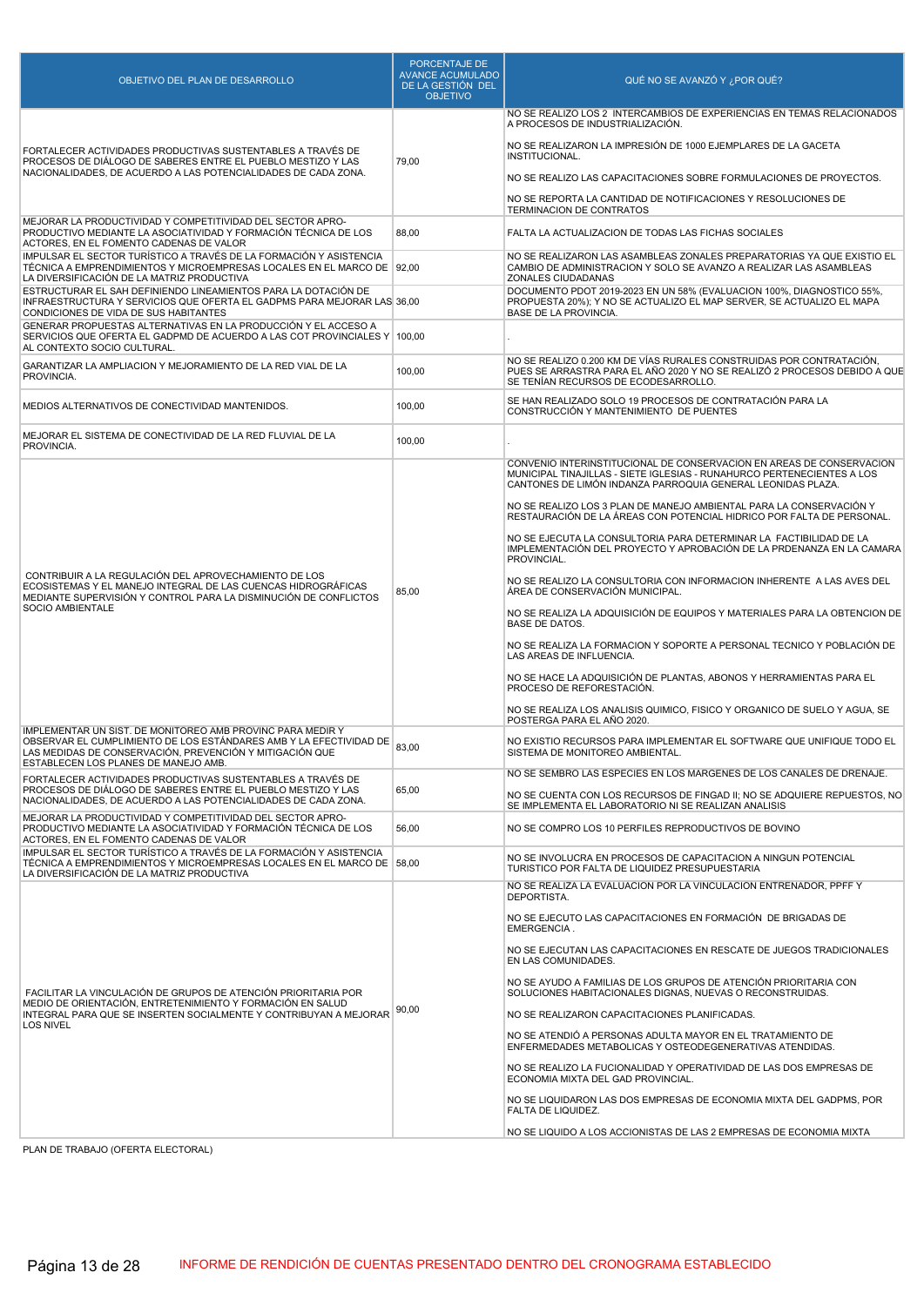| OBJETIVO DEL PLAN DE DESARROLLO                                                                                                                                                                                                      | PORCENTAJE DE<br><b>AVANCE ACUMULADO</b><br>DE LA GESTIÓN DEL<br><b>OBJETIVO</b> | QUÉ NO SE AVANZÓ Y ¿POR QUÉ?                                                                                                                                                                                  |
|--------------------------------------------------------------------------------------------------------------------------------------------------------------------------------------------------------------------------------------|----------------------------------------------------------------------------------|---------------------------------------------------------------------------------------------------------------------------------------------------------------------------------------------------------------|
|                                                                                                                                                                                                                                      |                                                                                  | NO SE REALIZO LOS 2 INTERCAMBIOS DE EXPERIENCIAS EN TEMAS RELACIONADOS<br>A PROCESOS DE INDUSTRIALIZACIÓN.                                                                                                    |
| FORTALECER ACTIVIDADES PRODUCTIVAS SUSTENTABLES A TRAVÉS DE<br>PROCESOS DE DIÁLOGO DE SABERES ENTRE EL PUEBLO MESTIZO Y LAS                                                                                                          | 79,00                                                                            | NO SE REALIZARON LA IMPRESIÓN DE 1000 EJEMPLARES DE LA GACETA<br>INSTITUCIONAL.                                                                                                                               |
| NACIONALIDADES, DE ACUERDO A LAS POTENCIALIDADES DE CADA ZONA.                                                                                                                                                                       |                                                                                  | NO SE REALIZO LAS CAPACITACIONES SOBRE FORMULACIONES DE PROYECTOS.                                                                                                                                            |
|                                                                                                                                                                                                                                      |                                                                                  | NO SE REPORTA LA CANTIDAD DE NOTIFICACIONES Y RESOLUCIONES DE<br><b>TERMINACION DE CONTRATOS</b>                                                                                                              |
| MEJORAR LA PRODUCTIVIDAD Y COMPETITIVIDAD DEL SECTOR APRO-<br>PRODUCTIVO MEDIANTE LA ASOCIATIVIDAD Y FORMACIÓN TÉCNICA DE LOS<br>ACTORES. EN EL FOMENTO CADENAS DE VALOR                                                             | 88,00                                                                            | FALTA LA ACTUALIZACION DE TODAS LAS FICHAS SOCIALES                                                                                                                                                           |
| IMPULSAR EL SECTOR TURÍSTICO A TRAVÉS DE LA FORMACIÓN Y ASISTENCIA<br>TÉCNICA A EMPRENDIMIENTOS Y MICROEMPRESAS LOCALES EN EL MARCO DE   92,00<br>LA DIVERSIFICACIÓN DE LA MATRIZ PRODUCTIVA                                         |                                                                                  | NO SE REALIZARON LAS ASAMBLEAS ZONALES PREPARATORIAS YA QUE EXISTIO EL<br>CAMBIO DE ADMINISTRACION Y SOLO SE AVANZO A REALIZAR LAS ASAMBLEAS<br>ZONALES CIUDADANAS                                            |
| ESTRUCTURAR EL SAH DEFINIENDO LINEAMIENTOS PARA LA DOTACIÓN DE<br>INFRAESTRUCTURA Y SERVICIOS QUE OFERTA EL GADPMS PARA MEJORAR LAS 36,00<br>CONDICIONES DE VIDA DE SUS HABITANTES                                                   |                                                                                  | DOCUMENTO PDOT 2019-2023 EN UN 58% (EVALUACION 100%, DIAGNOSTICO 55%,<br>PROPUESTA 20%); Y NO SE ACTUALIZO EL MAP SERVER, SE ACTUALIZO EL MAPA<br>BASE DE LA PROVINCIA.                                       |
| GENERAR PROPUESTAS ALTERNATIVAS EN LA PRODUCCIÓN Y EL ACCESO A<br>SERVICIOS QUE OFERTA EL GADPMD DE ACUERDO A LAS COT PROVINCIALES Y 100,00<br>AL CONTEXTO SOCIO CULTURAL.                                                           |                                                                                  |                                                                                                                                                                                                               |
| GARANTIZAR LA AMPLIACION Y MEJORAMIENTO DE LA RED VIAL DE LA<br>PROVINCIA.                                                                                                                                                           | 100,00                                                                           | NO SE REALIZO 0.200 KM DE VÍAS RURALES CONSTRUIDAS POR CONTRATACIÓN,<br>PUES SE ARRASTRA PARA EL AÑO 2020 Y NO SE REALIZÓ 2 PROCESOS DEBIDO A QUE<br>SE TENÍAN RECURSOS DE ECODESARROLLO.                     |
| MEDIOS ALTERNATIVOS DE CONECTIVIDAD MANTENIDOS.                                                                                                                                                                                      | 100,00                                                                           | SE HAN REALIZADO SOLO 19 PROCESOS DE CONTRATACIÓN PARA LA<br>CONSTRUCCIÓN Y MANTENIMIENTO DE PUENTES                                                                                                          |
| MEJORAR EL SISTEMA DE CONECTIVIDAD DE LA RED FLUVIAL DE LA<br>PROVINCIA.                                                                                                                                                             | 100,00                                                                           |                                                                                                                                                                                                               |
|                                                                                                                                                                                                                                      |                                                                                  | CONVENIO INTERINSTITUCIONAL DE CONSERVACIÓN EN AREAS DE CONSERVACIÓN<br>MUNICIPAL TINAJILLAS - SIETE IGLESIAS - RUNAHURCO PERTENECIENTES A LOS<br>CANTONES DE LIMÓN INDANZA PARROQUIA GENERAL LEONIDAS PLAZA. |
|                                                                                                                                                                                                                                      |                                                                                  | NO SE REALIZO LOS 3 PLAN DE MANEJO AMBIENTAL PARA LA CONSERVACIÓN Y<br>RESTAURACIÓN DE LA ÁREAS CON POTENCIAL HIDRICO POR FALTA DE PERSONAL.                                                                  |
|                                                                                                                                                                                                                                      | 85,00                                                                            | NO SE EJECUTA LA CONSULTORIA PARA DETERMINAR LA FACTIBILIDAD DE LA<br>IMPLEMENTACIÓN DEL PROYECTO Y APROBACIÓN DE LA PRDENANZA EN LA CAMARA<br>PROVINCIAL.                                                    |
| CONTRIBUIR A LA REGULACIÓN DEL APROVECHAMIENTO DE LOS<br>ECOSISTEMAS Y EL MANEJO INTEGRAL DE LAS CUENCAS HIDROGRÁFICAS<br>MEDIANTE SUPERVISIÓN Y CONTROL PARA LA DISMINUCIÓN DE CONFLICTOS                                           |                                                                                  | NO SE REALIZO LA CONSULTORIA CON INFORMACION INHERENTE A LAS AVES DEL<br>ÁREA DE CONSERVACIÓN MUNICIPAL.                                                                                                      |
| SOCIO AMBIENTALE                                                                                                                                                                                                                     |                                                                                  | NO SE REALIZA LA ADQUISICIÓN DE EQUIPOS Y MATERIALES PARA LA OBTENCION DE<br><b>BASE DE DATOS.</b>                                                                                                            |
|                                                                                                                                                                                                                                      |                                                                                  | NO SE REALIZA LA FORMACION Y SOPORTE A PERSONAL TECNICO Y POBLACIÓN DE<br>LAS AREAS DE INFLUENCIA.                                                                                                            |
|                                                                                                                                                                                                                                      |                                                                                  | NO SE HACE LA ADQUISICIÓN DE PLANTAS, ABONOS Y HERRAMIENTAS PARA EL<br>PROCESO DE REFORESTACIÓN.                                                                                                              |
|                                                                                                                                                                                                                                      |                                                                                  | NO SE REALIZA LOS ANALISIS QUIMICO, FISICO Y ORGANICO DE SUELO Y AGUA, SE<br>POSTERGA PARA EL AÑO 2020.                                                                                                       |
| IMPLEMENTAR UN SIST. DE MONITOREO AMB PROVINC PARA MEDIR Y<br>OBSERVAR EL CUMPLIMIENTO DE LOS ESTÁNDARES AMB Y LA EFECTIVIDAD DE<br>LAS MEDIDAS DE CONSERVACIÓN, PREVENCIÓN Y MITIGACIÓN QUE<br>ESTABLECEN LOS PLANES DE MANEJO AMB. | 83.00                                                                            | NO EXISTIO RECURSOS PARA IMPLEMENTAR EL SOFTWARE QUE UNIFIQUE TODO EL<br>SISTEMA DE MONITOREO AMBIENTAL.                                                                                                      |
| FORTALECER ACTIVIDADES PRODUCTIVAS SUSTENTABLES A TRAVÉS DE<br>PROCESOS DE DIÁLOGO DE SABERES ENTRE EL PUEBLO MESTIZO Y LAS                                                                                                          | 65,00                                                                            | NO SE SEMBRO LAS ESPECIES EN LOS MARGENES DE LOS CANALES DE DRENAJE.                                                                                                                                          |
| NACIONALIDADES, DE ACUERDO A LAS POTENCIALIDADES DE CADA ZONA.<br>MEJORAR LA PRODUCTIVIDAD Y COMPETITIVIDAD DEL SECTOR APRO-                                                                                                         |                                                                                  | NO SE CUENTA CON LOS RECURSOS DE FINGAD II; NO SE ADQUIERE REPUESTOS, NO<br>SE IMPLEMENTA EL LABORATORIO NI SE REALIZAN ANALISIS                                                                              |
| PRODUCTIVO MEDIANTE LA ASOCIATIVIDAD Y FORMACIÓN TÉCNICA DE LOS<br>ACTORES, EN EL FOMENTO CADENAS DE VALOR                                                                                                                           | 56,00                                                                            | NO SE COMPRO LOS 10 PERFILES REPRODUCTIVOS DE BOVINO                                                                                                                                                          |
| IMPULSAR EL SECTOR TURÍSTICO A TRAVÉS DE LA FORMACIÓN Y ASISTENCIA<br>TÉCNICA A EMPRENDIMIENTOS Y MICROEMPRESAS LOCALES EN EL MARCO DE 58,00<br>LA DIVERSIFICACIÓN DE LA MATRIZ PRODUCTIVA                                           |                                                                                  | NO SE INVOLUCRA EN PROCESOS DE CAPACITACION A NINGUN POTENCIAL<br>TURISTICO POR FALTA DE LIQUIDEZ PRESUPUESTARIA                                                                                              |
|                                                                                                                                                                                                                                      |                                                                                  | NO SE REALIZA LA EVALUACION POR LA VINCULACION ENTRENADOR, PPFF Y<br>DEPORTISTA.                                                                                                                              |
|                                                                                                                                                                                                                                      |                                                                                  | NO SE EJECUTO LAS CAPACITACIONES EN FORMACIÓN DE BRIGADAS DE<br>EMERGENCIA.                                                                                                                                   |
|                                                                                                                                                                                                                                      |                                                                                  | NO SE EJECUTAN LAS CAPACITACIONES EN RESCATE DE JUEGOS TRADICIONALES<br>EN LAS COMUNIDADES.                                                                                                                   |
| FACILITAR LA VINCULACIÓN DE GRUPOS DE ATENCIÓN PRIORITARIA POR<br>MEDIO DE ORIENTACIÓN, ENTRETENIMIENTO Y FORMACIÓN EN SALUD                                                                                                         |                                                                                  | NO SE AYUDO A FAMILIAS DE LOS GRUPOS DE ATENCIÓN PRIORITARIA CON<br>SOLUCIONES HABITACIONALES DIGNAS, NUEVAS O RECONSTRUIDAS.                                                                                 |
| INTEGRAL PARA QUE SE INSERTEN SOCIALMENTE Y CONTRIBUYAN A MEJORAR<br><b>LOS NIVEL</b>                                                                                                                                                | 90,00                                                                            | NO SE REALIZARON CAPACITACIONES PLANIFICADAS.                                                                                                                                                                 |
|                                                                                                                                                                                                                                      |                                                                                  | NO SE ATENDIÓ A PERSONAS ADULTA MAYOR EN EL TRATAMIENTO DE<br>ENFERMEDADES METABOLICAS Y OSTEODEGENERATIVAS ATENDIDAS.                                                                                        |
|                                                                                                                                                                                                                                      |                                                                                  | NO SE REALIZO LA FUCIONALIDAD Y OPERATIVIDAD DE LAS DOS EMPRESAS DE<br>ECONOMIA MIXTA DEL GAD PROVINCIAL.                                                                                                     |
|                                                                                                                                                                                                                                      |                                                                                  | NO SE LIQUIDARON LAS DOS EMPRESAS DE ECONOMIA MIXTA DEL GADPMS, POR<br>FALTA DE LIQUIDEZ.                                                                                                                     |
|                                                                                                                                                                                                                                      |                                                                                  | NO SE LIQUIDO A LOS ACCIONISTAS DE LAS 2 EMPRESAS DE ECONOMIA MIXTA                                                                                                                                           |

PLAN DE TRABAJO (OFERTA ELECTORAL)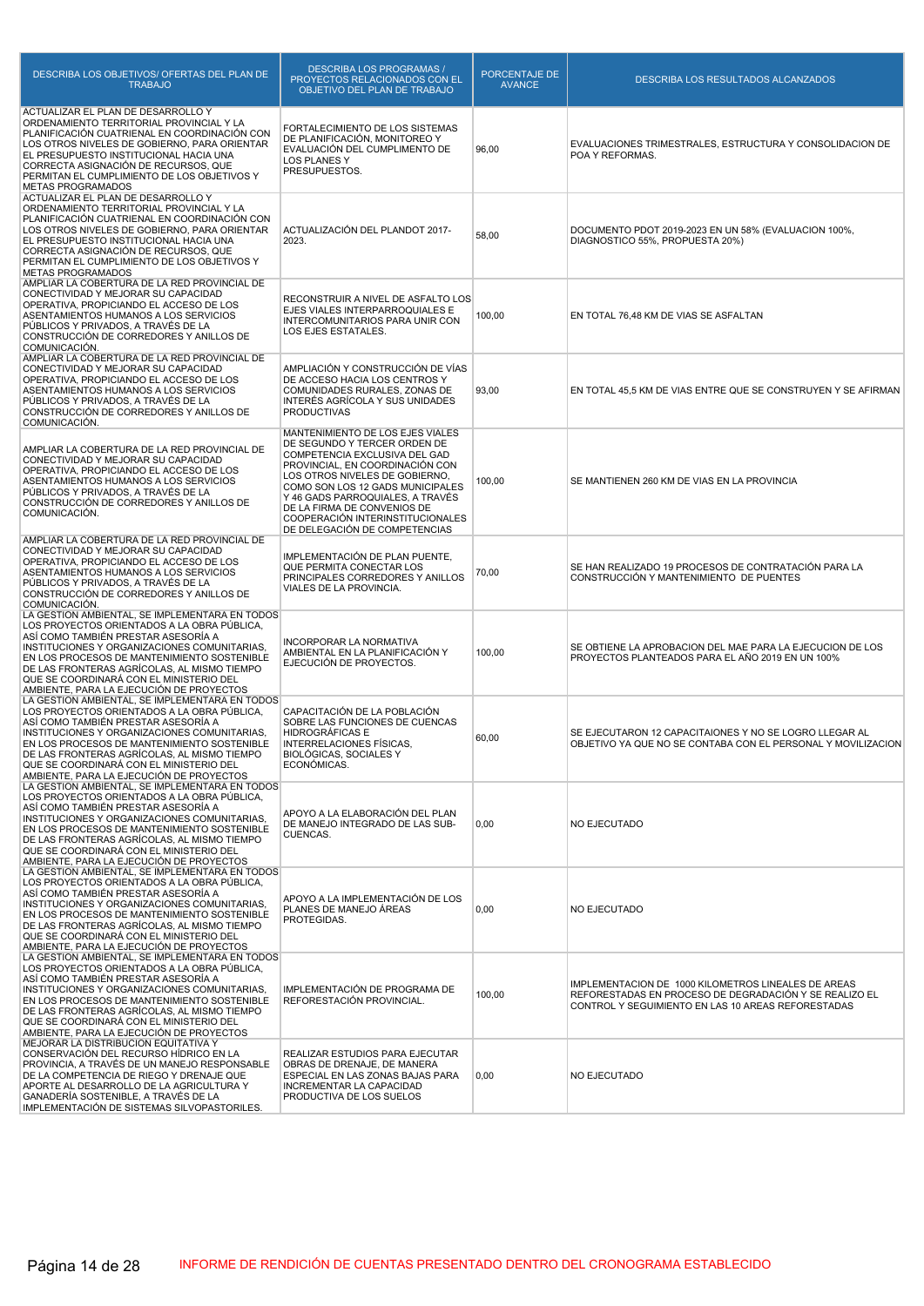| DESCRIBA LOS OBJETIVOS/ OFERTAS DEL PLAN DE<br><b>TRABAJO</b>                                                                                                                                                                                                                                                                                                             | <b>DESCRIBA LOS PROGRAMAS /</b><br>PROYECTOS RELACIONADOS CON EL<br>OBJETIVO DEL PLAN DE TRABAJO                                                                                                                                                                                                                                                   | PORCENTAJE DE<br><b>AVANCE</b> | <b>DESCRIBA LOS RESULTADOS ALCANZADOS</b>                                                                                                                           |
|---------------------------------------------------------------------------------------------------------------------------------------------------------------------------------------------------------------------------------------------------------------------------------------------------------------------------------------------------------------------------|----------------------------------------------------------------------------------------------------------------------------------------------------------------------------------------------------------------------------------------------------------------------------------------------------------------------------------------------------|--------------------------------|---------------------------------------------------------------------------------------------------------------------------------------------------------------------|
| ACTUALIZAR EL PLAN DE DESARROLLO Y<br>ORDENAMIENTO TERRITORIAL PROVINCIAL Y LA<br>PLANIFICACIÓN CUATRIENAL EN COORDINACIÓN CON<br>LOS OTROS NIVELES DE GOBIERNO, PARA ORIENTAR<br>EL PRESUPUESTO INSTITUCIONAL HACIA UNA<br>CORRECTA ASIGNACIÓN DE RECURSOS, QUE<br>PERMITAN EL CUMPLIMIENTO DE LOS OBJETIVOS Y<br><b>METAS PROGRAMADOS</b>                               | FORTALECIMIENTO DE LOS SISTEMAS<br>DE PLANIFICACIÓN, MONITOREO Y<br>EVALUACIÓN DEL CUMPLIMENTO DE<br><b>LOS PLANES Y</b><br>PRESUPUESTOS.                                                                                                                                                                                                          | 96,00                          | EVALUACIONES TRIMESTRALES, ESTRUCTURA Y CONSOLIDACION DE<br>POA Y REFORMAS.                                                                                         |
| ACTUALIZAR EL PLAN DE DESARROLLO Y<br>ORDENAMIENTO TERRITORIAL PROVINCIAL Y LA<br>PLANIFICACIÓN CUATRIENAL EN COORDINACIÓN CON<br>LOS OTROS NIVELES DE GOBIERNO, PARA ORIENTAR<br>EL PRESUPUESTO INSTITUCIONAL HACIA UNA<br>CORRECTA ASIGNACIÓN DE RECURSOS, QUE<br>PERMITAN EL CUMPLIMIENTO DE LOS OBJETIVOS Y<br><b>METAS PROGRAMADOS</b>                               | ACTUALIZACIÓN DEL PLANDOT 2017-<br>2023.                                                                                                                                                                                                                                                                                                           | 58,00                          | DOCUMENTO PDOT 2019-2023 EN UN 58% (EVALUACION 100%,<br>DIAGNOSTICO 55%, PROPUESTA 20%)                                                                             |
| AMPLIAR LA COBERTURA DE LA RED PROVINCIAL DE<br>CONECTIVIDAD Y MEJORAR SU CAPACIDAD<br>OPERATIVA, PROPICIANDO EL ACCESO DE LOS<br>ASENTAMIENTOS HUMANOS A LOS SERVICIOS<br>PÚBLICOS Y PRIVADOS, A TRAVÉS DE LA<br>CONSTRUCCIÓN DE CORREDORES Y ANILLOS DE<br>COMUNICACIÓN.                                                                                                | RECONSTRUIR A NIVEL DE ASFALTO LOS<br>EJES VIALES INTERPARROQUIALES E<br>INTERCOMUNITARIOS PARA UNIR CON<br>LOS EJES ESTATALES.                                                                                                                                                                                                                    | 100,00                         | EN TOTAL 76,48 KM DE VIAS SE ASFALTAN                                                                                                                               |
| AMPLIAR LA COBERTURA DE LA RED PROVINCIAL DE<br>CONECTIVIDAD Y MEJORAR SU CAPACIDAD<br>OPERATIVA, PROPICIANDO EL ACCESO DE LOS<br>ASENTAMIENTOS HUMANOS A LOS SERVICIOS<br>PÚBLICOS Y PRIVADOS. A TRAVÉS DE LA<br>CONSTRUCCIÓN DE CORREDORES Y ANILLOS DE<br>COMUNICACIÓN.                                                                                                | AMPLIACIÓN Y CONSTRUCCIÓN DE VÍAS<br>DE ACCESO HACIA LOS CENTROS Y<br>COMUNIDADES RURALES, ZONAS DE<br>INTERÉS AGRÍCOLA Y SUS UNIDADES<br><b>PRODUCTIVAS</b>                                                                                                                                                                                       | 93,00                          | EN TOTAL 45,5 KM DE VIAS ENTRE QUE SE CONSTRUYEN Y SE AFIRMAN                                                                                                       |
| AMPLIAR LA COBERTURA DE LA RED PROVINCIAL DE<br>CONECTIVIDAD Y MEJORAR SU CAPACIDAD<br>OPERATIVA, PROPICIANDO EL ACCESO DE LOS<br>ASENTAMIENTOS HUMANOS A LOS SERVICIOS<br>PUBLICOS Y PRIVADOS, A TRAVÉS DE LA<br>CONSTRUCCIÓN DE CORREDORES Y ANILLOS DE<br>COMUNICACIÓN.                                                                                                | MANTENIMIENTO DE LOS EJES VIALES<br>DE SEGUNDO Y TERCER ORDEN DE<br>COMPETENCIA EXCLUSIVA DEL GAD<br>PROVINCIAL, EN COORDINACIÓN CON<br>LOS OTROS NIVELES DE GOBIERNO,<br>COMO SON LOS 12 GADS MUNICIPALES<br>Y 46 GADS PARROQUIALES, A TRAVÉS<br>DE LA FIRMA DE CONVENIOS DE<br>COOPERACIÓN INTERINSTITUCIONALES<br>DE DELEGACIÓN DE COMPETENCIAS | 100,00                         | SE MANTIENEN 260 KM DE VIAS EN LA PROVINCIA                                                                                                                         |
| AMPLIAR LA COBERTURA DE LA RED PROVINCIAL DE<br>CONECTIVIDAD Y MEJORAR SU CAPACIDAD<br>OPERATIVA, PROPICIANDO EL ACCESO DE LOS<br>ASENTAMIENTOS HUMANOS A LOS SERVICIOS<br>PÚBLICOS Y PRIVADOS, A TRAVÉS DE LA<br>CONSTRUCCIÓN DE CORREDORES Y ANILLOS DE<br>COMUNICACIÓN.                                                                                                | IMPLEMENTACIÓN DE PLAN PUENTE,<br>QUE PERMITA CONECTAR LOS<br>PRINCIPALES CORREDORES Y ANILLOS<br>VIALES DE LA PROVINCIA.                                                                                                                                                                                                                          | 70,00                          | SE HAN REALIZADO 19 PROCESOS DE CONTRATACIÓN PARA LA<br>CONSTRUCCIÓN Y MANTENIMIENTO DE PUENTES                                                                     |
| LA GESTIÓN AMBIENTAL, SE IMPLEMENTARÀ EN TODOS<br>LOS PROYECTOS ORIENTADOS A LA OBRA PÚBLICA,<br>ASÍ COMO TAMBIÉN PRESTAR ASESORÍA A<br>INSTITUCIONES Y ORGANIZACIONES COMUNITARIAS,<br>EN LOS PROCESOS DE MANTENIMIENTO SOSTENIBLE<br>DE LAS FRONTERAS AGRÍCOLAS. AL MISMO TIEMPO<br>QUE SE COORDINARÁ CON EL MINISTERIO DEL<br>AMBIENTE, PARA LA EJECUCIÓN DE PROYECTOS | <b>INCORPORAR LA NORMATIVA</b><br>AMBIENTAL EN LA PLANIFICACIÓN Y<br>EJECUCIÓN DE PROYECTOS.                                                                                                                                                                                                                                                       | 100,00                         | SE OBTIENE LA APROBACION DEL MAE PARA LA EJECUCION DE LOS<br>PROYECTOS PLANTEADOS PARA EL AÑO 2019 EN UN 100%                                                       |
| LA GESTIÓN AMBIENTAL, SE IMPLEMENTARA EN TODOS<br>LOS PROYECTOS ORIENTADOS A LA OBRA PÚBLICA,<br>ASÍ COMO TAMBIÉN PRESTAR ASESORÍA A<br>INSTITUCIONES Y ORGANIZACIONES COMUNITARIAS,<br>EN LOS PROCESOS DE MANTENIMIENTO SOSTENIBLE<br>DE LAS FRONTERAS AGRICOLAS, AL MISMO TIEMPO<br>QUE SE COORDINARÁ CON EL MINISTERIO DEL<br>AMBIENTE, PARA LA EJECUCIÓN DE PROYECTOS | CAPACITACIÓN DE LA POBLACIÓN<br>SOBRE LAS FUNCIONES DE CUENCAS<br>HIDROGRÁFICAS E<br>INTERRELACIONES FÍSICAS,<br>BIOLOGICAS, SOCIALES Y<br>ECONÓMICAS.                                                                                                                                                                                             | 60,00                          | SE EJECUTARON 12 CAPACITAIONES Y NO SE LOGRO LLEGAR AL<br>OBJETIVO YA QUE NO SE CONTABA CON EL PERSONAL Y MOVILIZACION                                              |
| LA GESTIÓN AMBIENTAL, SE IMPLEMENTARÀ EN TODOS<br>LOS PROYECTOS ORIENTADOS A LA OBRA PÚBLICA,<br>ASÍ COMO TAMBIÉN PRESTAR ASESORÍA A<br>INSTITUCIONES Y ORGANIZACIONES COMUNITARIAS,<br>EN LOS PROCESOS DE MANTENIMIENTO SOSTENIBLE<br>DE LAS FRONTERAS AGRÍCOLAS, AL MISMO TIEMPO<br>QUE SE COORDINARÁ CON EL MINISTERIO DEL<br>AMBIENTE, PARA LA EJECUCIÓN DE PROYECTOS | APOYO A LA ELABORACIÓN DEL PLAN<br>DE MANEJO INTEGRADO DE LAS SUB-<br>CUENCAS.                                                                                                                                                                                                                                                                     | 0,00                           | <b>NO EJECUTADO</b>                                                                                                                                                 |
| LA GESTIÓN AMBIENTAL, SE IMPLEMENTARA EN TODOS<br>LOS PROYECTOS ORIENTADOS A LA OBRA PÚBLICA,<br>ASÍ COMO TAMBIÉN PRESTAR ASESORÍA A<br>INSTITUCIONES Y ORGANIZACIONES COMUNITARIAS,<br>EN LOS PROCESOS DE MANTENIMIENTO SOSTENIBLE<br>DE LAS FRONTERAS AGRÍCOLAS, AL MISMO TIEMPO<br>QUE SE COORDINARÁ CON EL MINISTERIO DEL<br>AMBIENTE, PARA LA EJECUCIÓN DE PROYECTOS | APOYO A LA IMPLEMENTACIÓN DE LOS<br>PLANES DE MANEJO ÁREAS<br>PROTEGIDAS.                                                                                                                                                                                                                                                                          | 0,00                           | NO EJECUTADO                                                                                                                                                        |
| LA GESTIÓN AMBIENTAL, SE IMPLEMENTARÀ EN TODOS<br>LOS PROYECTOS ORIENTADOS A LA OBRA PÚBLICA,<br>ASÍ COMO TAMBIÉN PRESTAR ASESORÍA A<br>INSTITUCIONES Y ORGANIZACIONES COMUNITARIAS,<br>EN LOS PROCESOS DE MANTENIMIENTO SOSTENIBLE<br>DE LAS FRONTERAS AGRÍCOLAS, AL MISMO TIEMPO<br>QUE SE COORDINARÁ CON EL MINISTERIO DEL<br>AMBIENTE, PARA LA EJECUCIÓN DE PROYECTOS | IMPLEMENTACIÓN DE PROGRAMA DE<br>REFORESTACIÓN PROVINCIAL.                                                                                                                                                                                                                                                                                         | 100,00                         | IMPLEMENTACION DE 1000 KILOMETROS LINEALES DE AREAS<br>REFORESTADAS EN PROCESO DE DEGRADACIÓN Y SE REALIZO EL<br>CONTROL Y SEGUIMIENTO EN LAS 10 AREAS REFORESTADAS |
| MEJORAR LA DISTRIBUCIÓN EQUITATIVA Y<br>CONSERVACIÓN DEL RECURSO HÍDRICO EN LA<br>PROVINCIA, A TRAVÉS DE UN MANEJO RESPONSABLE<br>DE LA COMPETENCIA DE RIEGO Y DRENAJE QUE<br>APORTE AL DESARROLLO DE LA AGRICULTURA Y<br>GANADERÍA SOSTENIBLE, A TRAVÉS DE LA<br>IMPLEMENTACIÓN DE SISTEMAS SILVOPASTORILES.                                                             | REALIZAR ESTUDIOS PARA EJECUTAR<br>OBRAS DE DRENAJE, DE MANERA<br>ESPECIAL EN LAS ZONAS BAJAS PARA<br>INCREMENTAR LA CAPACIDAD<br>PRODUCTIVA DE LOS SUELOS                                                                                                                                                                                         | 0,00                           | <b>NO EJECUTADO</b>                                                                                                                                                 |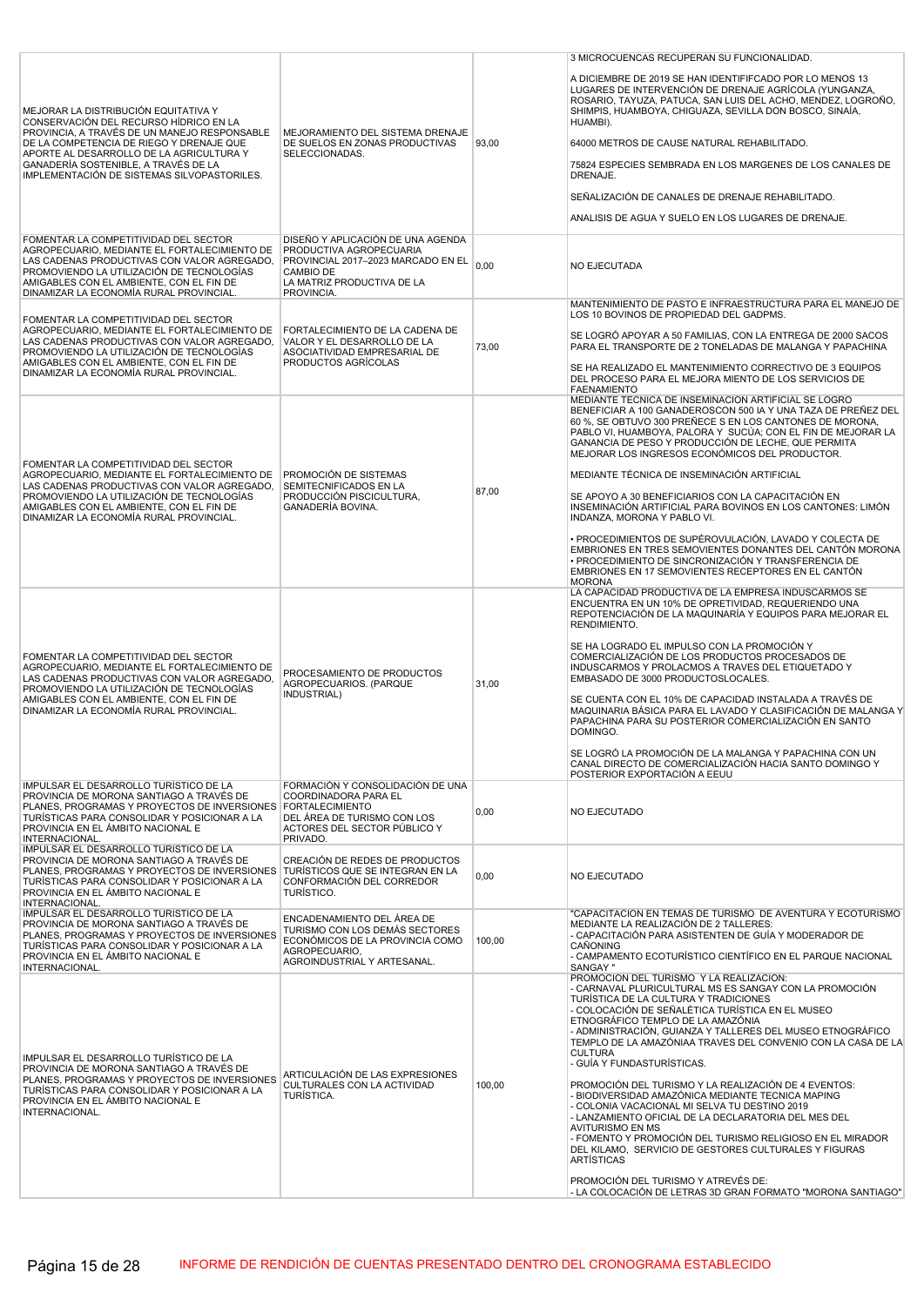|                                                                                                                                                                                                                                                                                                               |                                                                                                                                                             |        | 3 MICROCUENCAS RECUPERAN SU FUNCIONALIDAD.                                                                                                                                                                                                                                                                                                                                                                                                                                                                                                                                                                                                                                                                                                                                                                                                                                                                          |
|---------------------------------------------------------------------------------------------------------------------------------------------------------------------------------------------------------------------------------------------------------------------------------------------------------------|-------------------------------------------------------------------------------------------------------------------------------------------------------------|--------|---------------------------------------------------------------------------------------------------------------------------------------------------------------------------------------------------------------------------------------------------------------------------------------------------------------------------------------------------------------------------------------------------------------------------------------------------------------------------------------------------------------------------------------------------------------------------------------------------------------------------------------------------------------------------------------------------------------------------------------------------------------------------------------------------------------------------------------------------------------------------------------------------------------------|
| MEJORAR LA DISTRIBUCIÓN EQUITATIVA Y<br>CONSERVACIÓN DEL RECURSO HÍDRICO EN LA<br>PROVINCIA, A TRAVÉS DE UN MANEJO RESPONSABLE<br>DE LA COMPETENCIA DE RIEGO Y DRENAJE QUE<br>APORTE AL DESARROLLO DE LA AGRICULTURA Y<br>GANADERÍA SOSTENIBLE, A TRAVÉS DE LA<br>IMPLEMENTACIÓN DE SISTEMAS SILVOPASTORILES. | MEJORAMIENTO DEL SISTEMA DRENAJE<br>DE SUELOS EN ZONAS PRODUCTIVAS<br>SELECCIONADAS.                                                                        | 93,00  | A DICIEMBRE DE 2019 SE HAN IDENTIFIFCADO POR LO MENOS 13<br>LUGARES DE INTERVENCIÓN DE DRENAJE AGRÍCOLA (YUNGANZA,<br>ROSARIO, TAYUZA, PATUCA, SAN LUIS DEL ACHO, MENDEZ, LOGROÑO,<br>SHIMPIS, HUAMBOYA, CHIGUAZA, SEVILLA DON BOSCO, SINAÍA,<br>HUAMBI).<br>64000 METROS DE CAUSE NATURAL REHABILITADO.<br>75824 ESPECIES SEMBRADA EN LOS MARGENES DE LOS CANALES DE<br>DRENAJE.<br>SEÑALIZACIÓN DE CANALES DE DRENAJE REHABILITADO.<br>ANALISIS DE AGUA Y SUELO EN LOS LUGARES DE DRENAJE.                                                                                                                                                                                                                                                                                                                                                                                                                        |
| FOMENTAR LA COMPETITIVIDAD DEL SECTOR<br>AGROPECUARIO, MEDIANTE EL FORTALECIMIENTO DE<br>LAS CADENAS PRODUCTIVAS CON VALOR AGREGADO.<br>PROMOVIENDO LA UTILIZACIÓN DE TECNOLOGÍAS<br>AMIGABLES CON EL AMBIENTE, CON EL FIN DE<br>DINAMIZAR LA ECONOMÍA RURAL PROVINCIAL.                                      | DISEÑO Y APLICACIÓN DE UNA AGENDA<br>PRODUCTIVA AGROPECUARIA<br>PROVINCIAL 2017-2023 MARCADO EN EL<br>CAMBIO DE<br>LA MATRIZ PRODUCTIVA DE LA<br>PROVINCIA. | 0.00   | <b>NO EJECUTADA</b>                                                                                                                                                                                                                                                                                                                                                                                                                                                                                                                                                                                                                                                                                                                                                                                                                                                                                                 |
| FOMENTAR LA COMPETITIVIDAD DEL SECTOR<br>AGROPECUARIO, MEDIANTE EL FORTALECIMIENTO DE<br>LAS CADENAS PRODUCTIVAS CON VALOR AGREGADO,<br>PROMOVIENDO LA UTILIZACIÓN DE TECNOLOGÍAS<br>AMIGABLES CON EL AMBIENTE, CON EL FIN DE<br>DINAMIZAR LA ECONOMÍA RURAL PROVINCIAL.                                      | FORTALECIMIENTO DE LA CADENA DE<br>VALOR Y EL DESARROLLO DE LA<br>ASOCIATIVIDAD EMPRESARIAL DE<br>PRODUCTOS AGRÍCOLAS                                       | 73,00  | MANTENIMIENTO DE PASTO E INFRAESTRUCTURA PARA EL MANEJO DE<br>LOS 10 BOVINOS DE PROPIEDAD DEL GADPMS.<br>SE LOGRÓ APOYAR A 50 FAMILIAS, CON LA ENTREGA DE 2000 SACOS<br>PARA EL TRANSPORTE DE 2 TONELADAS DE MALANGA Y PAPACHINA<br>SE HA REALIZADO EL MANTENIMIENTO CORRECTIVO DE 3 EQUIPOS<br>DEL PROCESO PARA EL MEJORA MIENTO DE LOS SERVICIOS DE<br><b>FAENAMIENTO</b>                                                                                                                                                                                                                                                                                                                                                                                                                                                                                                                                         |
| FOMENTAR LA COMPETITIVIDAD DEL SECTOR<br>AGROPECUARIO. MEDIANTE EL FORTALECIMIENTO DE<br>LAS CADENAS PRODUCTIVAS CON VALOR AGREGADO,<br>PROMOVIENDO LA UTILIZACIÓN DE TECNOLOGÍAS<br>AMIGABLES CON EL AMBIENTE, CON EL FIN DE<br>DINAMIZAR LA ECONOMÍA RURAL PROVINCIAL.                                      | PROMOCIÓN DE SISTEMAS<br>SEMITECNIFICADOS EN LA<br>PRODUCCIÓN PISCICULTURA.<br>GANADERÍA BOVINA.                                                            | 87,00  | MEDIANTE TÉCNICA DE INSEMINACIÓN ARTIFICIAL SE LOGRO<br>BENEFICIAR A 100 GANADEROSCON 500 IA Y UNA TAZA DE PREÑEZ DEL<br>60 %, SE OBTUVO 300 PREÑECE S EN LOS CANTONES DE MORONA,<br>PABLO VI, HUAMBOYA, PALORA Y SUCÚA; CON EL FIN DE MEJORAR LA<br>GANANCIA DE PESO Y PRODUCCIÓN DE LECHE, QUE PERMITA<br>MEJORAR LOS INGRESOS ECONÓMICOS DEL PRODUCTOR.<br>MEDIANTE TÉCNICA DE INSEMINACIÓN ARTIFICIAL<br>SE APOYO A 30 BENEFICIARIOS CON LA CAPACITACIÓN EN<br>INSEMINACIÓN ARTIFICIAL PARA BOVINOS EN LOS CANTONES: LIMÓN<br>INDANZA, MORONA Y PABLO VI.<br>• PROCEDIMIENTOS DE SUPÉROVULACIÓN, LAVADO Y COLECTA DE<br>EMBRIONES EN TRES SEMOVIENTES DONANTES DEL CANTÓN MORONA<br>• PROCEDIMIENTO DE SINCRONIZACIÓN Y TRANSFERENCIA DE<br>EMBRIONES EN 17 SEMOVIENTES RECEPTORES EN EL CANTÓN<br><b>MORONA</b>                                                                                                |
| FOMENTAR LA COMPETITIVIDAD DEL SECTOR<br>AGROPECUARIO. MEDIANTE EL FORTALECIMIENTO DE<br>LAS CADENAS PRODUCTIVAS CON VALOR AGREGADO.<br>PROMOVIENDO LA UTILIZACIÓN DE TECNOLOGÍAS<br>AMIGABLES CON EL AMBIENTE, CON EL FIN DE<br>DINAMIZAR LA ECONOMÍA RURAL PROVINCIAL.                                      | PROCESAMIENTO DE PRODUCTOS<br>AGROPECUARIOS, (PARQUE<br>INDUSTRIAL)                                                                                         | 31,00  | LA CAPACIDAD PRODUCTIVA DE LA EMPRESA INDUSCARMOS SE<br>ENCUENTRA EN UN 10% DE OPRETIVIDAD, REQUERIENDO UNA<br>REPOTENCIACIÓN DE LA MAQUINARÍA Y EQUIPOS PARA MEJORAR EL<br>RENDIMIENTO.<br>SE HA LOGRADO EL IMPULSO CON LA PROMOCIÓN Y<br>COMERCIALIZACIÓN DE LOS PRODUCTOS PROCESADOS DE<br>INDUSCARMOS Y PROLACMOS A TRAVES DEL ETIQUETADO Y<br>EMBASADO DE 3000 PRODUCTOSLOCALES.<br>SE CUENTA CON EL 10% DE CAPACIDAD INSTALADA A TRAVÉS DE<br>MAQUINARIA BÁSICA PARA EL LAVADO Y CLASIFICACIÓN DE MALANGA Y<br>PAPACHINA PARA SU POSTERIOR COMERCIALIZACIÓN EN SANTO<br>DOMINGO.<br>SE LOGRÓ LA PROMOCIÓN DE LA MALANGA Y PAPACHINA CON UN<br>CANAL DIRECTO DE COMERCIALIZACIÓN HACIA SANTO DOMINGO Y<br>POSTERIOR EXPORTACIÓN A EEUU                                                                                                                                                                         |
| IMPULSAR EL DESARROLLO TURÍSTICO DE LA<br>PROVINCIA DE MORONA SANTIAGO A TRAVÉS DE<br>PLANES, PROGRAMAS Y PROYECTOS DE INVERSIONES FORTALECIMIENTO<br>TURÍSTICAS PARA CONSOLIDAR Y POSICIONAR A LA<br>PROVINCIA EN EL ÁMBITO NACIONAL E<br>INTERNACIONAL.                                                     | FORMACIÓN Y CONSOLIDACIÓN DE UNA<br>COORDINADORA PARA EL<br>DEL ÁREA DE TURISMO CON LOS<br>ACTORES DEL SECTOR PÚBLICO Y<br>PRIVADO.                         | 0,00   | NO EJECUTADO                                                                                                                                                                                                                                                                                                                                                                                                                                                                                                                                                                                                                                                                                                                                                                                                                                                                                                        |
| IMPULSAR EL DESARROLLO TURÍSTICO DE LA<br>PROVINCIA DE MORONA SANTIAGO A TRAVÉS DE<br>PLANES, PROGRAMAS Y PROYECTOS DE INVERSIONES TURÍSTICOS QUE SE INTEGRAN EN LA<br>TURÍSTICAS PARA CONSOLIDAR Y POSICIONAR A LA<br>PROVINCIA EN EL ÁMBITO NACIONAL E<br>INTERNACIONAL.                                    | CREACIÓN DE REDES DE PRODUCTOS<br>CONFORMACIÓN DEL CORREDOR<br>TURÍSTICO.                                                                                   | 0,00   | NO EJECUTADO                                                                                                                                                                                                                                                                                                                                                                                                                                                                                                                                                                                                                                                                                                                                                                                                                                                                                                        |
| IMPULSAR EL DESARROLLO TURÍSTICO DE LA<br>PROVINCIA DE MORONA SANTIAGO A TRAVÉS DE<br>PLANES. PROGRAMAS Y PROYECTOS DE INVERSIONES<br>TURÍSTICAS PARA CONSOLIDAR Y POSICIONAR A LA<br>PROVINCIA EN EL ÁMBITO NACIONAL E<br>INTERNACIONAL.                                                                     | ENCADENAMIENTO DEL ÁREA DE<br>TURISMO CON LOS DEMÁS SECTORES<br>ECONÓMICOS DE LA PROVINCIA COMO<br>AGROPECUARIO,<br>AGROINDUSTRIAL Y ARTESANAL.             | 100,00 | "CAPACITACIÓN EN TEMAS DE TURISMO DE AVENTURA Y ECOTURISMO<br>MEDIANTE LA REALIZACIÓN DE 2 TALLERES:<br>- CAPACITACIÓN PARA ASISTENTEN DE GUÍA Y MODERADOR DE<br>CAÑONING<br>- CAMPAMENTO ECOTURÍSTICO CIENTÍFICO EN EL PARQUE NACIONAL<br><b>SANGAY</b> "                                                                                                                                                                                                                                                                                                                                                                                                                                                                                                                                                                                                                                                          |
| IMPULSAR EL DESARROLLO TURÍSTICO DE LA<br>PROVINCIA DE MORONA SANTIAGO A TRAVÉS DE<br>PLANES, PROGRAMAS Y PROYECTOS DE INVERSIONES<br>TURÍSTICAS PARA CONSOLIDAR Y POSICIONAR A LA<br>PROVINCIA EN EL ÁMBITO NACIONAL E<br>INTERNACIONAL.                                                                     | ARTICULACIÓN DE LAS EXPRESIONES<br>CULTURALES CON LA ACTIVIDAD<br>TURÍSTICA.                                                                                | 100,00 | PROMOCIÓN DEL TURISMO Y LA REALIZACIÓN:<br>- CARNAVAL PLURICULTURAL MS ES SANGAY CON LA PROMOCIÓN<br>TURÍSTICA DE LA CULTURA Y TRADICIONES<br>- COLOCACIÓN DE SEÑALÉTICA TURÍSTICA EN EL MUSEO<br>ETNOGRÁFICO TEMPLO DE LA AMAZÓNIA<br>- ADMINISTRACIÓN, GUIANZA Y TALLERES DEL MUSEO ETNOGRÁFICO<br>TEMPLO DE LA AMAZÓNIAA TRAVES DEL CONVENIO CON LA CASA DE LA<br><b>CULTURA</b><br>- GUÍA Y FUNDASTURÍSTICAS.<br>PROMOCIÓN DEL TURISMO Y LA REALIZACIÓN DE 4 EVENTOS:<br>- BIODIVERSIDAD AMAZÓNICA MEDIANTE TECNICA MAPING<br>- COLONIA VACACIONAL MI SELVA TU DESTINO 2019<br>- LANZAMIENTO OFICIAL DE LA DECLARATORIA DEL MES DEL<br><b>AVITURISMO EN MS</b><br>- FOMENTO Y PROMOCIÓN DEL TURISMO RELIGIOSO EN EL MIRADOR<br>DEL KILAMO, SERVICIO DE GESTORES CULTURALES Y FIGURAS<br><b>ARTÍSTICAS</b><br>PROMOCIÓN DEL TURISMO Y ATREVÉS DE:<br>- LA COLOCACIÓN DE LETRAS 3D GRAN FORMATO "MORONA SANTIAGO" |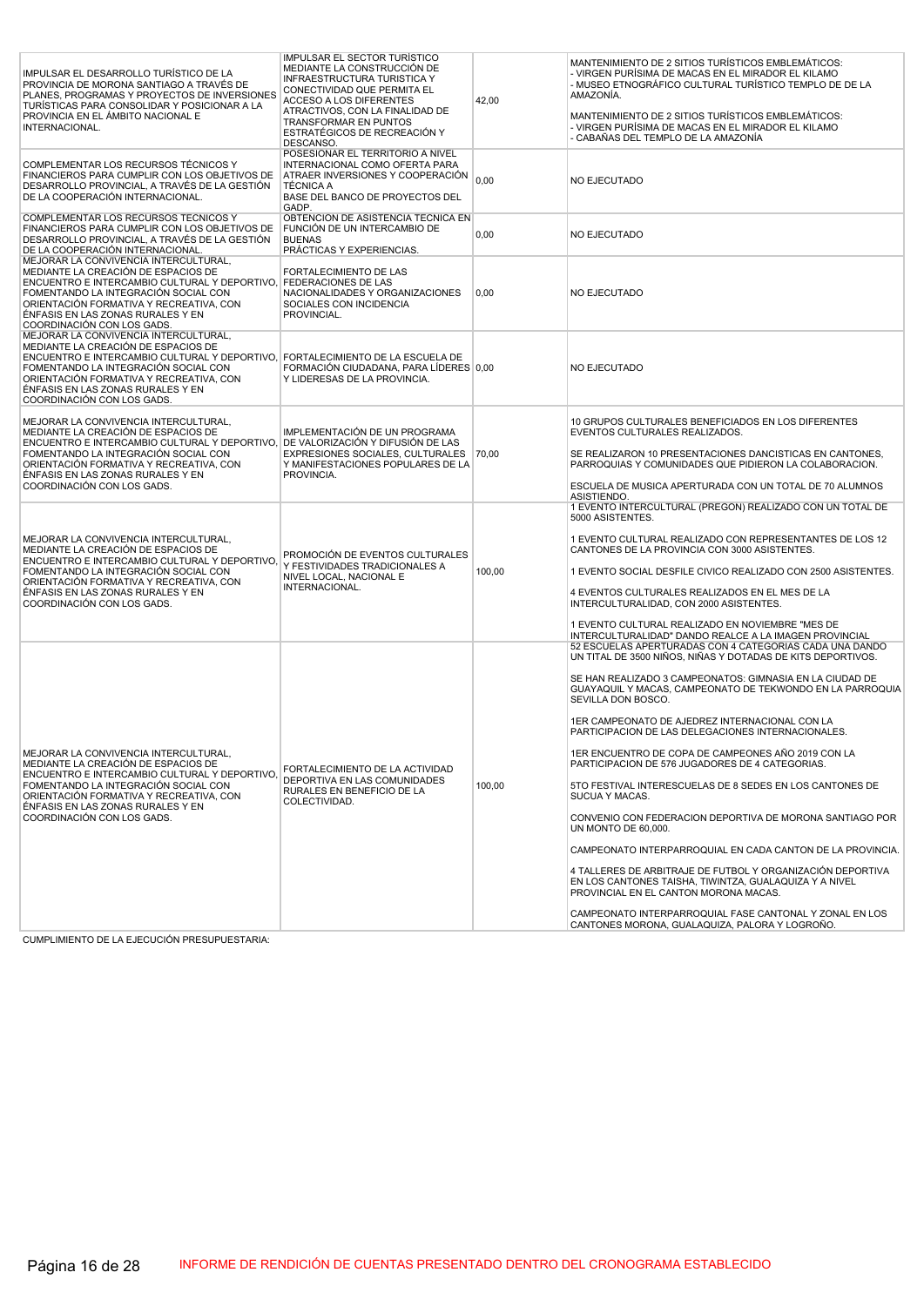| IMPULSAR EL DESARROLLO TURÍSTICO DE LA<br>PROVINCIA DE MORONA SANTIAGO A TRAVÉS DE<br>PLANES, PROGRAMAS Y PROYECTOS DE INVERSIONES<br>TURÍSTICAS PARA CONSOLIDAR Y POSICIONAR A LA<br>PROVINCIA EN EL ÁMBITO NACIONAL E<br>INTERNACIONAL.                                                                             | <b>IMPULSAR EL SECTOR TURÍSTICO</b><br>MEDIANTE LA CONSTRUCCIÓN DE<br><b>INFRAESTRUCTURA TURISTICA Y</b><br>CONECTIVIDAD QUE PERMITA EL<br>ACCESO A LOS DIFERENTES<br>ATRACTIVOS, CON LA FINALIDAD DE<br>TRANSFORMAR EN PUNTOS<br>ESTRATÉGICOS DE RECREACIÓN Y<br>DESCANSO. | 42,00  | MANTENIMIENTO DE 2 SITIOS TURÍSTICOS EMBLEMÁTICOS:<br>- VIRGEN PURÍSIMA DE MACAS EN EL MIRADOR EL KILAMO<br>- MUSEO ETNOGRÁFICO CULTURAL TURÍSTICO TEMPLO DE DE LA<br>AMAZONÍA.<br>MANTENIMIENTO DE 2 SITIOS TURÍSTICOS EMBLEMÁTICOS:<br>- VIRGEN PURÍSIMA DE MACAS EN EL MIRADOR EL KILAMO<br>- CABAÑAS DEL TEMPLO DE LA AMAZONÍA                                                                                                                                                                                                                                                                                                                                                                                                                                                                                                                                                                                                                                                                  |
|-----------------------------------------------------------------------------------------------------------------------------------------------------------------------------------------------------------------------------------------------------------------------------------------------------------------------|-----------------------------------------------------------------------------------------------------------------------------------------------------------------------------------------------------------------------------------------------------------------------------|--------|-----------------------------------------------------------------------------------------------------------------------------------------------------------------------------------------------------------------------------------------------------------------------------------------------------------------------------------------------------------------------------------------------------------------------------------------------------------------------------------------------------------------------------------------------------------------------------------------------------------------------------------------------------------------------------------------------------------------------------------------------------------------------------------------------------------------------------------------------------------------------------------------------------------------------------------------------------------------------------------------------------|
| COMPLEMENTAR LOS RECURSOS TÉCNICOS Y<br>FINANCIEROS PARA CUMPLIR CON LOS OBJETIVOS DE<br>DESARROLLO PROVINCIAL, A TRAVÉS DE LA GESTIÓN<br>DE LA COOPERACIÓN INTERNACIONAL.                                                                                                                                            | POSESIONAR EL TERRITORIO A NIVEL<br>INTERNACIONAL COMO OFERTA PARA<br>ATRAER INVERSIONES Y COOPERACIÓN<br><b>TÉCNICA A</b><br>BASE DEL BANCO DE PROYECTOS DEL<br>GADP.                                                                                                      | 0.00   | NO EJECUTADO                                                                                                                                                                                                                                                                                                                                                                                                                                                                                                                                                                                                                                                                                                                                                                                                                                                                                                                                                                                        |
| COMPLEMENTAR LOS RECURSOS TÉCNICOS Y<br>FINANCIEROS PARA CUMPLIR CON LOS OBJETIVOS DE<br>DESARROLLO PROVINCIAL, A TRAVÉS DE LA GESTIÓN<br>DE LA COOPERACIÓN INTERNACIONAL.                                                                                                                                            | OBTENCIÓN DE ASISTENCIA TÉCNICA EN<br>FUNCIÓN DE UN INTERCAMBIO DE<br><b>BUENAS</b><br>PRÁCTICAS Y EXPERIENCIAS.                                                                                                                                                            | 0,00   | NO EJECUTADO                                                                                                                                                                                                                                                                                                                                                                                                                                                                                                                                                                                                                                                                                                                                                                                                                                                                                                                                                                                        |
| MEJORAR LA CONVIVENCIA INTERCULTURAL,<br>MEDIANTE LA CREACIÓN DE ESPACIOS DE<br>ENCUENTRO E INTERCAMBIO CULTURAL Y DEPORTIVO, FEDERACIONES DE LAS<br>FOMENTANDO LA INTEGRACIÓN SOCIAL CON<br>ORIENTACIÓN FORMATIVA Y RECREATIVA, CON<br>ÉNFASIS EN LAS ZONAS RURALES Y EN<br>COORDINACIÓN CON LOS GADS.               | <b>FORTALECIMIENTO DE LAS</b><br>NACIONALIDADES Y ORGANIZACIONES<br>SOCIALES CON INCIDENCIA<br>PROVINCIAL.                                                                                                                                                                  | 0,00   | NO EJECUTADO                                                                                                                                                                                                                                                                                                                                                                                                                                                                                                                                                                                                                                                                                                                                                                                                                                                                                                                                                                                        |
| MEJORAR LA CONVIVENCIA INTERCULTURAL,<br>MEDIANTE LA CREACIÓN DE ESPACIOS DE<br>ENCUENTRO E INTERCAMBIO CULTURAL Y DEPORTIVO, FORTALECIMIENTO DE LA ESCUELA DE<br>FOMENTANDO LA INTEGRACIÓN SOCIAL CON<br>ORIENTACIÓN FORMATIVA Y RECREATIVA, CON<br>ÉNFASIS EN LAS ZONAS RURALES Y EN<br>COORDINACIÓN CON LOS GADS.  | FORMACIÓN CIUDADANA, PARA LÍDERES 0.00<br>Y LIDERESAS DE LA PROVINCIA.                                                                                                                                                                                                      |        | <b>NO EJECUTADO</b>                                                                                                                                                                                                                                                                                                                                                                                                                                                                                                                                                                                                                                                                                                                                                                                                                                                                                                                                                                                 |
| MEJORAR LA CONVIVENCIA INTERCULTURAL,<br>MEDIANTE LA CREACIÓN DE ESPACIOS DE<br>ENCUENTRO E INTERCAMBIO CULTURAL Y DEPORTIVO, DE VALORIZACIÓN Y DIFUSIÓN DE LAS<br>FOMENTANDO LA INTEGRACIÓN SOCIAL CON<br>ORIENTACIÓN FORMATIVA Y RECREATIVA, CON<br>ÉNFASIS EN LAS ZONAS RURALES Y EN<br>COORDINACIÓN CON LOS GADS. | IMPLEMENTACIÓN DE UN PROGRAMA<br>EXPRESIONES SOCIALES, CULTURALES   70,00<br>Y MANIFESTACIONES POPULARES DE LA<br>PROVINCIA.                                                                                                                                                |        | 10 GRUPOS CULTURALES BENEFICIADOS EN LOS DIFERENTES<br>EVENTOS CULTURALES REALIZADOS.<br>SE REALIZARON 10 PRESENTACIONES DANCISTICAS EN CANTONES,<br>PARROQUIAS Y COMUNIDADES QUE PIDIERON LA COLABORACION.<br>ESCUELA DE MUSICA APERTURADA CON UN TOTAL DE 70 ALUMNOS<br>ASISTIENDO.                                                                                                                                                                                                                                                                                                                                                                                                                                                                                                                                                                                                                                                                                                               |
| MEJORAR LA CONVIVENCIA INTERCULTURAL,<br>MEDIANTE LA CREACIÓN DE ESPACIOS DE<br>ENCUENTRO E INTERCAMBIO CULTURAL Y DEPORTIVO,<br>FOMENTANDO LA INTEGRACIÓN SOCIAL CON<br>ORIENTACIÓN FORMATIVA Y RECREATIVA, CON<br>ÉNFASIS EN LAS ZONAS RURALES Y EN<br>COORDINACIÓN CON LOS GADS.                                   | PROMOCIÓN DE EVENTOS CULTURALES<br>Y FESTIVIDADES TRADICIONALES A<br>NIVEL LOCAL, NACIONAL E<br>INTERNACIONAL.                                                                                                                                                              | 100,00 | 1 EVENTO INTERCULTURAL (PREGON) REALIZADO CON UN TOTAL DE<br>5000 ASISTENTES.<br>1 EVENTO CULTURAL REALIZADO CON REPRESENTANTES DE LOS 12<br>CANTONES DE LA PROVINCIA CON 3000 ASISTENTES.<br>1 EVENTO SOCIAL DESFILE CIVICO REALIZADO CON 2500 ASISTENTES.<br>4 EVENTOS CULTURALES REALIZADOS EN EL MES DE LA<br>INTERCULTURALIDAD, CON 2000 ASISTENTES.<br>1 EVENTO CULTURAL REALIZADO EN NOVIEMBRE "MES DE<br>INTERCULTURALIDAD" DANDO REALCE A LA IMAGEN PROVINCIAL                                                                                                                                                                                                                                                                                                                                                                                                                                                                                                                             |
| MEJORAR LA CONVIVENCIA INTERCULTURAL,<br>MEDIANTE LA CREACIÓN DE ESPACIOS DE<br>ENCUENTRO E INTERCAMBIO CULTURAL Y DEPORTIVO,<br>FOMENTANDO LA INTEGRACIÓN SOCIAL CON<br>ORIENTACIÓN FORMATIVA Y RECREATIVA, CON<br>ÉNFASIS EN LAS ZONAS RURALES Y EN<br>COORDINACIÓN CON LOS GADS.                                   | FORTALECIMIENTO DE LA ACTIVIDAD<br>DEPORTIVA EN LAS COMUNIDADES<br>RURALES EN BENEFICIO DE LA<br>COLECTIVIDAD.                                                                                                                                                              | 100,00 | 52 ESCUELAS APERTURADAS CON 4 CATEGORIAS CADA UNA DANDO<br>UN TITAL DE 3500 NIÑOS, NIÑAS Y DOTADAS DE KITS DEPORTIVOS.<br>SE HAN REALIZADO 3 CAMPEONATOS: GIMNASIA EN LA CIUDAD DE<br>GUAYAQUIL Y MACAS, CAMPEONATO DE TEKWONDO EN LA PARROQUIA<br>SEVILLA DON BOSCO.<br>1ER CAMPEONATO DE AJEDREZ INTERNACIONAL CON LA<br>PARTICIPACION DE LAS DELEGACIONES INTERNACIONALES.<br>1ER ENCUENTRO DE COPA DE CAMPEONES AÑO 2019 CON LA<br>PARTICIPACION DE 576 JUGADORES DE 4 CATEGORIAS.<br>5TO FESTIVAL INTERESCUELAS DE 8 SEDES EN LOS CANTONES DE<br>SUCUA Y MACAS.<br>CONVENIO CON FEDERACION DEPORTIVA DE MORONA SANTIAGO POR<br>UN MONTO DE 60,000.<br>CAMPEONATO INTERPARROQUIAL EN CADA CANTON DE LA PROVINCIA.<br>4 TALLERES DE ARBITRAJE DE FUTBOL Y ORGANIZACIÓN DEPORTIVA<br>EN LOS CANTONES TAISHA, TIWINTZA, GUALAQUIZA Y A NIVEL<br>PROVINCIAL EN EL CANTON MORONA MACAS.<br>CAMPEONATO INTERPARROQUIAL FASE CANTONAL Y ZONAL EN LOS<br>CANTONES MORONA, GUALAQUIZA, PALORA Y LOGROÑO. |

CUMPLIMIENTO DE LA EJECUCIÓN PRESUPUESTARIA: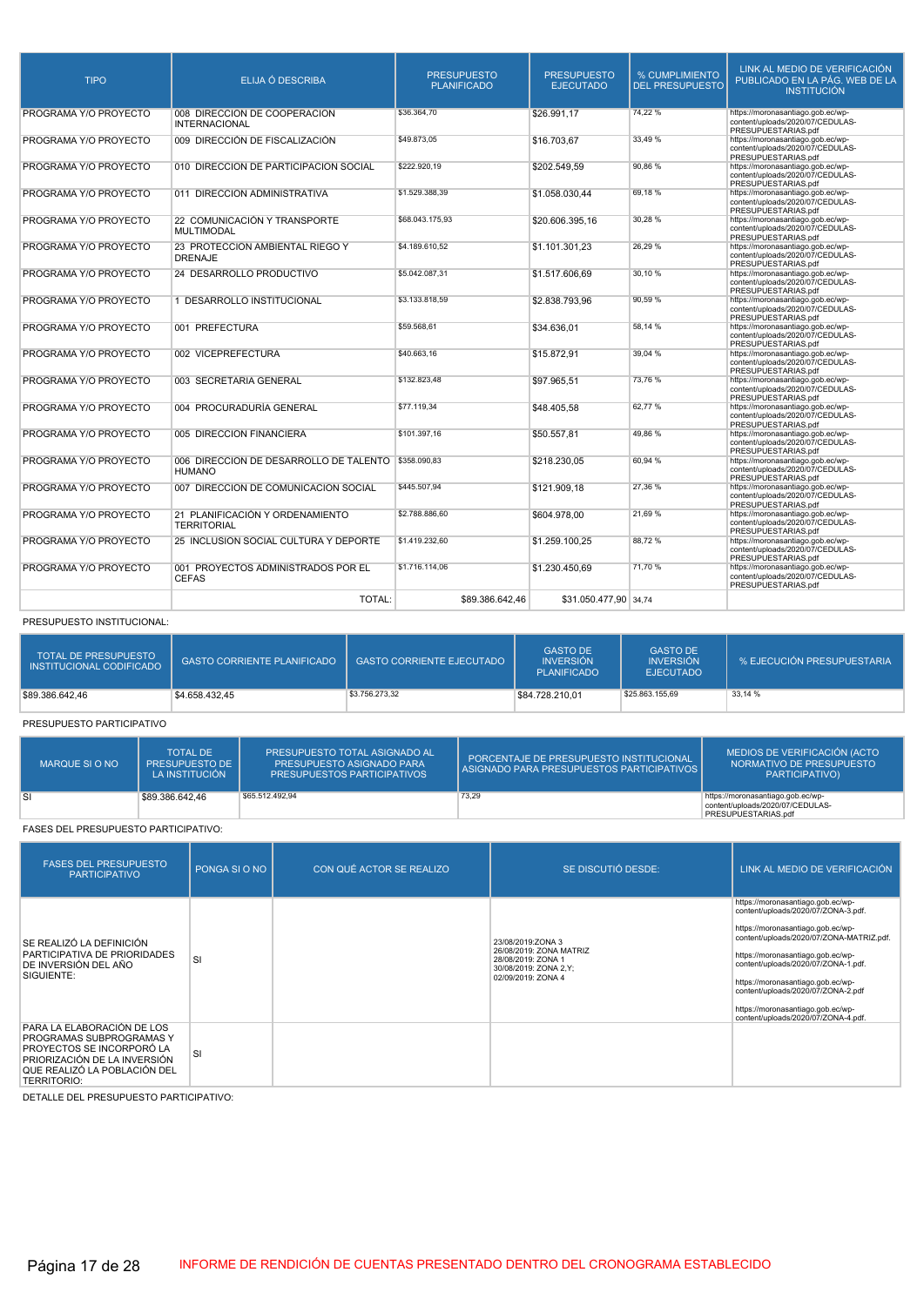| <b>TIPO</b>           | ELIJA Ó DESCRIBA                                              | <b>PRESUPUESTO</b><br><b>PLANIFICADO</b> | <b>PRESUPUESTO</b><br><b>EJECUTADO</b> | % CUMPLIMIENTO<br><b>DEL PRESUPUESTO</b> | LINK AL MEDIO DE VERIFICACIÓN<br>PUBLICADO EN LA PÁG. WEB DE LA<br><b>INSTITUCIÓN</b>        |
|-----------------------|---------------------------------------------------------------|------------------------------------------|----------------------------------------|------------------------------------------|----------------------------------------------------------------------------------------------|
| PROGRAMA Y/O PROYECTO | 008 DIRECCIÓN DE COOPERACIÓN<br><b>INTERNACIONAL</b>          | \$36,364.70                              | \$26.991.17                            | 74.22 %                                  | https://moronasantiago.gob.ec/wp-<br>content/uploads/2020/07/CEDULAS-<br>PRESUPUESTARIAS.pdf |
| PROGRAMA Y/O PROYECTO | 009 DIRECCIÓN DE FISCALIZACIÓN                                | \$49.873,05                              | \$16,703.67                            | 33,49 %                                  | https://moronasantiago.gob.ec/wp-<br>content/uploads/2020/07/CEDULAS-<br>PRESUPUESTARIAS.pdf |
| PROGRAMA Y/O PROYECTO | 010 DIRECCIÓN DE PARTICIPACIÓN SOCIAL                         | \$222.920.19                             | \$202,549.59                           | 90.86%                                   | https://moronasantiago.gob.ec/wp-<br>content/uploads/2020/07/CEDULAS-<br>PRESUPUESTARIAS.pdf |
| PROGRAMA Y/O PROYECTO | 011 DIRECCIÓN ADMINISTRATIVA                                  | \$1.529.388.39                           | \$1.058.030.44                         | 69.18%                                   | https://moronasantiago.gob.ec/wp-<br>content/uploads/2020/07/CEDULAS-<br>PRESUPUESTARIAS.pdf |
| PROGRAMA Y/O PROYECTO | 22 COMUNICACIÓN Y TRANSPORTE<br><b>MULTIMODAL</b>             | \$68.043.175.93                          | \$20,606,395.16                        | 30,28%                                   | https://moronasantiago.gob.ec/wp-<br>content/uploads/2020/07/CEDULAS-<br>PRESUPUESTARIAS.pdf |
| PROGRAMA Y/O PROYECTO | 23 PROTECCIÓN AMBIENTAL RIEGO Y<br><b>DRENAJE</b>             | \$4,189,610.52                           | \$1.101.301.23                         | 26.29 %                                  | https://moronasantiago.gob.ec/wp-<br>content/uploads/2020/07/CEDULAS-<br>PRESUPUESTARIAS.pdf |
| PROGRAMA Y/O PROYECTO | 24 DESARROLLO PRODUCTIVO                                      | \$5.042.087.31                           | \$1,517,606.69                         | 30.10%                                   | https://moronasantiago.gob.ec/wp-<br>content/uploads/2020/07/CEDULAS-<br>PRESUPUESTARIAS.pdf |
| PROGRAMA Y/O PROYECTO | 1 DESARROLLO INSTITUCIONAL                                    | \$3.133.818,59                           | \$2,838,793,96                         | 90.59%                                   | https://moronasantiago.gob.ec/wp-<br>content/uploads/2020/07/CEDULAS-<br>PRESUPUESTARIAS.pdf |
| PROGRAMA Y/O PROYECTO | 001 PREFECTURA                                                | \$59,568.61                              | \$34.636.01                            | 58.14%                                   | https://moronasantiago.gob.ec/wp-<br>content/uploads/2020/07/CEDULAS-<br>PRESUPUESTARIAS.pdf |
| PROGRAMA Y/O PROYECTO | 002 VICEPREFECTURA                                            | \$40,663.16                              | \$15,872.91                            | 39.04 %                                  | https://moronasantiago.gob.ec/wp-<br>content/uploads/2020/07/CEDULAS-<br>PRESUPUESTARIAS.pdf |
| PROGRAMA Y/O PROYECTO | 003 SECRETARIA GENERAL                                        | \$132.823,48                             | \$97.965,51                            | 73.76%                                   | https://moronasantiago.gob.ec/wp-<br>content/uploads/2020/07/CEDULAS-<br>PRESUPUESTARIAS.pdf |
| PROGRAMA Y/O PROYECTO | 004 PROCURADURÍA GENERAL                                      | \$77.119.34                              | \$48.405,58                            | 62.77%                                   | https://moronasantiago.gob.ec/wp-<br>content/uploads/2020/07/CEDULAS-<br>PRESUPUESTARIAS.pdf |
| PROGRAMA Y/O PROYECTO | 005 DIRECCIÓN FINANCIERA                                      | \$101.397,16                             | \$50,557.81                            | 49.86%                                   | https://moronasantiago.gob.ec/wp-<br>content/uploads/2020/07/CEDULAS-<br>PRESUPUESTARIAS.pdf |
| PROGRAMA Y/O PROYECTO | 006 DIRECCIÓN DE DESARROLLO DE TALENTO \$358.090,83<br>HUMANO |                                          | \$218.230,05                           | 60.94%                                   | https://moronasantiago.gob.ec/wp-<br>content/uploads/2020/07/CEDULAS-<br>PRESUPUESTARIAS.pdf |
| PROGRAMA Y/O PROYECTO | 007 DIRECCIÓN DE COMUNICACIÓN SOCIAL                          | \$445,507.94                             | \$121.909.18                           | 27,36 %                                  | https://moronasantiago.gob.ec/wp-<br>content/uploads/2020/07/CEDULAS-<br>PRESUPUESTARIAS.pdf |
| PROGRAMA Y/O PROYECTO | 21 PLANIFICACIÓN Y ORDENAMIENTO<br><b>TERRITORIAL</b>         | \$2,788,886.60                           | \$604.978.00                           | 21.69%                                   | https://moronasantiago.gob.ec/wp-<br>content/uploads/2020/07/CEDULAS-<br>PRESUPUESTARIAS.pdf |
| PROGRAMA Y/O PROYECTO | 25 INCLUSIÓN SOCIAL CULTURA Y DEPORTE                         | \$1.419.232.60                           | \$1.259.100,25                         | 88.72%                                   | https://moronasantiago.gob.ec/wp-<br>content/uploads/2020/07/CEDULAS-<br>PRESUPUESTARIAS.pdf |
| PROGRAMA Y/O PROYECTO | 001 PROYECTOS ADMINISTRADOS POR EL<br><b>CEFAS</b>            | \$1.716.114,06                           | \$1.230.450.69                         | 71.70%                                   | https://moronasantiago.gob.ec/wp-<br>content/uploads/2020/07/CEDULAS-<br>PRESUPUESTARIAS.pdf |
|                       | <b>TOTAL:</b>                                                 | \$89,386,642.46                          | \$31.050.477.90 34.74                  |                                          |                                                                                              |

#### PRESUPUESTO INSTITUCIONAL:

| <b>TOTAL DE PRESUPUESTO</b><br>INSTITUCIONAL CODIFICADO | <b>GASTO CORRIENTE PLANIFICADO</b> | <b>GASTO CORRIENTE EJECUTADO</b> | <b>GASTO DE</b><br><b>INVERSIÓN</b><br><b>PLANIFICADO</b> | <b>GASTO DE</b><br><b>INVERSIÓN</b><br><b>EJECUTADO</b> | 「% EJECUCIÓN PRESUPUESTARIA」 |
|---------------------------------------------------------|------------------------------------|----------------------------------|-----------------------------------------------------------|---------------------------------------------------------|------------------------------|
| \$89,386,642,46                                         | \$4,658,432,45                     | \$3,756,273,32                   | \$84.728.210.01                                           | \$25,863,155.69                                         | 33.14 %                      |

PRESUPUESTO PARTICIPATIVO

| MARQUE SI O NO | <b>TOTAL DE</b><br><b>PRESUPUESTO DE 1</b><br>LA INSTITUCIÓN | PRESUPUESTO TOTAL ASIGNADO AL<br>PRESUPUESTO ASIGNADO PARA<br><b>PRESUPUESTOS PARTICIPATIVOS</b> | PORCENTAJE DE PRESUPUESTO INSTITUCIONAL<br>I ASIGNADO PARA PRESUPUESTOS PARTICIPATIVOS I | MEDIOS DE VERIFICACIÓN (ACTO<br>NORMATIVO DE PRESUPUESTO<br>PARTICIPATIVO)                   |
|----------------|--------------------------------------------------------------|--------------------------------------------------------------------------------------------------|------------------------------------------------------------------------------------------|----------------------------------------------------------------------------------------------|
| <b>SI</b>      | \$89.386.642.46                                              | \$65,512,492.94                                                                                  | 73,29                                                                                    | https://moronasantiago.gob.ec/wp-<br>content/uploads/2020/07/CEDULAS-<br>PRESUPUESTARIAS.pdf |

### FASES DEL PRESUPUESTO PARTICIPATIVO:

| <b>FASES DEL PRESUPUESTO</b><br><b>PARTICIPATIVO</b>                                                                                                               | PONGA SI O NO | CON QUÉ ACTOR SE REALIZO | SE DISCUTIÓ DESDE:                                                                                                 | LINK AL MEDIO DE VERIFICACIÓN                                                                                                                                                                                                                                                                                                                                                                |
|--------------------------------------------------------------------------------------------------------------------------------------------------------------------|---------------|--------------------------|--------------------------------------------------------------------------------------------------------------------|----------------------------------------------------------------------------------------------------------------------------------------------------------------------------------------------------------------------------------------------------------------------------------------------------------------------------------------------------------------------------------------------|
| SE REALIZÓ LA DEFINICIÓN<br>PARTICIPATIVA DE PRIORIDADES<br>DE INVERSIÓN DEL AÑO<br>SIGUIENTE:                                                                     | SI            |                          | 23/08/2019:ZONA 3<br>26/08/2019: ZONA MATRIZ<br>28/08/2019: ZONA 1<br>30/08/2019: ZONA 2, Y;<br>02/09/2019: ZONA 4 | https://moronasantiago.gob.ec/wp-<br>content/uploads/2020/07/ZONA-3.pdf.<br>https://moronasantiago.gob.ec/wp-<br>content/uploads/2020/07/ZONA-MATRIZ.pdf.<br>https://moronasantiago.gob.ec/wp-<br>content/uploads/2020/07/ZONA-1.pdf.<br>https://moronasantiago.gob.ec/wp-<br>content/uploads/2020/07/ZONA-2.pdf<br>https://moronasantiago.gob.ec/wp-<br>content/uploads/2020/07/ZONA-4.pdf. |
| PARA LA ELABORACIÓN DE LOS<br>PROGRAMAS SUBPROGRAMAS Y<br>PROYECTOS SE INCORPORÓ LA<br>PRIORIZACIÓN DE LA INVERSIÓN<br>QUE REALIZÓ LA POBLACIÓN DEL<br>TERRITORIO: | SI            |                          |                                                                                                                    |                                                                                                                                                                                                                                                                                                                                                                                              |

DETALLE DEL PRESUPUESTO PARTICIPATIVO: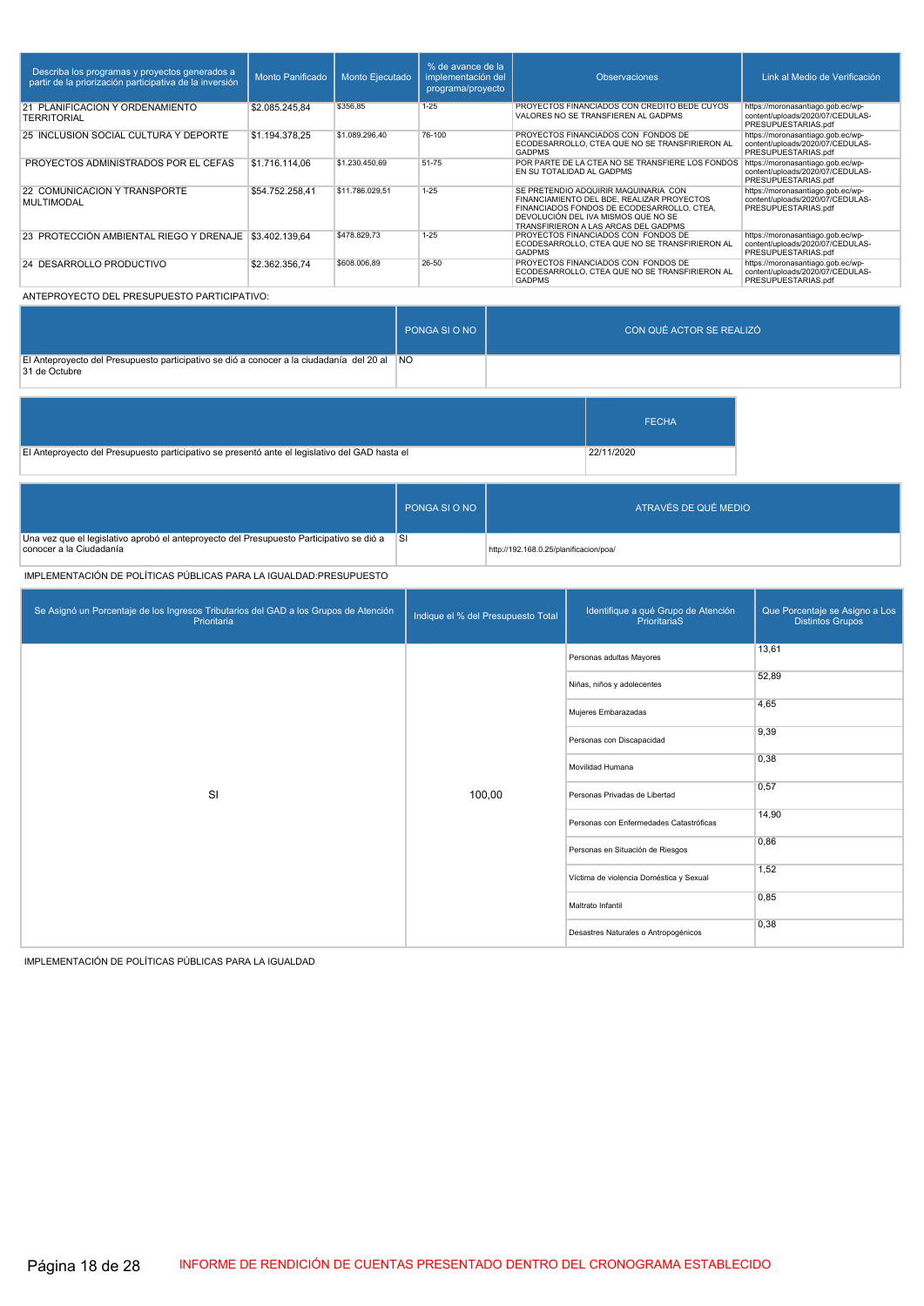| Describa los programas y proyectos generados a<br>partir de la priorización participativa de la inversión | Monto Panificado | Monto Eiecutado | % de avance de la<br>implementación del<br>programa/proyecto | <b>Observaciones</b>                                                                                                                                                                                            | Link al Medio de Verificación                                                                |
|-----------------------------------------------------------------------------------------------------------|------------------|-----------------|--------------------------------------------------------------|-----------------------------------------------------------------------------------------------------------------------------------------------------------------------------------------------------------------|----------------------------------------------------------------------------------------------|
| 21 PLANIFICACIÓN Y ORDENAMIENTO<br><b>TERRITORIAL</b>                                                     | \$2.085.245.84   | \$356.85        | $1 - 25$                                                     | PROYECTOS FINANCIADOS CON CREDITO BEDE CUYOS<br>VALORES NO SE TRANSFIEREN AL GADPMS                                                                                                                             | https://moronasantiago.gob.ec/wp-<br>content/uploads/2020/07/CEDULAS-<br>PRESUPUESTARIAS.pdf |
| 25 INCLUSIÓN SOCIAL CULTURA Y DEPORTE                                                                     | \$1.194.378.25   | \$1.089.296.40  | 76-100                                                       | PROYECTOS FINANCIADOS CON FONDOS DE<br>ECODESARROLLO, CTEA QUE NO SE TRANSFIRIERON AL<br><b>GADPMS</b>                                                                                                          | https://moronasantiago.gob.ec/wp-<br>content/uploads/2020/07/CEDULAS-<br>PRESUPUESTARIAS.pdf |
| PROYECTOS ADMINISTRADOS POR EL CEFAS                                                                      | \$1,716,114.06   | \$1,230,450.69  | 51-75                                                        | POR PARTE DE LA CTEA NO SE TRANSFIERE LOS FONDOS<br>EN SU TOTALIDAD AL GADPMS                                                                                                                                   | https://moronasantiago.gob.ec/wp-<br>content/uploads/2020/07/CEDULAS-<br>PRESUPUESTARIAS.pdf |
| 22 COMUNICACIÓN Y TRANSPORTE<br><b>MULTIMODAL</b>                                                         | \$54.752.258.41  | \$11.786.029.51 | $1 - 25$                                                     | SE PRETENDIO ADQUIRIR MAQUINARIA CON<br>FINANCIAMIENTO DEL BDE, REALIZAR PROYECTOS<br>FINANCIADOS FONDOS DE ECODESARROLLO, CTEA,<br>DEVOLUCIÓN DEL IVA MISMOS QUE NO SE<br>TRANSFIRIERON A LAS ARCAS DEL GADPMS | https://moronasantiago.gob.ec/wp-<br>content/uploads/2020/07/CEDULAS-<br>PRESUPUESTARIAS.pdf |
| 23 PROTECCIÓN AMBIENTAL RIEGO Y DRENAJE                                                                   | \$3.402.139.64   | \$478,829.73    | $1 - 25$                                                     | PROYECTOS FINANCIADOS CON FONDOS DE<br>ECODESARROLLO. CTEA QUE NO SE TRANSFIRIERON AL<br><b>GADPMS</b>                                                                                                          | https://moronasantiago.gob.ec/wp-<br>content/uploads/2020/07/CEDULAS-<br>PRESUPUESTARIAS.pdf |
| 24 DESARROLLO PRODUCTIVO                                                                                  | \$2,362,356.74   | \$608,006.89    | 26-50                                                        | PROYECTOS FINANCIADOS CON FONDOS DE<br>ECODESARROLLO, CTEA QUE NO SE TRANSFIRIERON AL<br><b>GADPMS</b>                                                                                                          | https://moronasantiago.gob.ec/wp-<br>content/uploads/2020/07/CEDULAS-<br>PRESUPUESTARIAS.pdf |

## ANTEPROYECTO DEL PRESUPUESTO PARTICIPATIVO:

|                                                                                                              | PONGA SI O NO | CON QUÉ ACTOR SE REALIZÓ |
|--------------------------------------------------------------------------------------------------------------|---------------|--------------------------|
| El Anteproyecto del Presupuesto participativo se dió a conocer a la ciudadanía del 20 al NO<br>31 de Octubre |               |                          |
|                                                                                                              |               |                          |

|                                                                                                | <b>FECHA</b> |
|------------------------------------------------------------------------------------------------|--------------|
| El Anteproyecto del Presupuesto participativo se presentó ante el legislativo del GAD hasta el | 22/11/2020   |
|                                                                                                |              |

|                                                                                                                       | PONGA SI O NO | ATRAVÉS DE QUÉ MEDIO                   |
|-----------------------------------------------------------------------------------------------------------------------|---------------|----------------------------------------|
| Una vez que el legislativo aprobó el anteproyecto del Presupuesto Participativo se dió a<br>l conocer a la Ciudadanía | ∣SI           | http://192.168.0.25/planificacion/poa/ |

IMPLEMENTACIÓN DE POLÍTICAS PÚBLICAS PARA LA IGUALDAD:PRESUPUESTO

| Se Asignó un Porcentaje de los Ingresos Tributarios del GAD a los Grupos de Atención<br>Prioritaria | Indique el % del Presupuesto Total | Identifique a qué Grupo de Atención<br>PrioritariaS | Que Porcentaje se Asigno a Los<br>Distintos Grupos |                                         |
|-----------------------------------------------------------------------------------------------------|------------------------------------|-----------------------------------------------------|----------------------------------------------------|-----------------------------------------|
|                                                                                                     |                                    | Personas adultas Mayores                            | 13,61                                              |                                         |
|                                                                                                     |                                    | Niñas, niños y adolecentes                          | 52,89                                              |                                         |
|                                                                                                     |                                    | Mujeres Embarazadas                                 | 4,65                                               |                                         |
|                                                                                                     |                                    | Personas con Discapacidad                           | 9,39                                               |                                         |
|                                                                                                     | 100,00                             | Movilidad Humana                                    | 0,38                                               |                                         |
| SI                                                                                                  |                                    |                                                     |                                                    | Personas Privadas de Libertad           |
|                                                                                                     |                                    | Personas con Enfermedades Catastróficas             | 14,90                                              |                                         |
|                                                                                                     |                                    | Personas en Situación de Riesgos                    | 0,86                                               |                                         |
|                                                                                                     |                                    |                                                     |                                                    | Víctima de violencia Doméstica y Sexual |
|                                                                                                     |                                    | Maltrato Infantil                                   | 0,85                                               |                                         |
|                                                                                                     |                                    | Desastres Naturales o Antropogénicos                | 0,38                                               |                                         |

IMPLEMENTACIÓN DE POLÍTICAS PÚBLICAS PARA LA IGUALDAD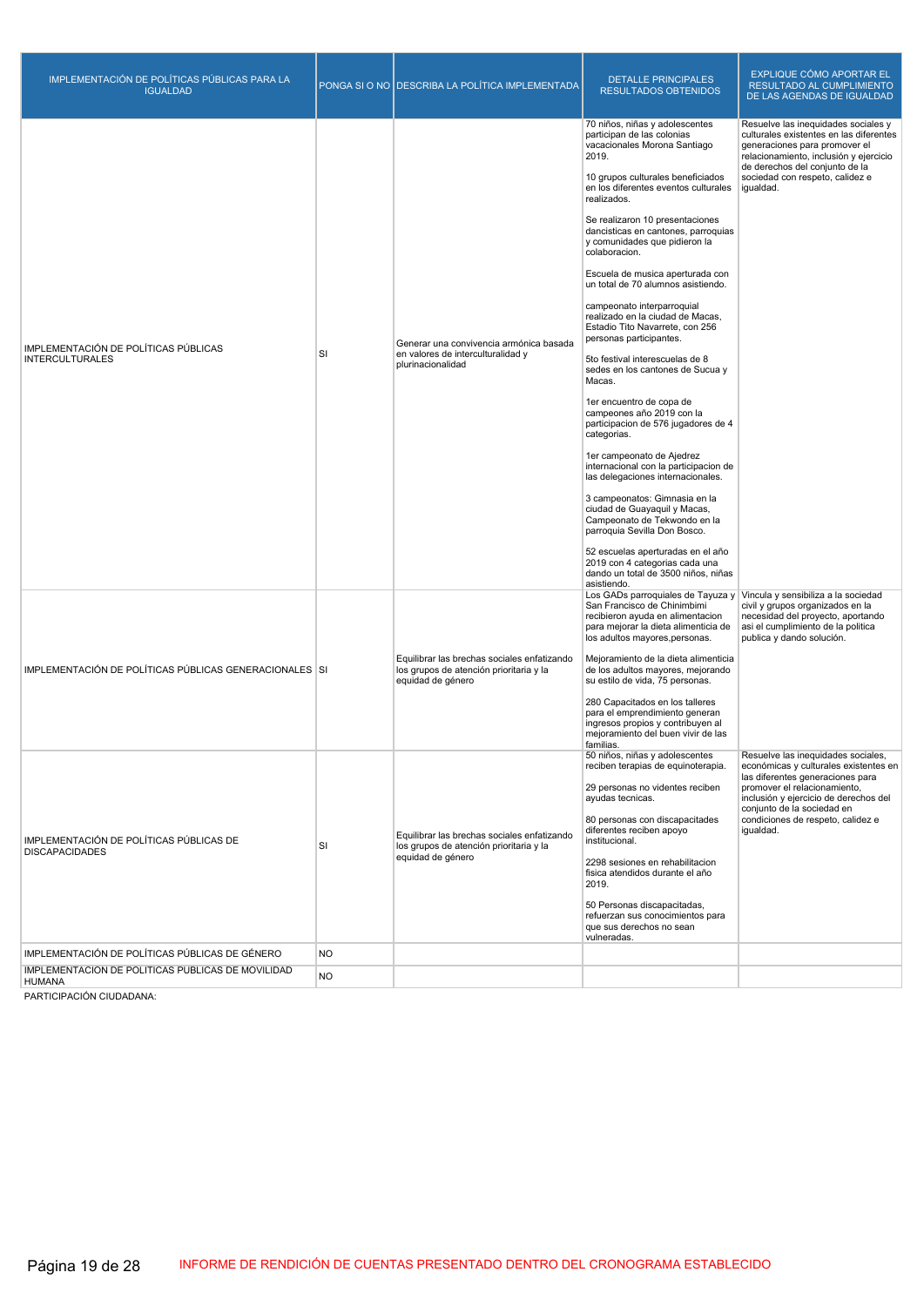| IMPLEMENTACIÓN DE POLÍTICAS PÚBLICAS PARA LA<br><b>IGUALDAD</b>  |           | PONGA SI O NO DESCRIBA LA POLÍTICA IMPLEMENTADA                                                             | <b>DETALLE PRINCIPALES</b><br><b>RESULTADOS OBTENIDOS</b>                                                                                                                                                                                                                                                                                                                                                                                                                                                                                                                                                                                                                                                                                                                                                                                                                                                                                                                                                                                                                                         | EXPLIQUE CÓMO APORTAR EL<br>RESULTADO AL CUMPLIMIENTO<br>DE LAS AGENDAS DE IGUALDAD                                                                                                                                                                                      |
|------------------------------------------------------------------|-----------|-------------------------------------------------------------------------------------------------------------|---------------------------------------------------------------------------------------------------------------------------------------------------------------------------------------------------------------------------------------------------------------------------------------------------------------------------------------------------------------------------------------------------------------------------------------------------------------------------------------------------------------------------------------------------------------------------------------------------------------------------------------------------------------------------------------------------------------------------------------------------------------------------------------------------------------------------------------------------------------------------------------------------------------------------------------------------------------------------------------------------------------------------------------------------------------------------------------------------|--------------------------------------------------------------------------------------------------------------------------------------------------------------------------------------------------------------------------------------------------------------------------|
| IMPLEMENTACIÓN DE POLÍTICAS PÚBLICAS<br><b>INTERCULTURALES</b>   | SI        | Generar una convivencia armónica basada<br>en valores de interculturalidad y<br>plurinacionalidad           | 70 niños, niñas y adolescentes<br>participan de las colonias<br>vacacionales Morona Santiago<br>2019.<br>10 grupos culturales beneficiados<br>en los diferentes eventos culturales<br>realizados.<br>Se realizaron 10 presentaciones<br>dancisticas en cantones, parroquias<br>y comunidades que pidieron la<br>colaboracion.<br>Escuela de musica aperturada con<br>un total de 70 alumnos asistiendo.<br>campeonato interparroquial<br>realizado en la ciudad de Macas,<br>Estadio Tito Navarrete, con 256<br>personas participantes.<br>5to festival interescuelas de 8<br>sedes en los cantones de Sucua y<br>Macas.<br>1er encuentro de copa de<br>campeones año 2019 con la<br>participacion de 576 jugadores de 4<br>categorias.<br>1er campeonato de Ajedrez<br>internacional con la participacion de<br>las delegaciones internacionales.<br>3 campeonatos: Gimnasia en la<br>ciudad de Guayaquil y Macas,<br>Campeonato de Tekwondo en la<br>parroquia Sevilla Don Bosco.<br>52 escuelas aperturadas en el año<br>2019 con 4 categorias cada una<br>dando un total de 3500 niños, niñas | Resuelve las inequidades sociales y<br>culturales existentes en las diferentes<br>generaciones para promover el<br>relacionamiento, inclusión y ejercicio<br>de derechos del coniunto de la<br>sociedad con respeto, calidez e<br>igualdad.                              |
| IMPLEMENTACIÓN DE POLÍTICAS PÚBLICAS GENERACIONALES SI           |           | Equilibrar las brechas sociales enfatizando<br>los grupos de atención prioritaria y la<br>equidad de género | asistiendo.<br>Los GADs parroquiales de Tayuza y Vincula y sensibiliza a la sociedad<br>San Francisco de Chinimbimi<br>recibieron ayuda en alimentacion<br>para mejorar la dieta alimenticia de<br>los adultos mayores, personas.<br>Mejoramiento de la dieta alimenticia<br>de los adultos mayores, mejorando<br>su estilo de vida, 75 personas.<br>280 Capacitados en los talleres<br>para el emprendimiento generan<br>ingresos propios y contribuven al<br>mejoramiento del buen vivir de las<br>familias.                                                                                                                                                                                                                                                                                                                                                                                                                                                                                                                                                                                    | civil y grupos organizados en la<br>necesidad del proyecto, aportando<br>asi el cumplimiento de la politica<br>publica y dando solución.                                                                                                                                 |
| IMPLEMENTACIÓN DE POLÍTICAS PÚBLICAS DE<br><b>DISCAPACIDADES</b> | SI        | Equilibrar las brechas sociales enfatizando<br>los grupos de atención prioritaria y la<br>equidad de género | 50 niños, niñas y adolescentes<br>reciben terapias de equinoterapia.<br>29 personas no videntes reciben<br>ayudas tecnicas.<br>80 personas con discapacitades<br>diferentes reciben apoyo<br>institucional.<br>2298 sesiones en rehabilitacion<br>fisica atendidos durante el año<br>2019.<br>50 Personas discapacitadas,<br>refuerzan sus conocimientos para<br>que sus derechos no sean<br>vulneradas.                                                                                                                                                                                                                                                                                                                                                                                                                                                                                                                                                                                                                                                                                          | Resuelve las inequidades sociales,<br>económicas y culturales existentes en<br>las diferentes generaciones para<br>promover el relacionamiento,<br>inclusión y ejercicio de derechos del<br>conjunto de la sociedad en<br>condiciones de respeto, calidez e<br>igualdad. |
| IMPLEMENTACIÓN DE POLÍTICAS PÚBLICAS DE GÉNERO                   | <b>NO</b> |                                                                                                             |                                                                                                                                                                                                                                                                                                                                                                                                                                                                                                                                                                                                                                                                                                                                                                                                                                                                                                                                                                                                                                                                                                   |                                                                                                                                                                                                                                                                          |
| IMPLEMENTACIÓN DE POLÍTICAS PÚBLICAS DE MOVILIDAD<br>HUMANA      | <b>NO</b> |                                                                                                             |                                                                                                                                                                                                                                                                                                                                                                                                                                                                                                                                                                                                                                                                                                                                                                                                                                                                                                                                                                                                                                                                                                   |                                                                                                                                                                                                                                                                          |

PARTICIPACIÓN CIUDADANA: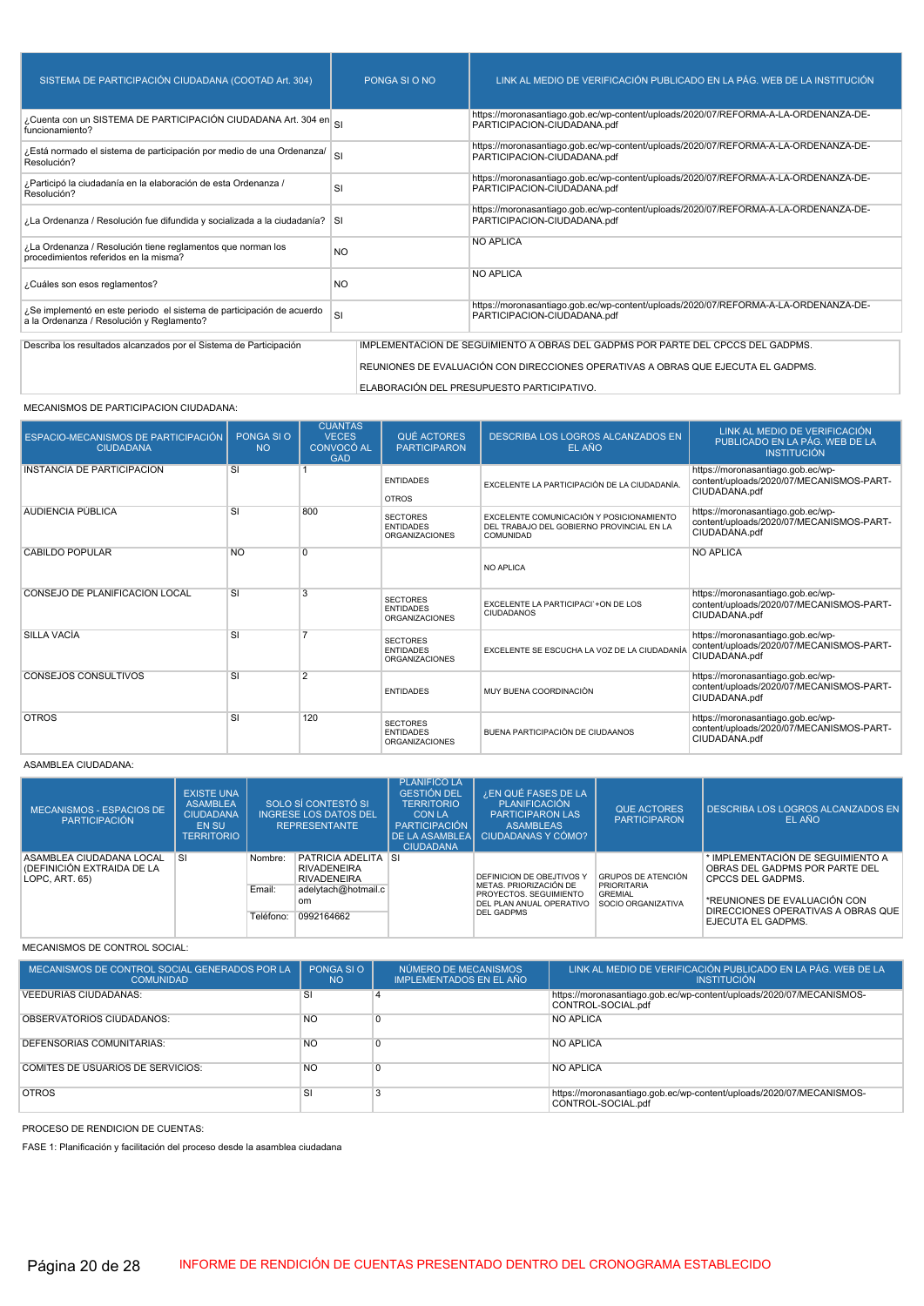| SISTEMA DE PARTICIPACIÓN CIUDADANA (COOTAD Art. 304)                                                               | PONGA SLO NO                                                                      | LINK AL MEDIO DE VERIFICACIÓN PUBLICADO EN LA PÁG. WEB DE LA INSTITUCIÓN                                           |  |  |  |  |
|--------------------------------------------------------------------------------------------------------------------|-----------------------------------------------------------------------------------|--------------------------------------------------------------------------------------------------------------------|--|--|--|--|
| ¿Cuenta con un SISTEMA DE PARTICIPACIÓN CIUDADANA Art. 304 en SI<br>funcionamiento?                                |                                                                                   | https://moronasantiago.gob.ec/wp-content/uploads/2020/07/REFORMA-A-LA-ORDENANZA-DE-<br>PARTICIPACION-CIUDADANA.pdf |  |  |  |  |
| ¿Está normado el sistema de participación por medio de una Ordenanza/<br>Resolución?                               | SI                                                                                | https://moronasantiago.gob.ec/wp-content/uploads/2020/07/REFORMA-A-LA-ORDENANZA-DE-<br>PARTICIPACION-CIUDADANA.pdf |  |  |  |  |
| ¿Participó la ciudadanía en la elaboración de esta Ordenanza /<br>Resolución?                                      | SI                                                                                | https://moronasantiago.gob.ec/wp-content/uploads/2020/07/REFORMA-A-LA-ORDENANZA-DE-<br>PARTICIPACION-CIUDADANA.pdf |  |  |  |  |
| La Ordenanza / Resolución fue difundida y socializada a la ciudadanía? SI                                          |                                                                                   | https://moronasantiago.gob.ec/wp-content/uploads/2020/07/REFORMA-A-LA-ORDENANZA-DE-<br>PARTICIPACION-CIUDADANA.pdf |  |  |  |  |
| ¿La Ordenanza / Resolución tiene reglamentos que norman los<br>procedimientos referidos en la misma?               | <b>NO</b>                                                                         | <b>NO APLICA</b>                                                                                                   |  |  |  |  |
| ¿Cuáles son esos reglamentos?                                                                                      | NO.                                                                               | <b>NO APLICA</b>                                                                                                   |  |  |  |  |
| ¿Se implementó en este periodo el sistema de participación de acuerdo<br>a la Ordenanza / Resolución y Reglamento? | SI                                                                                | https://moronasantiago.gob.ec/wp-content/uploads/2020/07/REFORMA-A-LA-ORDENANZA-DE-<br>PARTICIPACION-CIUDADANA.pdf |  |  |  |  |
| Describa los resultados alcanzados por el Sistema de Participación                                                 |                                                                                   | IMPLEMENTACIÓN DE SEGUIMIENTO A OBRAS DEL GADPMS POR PARTE DEL CPCCS DEL GADPMS.                                   |  |  |  |  |
|                                                                                                                    |                                                                                   |                                                                                                                    |  |  |  |  |
|                                                                                                                    | REUNIONES DE EVALUACIÓN CON DIRECCIONES OPERATIVAS A OBRAS QUE EJECUTA EL GADPMS. |                                                                                                                    |  |  |  |  |
| ELABORACIÓN DEL PRESUPUESTO PARTICIPATIVO.                                                                         |                                                                                   |                                                                                                                    |  |  |  |  |

#### MECANISMOS DE PARTICIPACION CIUDADANA:

| <b>ESPACIO-MECANISMOS DE PARTICIPACIÓN</b><br><b>CIUDADANA</b> | PONGA SI O<br><b>NO</b> | <b>CUANTAS</b><br><b>VECES</b><br><b>CONVOCÓ AL</b><br><b>GAD</b> | QUÉ ACTORES<br><b>PARTICIPARON</b>                           | DESCRIBA LOS LOGROS ALCANZADOS EN<br>EL AÑO                                                        | LINK AL MEDIO DE VERIFICACIÓN<br>PUBLICADO EN LA PÁG. WEB DE LA<br><b>INSTITUCIÓN</b>          |
|----------------------------------------------------------------|-------------------------|-------------------------------------------------------------------|--------------------------------------------------------------|----------------------------------------------------------------------------------------------------|------------------------------------------------------------------------------------------------|
| INSTANCIA DE PARTICIPACIÓN                                     | SI                      |                                                                   | <b>ENTIDADES</b><br><b>OTROS</b>                             | EXCELENTE LA PARTICIPACIÓN DE LA CIUDADANÍA.                                                       | https://moronasantiago.gob.ec/wp-<br>content/uploads/2020/07/MECANISMOS-PART-<br>CIUDADANA.pdf |
| <b>AUDIENCIA PUBLICA</b>                                       | SI                      | 800                                                               | <b>SECTORES</b><br><b>ENTIDADES</b><br><b>ORGANIZACIONES</b> | EXCELENTE COMUNICACIÓN Y POSICIONAMIENTO<br>DEL TRABAJO DEL GOBIERNO PROVINCIAL EN LA<br>COMUNIDAD | https://moronasantiago.gob.ec/wp-<br>content/uploads/2020/07/MECANISMOS-PART-<br>CIUDADANA.pdf |
| CABILDO POPULAR                                                | <b>NO</b>               | $\Omega$                                                          |                                                              | NO APLICA                                                                                          | <b>NO APLICA</b>                                                                               |
| CONSEJO DE PLANIFICACIÓN LOCAL                                 | SI                      | 3                                                                 | <b>SECTORES</b><br><b>ENTIDADES</b><br><b>ORGANIZACIONES</b> | EXCELENTE LA PARTICIPACI`+ON DE LOS<br><b>CIUDADANOS</b>                                           | https://moronasantiago.gob.ec/wp-<br>content/uploads/2020/07/MECANISMOS-PART-<br>CIUDADANA.pdf |
| <b>SILLA VACIA</b>                                             | SI                      | 7                                                                 | <b>SECTORES</b><br><b>ENTIDADES</b><br><b>ORGANIZACIONES</b> | EXCELENTE SE ESCUCHA LA VOZ DE LA CIUDADANÍA                                                       | https://moronasantiago.gob.ec/wp-<br>content/uploads/2020/07/MECANISMOS-PART-<br>CIUDADANA.pdf |
| <b>CONSEJOS CONSULTIVOS</b>                                    | SI                      | $\overline{2}$                                                    | <b>ENTIDADES</b>                                             | MUY BUENA COORDINACIÓN                                                                             | https://moronasantiago.gob.ec/wp-<br>content/uploads/2020/07/MECANISMOS-PART-<br>CIUDADANA.pdf |
| <b>OTROS</b>                                                   | <b>SI</b>               | 120                                                               | <b>SECTORES</b><br><b>ENTIDADES</b><br><b>ORGANIZACIONES</b> | BUENA PARTICIPACIÓN DE CIUDAANOS                                                                   | https://moronasantiago.gob.ec/wp-<br>content/uploads/2020/07/MECANISMOS-PART-<br>CIUDADANA.pdf |

#### ASAMBLEA CIUDADANA:

| MECANISMOS - ESPACIOS DE<br>PARTICIPACIÓN                                | <b>EXISTE UNA</b><br><b>ASAMBLEA</b><br><b>CIUDADANA</b><br><b>EN SU</b><br><b>TERRITORIO</b> | SOLO SÍ CONTESTÓ SI<br><b>INGRESE LOS DATOS DEL</b><br><b>REPRESENTANTE</b> |                                                                                                      | <b>PLANIFICO LA</b><br><b>GESTIÓN DEL</b><br><b>TERRITORIO</b><br><b>CON LA</b><br>PARTICIPACIÓN<br><b>CIUDADANA</b> | ¿EN QUÉ FASES DE LA<br>PLANIFICACIÓN<br><b>PARTICIPARON LAS</b><br><b>ASAMBLEAS</b><br>DE LA ASAMBLEA CIUDADANAS Y CÓMO? | <b>QUE ACTORES</b><br><b>PARTICIPARON</b>                         | DESCRIBA LOS LOGROS ALCANZADOS EN<br>EL AÑO                                                                                     |                                                          |
|--------------------------------------------------------------------------|-----------------------------------------------------------------------------------------------|-----------------------------------------------------------------------------|------------------------------------------------------------------------------------------------------|----------------------------------------------------------------------------------------------------------------------|--------------------------------------------------------------------------------------------------------------------------|-------------------------------------------------------------------|---------------------------------------------------------------------------------------------------------------------------------|----------------------------------------------------------|
| ASAMBLEA CIUDADANA LOCAL<br>(DEFINICIÓN EXTRAIDA DE LA<br>LOPC, ART, 65) | <b>SI</b>                                                                                     | Nombre:<br>Email:                                                           | <b>PATRICIA ADELITA SI</b><br><b>RIVADENEIRA</b><br><b>RIVADENEIRA</b><br>adelytach@hotmail.c<br>om. |                                                                                                                      | DEFINICION DE OBEJTIVOS Y<br>METAS, PRIORIZACIÓN DE<br>PROYECTOS, SEGUIMIENTO                                            | <b>GRUPOS DE ATENCIÓN</b><br><b>PRIORITARIA</b><br><b>GREMIAL</b> | * IMPLEMENTACIÓN DE SEGUIMIENTO A<br>OBRAS DEL GADPMS POR PARTE DEL<br><b>CPCCS DEL GADPMS.</b><br>*REUNIONES DE EVALUACIÓN CON |                                                          |
|                                                                          |                                                                                               | Teléfono:                                                                   | 0992164662                                                                                           |                                                                                                                      | DEL PLAN ANUAL OPERATIVO<br>SOCIO ORGANIZATIVA<br><b>DEL GADPMS</b>                                                      |                                                                   |                                                                                                                                 | DIRECCIONES OPERATIVAS A OBRAS QUE<br>EJECUTA EL GADPMS. |

MECANISMOS DE CONTROL SOCIAL:

| MECANISMOS DE CONTROL SOCIAL GENERADOS POR LA<br><b>COMUNIDAD</b> | PONGA SLO<br><b>NO</b> | NÚMERO DE MECANISMOS<br>IMPLEMENTADOS EN EL AÑO | LINK AL MEDIO DE VERIFICACIÓN PUBLICADO EN LA PÁG. WEB DE LA<br><b>INSTITUCIÓN</b>         |
|-------------------------------------------------------------------|------------------------|-------------------------------------------------|--------------------------------------------------------------------------------------------|
| <b>VEEDURIAS CIUDADANAS:</b>                                      | SI                     |                                                 | https://moronasantiago.gob.ec/wp-content/uploads/2020/07/MECANISMOS-<br>CONTROL-SOCIAL.pdf |
| <b>OBSERVATORIOS CIUDADANOS:</b>                                  | <b>NO</b>              |                                                 | <b>NO APLICA</b>                                                                           |
| DEFENSORIAS COMUNITARIAS:                                         | <b>NO</b>              |                                                 | <b>NO APLICA</b>                                                                           |
| COMITÉS DE USUARIOS DE SERVICIOS:                                 | <b>NO</b>              |                                                 | <b>NO APLICA</b>                                                                           |
| <b>OTROS</b>                                                      | <b>SI</b>              |                                                 | https://moronasantiago.gob.ec/wp-content/uploads/2020/07/MECANISMOS-<br>CONTROL-SOCIAL.pdf |

PROCESO DE RENDICION DE CUENTAS:

FASE 1: Planificación y facilitación del proceso desde la asamblea ciudadana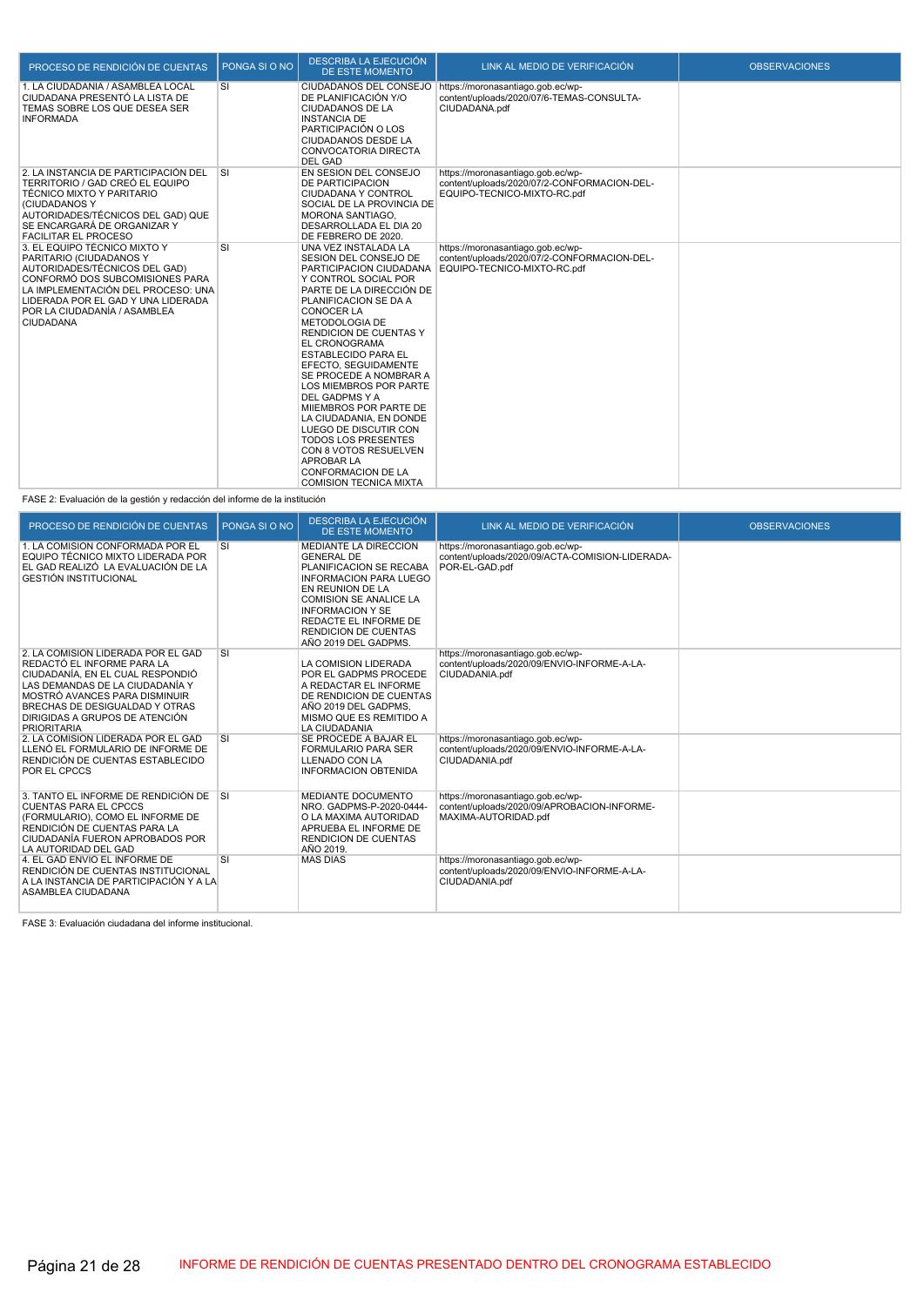| PROCESO DE RENDICIÓN DE CUENTAS                                                                                                                                                                                                                             | PONGA SI O NO           | <b>DESCRIBA LA EJECUCIÓN</b><br><b>DE ESTE MOMENTO</b>                                                                                                                                                                                                                                                                                                                                                                                                                                                                                                                                                                  | LINK AL MEDIO DE VERIFICACIÓN                                                                                   | <b>OBSERVACIONES</b> |
|-------------------------------------------------------------------------------------------------------------------------------------------------------------------------------------------------------------------------------------------------------------|-------------------------|-------------------------------------------------------------------------------------------------------------------------------------------------------------------------------------------------------------------------------------------------------------------------------------------------------------------------------------------------------------------------------------------------------------------------------------------------------------------------------------------------------------------------------------------------------------------------------------------------------------------------|-----------------------------------------------------------------------------------------------------------------|----------------------|
| 1. LA CIUDADANÍA / ASAMBLEA LOCAL<br>CIUDADANA PRESENTÓ LA LISTA DE<br>TEMAS SOBRE LOS QUE DESEA SER<br><b>INFORMADA</b>                                                                                                                                    | SI                      | CIUDADANOS DEL CONSEJO<br>DE PLANIFICACIÓN Y/O<br><b>CIUDADANOS DE LA</b><br><b>INSTANCIA DE</b><br>PARTICIPACIÓN O LOS<br><b>CIUDADANOS DESDE LA</b><br>CONVOCATORIA DIRECTA<br><b>DEL GAD</b>                                                                                                                                                                                                                                                                                                                                                                                                                         | https://moronasantiago.gob.ec/wp-<br>content/uploads/2020/07/6-TEMAS-CONSULTA-<br>CIUDADANA.pdf                 |                      |
| 2. LA INSTANCIA DE PARTICIPACIÓN DEL<br>TERRITORIO / GAD CREÓ EL EQUIPO<br><b>TÉCNICO MIXTO Y PARITARIO</b><br>(CIUDADANOS Y<br>AUTORIDADES/TÉCNICOS DEL GAD) QUE<br>SE ENCARGARÁ DE ORGANIZAR Y<br><b>FACILITAR EL PROCESO</b>                             | $\overline{\mathsf{S}}$ | EN SESION DEL CONSEJO<br><b>DE PARTICIPACION</b><br>CIUDADANA Y CONTROL<br>SOCIAL DE LA PROVINCIA DE<br>MORONA SANTIAGO.<br>DESARROLLADA EL DIA 20<br>DE FEBRERO DE 2020.                                                                                                                                                                                                                                                                                                                                                                                                                                               | https://moronasantiago.gob.ec/wp-<br>content/uploads/2020/07/2-CONFORMACION-DEL-<br>EQUIPO-TECNICO-MIXTO-RC.pdf |                      |
| 3. EL EQUIPO TÉCNICO MIXTO Y<br>PARITARIO (CIUDADANOS Y<br>AUTORIDADES/TÉCNICOS DEL GAD)<br>CONFORMÓ DOS SUBCOMISIONES PARA<br>LA IMPLEMENTACIÓN DEL PROCESO: UNA<br>LIDERADA POR EL GAD Y UNA LIDERADA<br>POR LA CIUDADANÍA / ASAMBLEA<br><b>CIUDADANA</b> | SI                      | UNA VEZ INSTALADA LA<br>SESION DEL CONSEJO DE<br>PARTICIPACION CIUDADANA<br>Y CONTROL SOCIAL POR<br>PARTE DE LA DIRECCIÓN DE<br>PLANIFICACION SE DA A<br><b>CONOCER LA</b><br><b>METODOLOGIA DE</b><br><b>RENDICION DE CUENTAS Y</b><br><b>EL CRONOGRAMA</b><br><b>ESTABLECIDO PARA EL</b><br>EFECTO, SEGUIDAMENTE<br>SE PROCEDE A NOMBRAR A<br><b>LOS MIEMBROS POR PARTE</b><br>DEL GADPMS Y A<br>MIIEMBROS POR PARTE DE<br>LA CIUDADANIA. EN DONDE<br>LUEGO DE DISCUTIR CON<br><b>TODOS LOS PRESENTES</b><br>CON 8 VOTOS RESUELVEN<br><b>APROBAR LA</b><br><b>CONFORMACION DE LA</b><br><b>COMISION TECNICA MIXTA</b> | https://moronasantiago.gob.ec/wp-<br>content/uploads/2020/07/2-CONFORMACION-DEL-<br>EQUIPO-TECNICO-MIXTO-RC.pdf |                      |

FASE 2: Evaluación de la gestión y redacción del informe de la institución

| PROCESO DE RENDICIÓN DE CUENTAS                                                                                                                                                                                                                                    | PONGA SLO NO | <b>DESCRIBA LA EJECUCIÓN</b><br>DE ESTE MOMENTO                                                                                                                                                                                                                 | LINK AL MEDIO DE VERIFICACIÓN                                                                            | <b>OBSERVACIONES</b> |
|--------------------------------------------------------------------------------------------------------------------------------------------------------------------------------------------------------------------------------------------------------------------|--------------|-----------------------------------------------------------------------------------------------------------------------------------------------------------------------------------------------------------------------------------------------------------------|----------------------------------------------------------------------------------------------------------|----------------------|
| 1. LA COMISIÓN CONFORMADA POR EL<br>EQUIPO TÉCNICO MIXTO LIDERADA POR<br>EL GAD REALIZÓ LA EVALUACIÓN DE LA<br><b>GESTIÓN INSTITUCIONAL</b>                                                                                                                        | <b>SI</b>    | MEDIANTE LA DIRECCION<br><b>GENERAL DE</b><br>PLANIFICACION SE RECABA<br>INFORMACION PARA LUEGO<br>EN REUNION DE LA<br><b>COMISION SE ANALICE LA</b><br><b>INFORMACION Y SE</b><br>REDACTE EL INFORME DE<br><b>RENDICION DE CUENTAS</b><br>AÑO 2019 DEL GADPMS. | https://moronasantiago.gob.ec/wp-<br>content/uploads/2020/09/ACTA-COMISION-LIDERADA-<br>POR-EL-GAD.pdf   |                      |
| 2. LA COMISIÓN LIDERADA POR EL GAD<br>REDACTÓ EL INFORME PARA LA<br>CIUDADANÍA, EN EL CUAL RESPONDIÓ<br>LAS DEMANDAS DE LA CIUDADANÍA Y<br>MOSTRÓ AVANCES PARA DISMINUIR<br>BRECHAS DE DESIGUALDAD Y OTRAS<br>DIRIGIDAS A GRUPOS DE ATENCIÓN<br><b>PRIORITARIA</b> | <b>SI</b>    | LA COMISION LIDERADA<br>POR EL GADPMS PROCEDE<br>A REDACTAR EL INFORME<br>DE RENDICION DE CUENTAS<br>AÑO 2019 DEL GADPMS.<br>MISMO QUE ES REMITIDO A<br>LA CIUDADANIA                                                                                           | https://moronasantiago.gob.ec/wp-<br>content/uploads/2020/09/ENVIO-INFORME-A-LA-<br>CIUDADANIA.pdf       |                      |
| 2. LA COMISIÓN LIDERADA POR EL GAD<br>LLENÓ EL FORMULARIO DE INFORME DE<br>RENDICIÓN DE CUENTAS ESTABLECIDO<br><b>POR EL CPCCS</b>                                                                                                                                 | <b>SI</b>    | SE PROCEDE A BAJAR EL<br><b>FORMULARIO PARA SER</b><br>LLENADO CON LA<br><b>INFORMACION OBTENIDA</b>                                                                                                                                                            | https://moronasantiago.gob.ec/wp-<br>content/uploads/2020/09/ENVIO-INFORME-A-LA-<br>CIUDADANIA.pdf       |                      |
| 3. TANTO EL INFORME DE RENDICIÓN DE SI<br><b>CUENTAS PARA EL CPCCS</b><br>(FORMULARIO), COMO EL INFORME DE<br>RENDICIÓN DE CUENTAS PARA LA<br>CIUDADANÍA FUERON APROBADOS POR<br>LA AUTORIDAD DEL GAD                                                              |              | MEDIANTE DOCUMENTO<br>NRO. GADPMS-P-2020-0444-<br>O LA MAXIMA AUTORIDAD<br>APRUEBA EL INFORME DE<br><b>RENDICION DE CUENTAS</b><br>AÑO 2019.                                                                                                                    | https://moronasantiago.gob.ec/wp-<br>content/uploads/2020/09/APROBACION-INFORME-<br>MAXIMA-AUTORIDAD.pdf |                      |
| 4. EL GAD ENVIO EL INFORME DE<br>RENDICIÓN DE CUENTAS INSTITUCIONAL<br>A LA INSTANCIA DE PARTICIPACIÓN Y A LA<br>ASAMBLEA CIUDADANA                                                                                                                                | <b>SI</b>    | <b>MAS DIAS</b>                                                                                                                                                                                                                                                 | https://moronasantiago.gob.ec/wp-<br>content/uploads/2020/09/ENVIO-INFORME-A-LA-<br>CIUDADANIA.pdf       |                      |

FASE 3: Evaluación ciudadana del informe institucional.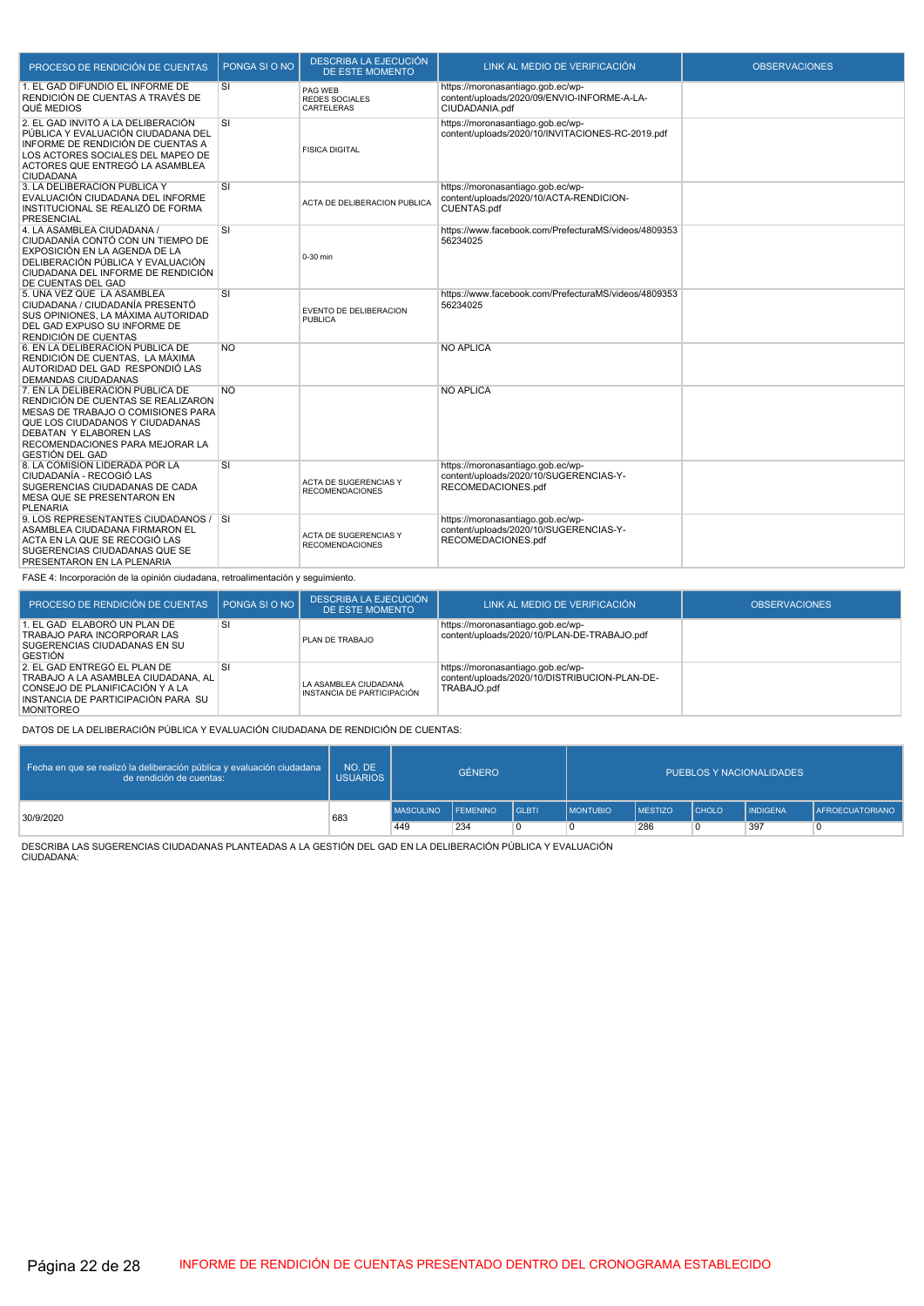| PROCESO DE RENDICIÓN DE CUENTAS                                                                                                                                                                                                 | PONGA SI O NO | DESCRIBA LA EJECUCIÓN<br>DE ESTE MOMENTO        | LINK AL MEDIO DE VERIFICACIÓN                                                                      | <b>OBSERVACIONES</b> |
|---------------------------------------------------------------------------------------------------------------------------------------------------------------------------------------------------------------------------------|---------------|-------------------------------------------------|----------------------------------------------------------------------------------------------------|----------------------|
| 1. EL GAD DIFUNDIÓ EL INFORME DE<br>RENDICIÓN DE CUENTAS A TRAVÉS DE<br>QUÉ MEDIOS                                                                                                                                              | SI            | PAG WEB<br><b>REDES SOCIALES</b><br>CARTELERAS  | https://moronasantiago.gob.ec/wp-<br>content/uploads/2020/09/ENVIO-INFORME-A-LA-<br>CIUDADANIA.pdf |                      |
| 2. EL GAD INVITÓ A LA DELIBERACIÓN<br>PÚBLICA Y EVALUACIÓN CIUDADANA DEL<br>INFORME DE RENDICIÓN DE CUENTAS A<br>LOS ACTORES SOCIALES DEL MAPEO DE<br>ACTORES QUE ENTREGÓ LA ASAMBLEA<br><b>CIUDADANA</b>                       | SI            | <b>FISICA DIGITAL</b>                           | https://moronasantiago.gob.ec/wp-<br>content/uploads/2020/10/INVITACIONES-RC-2019.pdf              |                      |
| 3. LA DELIBERACIÓN PUBLICA Y<br>EVALUACIÓN CIUDADANA DEL INFORME<br>INSTITUCIONAL SE REALIZÓ DE FORMA<br><b>PRESENCIAL</b>                                                                                                      | SI            | ACTA DE DELIBERACION PUBLICA                    | https://moronasantiago.gob.ec/wp-<br>content/uploads/2020/10/ACTA-RENDICION-<br>CUENTAS.pdf        |                      |
| 4. LA ASAMBLEA CIUDADANA /<br>CIUDADANÍA CONTÓ CON UN TIEMPO DE<br>EXPOSICIÓN EN LA AGENDA DE LA<br>DELIBERACIÓN PÚBLICA Y EVALUACIÓN<br>CIUDADANA DEL INFORME DE RENDICIÓN<br>DE CUENTAS DEL GAD                               | SI            | 0-30 min                                        | https://www.facebook.com/PrefecturaMS/videos/4809353<br>56234025                                   |                      |
| 5. UNA VEZ QUE LA ASAMBLEA<br>CIUDADANA / CIUDADANÍA PRESENTÓ<br>SUS OPINIONES, LA MÁXIMA AUTORIDAD<br>DEL GAD EXPUSO SU INFORME DE<br>RENDICIÓN DE CUENTAS                                                                     | SI            | <b>EVENTO DE DELIBERACION</b><br><b>PUBLICA</b> | https://www.facebook.com/PrefecturaMS/videos/4809353<br>56234025                                   |                      |
| 6. EN LA DELIBERACIÓN PÚBLICA DE<br>RENDICIÓN DE CUENTAS, LA MÁXIMA<br>AUTORIDAD DEL GAD RESPONDIÓ LAS<br><b>DEMANDAS CIUDADANAS</b>                                                                                            | <b>NO</b>     |                                                 | <b>NO APLICA</b>                                                                                   |                      |
| 7. EN LA DELIBERACIÓN PÚBLICA DE<br>RENDICIÓN DE CUENTAS SE REALIZARON<br>MESAS DE TRABAJO O COMISIONES PARA<br>QUE LOS CIUDADANOS Y CIUDADANAS<br>DEBATAN Y ELABOREN LAS<br>RECOMENDACIONES PARA MEJORAR LA<br>GESTIÓN DEL GAD | <b>NO</b>     |                                                 | <b>NO APLICA</b>                                                                                   |                      |
| 8. LA COMISIÓN LIDERADA POR LA<br>CIUDADANÍA - RECOGIÓ LAS<br>SUGERENCIAS CIUDADANAS DE CADA<br>MESA QUE SE PRESENTARON EN<br><b>PLENARIA</b>                                                                                   | SI            | ACTA DE SUGERENCIAS Y<br><b>RECOMENDACIONES</b> | https://moronasantiago.gob.ec/wp-<br>content/uploads/2020/10/SUGERENCIAS-Y-<br>RECOMEDACIONES.pdf  |                      |
| 9. LOS REPRESENTANTES CIUDADANOS / SI<br>ASAMBLEA CIUDADANA FIRMARON EL<br>ACTA EN LA QUE SE RECOGIÓ LAS<br>SUGERENCIAS CIUDADANAS QUE SE<br>PRESENTARON EN LA PLENARIA                                                         |               | ACTA DE SUGERENCIAS Y<br><b>RECOMENDACIONES</b> | https://moronasantiago.gob.ec/wp-<br>content/uploads/2020/10/SUGERENCIAS-Y-<br>RECOMEDACIONES.pdf  |                      |
| FASE 4: Incorporación de la opinión ciudadana, retroalimentación y seguimiento.                                                                                                                                                 |               |                                                 |                                                                                                    |                      |

| PROCESO DE RENDICIÓN DE CUENTAS                                                                                                                                  | PONGA SI O NO | DESCRIBA LA EJECUCIÓN<br>DE ESTE MOMENTO            | LINK AL MEDIO DE VERIFICACIÓN                                                                     | <b>OBSERVACIONES</b> |
|------------------------------------------------------------------------------------------------------------------------------------------------------------------|---------------|-----------------------------------------------------|---------------------------------------------------------------------------------------------------|----------------------|
| . EL GAD ELABORÓ UN PLAN DE<br>TRABAJO PARA INCORPORAR LAS<br>SUGERENCIAS CIUDADANAS EN SU<br>GESTIÓN                                                            | <b>SI</b>     | PLAN DE TRABAJO                                     | https://moronasantiago.gob.ec/wp-<br>content/uploads/2020/10/PLAN-DE-TRABAJO.pdf                  |                      |
| 2. EL GAD ENTREGO EL PLAN DE<br>TRABAJO A LA ASAMBLEA CIUDADANA, AL<br>CONSEJO DE PLANIFICACIÓN Y A LA<br>INSTANCIA DE PARTICIPACIÓN PARA SU<br><b>MONITOREO</b> | 'SI           | LA ASAMBLEA CIUDADANA<br>INSTANCIA DE PARTICIPACIÓN | https://moronasantiago.gob.ec/wp-<br>content/uploads/2020/10/DISTRIBUCION-PLAN-DE-<br>TRABAJO.pdf |                      |

DATOS DE LA DELIBERACIÓN PÚBLICA Y EVALUACIÓN CIUDADANA DE RENDICIÓN DE CUENTAS:

| Fecha en que se realizó la deliberación pública y evaluación ciudadana<br>de rendición de cuentas: | NO. DE<br><b>USUARIOS</b> | <b>GÉNERO</b>    |                 | PUEBLOS Y NACIONALIDADES |                   |                |                |                 |                        |
|----------------------------------------------------------------------------------------------------|---------------------------|------------------|-----------------|--------------------------|-------------------|----------------|----------------|-----------------|------------------------|
| 30/9/2020                                                                                          | 683                       | <b>MASCULINO</b> | <b>FEMENINO</b> | <b>I</b> GLBTI           | <b>I</b> MONTUBIO | <b>MESTIZO</b> | <b>I</b> CHOLO | <b>INDIGENA</b> | <b>AFROECUATORIANO</b> |
|                                                                                                    |                           | 449              | 234             | 0                        |                   | 286            |                | 397             |                        |

DESCRIBA LAS SUGERENCIAS CIUDADANAS PLANTEADAS A LA GESTIÓN DEL GAD EN LA DELIBERACIÓN PÚBLICA Y EVALUACIÓN CIUDADANA: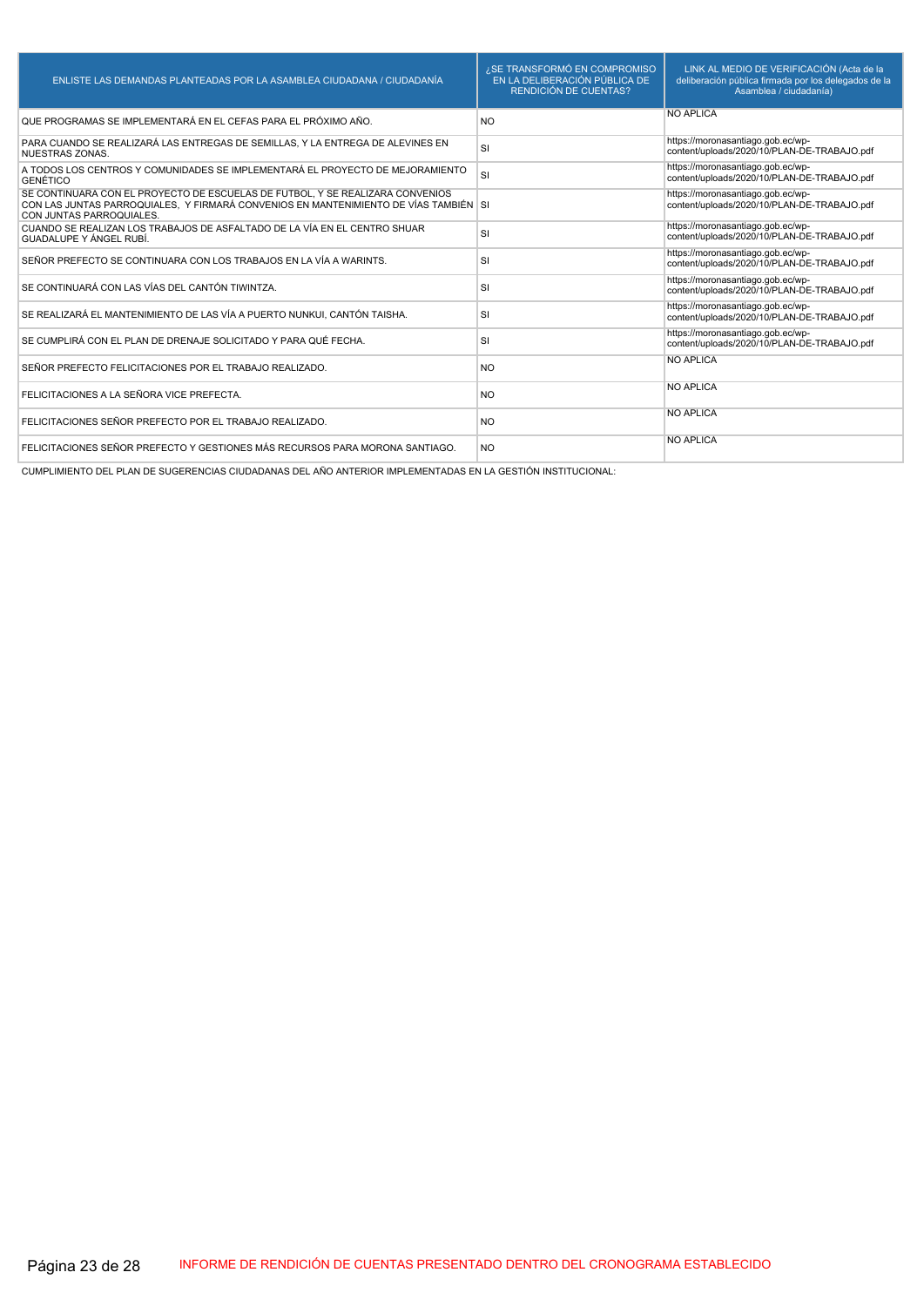| ENLISTE LAS DEMANDAS PLANTEADAS POR LA ASAMBLEA CIUDADANA / CIUDADANÍA                                                                                                                            | ¿SE TRANSFORMÓ EN COMPROMISO<br>EN LA DELIBERACIÓN PÚBLICA DE<br><b>RENDICIÓN DE CUENTAS?</b> | LINK AL MEDIO DE VERIFICACIÓN (Acta de la<br>deliberación pública firmada por los delegados de la<br>Asamblea / ciudadanía) |
|---------------------------------------------------------------------------------------------------------------------------------------------------------------------------------------------------|-----------------------------------------------------------------------------------------------|-----------------------------------------------------------------------------------------------------------------------------|
| QUE PROGRAMAS SE IMPLEMENTARÁ EN EL CEFAS PARA EL PRÓXIMO AÑO.                                                                                                                                    | N <sub>O</sub>                                                                                | <b>NO APLICA</b>                                                                                                            |
| PARA CUANDO SE REALIZARÁ LAS ENTREGAS DE SEMILLAS, Y LA ENTREGA DE ALEVINES EN<br>NUESTRAS ZONAS.                                                                                                 | <b>SI</b>                                                                                     | https://moronasantiago.gob.ec/wp-<br>content/uploads/2020/10/PLAN-DE-TRABAJO.pdf                                            |
| A TODOS LOS CENTROS Y COMUNIDADES SE IMPLEMENTARÁ EL PROYECTO DE MEJORAMIENTO<br><b>GENÉTICO</b>                                                                                                  | <b>SI</b>                                                                                     | https://moronasantiago.gob.ec/wp-<br>content/uploads/2020/10/PLAN-DE-TRABAJO.pdf                                            |
| SE CONTINUARA CON EL PROYECTO DE ESCUELAS DE FUTBOL, Y SE REALIZARA CONVENIOS<br>CON LAS JUNTAS PARROQUIALES. Y FIRMARÁ CONVENIOS EN MANTENIMIENTO DE VÍAS TAMBIÉN SI<br>CON JUNTAS PARROQUIALES. |                                                                                               | https://moronasantiago.gob.ec/wp-<br>content/uploads/2020/10/PLAN-DE-TRABAJO.pdf                                            |
| CUANDO SE REALIZAN LOS TRABAJOS DE ASFALTADO DE LA VÍA EN EL CENTRO SHUAR<br>GUADALUPE Y ÁNGEL RUBÍ.                                                                                              | <b>SI</b>                                                                                     | https://moronasantiago.gob.ec/wp-<br>content/uploads/2020/10/PLAN-DE-TRABAJO.pdf                                            |
| SEÑOR PREFECTO SE CONTINUARA CON LOS TRABAJOS EN LA VÍA A WARINTS.                                                                                                                                | <b>SI</b>                                                                                     | https://moronasantiago.gob.ec/wp-<br>content/uploads/2020/10/PLAN-DE-TRABAJO.pdf                                            |
| SE CONTINUARÁ CON LAS VÍAS DEL CANTÓN TIWINTZA.                                                                                                                                                   | <b>SI</b>                                                                                     | https://moronasantiago.gob.ec/wp-<br>content/uploads/2020/10/PLAN-DE-TRABAJO.pdf                                            |
| SE REALIZARÁ EL MANTENIMIENTO DE LAS VÍA A PUERTO NUNKUI. CANTÓN TAISHA.                                                                                                                          | <b>SI</b>                                                                                     | https://moronasantiago.gob.ec/wp-<br>content/uploads/2020/10/PLAN-DE-TRABAJO.pdf                                            |
| SE CUMPLIRÁ CON EL PLAN DE DRENAJE SOLICITADO Y PARA QUÉ FECHA.                                                                                                                                   | <b>SI</b>                                                                                     | https://moronasantiago.gob.ec/wp-<br>content/uploads/2020/10/PLAN-DE-TRABAJO.pdf                                            |
| SEÑOR PREFECTO FELICITACIONES POR EL TRABAJO REALIZADO.                                                                                                                                           | <b>NO</b>                                                                                     | <b>NO APLICA</b>                                                                                                            |
| FELICITACIONES A LA SEÑORA VICE PREFECTA.                                                                                                                                                         | N <sub>O</sub>                                                                                | <b>NO APLICA</b>                                                                                                            |
| FELICITACIONES SEÑOR PREFECTO POR EL TRABAJO REALIZADO.                                                                                                                                           | <b>NO</b>                                                                                     | <b>NO APLICA</b>                                                                                                            |
| FELICITACIONES SEÑOR PREFECTO Y GESTIONES MÁS RECURSOS PARA MORONA SANTIAGO.                                                                                                                      | <b>NO</b>                                                                                     | <b>NO APLICA</b>                                                                                                            |

CUMPLIMIENTO DEL PLAN DE SUGERENCIAS CIUDADANAS DEL AÑO ANTERIOR IMPLEMENTADAS EN LA GESTIÓN INSTITUCIONAL: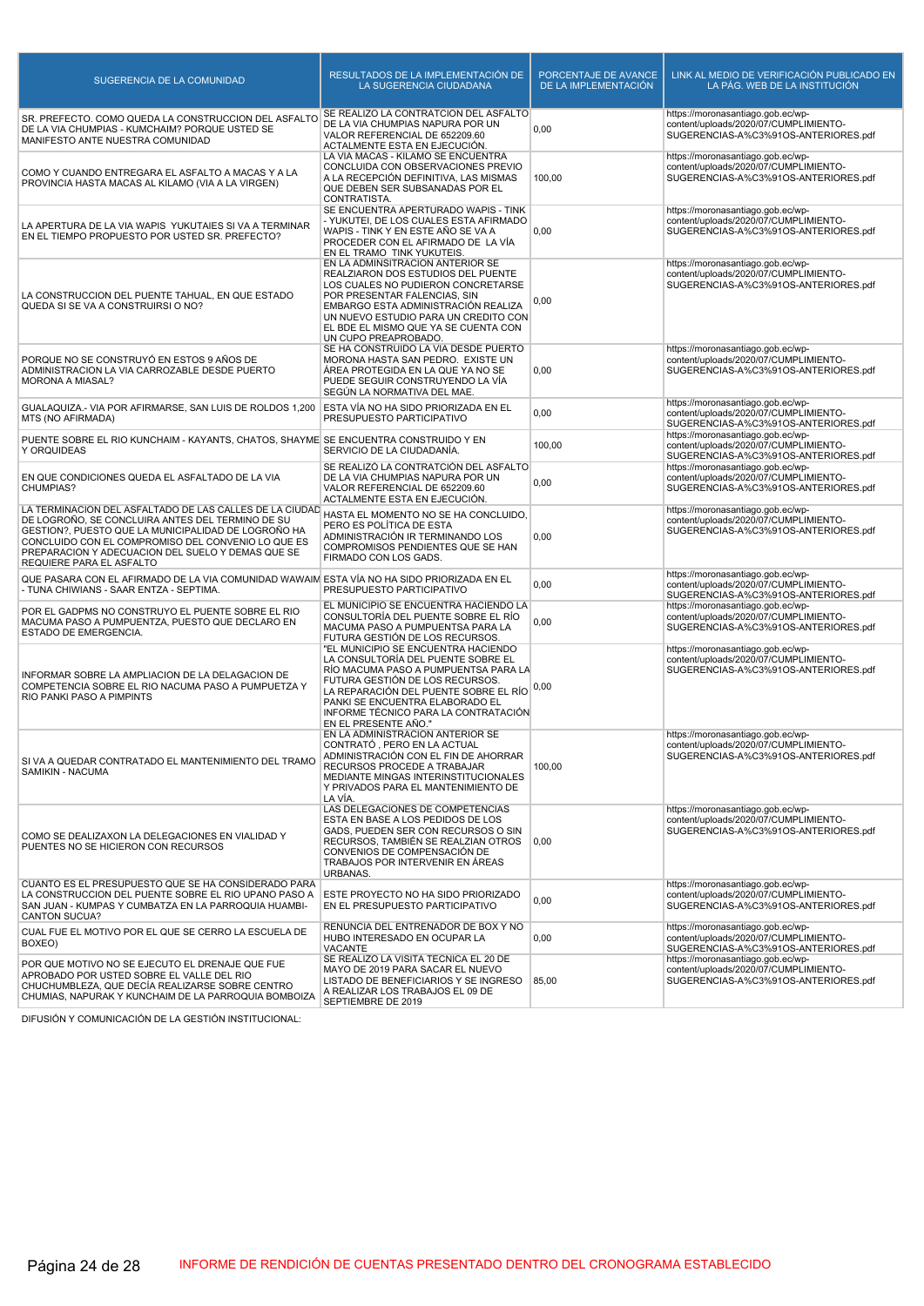| SUGERENCIA DE LA COMUNIDAD                                                                                                                                                                                                                                                                                | RESULTADOS DE LA IMPLEMENTACIÓN DE<br>LA SUGERENCIA CIUDADANA                                                                                                                                                                                                                                    | PORCENTAJE DE AVANCE<br>DE LA IMPLEMENTACIÓN | LINK AL MEDIO DE VERIFICACIÓN PUBLICADO EN<br>LA PÁG. WEB DE LA INSTITUCIÓN                                        |
|-----------------------------------------------------------------------------------------------------------------------------------------------------------------------------------------------------------------------------------------------------------------------------------------------------------|--------------------------------------------------------------------------------------------------------------------------------------------------------------------------------------------------------------------------------------------------------------------------------------------------|----------------------------------------------|--------------------------------------------------------------------------------------------------------------------|
| SR. PREFECTO. COMO QUEDA LA CONSTRUCCION DEL ASFALTO<br>DE LA VIA CHUMPIAS - KUMCHAIM? PORQUE USTED SE<br>MANIFESTO ANTE NUESTRA COMUNIDAD                                                                                                                                                                | SE REALIZÓ LA CONTRATCIÓN DEL ASFALTO<br>DE LA VIA CHUMPIAS NAPURA POR UN<br>VALOR REFERENCIAL DE 652209.60<br>ACTALMENTE ESTA EN EJECUCIÓN.                                                                                                                                                     | 0,00                                         | https://moronasantiago.gob.ec/wp-<br>content/uploads/2020/07/CUMPLIMIENTO-<br>SUGERENCIAS-A%C3%91OS-ANTERIORES.pdf |
| COMO Y CUANDO ENTREGARA EL ASFALTO A MACAS Y A LA<br>PROVINCIA HASTA MACAS AL KILAMO (VIA A LA VIRGEN)                                                                                                                                                                                                    | LA VÍA MACAS - KILAMO SE ENCUENTRA<br>CONCLUIDA CON OBSERVACIONES PREVIO<br>A LA RECEPCIÓN DEFINITIVA, LAS MISMAS<br>QUE DEBEN SER SUBSANADAS POR EL<br>CONTRATISTA.                                                                                                                             | 100,00                                       | https://moronasantiago.gob.ec/wp-<br>content/uploads/2020/07/CUMPLIMIENTO-<br>SUGERENCIAS-A%C3%91OS-ANTERIORES.pdf |
| LA APERTURA DE LA VIA WAPIS YUKUTAIES SI VA A TERMINAR<br>EN EL TIEMPO PROPUESTO POR USTED SR. PREFECTO?                                                                                                                                                                                                  | SE ENCUENTRA APERTURADO WAPIS - TINK<br>- YUKUTEI, DE LOS CUALES ESTA AFIRMADO<br>WAPIS - TINK Y EN ESTE AÑO SE VA A<br>PROCEDER CON EL AFIRMADO DE LA VÍA<br>EN EL TRAMO TINK YUKUTEIS.                                                                                                         | 0,00                                         | https://moronasantiago.gob.ec/wp-<br>content/uploads/2020/07/CUMPLIMIENTO-<br>SUGERENCIAS-A%C3%91OS-ANTERIORES.pdf |
| LA CONSTRUCCION DEL PUENTE TAHUAL, EN QUE ESTADO<br>QUEDA SI SE VA A CONSTRUIRSI O NO?                                                                                                                                                                                                                    | EN LA ADMINSITRACIÓN ANTERIOR SE<br>REALZIARON DOS ESTUDIOS DEL PUENTE<br>LOS CUALES NO PUDIERON CONCRETARSE<br>POR PRESENTAR FALENCIAS, SIN<br>EMBARGO ESTA ADMINISTRACIÓN REALIZA<br>UN NUEVO ESTUDIO PARA UN CREDITO CON<br>EL BDE EL MISMO QUE YA SE CUENTA CON<br>UN CUPO PREAPROBADO.      | 0,00                                         | https://moronasantiago.gob.ec/wp-<br>content/uploads/2020/07/CUMPLIMIENTO-<br>SUGERENCIAS-A%C3%91OS-ANTERIORES.pdf |
| PORQUE NO SE CONSTRUYÓ EN ESTOS 9 AÑOS DE<br>ADMINISTRACION LA VIA CARROZABLE DESDE PUERTO<br><b>MORONA A MIASAL?</b>                                                                                                                                                                                     | SE HA CONSTRUIDO LA VÍA DESDE PUERTO<br>MORONA HASTA SAN PEDRO. EXISTE UN<br>AREA PROTEGIDA EN LA QUE YA NO SE<br>PUEDE SEGUIR CONSTRUYENDO LA VÍA<br>SEGÚN LA NORMATIVA DEL MAE.                                                                                                                | 0,00                                         | https://moronasantiago.gob.ec/wp-<br>content/uploads/2020/07/CUMPLIMIENTO-<br>SUGERENCIAS-A%C3%91OS-ANTERIORES.pdf |
| GUALAQUIZA.- VIA POR AFIRMARSE, SAN LUIS DE ROLDOS 1,200<br>MTS (NO AFIRMADA)                                                                                                                                                                                                                             | ESTA VÍA NO HA SIDO PRIORIZADA EN EL<br>PRESUPUESTO PARTICIPATIVO                                                                                                                                                                                                                                | 0,00                                         | https://moronasantiago.gob.ec/wp-<br>content/uploads/2020/07/CUMPLIMIENTO-<br>SUGERENCIAS-A%C3%91OS-ANTERIORES.pdf |
| PUENTE SOBRE EL RIO KUNCHAIM - KAYANTS, CHATOS, SHAYME SE ENCUENTRA CONSTRUIDO Y EN<br>Y ORQUIDEAS                                                                                                                                                                                                        | SERVICIO DE LA CIUDADANÍA.                                                                                                                                                                                                                                                                       | 100,00                                       | https://moronasantiago.gob.ec/wp-<br>content/uploads/2020/07/CUMPLIMIENTO-<br>SUGERENCIAS-A%C3%91OS-ANTERIORES.pdf |
| EN QUE CONDICIONES QUEDA EL ASFALTADO DE LA VIA<br>CHUMPIAS?                                                                                                                                                                                                                                              | SE REALIZÓ LA CONTRATCIÓN DEL ASFALTO<br>DE LA VIA CHUMPIAS NAPURA POR UN<br>VALOR REFERENCIAL DE 652209.60<br>ACTALMENTE ESTA EN EJECUCIÓN.                                                                                                                                                     | 0,00                                         | https://moronasantiago.gob.ec/wp-<br>content/uploads/2020/07/CUMPLIMIENTO-<br>SUGERENCIAS-A%C3%91OS-ANTERIORES.pdf |
| LA TERMINACION DEL ASFALTADO DE LAS CALLES DE LA CIUDAD<br>DE LOGROÑO, SE CONCLUIRA ANTES DEL TERMINO DE SU<br>GESTION?, PUESTO QUE LA MUNICIPALIDAD DE LOGROÑO HA<br>CONCLUIDO CON EL COMPROMISO DEL CONVENIO LO QUE ES<br>PREPARACION Y ADECUACION DEL SUELO Y DEMAS QUE SE<br>REQUIERE PARA EL ASFALTO | HASTA EL MOMENTO NO SE HA CONCLUIDO,<br>PERO ES POLÍTICA DE ESTA<br>ADMINISTRACIÓN IR TERMINANDO LOS<br>COMPROMISOS PENDIENTES QUE SE HAN<br>FIRMADO CON LOS GADS.                                                                                                                               | 0,00                                         | https://moronasantiago.gob.ec/wp-<br>content/uploads/2020/07/CUMPLIMIENTO-<br>SUGERENCIAS-A%C3%91OS-ANTERIORES.pdf |
| QUE PASARA CON EL AFIRMADO DE LA VIA COMUNIDAD WAWAIM ESTA VÍA NO HA SIDO PRIORIZADA EN EL<br>- TUNA CHIWIANS - SAAR ENTZA - SEPTIMA.                                                                                                                                                                     | PRESUPUESTO PARTICIPATIVO                                                                                                                                                                                                                                                                        | 0,00                                         | https://moronasantiago.gob.ec/wp-<br>content/uploads/2020/07/CUMPLIMIENTO-<br>SUGERENCIAS-A%C3%91OS-ANTERIORES.pdf |
| POR EL GADPMS NO CONSTRUYO EL PUENTE SOBRE EL RIO<br>MACUMA PASO A PUMPUENTZA, PUESTO QUE DECLARO EN<br>ESTADO DE EMERGENCIA.                                                                                                                                                                             | EL MUNICIPIO SE ENCUENTRA HACIENDO LA<br>CONSULTORÍA DEL PUENTE SOBRE EL RÍO<br>MACUMA PASO A PUMPUENTSA PARA LA<br>FUTURA GESTIÓN DE LOS RECURSOS.                                                                                                                                              | 0,00                                         | https://moronasantiago.gob.ec/wp-<br>content/uploads/2020/07/CUMPLIMIENTO-<br>SUGERENCIAS-A%C3%91OS-ANTERIORES.pdf |
| INFORMAR SOBRE LA AMPLIACION DE LA DELAGACION DE<br>COMPETENCIA SOBRE EL RIO NACUMA PASO A PUMPUETZA Y<br>RIO PANKI PASO A PIMPINTS                                                                                                                                                                       | "EL MUNICIPIO SE ENCUENTRA HACIENDO<br>LA CONSULTORÍA DEL PUENTE SOBRE EL<br>RÍO MACUMA PASO A PUMPUENTSA PARA LA<br>FUTURA GESTIÓN DE LOS RECURSOS.<br>LA REPARACIÓN DEL PUENTE SOBRE EL RÍO<br>PANKI SE ENCUENTRA ELABORADO EL<br>INFORME TÉCNICO PARA LA CONTRATACIÓN<br>EN EL PRESENTE AÑO." | 0,00                                         | https://moronasantiago.gob.ec/wp-<br>content/uploads/2020/07/CUMPLIMIENTO-<br>SUGERENCIAS-A%C3%91OS-ANTERIORES.pdf |
| SI VA A QUEDAR CONTRATADO EL MANTENIMIENTO DEL TRAMO<br>SAMIKIN - NACUMA                                                                                                                                                                                                                                  | EN LA ADMINISTRACIÓN ANTERIOR SE<br>CONTRATÓ, PERO EN LA ACTUAL<br>ADMINISTRACIÓN CON EL FIN DE AHORRAR<br>RECURSOS PROCEDE A TRABAJAR<br>MEDIANTE MINGAS INTERINSTITUCIONALES<br>Y PRIVADOS PARA EL MANTENIMIENTO DE<br>LA VÍA.                                                                 | 100,00                                       | https://moronasantiago.gob.ec/wp-<br>content/uploads/2020/07/CUMPLIMIENTO-<br>SUGERENCIAS-A%C3%91OS-ANTERIORES.pdf |
| COMO SE DEALIZAXON LA DELEGACIONES EN VIALIDAD Y<br>PUENTES NO SE HICIERON CON RECURSOS                                                                                                                                                                                                                   | LAS DELEGACIONES DE COMPETENCIAS<br>ESTA EN BASE A LOS PEDIDOS DE LOS<br>GADS, PUEDEN SER CON RECURSOS O SIN<br>RECURSOS, TAMBIÉN SE REALZIAN OTROS<br>CONVENIOS DE COMPENSACIÓN DE<br>TRABAJOS POR INTERVENIR EN ÁREAS<br>URBANAS.                                                              | 0,00                                         | https://moronasantiago.gob.ec/wp-<br>content/uploads/2020/07/CUMPLIMIENTO-<br>SUGERENCIAS-A%C3%91OS-ANTERIORES.pdf |
| CUANTO ES EL PRESUPUESTO QUE SE HA CONSIDERADO PARA<br>LA CONSTRUCCION DEL PUENTE SOBRE EL RIO UPANO PASO A<br>SAN JUAN - KUMPAS Y CUMBATZA EN LA PARROQUIA HUAMBI-<br><b>CANTON SUCUA?</b>                                                                                                               | ESTE PROYECTO NO HA SIDO PRIORIZADO<br>EN EL PRESUPUESTO PARTICIPATIVO                                                                                                                                                                                                                           | 0,00                                         | https://moronasantiago.gob.ec/wp-<br>content/uploads/2020/07/CUMPLIMIENTO-<br>SUGERENCIAS-A%C3%91OS-ANTERIORES.pdf |
| CUAL FUE EL MOTIVO POR EL QUE SE CERRO LA ESCUELA DE<br>BOXEO)                                                                                                                                                                                                                                            | RENUNCIA DEL ENTRENADOR DE BOX Y NO<br>HUBO INTERESADO EN OCUPAR LA<br><b>VACANTE</b>                                                                                                                                                                                                            | 0,00                                         | https://moronasantiago.gob.ec/wp-<br>content/uploads/2020/07/CUMPLIMIENTO-<br>SUGERENCIAS-A%C3%91OS-ANTERIORES.pdf |
| POR QUE MOTIVO NO SE EJECUTO EL DRENAJE QUE FUE<br>APROBADO POR USTED SOBRE EL VALLE DEL RIO<br>CHUCHUMBLEZA, QUE DECÍA REALIZARSE SOBRE CENTRO<br>CHUMIAS, NAPURAK Y KUNCHAIM DE LA PARROQUIA BOMBOIZA                                                                                                   | SE REALIZO LA VISITA TÉCNICA EL 20 DE<br>MAYO DE 2019 PARA SACAR EL NUEVO<br>LISTADO DE BENEFICIARIOS Y SE INGRESO<br>A REALIZAR LOS TRABAJOS EL 09 DE<br>SEPTIEMBRE DE 2019                                                                                                                     | 85,00                                        | https://moronasantiago.gob.ec/wp-<br>content/uploads/2020/07/CUMPLIMIENTO-<br>SUGERENCIAS-A%C3%91OS-ANTERIORES.pdf |

DIFUSIÓN Y COMUNICACIÓN DE LA GESTIÓN INSTITUCIONAL: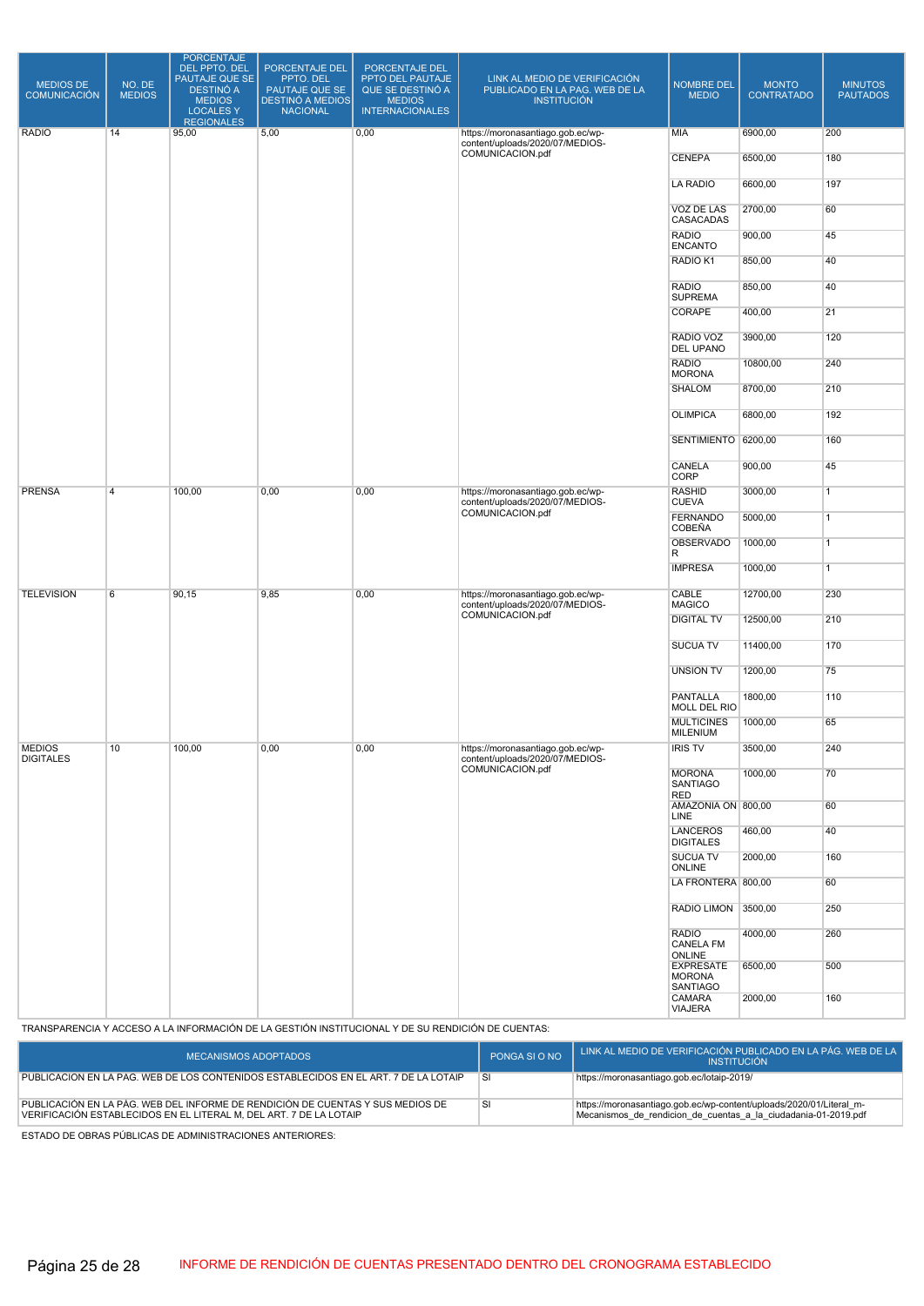| <b>MEDIOS DE</b><br><b>COMUNICACIÓN</b> | NO. DE<br><b>MEDIOS</b> | <b>PORCENTAJE</b><br>DEL PPTO. DEL<br>PAUTAJE QUE SE<br><b>DESTINÓ A</b><br><b>MEDIOS</b><br>LOCALES Y<br><b>REGIONALES</b> | PORCENTAJE DEL<br>PPTO. DEL<br>PAUTAJE QUE SE<br><b>DESTINÓ A MEDIOS</b><br><b>NACIONAL</b> | PORCENTAJE DEL<br>PPTO DEL PAUTAJE<br>QUE SE DESTINÓ A<br><b>MEDIOS</b><br><b>INTERNACIONALES</b> | LINK AL MEDIO DE VERIFICACIÓN<br>PUBLICADO EN LA PAG. WEB DE LA<br><b>INSTITUCIÓN</b> | <b>NOMBRE DEL</b><br><b>MEDIO</b>                    | <b>MONTO</b><br><b>CONTRATADO</b> | <b>MINUTOS</b><br><b>PAUTADOS</b> |
|-----------------------------------------|-------------------------|-----------------------------------------------------------------------------------------------------------------------------|---------------------------------------------------------------------------------------------|---------------------------------------------------------------------------------------------------|---------------------------------------------------------------------------------------|------------------------------------------------------|-----------------------------------|-----------------------------------|
| <b>RADIO</b>                            | 14                      | 95,00                                                                                                                       | 5,00                                                                                        | 0,00                                                                                              | https://moronasantiago.gob.ec/wp-<br>content/uploads/2020/07/MEDIOS-                  | <b>MIA</b>                                           | 6900,00                           | 200                               |
|                                         |                         |                                                                                                                             |                                                                                             |                                                                                                   | COMUNICACION.pdf                                                                      | <b>CENEPA</b>                                        | 6500,00                           | 180                               |
|                                         |                         |                                                                                                                             |                                                                                             |                                                                                                   |                                                                                       | <b>LA RADIO</b>                                      | 6600,00                           | 197                               |
|                                         |                         |                                                                                                                             |                                                                                             |                                                                                                   |                                                                                       | VOZ DE LAS<br>CASACADAS                              | 2700,00                           | 60                                |
|                                         |                         |                                                                                                                             |                                                                                             |                                                                                                   |                                                                                       | <b>RADIO</b><br><b>ENCANTO</b>                       | 900,00                            | 45                                |
|                                         |                         |                                                                                                                             |                                                                                             |                                                                                                   |                                                                                       | RADIO K1                                             | 850,00                            | 40                                |
|                                         |                         |                                                                                                                             |                                                                                             |                                                                                                   |                                                                                       | <b>RADIO</b><br><b>SUPREMA</b>                       | 850,00                            | 40                                |
|                                         |                         |                                                                                                                             |                                                                                             |                                                                                                   |                                                                                       | CORAPE                                               | 400,00                            | 21                                |
|                                         |                         |                                                                                                                             |                                                                                             |                                                                                                   |                                                                                       | RADIO VOZ<br><b>DEL UPANO</b>                        | 3900,00                           | 120                               |
|                                         |                         |                                                                                                                             |                                                                                             |                                                                                                   |                                                                                       | <b>RADIO</b><br><b>MORONA</b>                        | 10800,00                          | 240                               |
|                                         |                         |                                                                                                                             |                                                                                             |                                                                                                   |                                                                                       | <b>SHALOM</b>                                        | 8700,00                           | 210                               |
|                                         |                         |                                                                                                                             |                                                                                             |                                                                                                   |                                                                                       | <b>OLIMPICA</b>                                      | 6800,00                           | 192                               |
|                                         |                         |                                                                                                                             |                                                                                             |                                                                                                   |                                                                                       | SENTIMIENTO 6200,00                                  |                                   | 160                               |
|                                         |                         |                                                                                                                             |                                                                                             |                                                                                                   |                                                                                       | CANELA<br>CORP                                       | 900,00                            | 45                                |
| <b>PRENSA</b>                           | $\overline{4}$          | 100,00<br>0,00<br>0,00<br>https://moronasantiago.gob.ec/wp-<br>content/uploads/2020/07/MEDIOS-<br>COMUNICACION.pdf          |                                                                                             | <b>RASHID</b><br><b>CUEVA</b>                                                                     | 3000,00                                                                               | $\overline{1}$                                       |                                   |                                   |
|                                         |                         |                                                                                                                             |                                                                                             |                                                                                                   |                                                                                       | <b>FERNANDO</b><br>COBEÑA                            | 5000,00                           | $\overline{1}$                    |
|                                         |                         |                                                                                                                             |                                                                                             |                                                                                                   |                                                                                       | <b>OBSERVADO</b><br>R                                | 1000,00                           | $\overline{1}$                    |
|                                         |                         |                                                                                                                             |                                                                                             |                                                                                                   |                                                                                       | <b>IMPRESA</b>                                       | 1000,00                           | $\overline{1}$                    |
| <b>TELEVISION</b>                       | 6                       | 90, 15                                                                                                                      | 9,85                                                                                        | 0,00                                                                                              | https://moronasantiago.gob.ec/wp-<br>content/uploads/2020/07/MEDIOS-                  | CABLE<br><b>MAGICO</b>                               | 12700,00                          | 230                               |
|                                         |                         |                                                                                                                             |                                                                                             |                                                                                                   | COMUNICACION.pdf                                                                      | <b>DIGITAL TV</b>                                    | 12500,00                          | 210                               |
|                                         |                         |                                                                                                                             |                                                                                             |                                                                                                   |                                                                                       | <b>SUCUA TV</b>                                      | 11400,00                          | 170                               |
|                                         |                         |                                                                                                                             |                                                                                             |                                                                                                   |                                                                                       | <b>UNSION TV</b>                                     | 1200,00                           | 75                                |
|                                         |                         |                                                                                                                             |                                                                                             |                                                                                                   |                                                                                       | <b>PANTALLA</b><br>MOLL DEL RIO                      | 1800,00                           | 110                               |
|                                         |                         |                                                                                                                             |                                                                                             |                                                                                                   |                                                                                       | <b>MULTICINES</b><br><b>MILENIUM</b>                 | 1000,00                           | 65                                |
| <b>MEDIOS</b><br><b>DIGITALES</b>       | 10                      | 100,00                                                                                                                      | 0,00                                                                                        | 0,00                                                                                              | https://moronasantiago.gob.ec/wp-<br>content/uploads/2020/07/MEDIOS-                  | <b>IRIS TV</b>                                       | 3500,00                           | 240                               |
|                                         |                         |                                                                                                                             |                                                                                             |                                                                                                   | COMUNICACION.pdf                                                                      | <b>MORONA</b><br><b>SANTIAGO</b>                     | 1000,00                           | 70                                |
|                                         |                         |                                                                                                                             |                                                                                             |                                                                                                   |                                                                                       | RED<br>AMAZONIA ON 800,00                            |                                   | 60                                |
|                                         |                         |                                                                                                                             |                                                                                             |                                                                                                   |                                                                                       | LINE<br><b>LANCEROS</b>                              | 460,00                            | 40                                |
|                                         |                         |                                                                                                                             |                                                                                             |                                                                                                   |                                                                                       | <b>DIGITALES</b><br><b>SUCUA TV</b>                  | 2000,00                           | 160                               |
|                                         |                         |                                                                                                                             |                                                                                             |                                                                                                   | ONLINE<br>LA FRONTERA 800,00                                                          |                                                      | 60                                |                                   |
|                                         |                         |                                                                                                                             |                                                                                             |                                                                                                   |                                                                                       | RADIO LIMON 3500,00                                  |                                   | 250                               |
|                                         |                         |                                                                                                                             |                                                                                             |                                                                                                   |                                                                                       | <b>RADIO</b>                                         | 4000,00                           | 260                               |
|                                         |                         |                                                                                                                             |                                                                                             |                                                                                                   |                                                                                       | <b>CANELA FM</b><br>ONLINE                           |                                   |                                   |
|                                         |                         |                                                                                                                             |                                                                                             |                                                                                                   |                                                                                       | <b>EXPRESATE</b><br><b>MORONA</b><br><b>SANTIAGO</b> | 6500,00                           | 500                               |
|                                         |                         |                                                                                                                             |                                                                                             |                                                                                                   |                                                                                       | CAMARA<br><b>VIAJERA</b>                             | 2000,00                           | 160                               |

TRANSPARENCIA Y ACCESO A LA INFORMACIÓN DE LA GESTIÓN INSTITUCIONAL Y DE SU RENDICIÓN DE CUENTAS:

| MECANISMOS ADOPTADOS                                                                                                                                 | PONGA SI O NO | LINK AL MEDIO DE VERIFICACIÓN PUBLICADO EN LA PÁG. WEB DE LA<br><b>INSTITUCIÓN</b>                                                    |
|------------------------------------------------------------------------------------------------------------------------------------------------------|---------------|---------------------------------------------------------------------------------------------------------------------------------------|
| PUBLICACIÓN EN LA PAG. WEB DE LOS CONTENIDOS ESTABLECIDOS EN EL ART. 7 DE LA LOTAIP                                                                  | .SI           | https://moronasantiago.gob.ec/lotaip-2019/                                                                                            |
| PUBLICACIÓN EN LA PÁG. WEB DEL INFORME DE RENDICIÓN DE CUENTAS Y SUS MEDIOS DE<br>VERIFICACIÓN ESTABLECIDOS EN EL LITERAL M. DEL ART. 7 DE LA LOTAIP | <b>SI</b>     | https://moronasantiago.gob.ec/wp-content/uploads/2020/01/Literal_m-<br>Mecanismos de rendicion de cuentas a la ciudadania-01-2019.pdf |

ESTADO DE OBRAS PÚBLICAS DE ADMINISTRACIONES ANTERIORES: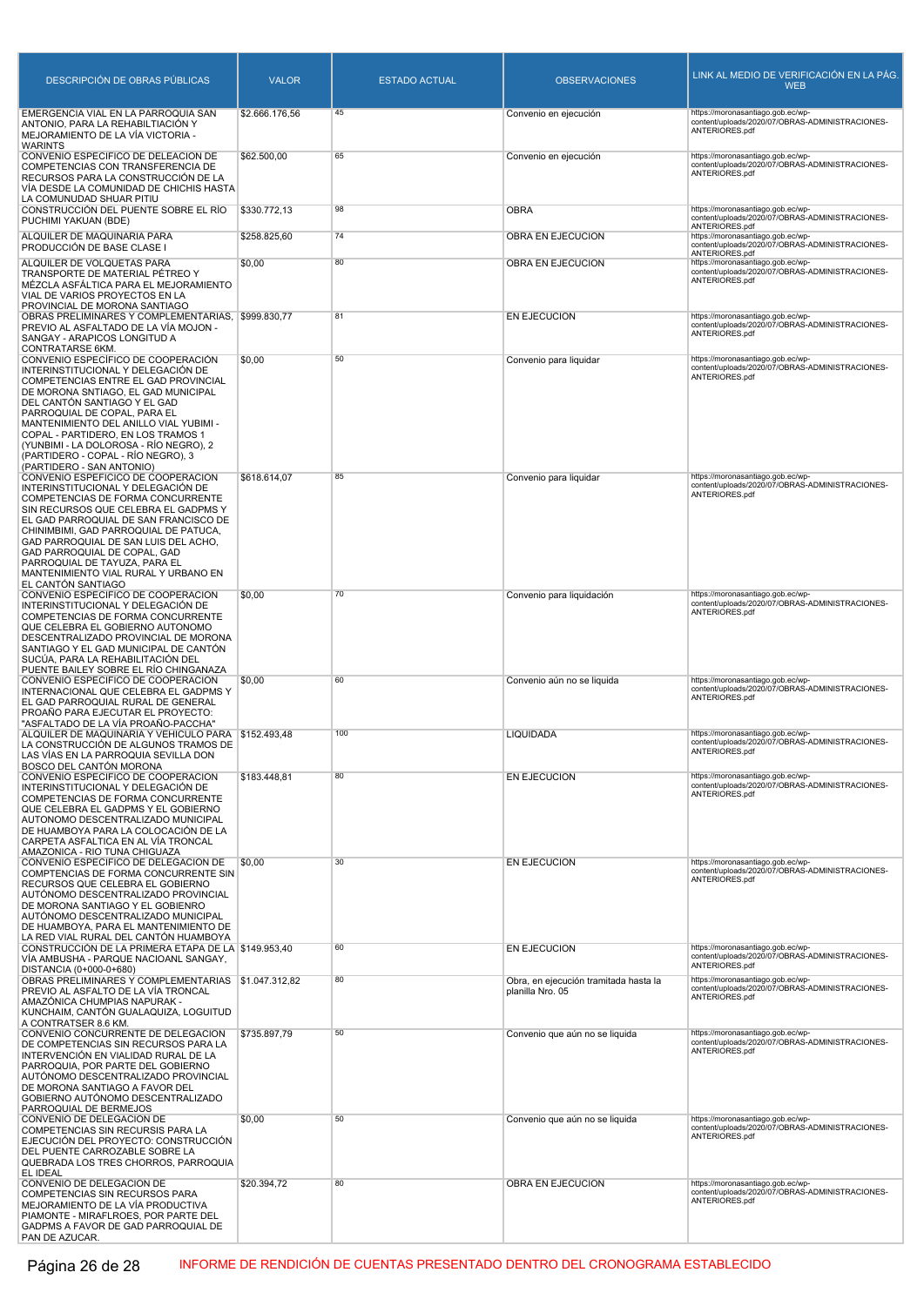| DESCRIPCIÓN DE OBRAS PÚBLICAS                                                                                                                                                                                                                                                                                                                                                                                        | <b>VALOR</b>   | <b>ESTADO ACTUAL</b> | <b>OBSERVACIONES</b>                                      | LINK AL MEDIO DE VERIFICACIÓN EN LA PÁG.<br><b>WEB</b>                                                                   |
|----------------------------------------------------------------------------------------------------------------------------------------------------------------------------------------------------------------------------------------------------------------------------------------------------------------------------------------------------------------------------------------------------------------------|----------------|----------------------|-----------------------------------------------------------|--------------------------------------------------------------------------------------------------------------------------|
| EMERGENCIA VIAL EN LA PARROQUIA SAN<br>ANTONIO, PARA LA REHABILTIACIÓN Y<br>MEJORAMIENTO DE LA VÍA VICTORIA -<br><b>WARINTS</b>                                                                                                                                                                                                                                                                                      | \$2.666.176,56 | 45                   | Convenio en ejecución                                     | https://moronasantiago.gob.ec/wp-<br>content/uploads/2020/07/OBRAS-ADMINISTRACIONES-<br>ANTERIORES.pdf                   |
| CONVENIO ESPECIFICO DE DELEACIÓN DE<br>COMPETENCIAS CON TRANSFERENCIA DE<br>RECURSOS PARA LA CONSTRUCCIÓN DE LA<br>VÍA DESDE LA COMUNIDAD DE CHICHIS HASTA                                                                                                                                                                                                                                                           | \$62.500,00    | 65                   | Convenio en ejecución                                     | https://moronasantiago.gob.ec/wp-<br>content/uploads/2020/07/OBRAS-ADMINISTRACIONES-<br>ANTERIORES.pdf                   |
| LA COMUNUDAD SHUAR PITIU<br>CONSTRUCCIÓN DEL PUENTE SOBRE EL RÍO<br>PUCHIMI YAKUAN (BDE)                                                                                                                                                                                                                                                                                                                             | \$330.772,13   | 98                   | <b>OBRA</b>                                               | https://moronasantiago.gob.ec/wp-<br>content/uploads/2020/07/OBRAS-ADMINISTRACIONES-                                     |
| ALQUILER DE MAQUINARIA PARA<br>PRODUCCIÓN DE BASE CLASE I                                                                                                                                                                                                                                                                                                                                                            | \$258.825,60   | 74                   | OBRA EN EJECUCION                                         | ANTERIORES.pdf<br>https://moronasantiago.gob.ec/wp-<br>content/uploads/2020/07/OBRAS-ADMINISTRACIONES-                   |
| ALQUILER DE VOLQUETAS PARA<br>TRANSPORTE DE MATERIAL PÉTREO Y<br>MÉZCLA ASFÁLTICA PARA EL MEJORAMIENTO<br>VIAL DE VARIOS PROYECTOS EN LA<br>PROVINCIAL DE MORONA SANTIAGO                                                                                                                                                                                                                                            | \$0,00         | 80                   | OBRA EN EJECUCION                                         | ANTERIORES.pdf<br>https://moronasantiago.gob.ec/wp-<br>content/uploads/2020/07/OBRAS-ADMINISTRACIONES-<br>ANTERIORES.pdf |
| OBRAS PRELIMINARES Y COMPLEMENTARIAS, \$999.830,77<br>PREVIO AL ASFALTADO DE LA VÍA MOJON -<br>SANGAY - ARAPICOS LONGITUD A<br>CONTRATARSE 6KM.                                                                                                                                                                                                                                                                      |                | 81                   | EN EJECUCION                                              | https://moronasantiago.gob.ec/wp-<br>content/uploads/2020/07/OBRAS-ADMINISTRACIONES-<br>ANTERIORES.pdf                   |
| CONVENIO ESPECÍFICO DE COOPERACIÓN<br>INTERINSTITUCIONAL Y DELEGACIÓN DE<br>COMPETENCIAS ENTRE EL GAD PROVINCIAL<br>DE MORONA SNTIAGO, EL GAD MUNICIPAL<br>DEL CANTÓN SANTIAGO Y EL GAD<br>PARROQUIAL DE COPAL, PARA EL<br>MANTENIMIENTO DEL ANILLO VIAL YUBIMI -<br>COPAL - PARTIDERO, EN LOS TRAMOS 1<br>(YUNBIMI - LA DOLOROSA - RÍO NEGRO), 2<br>(PARTIDERO - COPAL - RÍO NEGRO), 3<br>(PARTIDERO - SAN ANTONIO) | \$0,00         | 50                   | Convenio para liquidar                                    | https://moronasantiago.gob.ec/wp-<br>content/uploads/2020/07/OBRAS-ADMINISTRACIONES-<br>ANTERIORES.pdf                   |
| CONVENIO ESPEFICICO DE COOPERACIÓN<br>INTERINSTITUCIONAL Y DELEGACIÓN DE<br>COMPETENCIAS DE FORMA CONCURRENTE<br>SIN RECURSOS QUE CELEBRA EL GADPMS Y<br>EL GAD PARROQUIAL DE SAN FRANCISCO DE<br>CHINIMBIMI, GAD PARROQUIAL DE PATUCA,<br>GAD PARROQUIAL DE SAN LUIS DEL ACHO,<br>GAD PARROQUIAL DE COPAL, GAD<br>PARROQUIAL DE TAYUZA, PARA EL<br>MANTENIMIENTO VIAL RURAL Y URBANO EN<br>EL CANTÓN SANTIAGO       | \$618.614,07   | 85                   | Convenio para liquidar                                    | https://moronasantiago.gob.ec/wp-<br>content/uploads/2020/07/OBRAS-ADMINISTRACIONES-<br>ANTERIORES.pdf                   |
| CONVENIO ESPECIFICO DE COOPERACIÓN<br>INTERINSTITUCIONAL Y DELEGACIÓN DE<br>COMPETENCIAS DE FORMA CONCURRENTE<br>QUE CELEBRA EL GOBIERNO AUTONOMO<br>DESCENTRALIZADO PROVINCIAL DE MORONA<br>SANTIAGO Y EL GAD MUNICIPAL DE CANTÓN<br>SUCÚA, PARA LA REHABILITACIÓN DEL<br>PUENTE BAILEY SOBRE EL RÍO CHINGANAZA                                                                                                     | \$0,00         | 70                   | Convenio para liquidación                                 | https://moronasantiago.gob.ec/wp-<br>content/uploads/2020/07/OBRAS-ADMINISTRACIONES-<br>ANTERIORES.pdf                   |
| CONVENIO ESPECIFICO DE COOPERACIÓN<br>INTERNACIONAL QUE CELEBRA EL GADPMS Y<br>EL GAD PARROQUIAL RURAL DE GENERAL<br>PROAÑO PARA EJECUTAR EL PROYECTO:<br>"ASFALTADO DE LA VÍA PROAÑO-PACCHA"                                                                                                                                                                                                                        | \$0,00         | 60                   | Convenio aún no se liquida                                | https://moronasantiago.gob.ec/wp-<br>content/uploads/2020/07/OBRAS-ADMINISTRACIONES-<br>ANTERIORES.pdf                   |
| ALQUILER DE MAQUINARIA Y VEHICULO PARA \$152.493,48<br>LA CONSTRUCCIÓN DE ALGUNOS TRAMOS DE<br>LAS VÍAS EN LA PARROQUIA SEVILLA DON<br>BOSCO DEL CANTÓN MORONA                                                                                                                                                                                                                                                       |                | 100                  | LIQUIDADA                                                 | https://moronasantiago.gob.ec/wp-<br>content/uploads/2020/07/OBRAS-ADMINISTRACIONES-<br>ANTERIORES.pdf                   |
| CONVENIO ESPECIFICO DE COOPERACIÓN<br>INTERINSTITUCIONAL Y DELEGACIÓN DE<br>COMPETENCIAS DE FORMA CONCURRENTE<br>QUE CELEBRA EL GADPMS Y EL GOBIERNO<br>AUTONOMO DESCENTRALIZADO MUNICIPAL<br>DE HUAMBOYA PARA LA COLOCACIÓN DE LA<br>CARPETA ASFALTICA EN AL VÍA TRONCAL<br>AMAZONICA - RIO TUNA CHIGUAZA                                                                                                           | \$183.448,81   | 80                   | EN EJECUCION                                              | https://moronasantiago.gob.ec/wp-<br>content/uploads/2020/07/OBRAS-ADMINISTRACIONES-<br>ANTERIORES.pdf                   |
| CONVENIO ESPECIFICO DE DELEGACIÓN DE<br>COMPTENCIAS DE FORMA CONCURRENTE SIN<br>RECURSOS QUE CELEBRA EL GOBIERNO<br>AUTÓNOMO DESCENTRALIZADO PROVINCIAL<br>DE MORONA SANTIAGO Y EL GOBIENRO<br>AUTÓNOMO DESCENTRALIZADO MUNICIPAL<br>DE HUAMBOYA, PARA EL MANTENIMIENTO DE<br>LA RED VIAL RURAL DEL CANTÓN HUAMBOYA                                                                                                  | \$0,00         | 30                   | EN EJECUCION                                              | https://moronasantiago.gob.ec/wp-<br>content/uploads/2020/07/OBRAS-ADMINISTRACIONES-<br>ANTERIORES.pdf                   |
| CONSTRUCCIÓN DE LA PRIMERA ETAPA DE LA \$149.953,40<br>VIA AMBUSHA - PARQUE NACIOANL SANGAY,<br>DISTANCIA (0+000-0+680)                                                                                                                                                                                                                                                                                              |                | 60                   | EN EJECUCION                                              | https://moronasantiago.gob.ec/wp-<br>content/uploads/2020/07/OBRAS-ADMINISTRACIONES-<br>ANTERIORES.pdf                   |
| OBRAS PRELIMINARES Y COMPLEMENTARIAS \$1.047.312,82<br>PREVIO AL ASFALTO DE LA VÍA TRONCAL<br>AMAZÓNICA CHUMPIAS NAPURAK -<br>KUNCHAIM, CANTÓN GUALAQUIZA, LOGUITUD<br>A CONTRATSER 8.6 KM.                                                                                                                                                                                                                          |                | 80                   | Obra, en ejecución tramitada hasta la<br>planilla Nro. 05 | https://moronasantiago.gob.ec/wp-<br>content/uploads/2020/07/OBRAS-ADMINISTRACIONES-<br>ANTERIORES.pdf                   |
| CONVENIO CONCURRENTE DE DELEGACIÓN<br>DE COMPETENCIAS SIN RECURSOS PARA LA<br>INTERVENCIÓN EN VIALIDAD RURAL DE LA<br>PARROQUIA, POR PARTE DEL GOBIERNO<br>AUTÓNOMO DESCENTRALIZADO PROVINCIAL<br>DE MORONA SANTIAGO A FAVOR DEL<br>GOBIERNO AUTÓNOMO DESCENTRALIZADO<br>PARROQUIAL DE BERMEJOS                                                                                                                      | \$735.897,79   | 50                   | Convenio que aún no se liquida                            | https://moronasantiago.gob.ec/wp-<br>content/uploads/2020/07/OBRAS-ADMINISTRACIONES-<br>ANTERIORES.pdf                   |
| CONVENIO DE DELEGACIÓN DE<br>COMPETENCIAS SIN RECURSIS PARA LA<br>EJECUCIÓN DEL PROYECTO: CONSTRUCCIÓN<br>DEL PUENTE CARROZABLE SOBRE LA<br>QUEBRADA LOS TRES CHORROS, PARROQUIA<br>EL IDEAL                                                                                                                                                                                                                         | \$0,00         | 50                   | Convenio que aún no se liquida                            | https://moronasantiago.gob.ec/wp-<br>content/uploads/2020/07/OBRAS-ADMINISTRACIONES-<br>ANTERIORES.pdf                   |
| CONVENIO DE DELEGACIÓN DE<br>COMPETENCIAS SIN RECURSOS PARA<br>MEJORAMIENTO DE LA VÍA PRODUCTIVA<br>PIAMONTE - MIRAFLROES, POR PARTE DEL<br>GADPMS A FAVOR DE GAD PARROQUIAL DE<br>PAN DE AZUCAR.                                                                                                                                                                                                                    | \$20.394,72    | 80                   | OBRA EN EJECUCIÓN                                         | https://moronasantiago.gob.ec/wp-<br>content/uploads/2020/07/OBRAS-ADMINISTRACIONES-<br>ANTERIORES.pdf                   |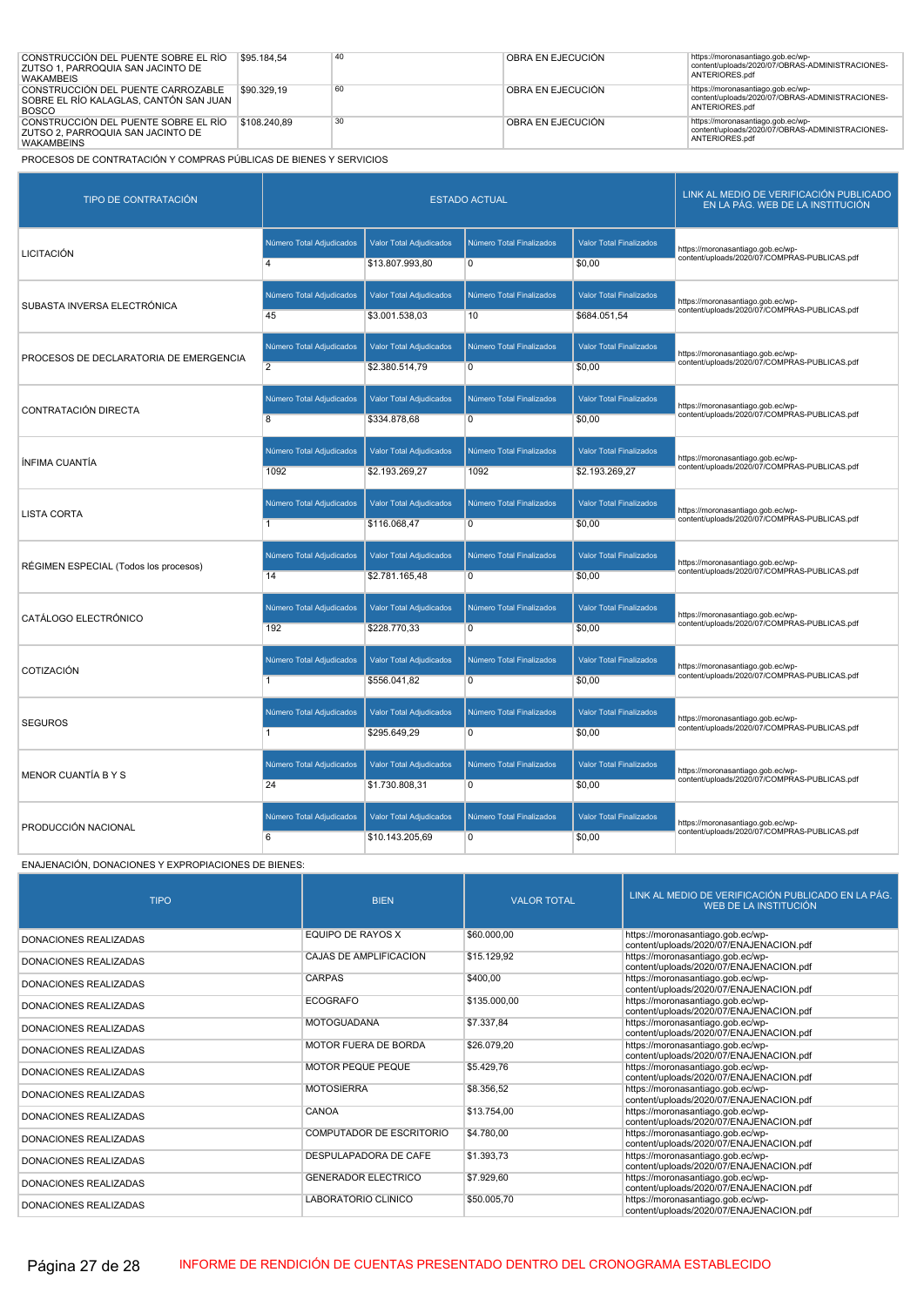| CONSTRUCCIÓN DEL PUENTE SOBRE EL RÍO<br>ZUTSO 1. PARROQUIA SAN JACINTO DE<br><b>WAKAMBEIS</b>  | \$95,184.54  | 40 | OBRA EN EJECUCIÓN | https://moronasantiago.gob.ec/wp-<br>content/uploads/2020/07/OBRAS-ADMINISTRACIONES-<br>ANTERIORES.pdf |
|------------------------------------------------------------------------------------------------|--------------|----|-------------------|--------------------------------------------------------------------------------------------------------|
| CONSTRUCCIÓN DEL PUENTE CARROZABLE<br>SOBRE EL RÍO KALAGLAS, CANTÓN SAN JUAN  <br><b>BOSCO</b> | \$90.329.19  | 60 | OBRA EN EJECUCIÓN | https://moronasantiago.gob.ec/wp-<br>content/uploads/2020/07/OBRAS-ADMINISTRACIONES-<br>ANTERIORES.pdf |
| CONSTRUCCIÓN DEL PUENTE SOBRE EL RÍO<br>ZUTSO 2. PARROQUIA SAN JACINTO DE<br><b>WAKAMBEINS</b> | \$108,240.89 | 30 | OBRA EN EJECUCIÓN | https://moronasantiago.gob.ec/wp-<br>content/uploads/2020/07/OBRAS-ADMINISTRACIONES-<br>ANTERIORES.pdf |

| <b>TIPO DE CONTRATACIÓN</b>            |                          | <b>ESTADO ACTUAL</b>           | LINK AL MEDIO DE VERIFICACIÓN PUBLICADO<br>EN LA PÁG. WEB DE LA INSTITUCIÓN |                                |                                              |
|----------------------------------------|--------------------------|--------------------------------|-----------------------------------------------------------------------------|--------------------------------|----------------------------------------------|
| <b>LICITACIÓN</b>                      | Número Total Adjudicados | <b>Valor Total Adjudicados</b> | Número Total Finalizados                                                    | <b>Valor Total Finalizados</b> | https://moronasantiago.gob.ec/wp-            |
|                                        | $\overline{4}$           | \$13.807.993,80                | $\overline{0}$                                                              | \$0.00                         | content/uploads/2020/07/COMPRAS-PUBLICAS.pdf |
| SUBASTA INVERSA ELECTRÓNICA            | Número Total Adjudicados | Valor Total Adjudicados        | Número Total Finalizados                                                    | <b>Valor Total Finalizados</b> | https://moronasantiago.gob.ec/wp-            |
|                                        | 45                       | \$3.001.538,03                 | 10                                                                          | \$684.051,54                   | content/uploads/2020/07/COMPRAS-PUBLICAS.pdf |
| PROCESOS DE DECLARATORIA DE EMERGENCIA | Número Total Adjudicados | Valor Total Adjudicados        | Número Total Finalizados                                                    | <b>Valor Total Finalizados</b> | https://moronasantiago.gob.ec/wp-            |
|                                        | $\overline{2}$           | \$2.380.514,79                 | $\overline{0}$                                                              | \$0,00                         | content/uploads/2020/07/COMPRAS-PUBLICAS.pdf |
| CONTRATACIÓN DIRECTA                   | Número Total Adjudicados | Valor Total Adjudicados        | Número Total Finalizados                                                    | <b>Valor Total Finalizados</b> | https://moronasantiago.gob.ec/wp-            |
|                                        | $\overline{8}$           | \$334.878,68                   | $\overline{0}$                                                              | \$0,00                         | content/uploads/2020/07/COMPRAS-PUBLICAS.pdf |
| <b>ÍNFIMA CUANTÍA</b>                  | Número Total Adjudicados | Valor Total Adjudicados        | Número Total Finalizados                                                    | <b>Valor Total Finalizados</b> | https://moronasantiago.gob.ec/wp-            |
|                                        | 1092                     | \$2.193.269,27                 | 1092                                                                        | \$2.193.269,27                 | content/uploads/2020/07/COMPRAS-PUBLICAS.pdf |
| <b>LISTA CORTA</b>                     | Número Total Adjudicados | Valor Total Adjudicados        | Número Total Finalizados                                                    | <b>Valor Total Finalizados</b> | https://moronasantiago.gob.ec/wp-            |
|                                        | $\mathbf{1}$             | \$116.068,47                   | 0                                                                           | \$0,00                         | content/uploads/2020/07/COMPRAS-PUBLICAS.pdf |
|                                        | Número Total Adjudicados | Valor Total Adjudicados        | Número Total Finalizados                                                    | <b>Valor Total Finalizados</b> | https://moronasantiago.gob.ec/wp-            |
| RÉGIMEN ESPECIAL (Todos los procesos)  | 14                       | \$2.781.165,48                 | 0                                                                           | \$0,00                         | content/uploads/2020/07/COMPRAS-PUBLICAS.pdf |
| CATÁLOGO ELECTRÓNICO                   | Número Total Adjudicados | <b>Valor Total Adjudicados</b> | Número Total Finalizados                                                    | <b>Valor Total Finalizados</b> | https://moronasantiago.gob.ec/wp-            |
|                                        | 192                      | \$228.770,33                   | $\overline{0}$                                                              | \$0,00                         | content/uploads/2020/07/COMPRAS-PUBLICAS.pdf |
| COTIZACIÓN                             | Número Total Adjudicados | <b>Valor Total Adjudicados</b> | Número Total Finalizados                                                    | <b>Valor Total Finalizados</b> | https://moronasantiago.gob.ec/wp-            |
|                                        | 1                        | \$556.041,82                   | 0                                                                           | \$0,00                         | content/uploads/2020/07/COMPRAS-PUBLICAS.pdf |
|                                        | Número Total Adjudicados | Valor Total Adjudicados        | Número Total Finalizados                                                    | <b>Valor Total Finalizados</b> | https://moronasantiago.gob.ec/wp-            |
| <b>SEGUROS</b>                         | $\mathbf{1}$             | \$295.649,29                   | $\overline{0}$                                                              | \$0,00                         | content/uploads/2020/07/COMPRAS-PUBLICAS.pdf |
| MENOR CUANTÍA B Y S                    | Número Total Adjudicados | Valor Total Adjudicados        | Número Total Finalizados                                                    | <b>Valor Total Finalizados</b> | https://moronasantiago.gob.ec/wp-            |
|                                        | 24                       | \$1.730.808,31                 | $\overline{0}$                                                              | \$0,00                         | content/uploads/2020/07/COMPRAS-PUBLICAS.pdf |
|                                        | Número Total Adjudicados | Valor Total Adjudicados        | Número Total Finalizados                                                    | <b>Valor Total Finalizados</b> | https://moronasantiago.gob.ec/wp-            |
| PRODUCCIÓN NACIONAL                    | 6                        | \$10.143.205,69                | $\overline{0}$                                                              | \$0,00                         | content/uploads/2020/07/COMPRAS-PUBLICAS.pdf |

## ENAJENACIÓN, DONACIONES Y EXPROPIACIONES DE BIENES:

PROCESOS DE CONTRATACIÓN Y COMPRAS PÚBLICAS DE BIENES Y SERVICIOS

| <b>TIPO</b>           | <b>BIEN</b>                     | <b>VALOR TOTAL</b> | LINK AL MEDIO DE VERIFICACIÓN PUBLICADO EN LA PÁG.<br>WEB DE LA INSTITUCIÓN  |
|-----------------------|---------------------------------|--------------------|------------------------------------------------------------------------------|
| DONACIONES REALIZADAS | EQUIPO DE RAYOS X               | \$60.000,00        | https://moronasantiago.gob.ec/wp-<br>content/uploads/2020/07/ENAJENACION.pdf |
| DONACIONES REALIZADAS | CAJAS DE AMPLIFICACION          | \$15,129.92        | https://moronasantiago.gob.ec/wp-<br>content/uploads/2020/07/ENAJENACION.pdf |
| DONACIONES REALIZADAS | <b>CARPAS</b>                   | \$400.00           | https://moronasantiago.gob.ec/wp-<br>content/uploads/2020/07/ENAJENACION.pdf |
| DONACIONES REALIZADAS | <b>ECOGRAFO</b>                 | \$135.000,00       | https://moronasantiago.gob.ec/wp-<br>content/uploads/2020/07/ENAJENACION.pdf |
| DONACIONES REALIZADAS | <b>MOTOGUADAÑA</b>              | \$7,337.84         | https://moronasantiago.gob.ec/wp-<br>content/uploads/2020/07/ENAJENACION.pdf |
| DONACIONES REALIZADAS | MOTOR FUERA DE BORDA            | \$26.079.20        | https://moronasantiago.gob.ec/wp-<br>content/uploads/2020/07/ENAJENACION.pdf |
| DONACIONES REALIZADAS | <b>MOTOR PEQUE PEQUE</b>        | \$5.429,76         | https://moronasantiago.gob.ec/wp-<br>content/uploads/2020/07/ENAJENACION.pdf |
| DONACIONES REALIZADAS | <b>MOTOSIERRA</b>               | \$8.356,52         | https://moronasantiago.gob.ec/wp-<br>content/uploads/2020/07/ENAJENACION.pdf |
| DONACIONES REALIZADAS | CANOA                           | \$13.754,00        | https://moronasantiago.gob.ec/wp-<br>content/uploads/2020/07/ENAJENACION.pdf |
| DONACIONES REALIZADAS | <b>COMPUTADOR DE ESCRITORIO</b> | \$4.780,00         | https://moronasantiago.gob.ec/wp-<br>content/uploads/2020/07/ENAJENACION.pdf |
| DONACIONES REALIZADAS | DESPULAPADORA DE CAFE           | \$1.393,73         | https://moronasantiago.gob.ec/wp-<br>content/uploads/2020/07/ENAJENACION.pdf |
| DONACIONES REALIZADAS | <b>GENERADOR ELECTRICO</b>      | \$7,929.60         | https://moronasantiago.gob.ec/wp-<br>content/uploads/2020/07/ENAJENACION.pdf |
| DONACIONES REALIZADAS | LABORATORIO CLINICO             | \$50,005.70        | https://moronasantiago.gob.ec/wp-<br>content/uploads/2020/07/ENAJENACION.pdf |